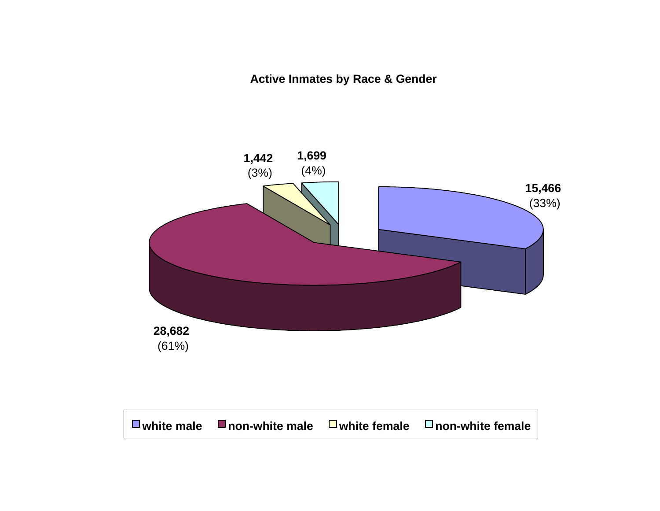**Active Inmates by Race & Gender**

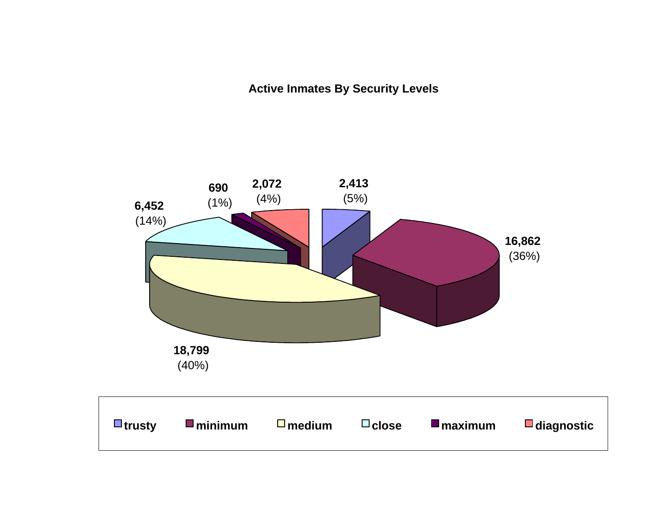**Active Inmates By Security Levels**

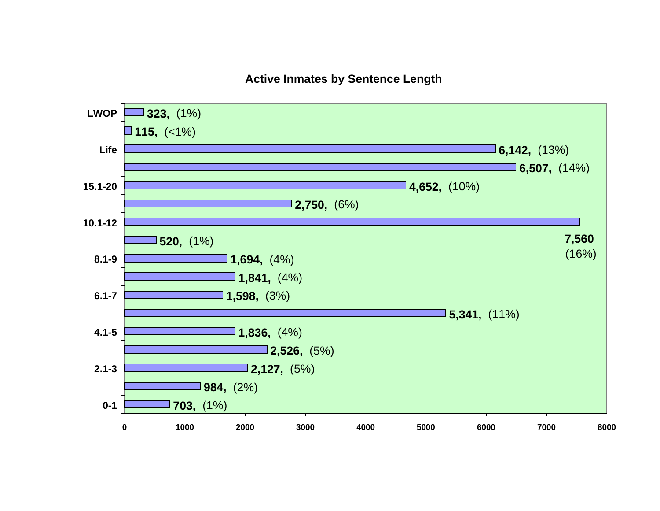#### **Active Inmates by Sentence Length**

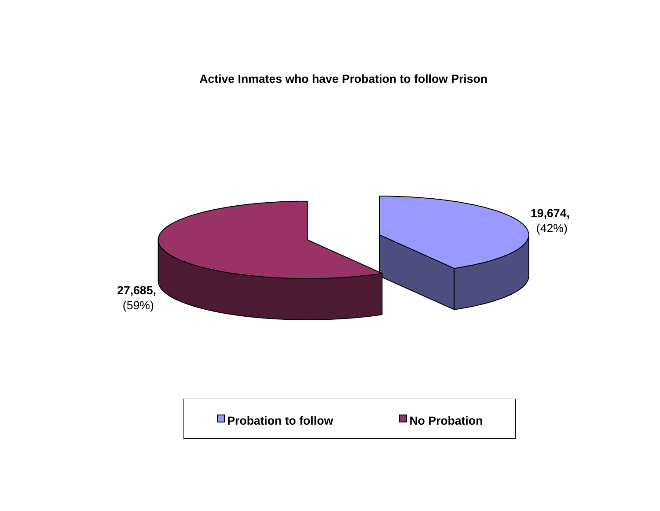**Active Inmates who have Probation to follow Prison**



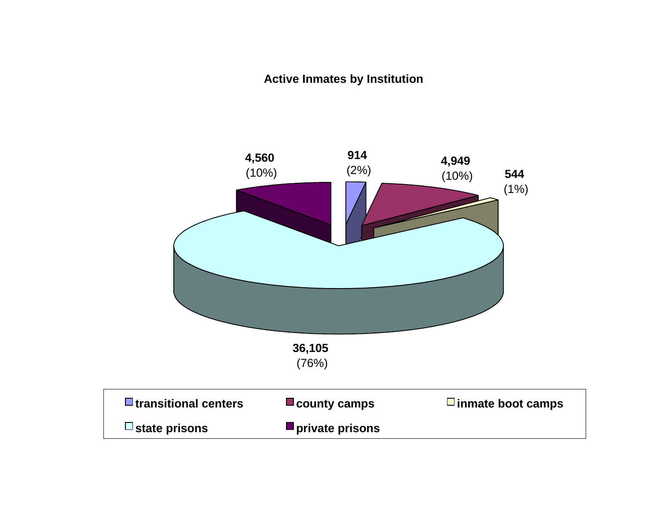#### **Active Inmates by Institution**

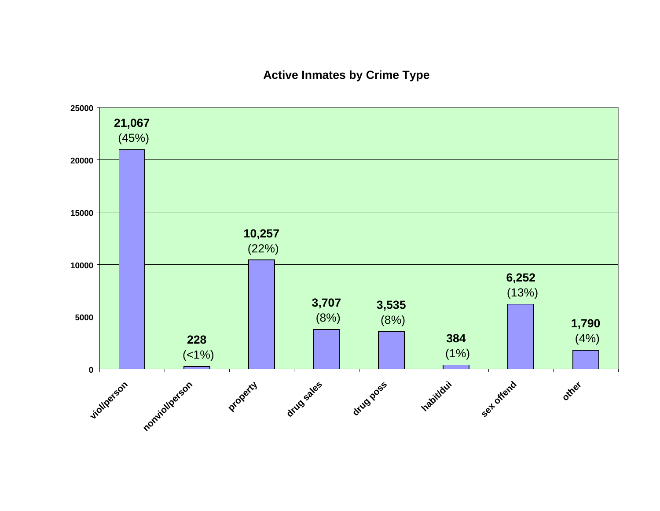#### **Active Inmates by Crime Type**

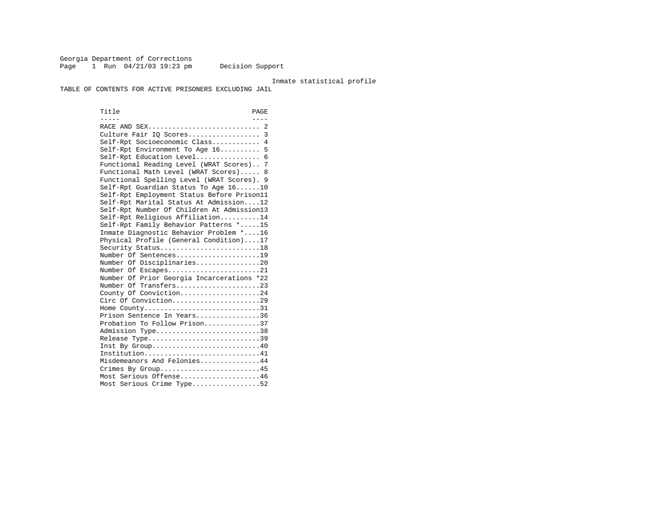Georgia Department of Corrections Page 1 Run 04/21/03 19:23 pm Decision Support

#### Inmate statistical profile

TABLE OF CONTENTS FOR ACTIVE PRISONERS EXCLUDING JAIL

Title PAGE ----- ---- RACE AND SEX............................ 2 Culture Fair IQ Scores.................. 3 Self-Rpt Socioeconomic Class............ 4 Self-Rpt Environment To Age 16.......... 5 Self-Rpt Education Level................ 6 Functional Reading Level (WRAT Scores).. 7 Functional Math Level (WRAT Scores)..... 8 Functional Spelling Level (WRAT Scores). 9 Self-Rpt Guardian Status To Age 16......10 Self-Rpt Employment Status Before Prison11 Self-Rpt Marital Status At Admission....12 Self-Rpt Number Of Children At Admission13 Self-Rpt Religious Affiliation..........14 Self-Rpt Family Behavior Patterns \*.....15 Inmate Diagnostic Behavior Problem \*....16 Physical Profile (General Condition)....17 Security Status............................18 Number Of Sentences.....................19 Number Of Disciplinaries................20 Number Of Escapes........................21 Number Of Prior Georgia Incarcerations \*22 Number Of Transfers.....................23 County Of Conviction....................24 Circ Of Conviction......................29 Home County................................31 Prison Sentence In Years................36 Probation To Follow Prison..............37Admission Type.............................38 Release Type...............................39 Inst By Group.............................40 Institution...............................41 Misdemeanors And Felonies...............44 Crimes By Group...........................45 Most Serious Offense....................46 Most Serious Crime Type.................52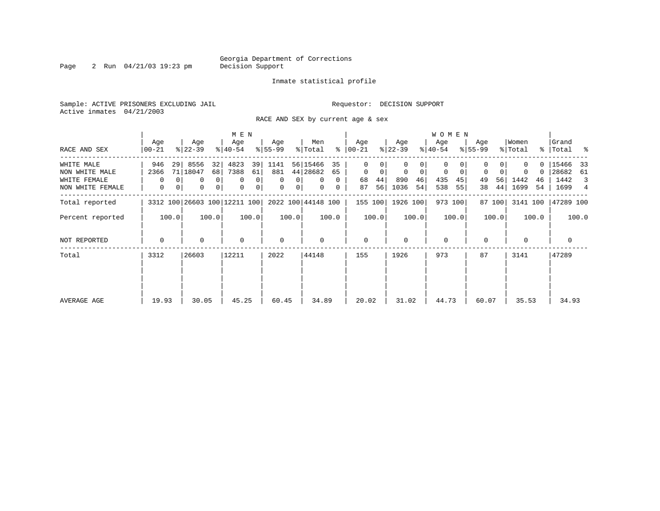Page 2 Run 04/21/03 19:23 pm

#### Inmate statistical profile

Sample: ACTIVE PRISONERS EXCLUDING JAIL **Requestor: DECISION SUPPORT** Active inmates 04/21/2003

RACE AND SEX by current age & sex

|                  |                  |                                                          | M E N                           |                          |                      |                  |                            | <b>WOMEN</b>     |                  |                  |                      |
|------------------|------------------|----------------------------------------------------------|---------------------------------|--------------------------|----------------------|------------------|----------------------------|------------------|------------------|------------------|----------------------|
| RACE AND SEX     | Age<br>$00 - 21$ | Age<br>$ 22-39 $                                         | Age<br>$ 40-54 $                | Age<br>$8 55-99$         | Men<br>ႜ<br>% Total  | Age<br>  00-21   | Age<br>$ 22-39 $           | Age<br>$ 40-54 $ | Age<br>$8 55-99$ | Women<br>% Total | Grand<br>%   Total % |
| WHITE MALE       | 946              | 8556<br>32<br>29                                         | 4823<br>39                      | 1141                     | 56 15466<br>35       | 0                |                            | $\Omega$         |                  | $\Omega$         | 15466<br>33          |
| NON WHITE MALE   | 2366             | 71   18047<br>68                                         | 7388<br>61                      | 881                      | 44 28682<br>65       | $\mathbf 0$<br>0 | $\mathbf 0$<br>$\mathbf 0$ | 0<br>0           | 0<br>0           | 0                | 28682<br>61          |
| WHITE FEMALE     | $\Omega$         | 0                                                        | $\overline{0}$<br>0<br>$\Omega$ | $\Omega$<br>0            | $\Omega$<br>$\Omega$ | 44<br>68         | 890<br>46                  | 435<br>45        | 56<br>49         | 1442<br>46       | 1442<br>3            |
| NON WHITE FEMALE | 0                | 0 <sup>1</sup><br>0<br>0<br>3312 100 26603 100 12211 100 |                                 | 0<br>0<br>0 <sup>1</sup> | $\mathbf{0}$<br>0    | 56<br>87         | 1036<br>54                 | 538<br>55        | 44<br>38         | 1699<br>54       | 1699<br>4            |
| Total reported   |                  |                                                          |                                 |                          | 2022 100 44148 100   | 155 100          | 1926 100                   | 973 100          | 87 100           | 3141 100         | 47289 100            |
| Percent reported | 100.0            | 100.0                                                    | 100.0                           | 100.0                    | 100.0                | 100.0            | 100.0                      | 100.0            | 100.0            | 100.0            | 100.0                |
| NOT REPORTED     | $\mathbf 0$      | 0                                                        | $\mathbf 0$                     | $\mathbf 0$              | 0                    | $\mathbf 0$      | $\Omega$                   | $\mathbf 0$      | $\Omega$         | $\Omega$         | 0                    |
| Total            | 3312             | 26603                                                    | 12211                           | 2022                     | 44148                | 155              | 1926                       | 973              | 87               | 3141             | 47289                |
|                  |                  |                                                          |                                 |                          |                      |                  |                            |                  |                  |                  |                      |
| AVERAGE AGE      | 19.93            | 30.05                                                    | 45.25                           | 60.45                    | 34.89                | 20.02            | 31.02                      | 44.73            | 60.07            | 35.53            | 34.93                |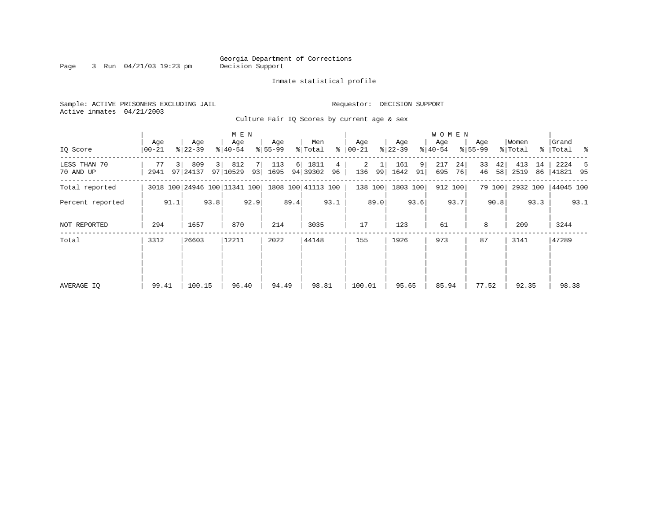Page 3 Run  $04/21/03$  19:23 pm

#### Inmate statistical profile

| Sample: ACTIVE PRISONERS EXCLUDING JAIL |           | Requestor: DECISION SUPPORT |
|-----------------------------------------|-----------|-----------------------------|
| Active inmates 04/21/2003               |           |                             |
|                                         | _ . _ . _ |                             |

Culture Fair IQ Scores by current age & sex

|                           |                  |      | M E N            |      |                              |      |                  |      |                    |         | W O M E N        |         |                  |         |                  |          |                    |          |                  |          |                      |      |
|---------------------------|------------------|------|------------------|------|------------------------------|------|------------------|------|--------------------|---------|------------------|---------|------------------|---------|------------------|----------|--------------------|----------|------------------|----------|----------------------|------|
| IQ Score                  | Age<br>$00 - 21$ |      | Age<br>$ 22-39 $ |      | Age<br>$ 40-54 $             |      | Age<br>$8 55-99$ |      | Men<br>% Total     | ⊱       | Age<br>$ 00-21 $ |         | Age<br>$ 22-39 $ |         | Age<br>$ 40-54 $ |          | Age<br>$8155 - 99$ |          | Women<br>% Total |          | Grand<br>%   Total % |      |
| LESS THAN 70<br>70 AND UP | 77<br>2941       |      | 809<br>97 24137  | 3    | 812<br>97 10529              | 93   | 113<br>1695      | 6    | 1811<br>94 39302   | 4<br>96 | 2<br>136         | 99      | 161<br>1642      | 9<br>91 | 217<br>695       | 24<br>76 | 33<br>46           | 42<br>58 | 413<br>2519      | 14<br>86 | 2224<br> 41821 95    | -5   |
| Total reported            |                  |      |                  |      | 3018 100 24946 100 11341 100 |      |                  |      | 1808 100 41113 100 |         |                  | 138 100 | 1803 100         |         | 912 100          |          |                    | 79 100   | 2932 100         |          | 44045 100            |      |
| Percent reported          |                  | 91.1 |                  | 93.8 |                              | 92.9 |                  | 89.4 |                    | 93.1    |                  | 89.0    |                  | 93.6    |                  | 93.7     |                    | 90.8     |                  | 93.3     |                      | 93.1 |
| NOT REPORTED              | 294              |      | 1657             |      | 870                          |      | 214              |      | 3035               |         | 17               |         | 123              |         | 61               |          | 8                  |          | 209              |          | 3244                 |      |
| Total                     | 3312             |      | 26603            |      | 12211                        |      | 2022             |      | 44148              |         | 155              |         | 1926             |         | 973              |          | 87                 |          | 3141             |          | 47289                |      |
|                           |                  |      |                  |      |                              |      |                  |      |                    |         |                  |         |                  |         |                  |          |                    |          |                  |          |                      |      |
|                           |                  |      |                  |      |                              |      |                  |      |                    |         |                  |         |                  |         |                  |          |                    |          |                  |          |                      |      |
| AVERAGE IQ                | 99.41            |      | 100.15           |      | 96.40                        |      | 94.49            |      | 98.81              |         | 100.01           |         | 95.65            |         | 85.94            |          | 77.52              |          | 92.35            |          | 98.38                |      |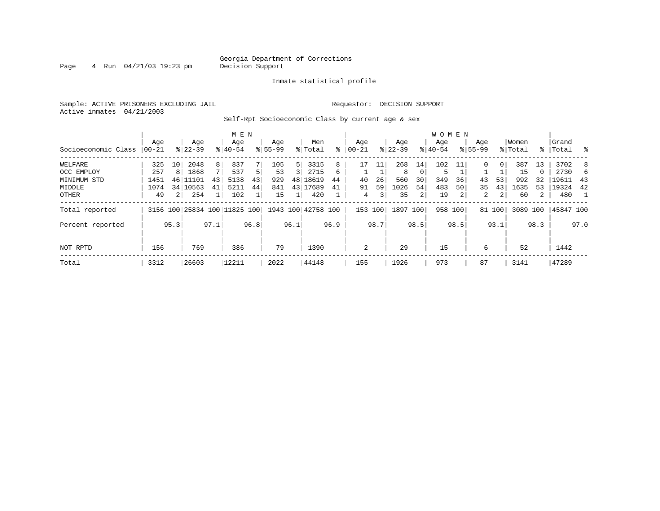Page  $4$  Run  $04/21/03$  19:23 pm

#### Inmate statistical profile

Sample: ACTIVE PRISONERS EXCLUDING JAIL **Requestor: DECISION SUPPORT** Active inmates 04/21/2003

Self-Rpt Socioeconomic Class by current age & sex

|                     |          |                | M E N                        |      |           |      |             |      |                    |      | <b>WOMEN</b> |      |           |          |           |      |             |                |          |             |           |      |
|---------------------|----------|----------------|------------------------------|------|-----------|------|-------------|------|--------------------|------|--------------|------|-----------|----------|-----------|------|-------------|----------------|----------|-------------|-----------|------|
|                     | Age      |                | Age                          |      | Age       |      | Age         |      | Men                |      | Age          |      | Age       |          | Age       |      | Age         |                | Women    |             | Grand     |      |
| Socioeconomic Class | $ 00-21$ |                | $8 22-39$                    |      | $8 40-54$ |      | $8155 - 99$ |      | % Total            | ៖    | $ 00 - 21$   | ៖    | $22 - 39$ |          | $ 40-54 $ |      | $8155 - 99$ |                | % Total  | $\approx$ 1 | Total     | ႜ    |
| WELFARE             | 325      | 10             | 2048                         | 8    | 837       |      | 105         | 5    | 3315               | 8    | 17           | ᆚᆚ   | 268       | 14       | 102       |      | 0           | 0 <sup>1</sup> | 387      | 13          | 3702      | 8    |
| OCC EMPLOY          | 257      | 8              | 1868                         | 7    | 537       | 5.   | 53          |      | 2715               | 6    |              |      | 8         | $\Omega$ | 5         |      |             |                | 15       | $\Omega$    | 2730      | 6.   |
| MINIMUM STD         | 1451     | 46             | 11101                        | 43   | 5138      | 43   | 929         | 48   | 18619              | 44   | 40           | 26   | 560       | 30       | 349       | 36   | 43          | 53             | 992      | 32          | 19611     | -43  |
| MIDDLE              | 1074     |                | 34 10563                     | 41   | 5211      | 44   | 841         |      | 43 17689           | 41   | 91           | 59   | 1026      | 54       | 483       | 50   | 35          | 43             | 1635     | 53          | 19324     | 42   |
| OTHER               | 49       | 2 <sub>1</sub> | 254                          |      | 102       |      | 15          |      | 420                |      | 4            | 3    | 35        | 2        | 19        |      | 2           | $\overline{2}$ | 60       | 2           | 480       |      |
| Total reported      |          |                | 3156 100 25834 100 11825 100 |      |           |      |             |      | 1943 100 42758 100 |      | 153 100      |      | 1897      | 100      | 958 100   |      |             | 81 100         | 3089 100 |             | 45847 100 |      |
| Percent reported    |          | 95.3           |                              | 97.1 |           | 96.8 |             | 96.1 |                    | 96.9 |              | 98.7 |           | 98.5     |           | 98.5 |             | 93.1           |          | 98.3        |           | 97.0 |
| NOT RPTD            | 156      |                | 769                          |      | 386       |      | 79          |      | 1390               |      | 2            |      | 29        |          | 15        |      | 6           |                | 52       |             | 1442      |      |
| Total               | 3312     |                | 26603                        |      | 12211     |      | 2022        |      | 44148              |      | 155          |      | 1926      |          | 973       |      | 87          |                | 3141     |             | 47289     |      |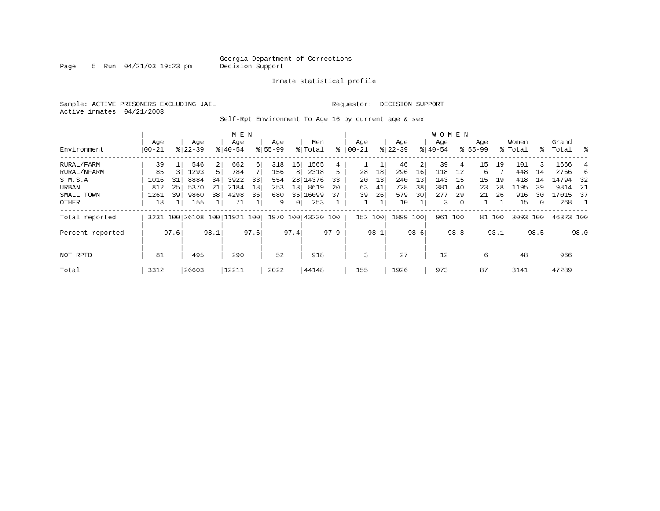Page 5 Run 04/21/03 19:23 pm

#### Inmate statistical profile

Sample: ACTIVE PRISONERS EXCLUDING JAIL **Requestor: DECISION SUPPORT** Active inmates 04/21/2003

Self-Rpt Environment To Age 16 by current age & sex

|                  | M E N                                   |  |                    |                |                              |      |                    |                 |                    |     |                  |      |                  |     | <b>WOMEN</b>     |                |                    |        |                  |       |                 |     |
|------------------|-----------------------------------------|--|--------------------|----------------|------------------------------|------|--------------------|-----------------|--------------------|-----|------------------|------|------------------|-----|------------------|----------------|--------------------|--------|------------------|-------|-----------------|-----|
| Environment      | Age<br>$ 00-21$                         |  | Age<br>$8122 - 39$ |                | Age<br>$8140 - 54$           |      | Age<br>$8155 - 99$ |                 | Men<br>% Total     | ⊱   | Aqe<br>$00 - 21$ |      | Age<br>$ 22-39 $ |     | Age<br>$ 40-54 $ |                | Age<br>$8155 - 99$ |        | Women<br>% Total | ႜ     | Grand<br> Total | ွေ  |
| RURAL/FARM       | 39                                      |  | 546                | 2 <sup>1</sup> | 662                          | 6    | 318                | 16 <sup>1</sup> | 1565               | 4   |                  | T    | 46               | 2   | 39               | 41             | 15                 | 19     | 101              | 3     | 1666            | 4   |
| RURAL/NFARM      | 1293<br>85<br>31<br>8884<br>1016        |  |                    | 5              | 784                          |      | 156                | 8               | 2318               | 5   | 28               | 18   | 296              | 16  | 118              | 12             | 6                  |        | 448              | 14    | 2766            |     |
| S.M.S.A          | 25<br>5370<br>812<br>39<br>9860<br>1261 |  |                    | 34             | 3922                         | 33   | 554                |                 | 28 14376           | 33  | 20               | 13   | 240              | 13  | 143              | 15             | 15                 | 19     | 418              | 14    | 14794           | 32  |
| URBAN            |                                         |  |                    | 21             | 2184                         | 18   | 253                | 13 <sup>1</sup> | 8619               | 20  | 63               | 41   | 728              | 38  | 381              | 40             | 23                 | 28     | 1195             | 39    | 9814            | -21 |
| SMALL TOWN       |                                         |  |                    | 38             | 4298                         | 36   | 680                |                 | 35 16099           | 37  | 39               | 26   | 579              | 30  | 277              | 29             | 21                 | 26     | 916              | 30    | 17015           | -37 |
| OTHER            | 18                                      |  | 155                |                | 71                           |      | 9                  | 0 <sup>1</sup>  | 253                |     |                  |      | 10               |     | 3                | 0 <sup>1</sup> |                    |        | 15               | 0     | 268             |     |
| Total reported   |                                         |  |                    |                | 3231 100 26108 100 11921 100 |      |                    |                 | 1970 100 43230 100 |     | 152 100          |      | 1899 100         |     | 961 100          |                |                    | 81 100 | 3093 100         |       | 46323 100       |     |
| Percent reported | 97.6<br>98.1                            |  |                    |                | 97.6                         |      | 97.4               |                 | 97.9               |     | 98.1             |      | 98.6             |     | 98.8             |                | 93.1               |        | 98.5             |       | 98.0            |     |
| NOT RPTD         | 495<br>81                               |  |                    |                | 290                          |      | 52                 |                 | 918                |     | 3                |      | 27               |     | 12               |                | 6                  |        | 48               |       | 966             |     |
| Total            | 3312<br>26603                           |  |                    | 12211          |                              | 2022 |                    | 44148           |                    | 155 |                  | 1926 |                  | 973 |                  | 87             |                    | 3141   |                  | 47289 |                 |     |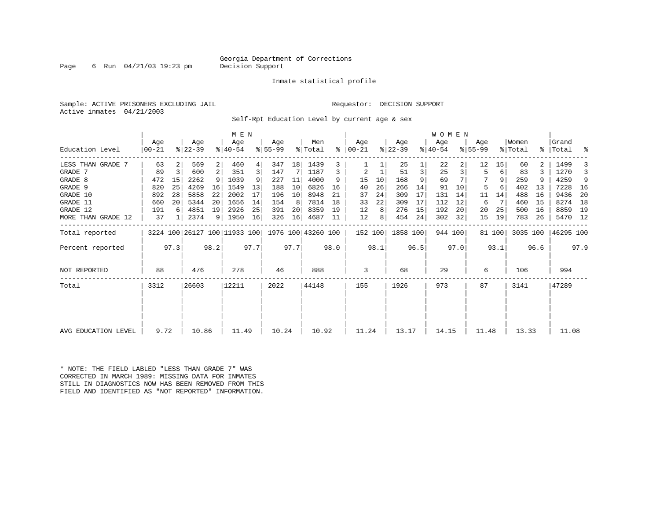#### Georgia Department of Corrections<br>Decision Support

Page 6 Run  $04/21/03$  19:23 pm

#### Inmate statistical profile

Sample: ACTIVE PRISONERS EXCLUDING JAIL **Requestor: DECISION SUPPORT** Active inmates 04/21/2003

Self-Rpt Education Level by current age & sex

|                     |                  | M E N         |                              |                |                    |      |                 |      |                    |      |                 |      |                  |      | WOMEN            |      |                    |        |                  |      |                    |      |
|---------------------|------------------|---------------|------------------------------|----------------|--------------------|------|-----------------|------|--------------------|------|-----------------|------|------------------|------|------------------|------|--------------------|--------|------------------|------|--------------------|------|
| Education Level     | Age<br>$00 - 21$ |               | Age<br>$ 22-39 $             |                | Age<br>$8140 - 54$ |      | Age<br>$ 55-99$ |      | Men<br>% Total     | ႜ    | Age<br>$ 00-21$ |      | Age<br>$ 22-39 $ |      | Age<br>$ 40-54 $ |      | Age<br>$8155 - 99$ |        | Women<br>% Total |      | Grand<br>%   Total | ್ಠಿ  |
| LESS THAN GRADE 7   | 63               |               | 569                          | $\overline{2}$ | 460                | 4    | 347             | 18   | 1439               | 3    |                 |      | 25               |      | 22               |      | 12                 | 15     | 60               |      | 1499               |      |
| GRADE 7             | 89               | 3             | 600                          | 2              | 351                | 3    | 147             | 7    | 1187               | 3    | 2               |      | 51               | 3    | 25               | 3    | 5                  | 6      | 83               |      | 1270               | 3    |
| GRADE 8             | 472              | 15            | 2262                         | 9              | 1039               |      | 227             | 11   | 4000               | 9    | 15              | 10   | 168              | 9    | 69               |      |                    | 9      | 259              |      | 4259               | 9    |
| GRADE 9             | 820              | 25            | 4269                         | 16             | 1549               | 13   | 188             | 10   | 6826               | 16   | 40              | 26   | 266              | 14   | 91               | 10   | 5                  |        | 402              | 13   | 7228               | - 16 |
| GRADE 10            | 892              | 28            | 5858                         | 22             | 2002               | 17   | 196             | 10   | 8948               | 21   | 37              | 24   | 309              | 17   | 131              | 14   | 11                 | 14     | 488              | 16   | 9436               | -20  |
| GRADE 11            | 660              | 20            | 5344                         | 20             | 1656               | 14   | 154             | 8    | 7814               | 18   | 33              | 22   | 309              | 17   | 112              | 12   | 6                  |        | 460              | 15   | 8274               | 18   |
| GRADE 12            | 191              | 6             | 4851                         | 19             | 2926               | 25   | 391             | 20   | 8359               | 19   | 12              | 8    | 276              | 15   | 192              | 20   | 20                 | 25     | 500              | 16   | 8859               | 19   |
| MORE THAN GRADE 12  | 37               |               | 2374                         |                | 9   1950           | 16   | 326             | 16   | 4687               | 11   | 12              | 8    | 454              | 24   | 302              | 32   | 15                 | 19     | 783              | 26   | 5470 12            |      |
| Total reported      |                  |               | 3224 100 26127 100 11933 100 |                |                    |      |                 |      | 1976 100 43260 100 |      | 152 100         |      | 1858 100         |      | 944 100          |      |                    | 81 100 | 3035 100         |      | 46295 100          |      |
| Percent reported    |                  | 97.3          |                              | 98.2           |                    | 97.7 |                 | 97.7 |                    | 98.0 |                 | 98.1 |                  | 96.5 |                  | 97.0 |                    | 93.1   |                  | 96.6 |                    | 97.9 |
| NOT REPORTED        | 88               |               | 476                          |                | 278                |      | 46              |      | 888                |      | 3               |      | 68               |      | 29               |      | 6                  |        | 106              |      | 994                |      |
| Total               | 3312             | 26603         |                              |                | 12211              |      | 2022            |      | 44148              |      | 155             |      | 1926             |      | 973              |      | 87                 |        | 3141             |      | 47289              |      |
|                     |                  |               |                              |                |                    |      |                 |      |                    |      |                 |      |                  |      |                  |      |                    |        |                  |      |                    |      |
| AVG EDUCATION LEVEL |                  | 9.72<br>10.86 |                              |                | 11.49              |      | 10.24           |      | 10.92              |      | 11.24           |      | 13.17            |      | 14.15            |      | 11.48              |        | 13.33            |      | 11.08              |      |
|                     |                  |               |                              |                |                    |      |                 |      |                    |      |                 |      |                  |      |                  |      |                    |        |                  |      |                    |      |

\* NOTE: THE FIELD LABLED "LESS THAN GRADE 7" WAS CORRECTED IN MARCH 1989: MISSING DATA FOR INMATES STILL IN DIAGNOSTICS NOW HAS BEEN REMOVED FROM THIS FIELD AND IDENTIFIED AS "NOT REPORTED" INFORMATION.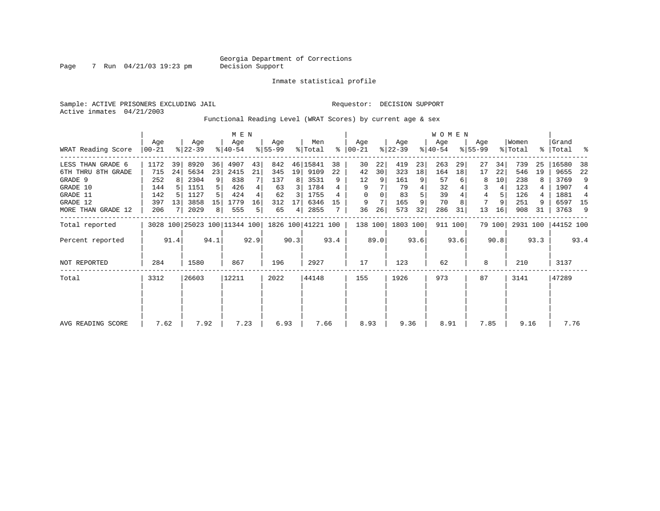Inmate statistical profile

Sample: ACTIVE PRISONERS EXCLUDING JAIL Requestor: DECISION SUPPORT Active inmates 04/21/2003

Page 7 Run 04/21/03 19:23 pm

Functional Reading Level (WRAT Scores) by current age & sex

|                       | M E N             |      |                  |       |                              |      |                 |       |                    |      |                      |      |                  |      | <b>WOMEN</b>     |         |                    |        |                  |           |                |      |
|-----------------------|-------------------|------|------------------|-------|------------------------------|------|-----------------|-------|--------------------|------|----------------------|------|------------------|------|------------------|---------|--------------------|--------|------------------|-----------|----------------|------|
| WRAT Reading Score    | Aqe<br>$ 00 - 21$ |      | Age<br>$8 22-39$ |       | Age<br>$ 40-54 $             |      | Age<br>$ 55-99$ |       | Men<br>% Total     |      | Aqe<br>$8   00 - 21$ |      | Age<br>$ 22-39 $ |      | Age<br>$ 40-54 $ |         | Aqe<br>$8155 - 99$ |        | Women<br>% Total | $\approx$ | Grand<br>Total | ႜ    |
| LESS THAN GRADE 6     | 1172              | 39   | 8920             | 36    | 4907                         | 43   | 842             |       | 46 15841           | 38   | 30                   | 22   | 419              | 23   | 263              | 29      | 27                 | 34     | 739              | 25        | 16580          | 38   |
| 6TH THRU<br>8TH GRADE | 715               | 24   | 5634             | 23    | 2415                         | 21   | 345             | 19    | 9109               | 22   | 42                   | 30   | 323              | 18   | 164              | 18      | 17                 | 22     | 546              | 19        | 9655           | 22   |
| GRADE 9               | 252               | 8    | 2304             | 9     | 838                          |      | 137             | 8     | 3531               | 9    | 12                   | 9    | 161              | 9    | 57               |         | 8                  | 10     | 238              |           | 3769           | 9    |
| GRADE 10              | 144               |      | 1151             |       | 426                          |      | 63              | 3     | 1784               |      | 9                    |      | 79               |      | 32               |         | 3                  |        | 123              |           | 1907           |      |
| GRADE 11              | 142               |      | 1127             |       | 424                          |      | 62              | 3     | 1755               |      | $\Omega$             |      | 83               |      | 39               |         | 4                  | 5      | 126              | 4         | 1881           |      |
| GRADE 12              | 397               | 13   | 3858             | 15    | 1779                         | 16   | 312             | 17    | 6346               | 15   | 9                    |      | 165              |      | 70               |         |                    | 9      | 251              | 9         | 6597 15        |      |
| MORE THAN GRADE 12    | 206               |      | 2029             | 8     | 555                          | 5    | 65              | 4     | 2855               |      | 36                   | 26   | 573              | 32   | 286              | 31      | 13                 | 16     | 908              | 31        | 3763           | -9   |
| Total reported        |                   |      |                  |       | 3028 100 25023 100 11344 100 |      |                 |       | 1826 100 41221 100 |      | 138 100              |      | 1803 100         |      |                  | 911 100 |                    | 79 100 | 2931 100         |           | 44152 100      |      |
| Percent reported      |                   | 91.4 |                  | 94.1  |                              | 92.9 |                 | 90.3  |                    | 93.4 |                      | 89.0 |                  | 93.6 |                  | 93.6    |                    | 90.8   |                  | 93.3      |                | 93.4 |
| <b>NOT REPORTED</b>   | 284               |      | 1580             |       | 867                          |      | 196             |       | 2927               |      | 17                   |      | 123              |      | 62               |         | 8                  |        | 210              |           | 3137           |      |
| Total                 | 3312<br>26603     |      |                  | 12211 |                              | 2022 |                 | 44148 |                    | 155  |                      | 1926 |                  | 973  |                  | 87      |                    | 3141   |                  | 47289     |                |      |
|                       |                   |      |                  |       |                              |      |                 |       |                    |      |                      |      |                  |      |                  |         |                    |        |                  |           |                |      |
|                       |                   |      |                  |       |                              |      |                 |       |                    |      |                      |      |                  |      |                  |         |                    |        |                  |           |                |      |
| AVG READING SCORE     | 7.62              |      | 7.92             |       | 7.23                         |      | 6.93            |       | 7.66               |      | 8.93                 |      | 9.36             |      | 8.91             |         | 7.85               |        | 9.16             |           | 7.76           |      |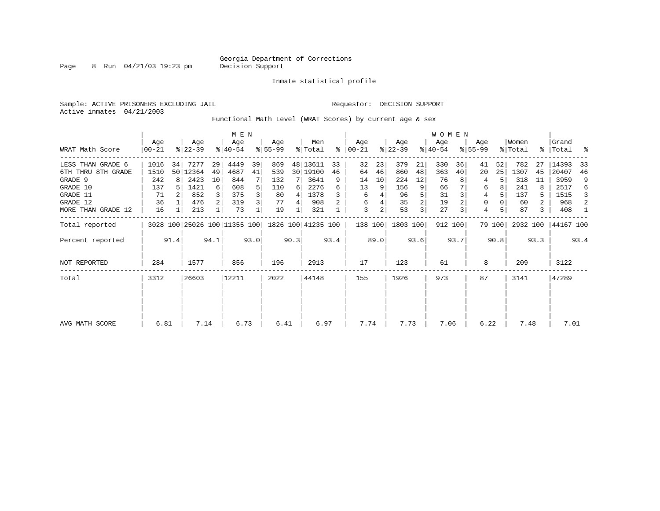Page 8 Run 04/21/03 19:23 pm

Inmate statistical profile

Sample: ACTIVE PRISONERS EXCLUDING JAIL **Requestor: DECISION SUPPORT** Active inmates 04/21/2003

Functional Math Level (WRAT Scores) by current age & sex

|                    | M E N                                |                  |          |                |                              |      |                  |      |                    |      |                      |      |                  |      | <b>WOMEN</b>     |         |                    |        |                  |                |                      |      |
|--------------------|--------------------------------------|------------------|----------|----------------|------------------------------|------|------------------|------|--------------------|------|----------------------|------|------------------|------|------------------|---------|--------------------|--------|------------------|----------------|----------------------|------|
| WRAT Math Score    | Age<br>Age<br>$ 22-39 $<br>$00 - 21$ |                  |          |                | Age<br>$ 40-54 $             |      | Aqe<br>$8 55-99$ |      | Men<br>% Total     |      | Age<br>$8   00 - 21$ |      | Aqe<br>$ 22-39 $ |      | Age<br>$ 40-54 $ |         | Aqe<br>$8155 - 99$ |        | Women<br>% Total |                | Grand<br>%   Total % |      |
| LESS THAN GRADE 6  | 1016                                 | 34               | 7277     | 29             | 4449                         | 39   | 869              |      | 48 13611           | 33   | 32                   | 23   | 379              | 21   | 330              | 36      | 41                 | 52     | 782              | 27             | 14393                | 33   |
| 6TH THRU 8TH GRADE | 1510                                 |                  | 50 12364 | 49             | 4687                         | 41   | 539              |      | 30   19100         | 46   | 64                   | 46   | 860              | 48   | 363              | 40      | 20                 | 25     | 1307             | 45             | 20407                | 46   |
| GRADE 9            | 242                                  | 8                | 2423     | 10             | 844                          |      | 132              |      | 3641               | 9    | 14                   | 10   | 224              | 12   | 76               |         |                    |        | 318              | 11             | 3959                 | 9    |
| GRADE 10           | 137                                  |                  | 1421     | $6 \mid$       | 608                          |      | 110              | 6    | 2276               |      | 13                   | 9    | 156              | 9    | 66               |         | 6                  | 8      | 241              | 8              | 2517                 | 6    |
| GRADE 11           | 71                                   |                  | 852      |                | 375                          |      | 80               | 4    | 1378               |      | 6                    |      | 96               |      | 31               |         | 4                  |        | 137              |                | 1515                 | 3    |
| GRADE 12           | 36                                   | 476<br>16<br>213 |          | $\overline{2}$ | 319                          | 3    | 77               | 4    | 908                |      | 6                    |      | 35               |      | 19               |         | $\mathbf 0$        |        | 60               | $\overline{2}$ | 968                  | 2    |
| MORE THAN GRADE 12 |                                      |                  |          |                | 73                           |      | 19               |      | 321                |      | 3                    | 2    | 53               | 3    | 27               |         | 4                  | 5      | 87               | 3              | 408                  |      |
| Total reported     |                                      |                  |          |                | 3028 100 25026 100 11355 100 |      |                  |      | 1826 100 41235 100 |      | 138 100              |      | 1803 100         |      |                  | 912 100 |                    | 79 100 | 2932 100         |                | 44167 100            |      |
| Percent reported   |                                      | 91.4             |          | 94.1           |                              | 93.0 |                  | 90.3 |                    | 93.4 |                      | 89.0 |                  | 93.6 |                  | 93.7    |                    | 90.8   |                  | 93.3           |                      | 93.4 |
| NOT REPORTED       | 284                                  |                  | 1577     |                | 856                          |      | 196              |      | 2913               |      | 17                   |      | 123              |      | 61               |         | 8                  |        | 209              |                | 3122                 |      |
| Total              | 26603<br>3312                        |                  | 12211    |                | 2022                         |      | 44148            |      | 155                |      | 1926                 |      | 973              |      | 87               |         | 3141               |        | 47289            |                |                      |      |
|                    |                                      |                  |          |                |                              |      |                  |      |                    |      |                      |      |                  |      |                  |         |                    |        |                  |                |                      |      |
|                    |                                      |                  |          |                |                              |      |                  |      |                    |      |                      |      |                  |      |                  |         |                    |        |                  |                |                      |      |
| AVG MATH SCORE     | 7.14<br>6.81                         |                  |          |                | 6.73                         |      | 6.41             |      | 6.97               |      | 7.74                 |      | 7.73             |      | 7.06             |         | 6.22               |        | 7.48             |                | 7.01                 |      |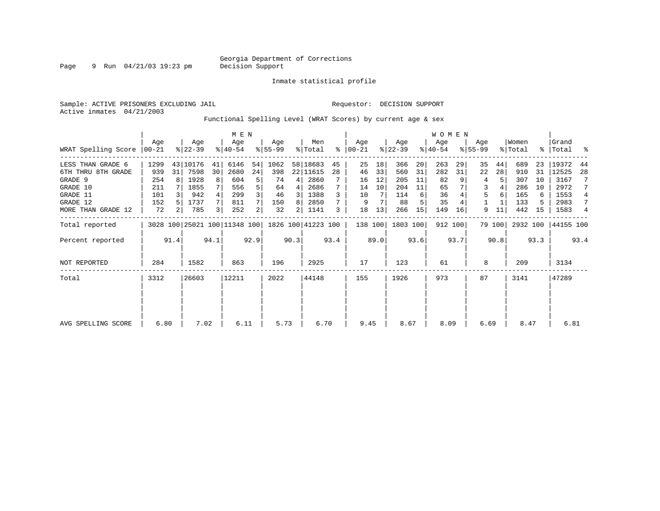Page 9 Run 04/21/03 19:23 pm

Inmate statistical profile

Sample: ACTIVE PRISONERS EXCLUDING JAIL **Requestor: DECISION SUPPORT** Active inmates 04/21/2003

Functional Spelling Level (WRAT Scores) by current age & sex

|                     | M E N           |                |          |       |                                                 |                |                 |       |                |      |                    |      |                  |      | WOMEN            |         |                  |        |                  |       |                    |      |
|---------------------|-----------------|----------------|----------|-------|-------------------------------------------------|----------------|-----------------|-------|----------------|------|--------------------|------|------------------|------|------------------|---------|------------------|--------|------------------|-------|--------------------|------|
| WRAT Spelling Score | Aqe<br>$ 00-21$ |                |          |       | Age<br>$ 40-54 $                                |                | Age<br>$ 55-99$ |       | Men<br>% Total | ႜ    | Age<br>$ 00 - 21 $ |      | Age<br>$ 22-39 $ |      | Age<br>$ 40-54 $ |         | Age<br>$8 55-99$ |        | Women<br>% Total |       | Grand<br>%   Total | ႜ    |
| LESS THAN GRADE 6   | 1299            |                | 43 10176 | 41    | 6146                                            | 54             | 1062            |       | 58 18683       | 45   | 25                 | 18   | 366              | 20   | 263              | 29      | 35               | 44     | 689              | 23    | 19372              | 44   |
| 6TH THRU 8TH GRADE  | 939             | 31             | 7598     | 30    | 2680                                            | 24             | 398             |       | 22 11615       | 28   | 46                 | 33   | 560              | 31   | 282              | 31      | 22               | 28     | 910              | 31    | 12525              | 28   |
| GRADE 9             | 254             |                | 1928     | 8     | 604                                             | 5              | 74              | 4     | 2860           |      | 16                 | 12   | 205              | 11   | 82               |         | 4                |        | 307              | 10    | 3167               |      |
| GRADE 10            | 211             |                | 1855     |       | 556                                             |                | 64              | 4     | 2686           |      | 14                 | 10   | 204              | 11   | 65               |         | 3                |        | 286              | 10    | 2972               |      |
| GRADE 11            | 101             |                | 942      |       | 299                                             |                | 46              | 3     | 1388           |      | 10                 |      | 114              | 6    | 36               |         | 5                |        | 165              | 6     | 1553               | 4    |
| GRADE 12            | 152             |                | 1737     |       | 811                                             |                | 150             | 8     | 2850           |      | 9                  |      | 88               |      | 35               |         |                  |        | 133              | 5     | 2983               | 7    |
| MORE THAN GRADE 12  | 72              | 2 <sub>1</sub> | 785      |       | 252                                             | $\overline{2}$ | 32              | 2     | 1141           | 3    | 18                 | 13   | 266              | 15   | 149              | 16      | 9                | 11     | 442              | 15    | 1583               | 4    |
| Total reported      |                 |                |          |       | 3028 100 25021 100 11348 100 1826 100 41223 100 |                |                 |       |                |      | 138 100            |      | 1803 100         |      |                  | 912 100 |                  | 79 100 | 2932 100         |       | 44155 100          |      |
| Percent reported    |                 | 91.4           |          | 94.1  |                                                 | 92.9           |                 | 90.3  |                | 93.4 |                    | 89.0 |                  | 93.6 |                  | 93.7    |                  | 90.8   |                  | 93.3  |                    | 93.4 |
| <b>NOT REPORTED</b> | 284             |                | 1582     |       | 863                                             |                | 196             |       | 2925           |      | 17                 |      | 123              |      | 61               |         | 8                |        | 209              |       | 3134               |      |
| Total               | 26603<br>3312   |                |          | 12211 |                                                 | 2022           |                 | 44148 |                | 155  |                    | 1926 |                  | 973  |                  | 87      |                  | 3141   |                  | 47289 |                    |      |
|                     |                 |                |          |       |                                                 |                |                 |       |                |      |                    |      |                  |      |                  |         |                  |        |                  |       |                    |      |
|                     |                 |                |          |       |                                                 |                |                 |       |                |      |                    |      |                  |      |                  |         |                  |        |                  |       |                    |      |
| AVG SPELLING SCORE  | 6.80            |                | 7.02     |       | 6.11                                            |                | 5.73            |       | 6.70           |      | 9.45               |      | 8.67             |      | 8.09             |         | 6.69             |        | 8.47             |       | 6.81               |      |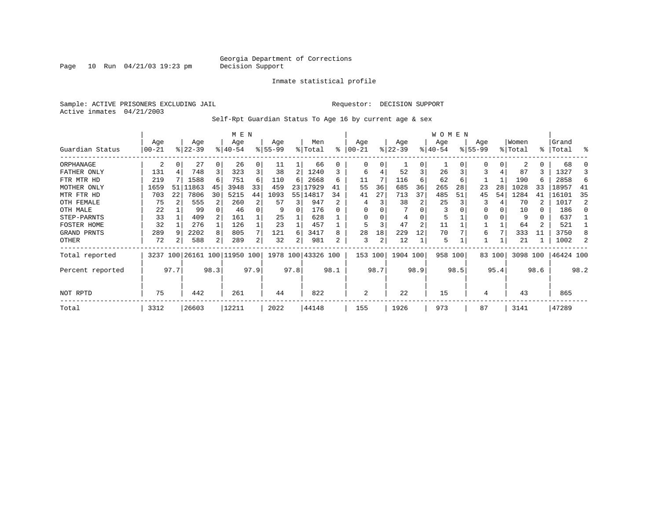Page 10 Run  $04/21/03$  19:23 pm

#### Inmate statistical profile

Sample: ACTIVE PRISONERS EXCLUDING JAIL **Requestor: DECISION SUPPORT** Active inmates 04/21/2003

Self-Rpt Guardian Status To Age 16 by current age & sex

|                  |               | M E N                         |           |      |                              |          |           |      |                    |      |          |      |           |                | WOMEN     |      |           |        |          |           |           |                |
|------------------|---------------|-------------------------------|-----------|------|------------------------------|----------|-----------|------|--------------------|------|----------|------|-----------|----------------|-----------|------|-----------|--------|----------|-----------|-----------|----------------|
|                  | Age           |                               | Age       |      | Age                          |          | Age       |      | Men                |      | Age      |      | Age       |                | Age       |      | Age       |        | Women    |           | Grand     |                |
| Guardian Status  | $00 - 21$     |                               | $ 22-39 $ |      | $8 40-54$                    |          | $8 55-99$ |      | % Total            | ి    | $ 00-21$ |      | $ 22-39 $ |                | $ 40-54 $ |      | $8 55-99$ |        | % Total  | $\approx$ | Total     | န္             |
| ORPHANAGE        | 2             | 0                             | 27        |      | 26                           | 0        | 11        |      | 66                 |      | 0        | 0    |           | $\Omega$       |           |      |           | 0      | 2        | 0         | 68        |                |
| FATHER ONLY      | 131           |                               | 748       | 3    | 323                          | 3        | 38        | 2    | 1240               |      | 6        |      | 52        | 3              | 26        |      | 3         |        | 87       | 3         | 1327      |                |
| FTR MTR HD       | 219           |                               | 1588      | 6    | 751                          | 6        | 110       | 6    | 2668               | 6    | 11       |      | 116       | 6              | 62        | 6    |           |        | 190      | 6         | 2858      | 6              |
| MOTHER ONLY      | 1659          | 51                            | 11863     | 45   | 3948                         | 33       | 459       | 23   | 17929              | 41   | 55       | 36   | 685       | 36             | 265       | 28   | 23        | 28     | 1028     | 33        | 18957     | 41             |
| MTR FTR HD       | 703           | 22<br>7806<br>30<br>555<br>75 |           |      |                              | 44       | 1093      | 55   | 14817              | 34   | 41       | 27   | 713       | 37             | 485       | 51   | 45        | 54     | 1284     | 41        | 16101     | 35             |
| OTH FEMALE       |               |                               |           |      | 260                          | 2        | 57        | 3    | 947                |      |          |      | 38        |                | 25        |      |           |        | 70       |           | 1017      | $\mathfrak{D}$ |
| OTH MALE         | 22            |                               | 99        |      | 46                           | $\Omega$ | 9         | O    | 176                |      | $\Omega$ |      |           |                | 3         |      |           |        | 10       | $\Omega$  | 186       |                |
| STEP-PARNTS      | 33            |                               | 409       |      | 161                          |          | 25        |      | 628                |      | $\Omega$ |      | 4         |                | 5         |      |           |        | 9        | 0         | 637       |                |
| FOSTER HOME      | 32            |                               | 276       |      | 126                          |          | 23        |      | 457                |      | 5        | 3    | 47        | $\overline{2}$ | 11        |      |           |        | 64       |           | 521       |                |
| GRAND PRNTS      | 289           |                               | 2202      | 8    | 805                          |          | 121       | 6    | 3417               |      | 28       | 18   | 229       | 12             | 70        |      | 6         |        | 333      | 11        | 3750      |                |
| OTHER            | 72            |                               | 588       | 2    | 289                          | 2        | 32        |      | 981                | 2    | 3        | 2    | 12        |                | 5         |      |           |        | 21       |           | 1002      |                |
| Total reported   |               |                               |           |      | 3237 100 26161 100 11950 100 |          |           |      | 1978 100 43326 100 |      | 153 100  |      | 1904 100  |                | 958 100   |      |           | 83 100 | 3098 100 |           | 46424 100 |                |
| Percent reported | 97.7          |                               |           | 98.3 |                              | 97.9     |           | 97.8 |                    | 98.1 |          | 98.7 |           | 98.9           |           | 98.5 |           | 95.4   |          | 98.6      |           | 98.2           |
| NOT RPTD         | 75<br>442     |                               |           |      | 261                          |          | 44        |      | 822                |      | 2        |      | 22        |                | 15        |      | 4         |        | 43       |           | 865       |                |
| Total            | 3312<br>26603 |                               |           |      | 12211                        |          | 2022      |      | 44148              |      | 155      |      | 1926      |                | 973       |      | 87        |        | 3141     |           | 47289     |                |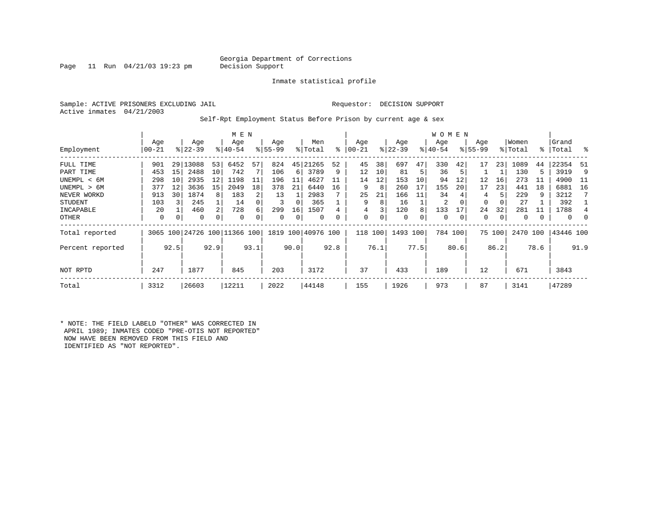#### Georgia Department of Corrections<br>Decision Support

Page 11 Run  $04/21/03$  19:23 pm

Inmate statistical profile

Sample: ACTIVE PRISONERS EXCLUDING JAIL Requestor: DECISION SUPPORT Active inmates 04/21/2003

Self-Rpt Employment Status Before Prison by current age & sex

|                  | M E N                                |                              |       |     |           |     |          |      |                    |    |       |     |           |     | <b>WOMEN</b> |    |             |        |          |      |           |      |
|------------------|--------------------------------------|------------------------------|-------|-----|-----------|-----|----------|------|--------------------|----|-------|-----|-----------|-----|--------------|----|-------------|--------|----------|------|-----------|------|
|                  | Age                                  | Age<br>$ 22-39 $<br>$ 00-21$ |       |     |           |     | Age      |      | Men                |    | Age   |     | Age       |     | Age          |    | Age         |        | Women    |      | Grand     | ိ    |
| Employment       |                                      |                              |       |     | $8 40-54$ |     | $ 55-99$ |      | % Total            | ి  | 00-21 |     | $ 22-39 $ |     | $ 40-54 $    |    | $8155 - 99$ |        | % Total  |      | %   Total |      |
| FULL TIME        | 901                                  | 29                           | 13088 | 53  | 6452      | 57  | 824      | 45   | 21265              | 52 | 45    | 38  | 697       | 47  | 330          | 42 | 17          | 23     | 1089     | 44   | 22354     | -51  |
| PART TIME        | 453                                  | 15                           | 2488  | 10  | 742       |     | 106      | 6    | 3789               | 9  | 12    | 10  | 81        | 5   | 36           | 5  |             |        | 130      | 5    | 3919      | 9    |
| UNEMPL < 6M      | 298                                  | 10                           | 2935  | 12  | 1198      | 11  | 196      | 11   | 4627               |    | 14    | 12  | 153       | 10  | 94           | 12 | 12          | 16     | 273      | 11   | 4900      | - 11 |
| UNEMPL > 6M      | 377                                  | 12                           | 3636  | 15  | 2049      | 18  | 378      | 21   | 6440               | 16 | 9     | 8   | 260       | 17  | 155          | 20 | 17          | 23     | 441      | 18   | 6881      | 16   |
| NEVER WORKD      | 913                                  | 30                           | 1874  | 8   | 183       |     | 13       |      | 2983               |    | 25    | 21  | 166       | 11  | 34           |    | 4           |        | 229      | 9    | 3212      |      |
| <b>STUDENT</b>   | 103                                  |                              | 245   |     | 14        |     | 3        | 0    | 365                |    | 9     | 8   | 16        |     | 2            | 0  | $\Omega$    | 0      | 27       |      | 392       |      |
| INCAPABLE        | 20                                   |                              | 460   | 2   | 728       |     | 299      | 16   | 1507               |    | 4     |     | 120       | 8   | 133          | 17 | 24          | 32     | 281      | 11   | 1788      |      |
| OTHER            | 0                                    | 0                            | 0     | 0   | 0         |     | 0        | 0    | 0                  | 0  | 0     | 0   | 0         | 0   | 0            | 0  | 0           | 0      | 0        |      | 0         | 0    |
| Total reported   |                                      |                              |       |     |           |     |          |      | 1819 100 40976 100 |    | 118   | 100 | 1493 100  |     | 784 100      |    |             | 75 100 | 2470 100 |      | 43446 100 |      |
| Percent reported | 3065 100 24726 100 11366 100<br>92.5 |                              | 92.9  |     | 93.1      |     | 90.0     |      | 92.8               |    | 76.1  |     | 77.5      |     | 80.6         |    | 86.2        |        | 78.6     |      | 91.9      |      |
| NOT RPTD         | 247<br>1877                          |                              |       | 845 |           | 203 |          | 3172 |                    | 37 |       | 433 |           | 189 |              | 12 |             | 671    |          | 3843 |           |      |
| Total            | 3312                                 |                              | 26603 |     | 12211     |     | 2022     |      | 44148              |    | 155   |     | 1926      |     | 973          |    | 87          |        | 3141     |      | 47289     |      |

\* NOTE: THE FIELD LABELD "OTHER" WAS CORRECTED IN APRIL 1989; INMATES CODED "PRE-OTIS NOT REPORTED" NOW HAVE BEEN REMOVED FROM THIS FIELD AND IDENTIFIED AS "NOT REPORTED".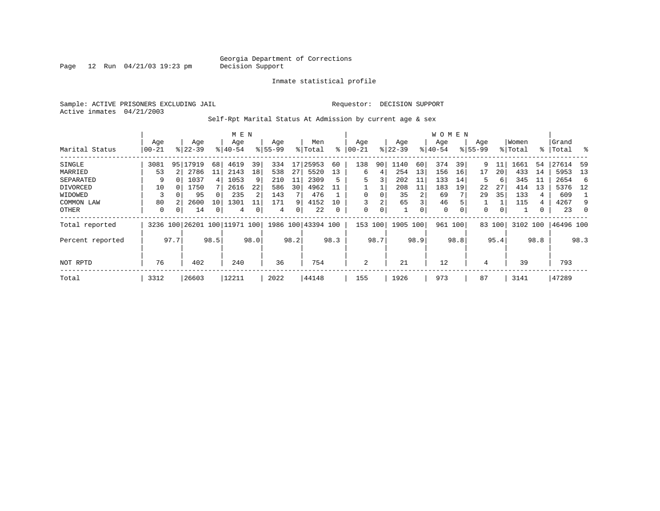Page 12 Run  $04/21/03$  19:23 pm

#### Inmate statistical profile

Sample: ACTIVE PRISONERS EXCLUDING JAIL **Requestor: DECISION SUPPORT** Active inmates 04/21/2003

Self-Rpt Marital Status At Admission by current age & sex

|                  |               |                               |                              |    | M E N       |    |           |    |                    |    |          |     |             |     | W O M E N |             |             |     |          |    |           |          |
|------------------|---------------|-------------------------------|------------------------------|----|-------------|----|-----------|----|--------------------|----|----------|-----|-------------|-----|-----------|-------------|-------------|-----|----------|----|-----------|----------|
|                  | Age           |                               | Age                          |    | Age         |    | Age       |    | Men                |    | Age      |     | Age         |     | Age       |             | Age         |     | Women    |    | Grand     |          |
| Marital Status   | $00 - 21$     |                               | $8122 - 39$                  |    | $8140 - 54$ |    | $8 55-99$ |    | % Total            | ⊱  | $ 00-21$ |     | $ 22 - 39 $ |     | $ 40-54$  |             | $8155 - 99$ |     | % Total  |    | %   Total | ိ        |
| SINGLE           | 3081          | 95                            | 17919                        | 68 | 4619        | 39 | 334       | 17 | 25953              | 60 | 138      | 90  | 1140        | 60  | 374       | 39          | 9           | 11  | 1661     | 54 | 27614     | 59       |
| MARRIED          | 53            |                               | 2786                         | 11 | 2143        | 18 | 538       | 27 | 5520               | 13 | 6        | 4   | 254         | 13  | 156       | 16          | 17          | 20  | 433      | 14 | 5953      | 13       |
| SEPARATED        | 9             | 1037<br>4<br>10<br>1750<br>95 |                              |    | 1053        | 9  | 210       | 11 | 2309               | 5  | 5        | 3   | 202         | 11  | 133       | 14          | 5           | 6   | 345      | 11 | 2654      | -6       |
| DIVORCED         |               |                               |                              |    | 2616        | 22 | 586       | 30 | 4962               | 11 |          |     | 208         | 11  | 183       | 19          | 22          | 27  | 414      | 13 | 5376      | - 12     |
| WIDOWED          |               |                               |                              |    | 235         |    | 143       |    | 476                |    | $\Omega$ | 0   | 35          |     | 69        |             | 29          | 35  | 133      | 4  | 609       |          |
| COMMON LAW       | 80            |                               | 2600                         | 10 | 1301        |    | 171       | 9  | 4152               | 10 | 3        | 2   | 65          | 3   | 46        |             |             |     | 115      | 4  | 4267      | 9        |
| OTHER            | 0             | 0                             | 14                           | 0  | 4           |    | 4         | 0  | 22                 | 0  | 0        | 0   |             | 0   | 0         | $\mathbf 0$ | 0           | 0   |          |    | 23        | $\Omega$ |
| Total reported   |               |                               | 3236 100 26201 100 11971 100 |    |             |    |           |    | 1986 100 43394 100 |    | 153      | 100 | 1905        | 100 | 961 100   |             | 83          | 100 | 3102 100 |    | 46496 100 |          |
| Percent reported | 97.7<br>98.5  |                               |                              |    | 98.0        |    | 98.2      |    | 98.3               |    | 98.7     |     | 98.9        |     | 98.8      |             | 95.4        |     | 98.8     |    | 98.3      |          |
|                  |               |                               |                              |    |             |    |           |    |                    |    |          |     |             |     |           |             |             |     |          |    |           |          |
| NOT RPTD         | 402<br>76     |                               |                              |    | 240         |    | 36        |    | 754                |    | 2        |     | 21          |     | 12        |             | 4           |     | 39       |    | 793       |          |
| Total            | 26603<br>3312 |                               |                              |    | 12211       |    | 2022      |    | 44148              |    | 155      |     | 1926        |     | 973       |             | 87          |     | 3141     |    | 47289     |          |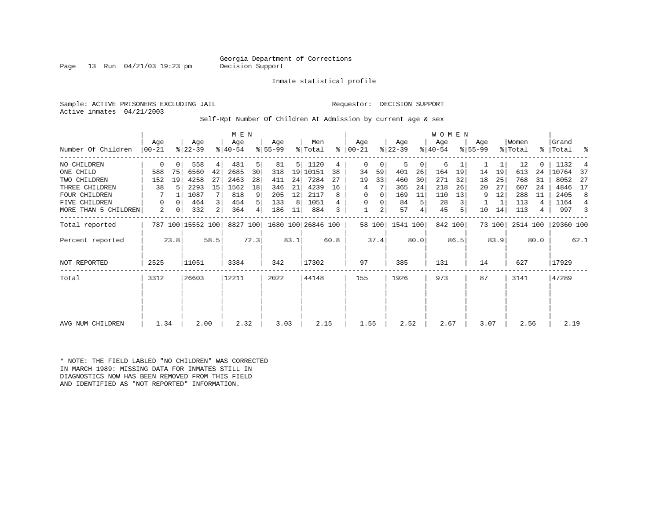#### Georgia Department of Corrections<br>Decision Support

Page 13 Run  $04/21/03$  19:23 pm

Inmate statistical profile

Sample: ACTIVE PRISONERS EXCLUDING JAIL Requestor: DECISION SUPPORT Active inmates 04/21/2003

Self-Rpt Number Of Children At Admission by current age & sex

|                      |                  |          |                   |      | M E N            |                |                  |      |                    |      |                 |                |                  |                | <b>WOMEN</b>     |         |                    |        |                  |      |                |      |
|----------------------|------------------|----------|-------------------|------|------------------|----------------|------------------|------|--------------------|------|-----------------|----------------|------------------|----------------|------------------|---------|--------------------|--------|------------------|------|----------------|------|
| Number Of Children   | Aqe<br>$00 - 21$ |          | Age<br>$ 22-39 $  |      | Age<br>$8 40-54$ |                | Age<br>$ 55-99 $ |      | Men<br>% Total     | ႜ    | Aqe<br>$ 00-21$ |                | Age<br>$ 22-39 $ |                | Age<br>$8 40-54$ |         | Aqe<br>$8155 - 99$ |        | Women<br>% Total | ွေ   | Grand<br>Total | ႜ    |
| NO CHILDREN          | 0                | $\Omega$ | 558               | 4    | 481              | 5              | 81               | 5    | 1120               | 4    | $\mathbf 0$     | 0              | 5                | 0              | 6                |         |                    |        | 12               |      | 1132           |      |
| ONE CHILD            | 588              | 75       | 6560              | 42   | 2685             | 30             | 318              | 19   | 10151              | 38   | 34              | 59             | 401              | 26             | 164              | 19      | 14                 | 19     | 613              | 24   | 10764          | 37   |
| TWO CHILDREN         | 152              | 19       | 4258              | 27   | 2463             | 28             | 411              | 24   | 7284               | 27   | 19              | 33             | 460              | 30             | 271              | 32      | 18                 | 25     | 768              | 31   | 8052           | 27   |
| THREE CHILDREN       | 38               |          | 2293              | 15   | 1562             | 18             | 346              | 21   | 4239               | 16   | 4               |                | 365              | 24             | 218              | 26      | 20                 | 27     | 607              | 24   | 4846           | 17   |
| <b>FOUR CHILDREN</b> |                  |          | 1087              |      | 818              | 9              | 205              | 12   | 2117               | 8    | 0               | 0              | 169              | 11             | 110              | 13      | 9                  | 12     | 288              | -11  | 2405           | 8    |
| <b>FIVE CHILDREN</b> | 0                | $\Omega$ | 464               | 3    | 454              | 5 <sup>1</sup> | 133              | 8    | 1051               |      | 0               | 0              | 84               | 5              | 28               |         |                    |        | 113              | 4    | 1164           | 4    |
| MORE THAN 5 CHILDREN | 2                | 0        | 332               | 2    | 364              | 4 <sup>1</sup> | 186              | 11   | 884                | 3    |                 | $\overline{a}$ | 57               | 4 <sub>1</sub> | 45               |         | 10                 | 14     | 113              | 4    | 997            |      |
| Total reported       |                  |          | 787 100 15552 100 |      | 8827 100         |                |                  |      | 1680 100 26846 100 |      |                 | 58 100         | 1541 100         |                |                  | 842 100 |                    | 73 100 | 2514 100         |      | 29360 100      |      |
| Percent reported     |                  | 23.8     |                   | 58.5 |                  | 72.3           |                  | 83.1 |                    | 60.8 |                 | 37.4           |                  | 80.0           |                  | 86.5    |                    | 83.9   |                  | 80.0 |                | 62.1 |
| NOT REPORTED         | 2525             |          | 11051             |      | 3384             |                | 342              |      | 17302              |      | 97              |                | 385              |                | 131              |         | 14                 |        | 627              |      | 17929          |      |
| Total                | 3312             |          | 26603             |      | 12211            |                | 2022             |      | 44148              |      | 155             |                | 1926             |                | 973              |         | 87                 |        | 3141             |      | 47289          |      |
|                      |                  |          |                   |      |                  |                |                  |      |                    |      |                 |                |                  |                |                  |         |                    |        |                  |      |                |      |
|                      |                  |          |                   |      |                  |                |                  |      |                    |      |                 |                |                  |                |                  |         |                    |        |                  |      |                |      |
| AVG NUM CHILDREN     | 1.34             |          | 2.00              |      | 2.32             |                | 3.03             |      | 2.15               |      | 1.55            |                | 2.52             |                | 2.67             |         | 3.07               |        | 2.56             |      | 2.19           |      |

\* NOTE: THE FIELD LABLED "NO CHILDREN" WAS CORRECTED IN MARCH 1989: MISSING DATA FOR INMATES STILL IN DIAGNOSTICS NOW HAS BEEN REMOVED FROM THIS FIELD AND IDENTIFIED AS "NOT REPORTED" INFORMATION.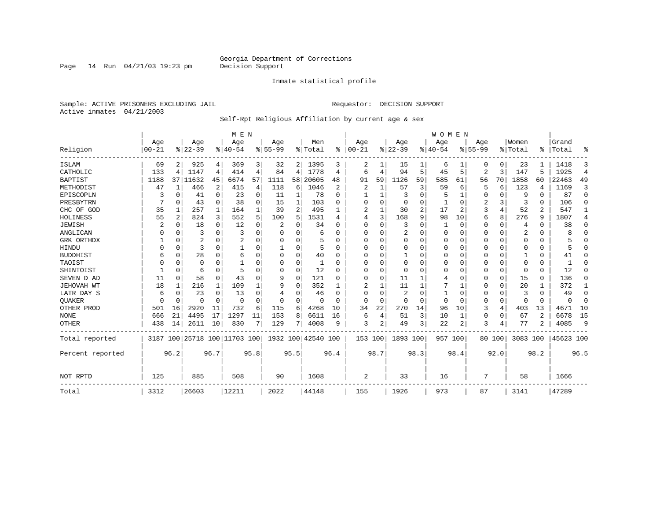Page 14 Run  $04/21/03$  19:23 pm

#### Inmate statistical profile

Sample: ACTIVE PRISONERS EXCLUDING JAIL **Requestor: DECISION SUPPORT** Active inmates 04/21/2003

#### Self-Rpt Religious Affiliation by current age & sex

|                  |           |              |                         |             | M E N    |          |           |          |                    |              |          |          |              |      | <b>WOMEN</b> |          |           |             |          |                |           |                |
|------------------|-----------|--------------|-------------------------|-------------|----------|----------|-----------|----------|--------------------|--------------|----------|----------|--------------|------|--------------|----------|-----------|-------------|----------|----------------|-----------|----------------|
|                  | Age       |              | Age                     |             | Age      |          | Age       |          | Men                |              | Age      |          | Age          |      | Age          |          | Age       |             | Women    |                | Grand     |                |
| Religion         | $00 - 21$ |              | $ 22-39$                |             | $ 40-54$ |          | $8 55-99$ |          | % Total            | ွေ           | $ 00-21$ |          | $ 22-39$     |      | $ 40-54$     |          | $8 55-99$ |             | % Total  | ి              | Total     | ႜ              |
| <b>ISLAM</b>     | 69        | 2            | 925                     | 4           | 369      | 3        | 32        | 2        | 1395               | 3            | 2        |          | 15           |      | 6            | ı        | 0         | 0           | 23       |                | 1418      | 3              |
| CATHOLIC         | 133       | 4            | 1147                    | 4           | 414      | 4        | 84        | 4        | 1778               | 4            | 6        | 4        | 94           | 5    | 45           | 5        | 2         | 3           | 147      | 5              | 1925      | $\overline{4}$ |
| BAPTIST          | 1188      | 37           | 11632                   | 45          | 6674     | 57       | 1111      | 58       | 20605              | 48           | 91       | 59       | 1126         | 59   | 585          | 61       | 56        | 70          | 1858     | 60             | 22463     | 49             |
| METHODIST        | 47        | $\mathbf{1}$ | 466                     | 2           | 415      | 4        | 118       | 6        | 1046               | 2            | 2        |          | 57           | 3    | 59           | 6        | 5         | 6           | 123      | 4              | 1169      | 3              |
| EPISCOPLN        | 3         | 0            | 41                      | $\mathbf 0$ | 23       | $\Omega$ | 11        | 1        | 78                 | $\Omega$     |          |          | 3            | 0    | 5            |          | 0         | 0           | 9        | $\Omega$       | 87        | $\mathbf 0$    |
| PRESBYTRN        |           | 0            | 43                      | $\Omega$    | 38       | $\Omega$ | 15        | 1        | 103                | U            | U        | $\Omega$ | 0            | 0    |              | $\Omega$ | 2         | 3           | 3        | $\Omega$       | 106       | $\Omega$       |
| CHC OF GOD       | 35        | 1            | 257                     | 1           | 164      |          | 39        | 2        | 495                |              | 2        | 1        | 30           | 2    | 17           | 2        | 3         | 4           | 52       | 2              | 547       | 1              |
| HOLINESS         | 55        | 2            | 824                     | 3           | 552      |          | 100       | 5        | 1531               | 4            | 4        | 3        | 168          | 9    | 98           | 10       | б         | 8           | 276      | 9              | 1807      | 4              |
| <b>JEWISH</b>    | 2         | 0            | 18                      | 0           | 12       |          | 2         | 0        | 34                 | U            | 0        | U        | 3            | 0    |              | 0        | 0         | 0           | 4        | $\Omega$       | 38        | 0              |
| ANGLICAN         | O         | 0            | 3                       | $\Omega$    | 3        | $\Omega$ | O         | 0        | 6                  | <sup>0</sup> | U        | O        | 2            | O    | $\Omega$     | $\Omega$ | 0         | 0           | 2        | $\Omega$       | R         | $\Omega$       |
| GRK ORTHDX       |           | $\Omega$     | 2                       | $\Omega$    | 2        | O        |           | 0        | 5                  | U            | $\Omega$ | U        | $\mathbf 0$  | 0    | $\Omega$     | $\Omega$ | 0         | $\Omega$    | $\Omega$ | $\Omega$       |           | $\Omega$       |
| HINDU            |           | $\Omega$     | 3                       | $\Omega$    |          |          |           | 0        | 5                  | U            | U        | U        | 0            | 0    | $\Omega$     | 0        | 0         | 0           | $\Omega$ | 0              | 5         | $\Omega$       |
| <b>BUDDHIST</b>  | 6         | $\Omega$     | 28                      | $\Omega$    | 6        |          |           | $\Omega$ | 40                 | O            | U        |          | $\mathbf{1}$ | 0    | 0            | $\Omega$ | 0         | $\Omega$    |          | $\Omega$       | 41        | $\Omega$       |
| TAOIST           |           | $\Omega$     | 0                       | O           |          |          | 0         | 0        |                    | U            | U        | U        | $\Omega$     | 0    | 0            | $\Omega$ | 0         | $\Omega$    | $\Omega$ | $\Omega$       | ำ         | O              |
| SHINTOIST        |           | $\Omega$     | 6                       | $\Omega$    | 5        | $\Omega$ | O         | $\Omega$ | 12                 | U            | U        | $\Omega$ | $\Omega$     | O    | $\Omega$     | $\Omega$ | 0         | 0           | $\Omega$ | $\Omega$       | 12        | $\cap$         |
| SEVEN D AD       | 11        | $\Omega$     | 58                      | $\mathbf 0$ | 43       |          | 9         | 0        | 121                | U            | 0        | O        | 11           |      | 4            | $\Omega$ | 0         | $\mathbf 0$ | 15       | $\Omega$       | 136       | 0              |
| JEHOVAH WT       | 18        |              | 216                     | 1           | 109      |          | 9         | $\Omega$ | 352                |              |          |          | 11           |      |              | 1        | 0         | 0           | 20       |                | 372       | 1              |
| LATR DAY S       | 6         | 0            | 23                      | $\Omega$    | 13       | $\Omega$ | 4         | 0        | 46                 | U            | U        | O        | 2            | 0    |              | 0        | 0         | 0           | 3        | $\Omega$       | 49        | 0              |
| <b>OUAKER</b>    | ∩         | 0            | O                       | 0           | $\Omega$ | $\Omega$ | O         | 0        | $\Omega$           | $\cap$       | $\Omega$ | $\Omega$ | 0            | 0    | $\Omega$     | $\Omega$ | 0         | 0           | $\Omega$ | $\Omega$       | $\Omega$  | $\mathbf 0$    |
| OTHER PROD       | 501       | 16           | 2920                    | 11          | 732      | 6        | 115       | 6        | 4268               | 10           | 34       | 22       | 270          | 14   | 96           | 10       | 3         | 4           | 403      | 13             | 4671      | 10             |
| <b>NONE</b>      | 666       | 21           | 4495                    | 17          | 1297     | 11       | 153       | 8        | 6611               | 16           | 6        | 4        | 51           | 3    | 10           | 1        | 0         | 0           | 67       | $\mathfrak{D}$ | 6678      | 15             |
| <b>OTHER</b>     | 438       | 14           | 2611                    | 10          | 830      | 7        | 129       | 7        | 4008               | 9            | 3        | 2        | 49           | 3    | 22           | 2        | 3         | 4           | 77       | 2              | 4085      | 9              |
| Total reported   | 3187      |              | 100 25718 100 11703 100 |             |          |          |           |          | 1932 100 42540 100 |              | 153 100  |          | 1893 100     |      |              | 957 100  |           | 80 100      | 3083 100 |                | 45623 100 |                |
| Percent reported |           | 96.2         |                         | 96.7        |          | 95.8     |           | 95.5     |                    | 96.4         |          | 98.7     |              | 98.3 |              | 98.4     |           | 92.0        |          | 98.2           |           | 96.5           |
| NOT RPTD         | 125       |              | 885                     |             | 508      |          | 90        |          | 1608               |              | 2        |          | 33           |      | 16           |          | 7         |             | 58       |                | 1666      |                |
| Total            | 3312      |              | 26603                   |             | 12211    |          | 2022      |          | 44148              |              | 155      |          | 1926         |      | 973          |          | 87        |             | 3141     |                | 47289     |                |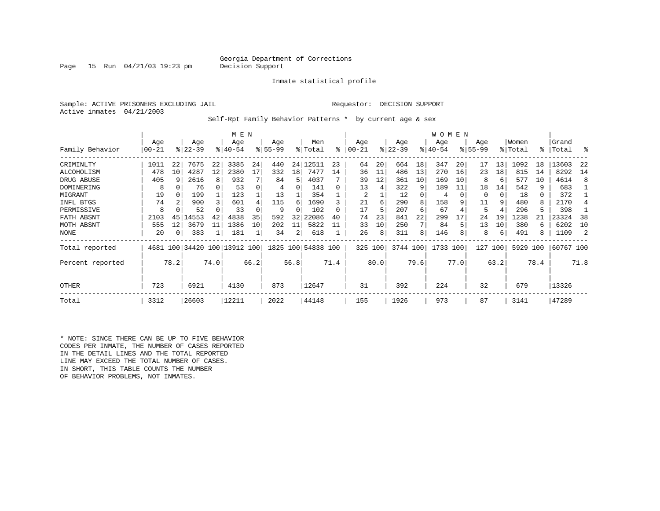#### Georgia Department of Corrections<br>Decision Support

Page 15 Run  $04/21/03$  19:23 pm

Inmate statistical profile

Sample: ACTIVE PRISONERS EXCLUDING JAIL Requestor: DECISION SUPPORT Active inmates 04/21/2003

Self-Rpt Family Behavior Patterns \* by current age & sex

|                  |           |                |                              |      | M E N       |      |             |          |                    |      |            |      |             |      | WOMEN       |      |             |      |         |      |           |      |
|------------------|-----------|----------------|------------------------------|------|-------------|------|-------------|----------|--------------------|------|------------|------|-------------|------|-------------|------|-------------|------|---------|------|-----------|------|
|                  | Age       |                | Age                          |      | Age         |      | Age         |          | Men                |      | Age        |      | Age         |      | Age         |      | Age         |      | Women   |      | Grand     |      |
| Family Behavior  | $00 - 21$ |                | $8 22-39$                    |      | $8140 - 54$ |      | $8155 - 99$ |          | % Total            | ፠    | $ 00 - 21$ |      | $8$   22-39 |      | $8140 - 54$ |      | $8155 - 99$ |      | % Total | °≈   | Total     | °    |
| CRIMINLTY        | 1011      | 22             | 7675                         | 22   | 3385        | 24   | 440         | 24       | 12511              | 23   | 64         | 20   | 664         | 18   | 347         | 20   | 17          | 13   | 1092    | 18   | 13603     | 22   |
| ALCOHOLISM       | 478       | 10             | 4287                         | 12   | 2380        | 17   | 332         | 18       | 7477               | 14   | 36         | 11   | 486         | 13   | 270         | 16   | 23          | 18   | 815     | 14   | 8292      | 14   |
| DRUG ABUSE       | 405       | q              | 2616                         | 8    | 932         |      | 84          | 5        | 4037               |      | 39         | 12   | 361         | 10   | 169         | 10   | 8           | 6    | 577     | 10   | 4614      | 8    |
| DOMINERING       | 8         |                | 76                           |      | 53          | 0    |             |          | 141                |      | 13         | 4    | 322         | 9    | 189         | 11   | 18          | 14   | 542     | 9    | 683       |      |
| MIGRANT          | 19        | 0              | 199                          |      | 123         |      | 13          |          | 354                |      | 2          |      | 12          |      | 4           |      | 0           | 0    | 18      | 0    | 372       |      |
| INFL BTGS        | 74        | $\mathfrak{D}$ | 900                          |      | 601         | 4    | 115         | 6        | 1690               |      | 21         | 6    | 290         |      | 158         |      | 11          | 9    | 480     | 8    | 2170      |      |
| PERMISSIVE       | 8         |                | 52                           |      | 33          |      | 9           | $\Omega$ | 102                |      | 17         | 5    | 207         | 6    | 67          |      | 5           | 4    | 296     | 5    | 398       |      |
| FATH ABSNT       | 2103      | 45             | 14553                        | 42   | 4838        | 35   | 592         | 32       | 22086              | 40   | 74         | 23   | 841         | 22   | 299         |      | 24          | 19   | 1238    |      | 23324     | 38   |
| MOTH ABSNT       | 555       | 12             | 3679                         | 11   | 1386        | 10   | 202         | 11       | 5822               | 11   | 33         | 10   | 250         |      | 84          |      | 13          | 10   | 380     | 6    | 6202      | 10   |
| NONE             | 20        | $\Omega$       | 383                          |      | 181         |      | 34          | 2        | 618                |      | 26         | 8    | 311         | 8    | 146         |      | 8           | 6    | 491     | 8    | 1109      |      |
| Total reported   |           |                | 4681 100 34420 100 13912 100 |      |             |      |             |          | 1825 100 54838 100 |      | 325 100    |      | 3744 100    |      | 1733 100    |      | 127         | 100  | 5929    | 100  | 60767 100 |      |
| Percent reported |           | 78.2           |                              | 74.0 |             | 66.2 |             | 56.8     |                    | 71.4 |            | 80.0 |             | 79.6 |             | 77.0 |             | 63.2 |         | 78.4 |           | 71.8 |
| OTHER            | 723       |                | 6921                         |      | 4130        |      | 873         |          | 12647              |      | 31         |      | 392         |      | 224         |      | 32          |      | 679     |      | 13326     |      |
| Total            | 3312      |                | 26603                        |      | 12211       |      | 2022        |          | 44148              |      | 155        |      | 1926        |      | 973         |      | 87          |      | 3141    |      | 47289     |      |

\* NOTE: SINCE THERE CAN BE UP TO FIVE BEHAVIOR CODES PER INMATE, THE NUMBER OF CASES REPORTED IN THE DETAIL LINES AND THE TOTAL REPORTED LINE MAY EXCEED THE TOTAL NUMBER OF CASES. IN SHORT, THIS TABLE COUNTS THE NUMBER OF BEHAVIOR PROBLEMS, NOT INMATES.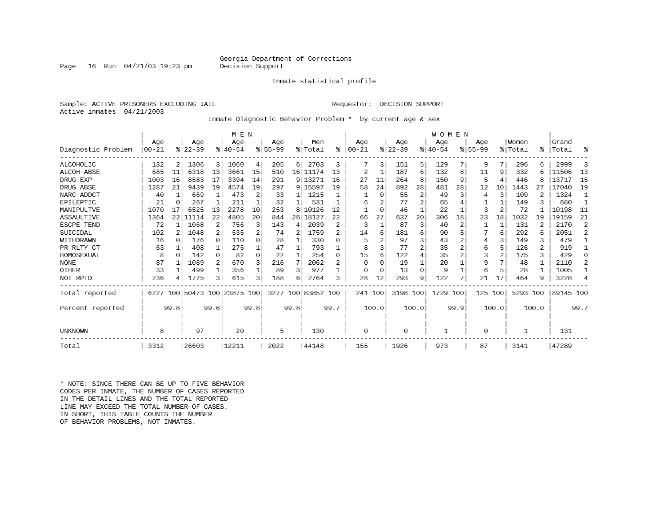#### Georgia Department of Corrections<br>Decision Support

Page 16 Run  $04/21/03$  19:23 pm

#### Inmate statistical profile

Sample: ACTIVE PRISONERS EXCLUDING JAIL Requestor: DECISION SUPPORT Active inmates 04/21/2003

Inmate Diagnostic Behavior Problem \* by current age & sex

|                    |          |                |                         |                | M E N     |          |           |              |                    |                |            |          |          |                | WOMEN    |      |             |              |           |       |           |                |
|--------------------|----------|----------------|-------------------------|----------------|-----------|----------|-----------|--------------|--------------------|----------------|------------|----------|----------|----------------|----------|------|-------------|--------------|-----------|-------|-----------|----------------|
|                    | Age      |                | Age                     |                | Age       |          | Age       |              | Men                |                | Age        |          | Age      |                | Age      |      | Age         |              | Women     |       | Grand     |                |
| Diagnostic Problem | $ 00-21$ |                | $ 22-39 $               |                | $8 40-54$ |          | $8 55-99$ |              | % Total            | နွ             | $ 00 - 21$ |          | $ 22-39$ |                | $ 40-54$ |      | $8155 - 99$ |              | %   Total |       | %   Total | ႜ              |
| ALCOHOLIC          | 132      | 2 <sub>1</sub> | 1306                    | 3 <sup>1</sup> | 1060      | 4        | 205       | 6            | 2703               | 3              |            | 3        | 151      | 5              | 129      |      | 9           |              | 296       | 6.    | 2999      | 3              |
| ALCOH ABSE         | 685      | 11             | 6318                    | 13             | 3661      | 15       | 510       |              | 16 11174           | 13             | 2          |          | 187      | б.             | 132      | 8    | 11          | 9            | 332       |       | 11506     | 13             |
| DRUG EXP           | 1003     | 16             | 8583                    | 17             | 3394      | 14       | 291       |              | 9 13271            | 16             | 27         | 11       | 264      | 8              | 150      | 9    | 5           | 4            | 446       | R     | 13717     | 15             |
| DRUG ABSE          | 1287     | 21             | 9439                    | 19             | 4574      | 19       | 297       |              | 9 15597            | 19             | 58         | 24       | 892      | 28             | 481      | 28   | 12          | 10           | 1443      | 2.7   | 17040     | 19             |
| NARC ADDCT         | 40       | $\mathbf{1}$   | 669                     | $\mathbf{1}$   | 473       | 2        | 33        | 1            | 1215               |                |            | $\Omega$ | 55       | $\overline{2}$ | 49       | 3    | 4           | ς            | 109       |       | 1324      |                |
| EPILEPTIC          | 21       | $\Omega$       | 267                     |                | 211       |          | 32        | $\mathbf{1}$ | 531                |                | 6          |          | 77       | $\overline{a}$ | 65       |      |             |              | 149       |       | 680       |                |
| MANIPULTVE         | 1070     | 17             | 6525                    | 13             | 2278      | 10       | 253       | 8            | 10126              | 12             |            | $\Omega$ | 46       |                | 22       |      | 3           |              | 72        |       | 10198     | 11             |
| ASSAULTIVE         | 1364     | 22             | 11114                   | 22             | 4805      | 20       | 844       | 26           | 18127              | 22             | 66         | 27       | 637      | 20             | 306      | 18   | 23          | 18           | 1032      | 19    | 19159     | 21             |
| ESCPE TEND         | 72       |                | 1068                    | 2              | 756       | 3        | 143       | 4            | 2039               | 2              | 3          |          | 87       | 3              | 40       | 2    |             | $\mathbf{1}$ | 131       |       | 2170      | $\overline{2}$ |
| SUICIDAL           | 102      |                | 1048                    | 2              | 535       | 2        | 74        | 2            | 1759               | $\mathfrak{D}$ | 14         | 6        | 181      | б              | 90       |      |             | 6            | 292       | 6     | 2051      | $\overline{2}$ |
| WITHDRAWN          | 16       | <sup>n</sup>   | 176                     | $\Omega$       | 110       | $\Omega$ | 28        |              | 330                | $\Omega$       | 5          |          | 97       | 3              | 43       |      | 4           |              | 149       | 3     | 479       |                |
| PR RLTY CT         | 63       |                | 408                     | 1              | 275       |          | 47        | 1            | 793                |                | 8          |          | 77       | $\overline{a}$ | 35       |      | 6           | 5            | 126       | 2     | 919       | -1             |
| HOMOSEXUAL         | 8        | $\Omega$       | 142                     | 0              | 82        | $\Omega$ | 22        | $\mathbf{1}$ | 254                | $\Omega$       | 15         | 6        | 122      |                | 35       |      | 3           |              | 175       | 3     | 429       | $\Omega$       |
| <b>NONE</b>        | 87       |                | 1089                    | 2              | 670       | 3        | 216       | 7            | 2062               |                | $\Omega$   |          | 19       |                | 20       |      | 9           |              | 48        |       | 2110      | 2              |
| OTHER              | 33       |                | 499                     | $\mathbf{1}$   | 356       |          | 89        | 3            | 977                |                | $\Omega$   | $\Omega$ | 13       | U              | 9        |      | 6           | 5            | 28        |       | 1005      |                |
| NOT RPTD           | 236      |                | 1725                    | 3              | 615       | 3        | 188       | 6            | 2764               | ς              | 28         | 12       | 293      | 9              | 122      |      | 21          | 17           | 464       | 9     | 3228      | $\overline{4}$ |
| Total reported     | 6227     |                | 100 50473 100 23875 100 |                |           |          |           |              | 3277 100 83852 100 |                | 241 100    |          | 3198 100 |                | 1729     | 100  | 125 100     |              | 5293 100  |       | 89145 100 |                |
| Percent reported   |          | 99.8           |                         | 99.6           |           | 99.8     |           | 99.8         |                    | 99.7           |            | 100.0    |          | 100.0          |          | 99.9 |             | 100.0        |           | 100.0 |           | 99.7           |
| UNKNOWN            | 8        |                | 97                      |                | 20        |          | 5         |              | 130                |                | $\Omega$   |          | $\Omega$ |                |          |      | 0           |              |           |       | 131       |                |
| Total              | 3312     |                | 26603                   |                | 12211     |          | 2022      |              | 44148              |                | 155        |          | 1926     |                | 973      |      | 87          |              | 3141      |       | 47289     |                |

\* NOTE: SINCE THERE CAN BE UP TO FIVE BEHAVIOR CODES PER INMATE, THE NUMBER OF CASES REPORTED IN THE DETAIL LINES AND THE TOTAL REPORTED LINE MAY EXCEED THE TOTAL NUMBER OF CASES.IN SHORT, THIS TABLE COUNTS THE NUMBER OF BEHAVIOR PROBLEMS, NOT INMATES.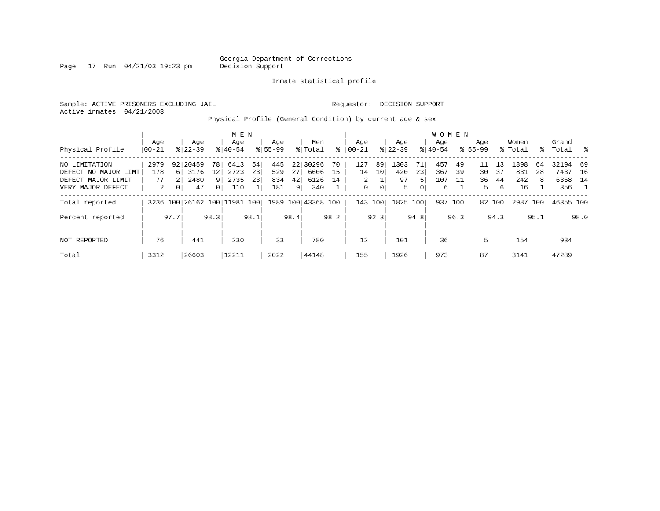Page 17 Run  $04/21/03$  19:23 pm

#### Inmate statistical profile

Sample: ACTIVE PRISONERS EXCLUDING JAIL Requestor: DECISION SUPPORT Active inmates 04/21/2003

Physical Profile (General Condition) by current age & sex

|                      |           |              |                              |                | M E N     |      |             |                |                    |      |                |      |           |      |           | <b>WOMEN</b> |             |        |          |      |           |              |
|----------------------|-----------|--------------|------------------------------|----------------|-----------|------|-------------|----------------|--------------------|------|----------------|------|-----------|------|-----------|--------------|-------------|--------|----------|------|-----------|--------------|
|                      | Age       |              | Age                          |                | Age       |      | Age         |                | Men                |      | Aqe            |      | Age       |      | Aqe       |              | Age         |        | Women    |      | Grand     |              |
| Physical Profile     | $00 - 21$ |              | $8 22-39$                    |                | $8 40-54$ |      | $8155 - 99$ |                | % Total            | ⊱    | $00 - 21$      |      | $ 22-39 $ |      | $8 40-54$ |              | $8155 - 99$ |        | % Total  |      | %   Total | ားကို $\sim$ |
| NO LIMITATION        | 2979      |              | 92 20459                     | 78 I           | 6413      | 54   | 445         |                | 22 30296           | 70   | 127            | 89   | 1303      | 71   | 457       | 49           |             | 13     | 1898     | 64   | 32194 69  |              |
| DEFECT NO MAJOR LIMT | 178       | 6 I          | 3176                         | 12             | 2723      | 23   | 529         | 27             | 6606               | 15   | 14             | 10   | 420       | 23   | 367       | 39           | 30          | 37     | 831      | 28   | 7437      | 16           |
| DEFECT MAJOR LIMIT   | 77        |              | 2480                         | 9              | 2735      | 23   | 834         | 42             | 6126               | 14   | $\overline{a}$ |      | 97        | 5.   | 107       | 11           | 36          | 44     | 242      | 8    | 6368      | 14           |
| VERY MAJOR DEFECT    | 2         | $\mathbf{0}$ | 47                           | 0 <sup>1</sup> | 110       |      | 181         | 9 <sup>1</sup> | 340                |      | 0              | 0    | 5         | 0    | 6         |              | 5           | 6      | 16       |      | 356       |              |
| Total reported       |           |              | 3236 100 26162 100 11981 100 |                |           |      |             |                | 1989 100 43368 100 |      | 143 100        |      | 1825      | 100  |           | 937 100      |             | 82 100 | 2987 100 |      | 46355 100 |              |
| Percent reported     |           | 97.7         |                              | 98.3           |           | 98.1 |             | 98.4           |                    | 98.2 |                | 92.3 |           | 94.8 |           | 96.3         |             | 94.3   |          | 95.1 |           | 98.0         |
| NOT REPORTED         | 76        |              | 441                          |                | 230       |      | 33          |                | 780                |      | 12             |      | 101       |      | 36        |              | 5           |        | 154      |      | 934       |              |
| Total                | 3312      |              | 26603                        |                | 12211     |      | 2022        |                | 44148              |      | 155            |      | 1926      |      | 973       |              | 87          |        | 3141     |      | 47289     |              |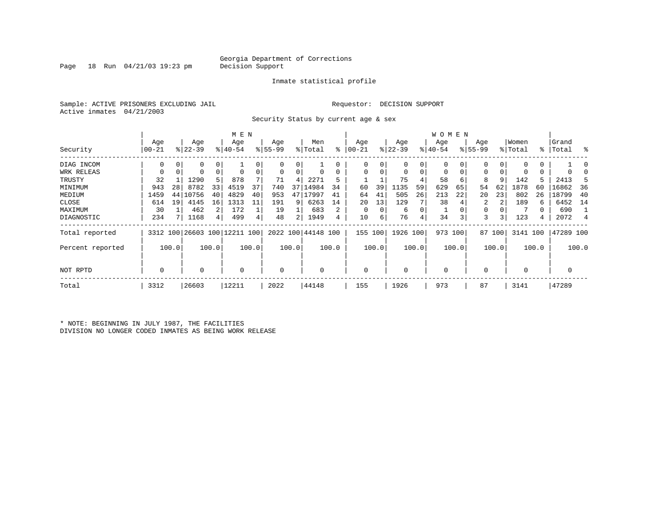Page 18 Run  $04/21/03$  19:23 pm

#### Inmate statistical profile

Sample: ACTIVE PRISONERS EXCLUDING JAIL Requestor: DECISION SUPPORT Active inmates 04/21/2003

Security Status by current age & sex

|                  |          |       |             |             | M E N                        |       |           |       |                    |       |           |       |             |                | <b>WOMEN</b> |       |             |        |             |               |           |        |
|------------------|----------|-------|-------------|-------------|------------------------------|-------|-----------|-------|--------------------|-------|-----------|-------|-------------|----------------|--------------|-------|-------------|--------|-------------|---------------|-----------|--------|
|                  | Age      |       | Age         |             | Age                          |       | Age       |       | Men                |       | Age       |       | Age         |                | Age          |       | Age         |        | Women       |               | Grand     |        |
| Security         | $ 00-21$ |       | $ 22 - 39 $ |             | $8 40-54$                    |       | $ 55-99 $ |       | % Total            | ⊱     | $00 - 21$ |       | $ 22-39 $   |                | $ 40-54 $    |       | $8155 - 99$ |        | % Total     | $\frac{1}{6}$ | Total     | ႜ      |
| DIAG INCOM       | 0        |       | 0           | 0           |                              |       | 0         | 0     |                    |       | U         | 0     | 0           | 0              |              |       | 0           |        |             |               |           | $\Box$ |
| WRK RELEAS       | 0        |       |             | $\mathbf 0$ | $\Omega$                     |       | 0         | 0     |                    |       |           |       | $\Omega$    | $\overline{0}$ |              |       | 0           |        |             | 0             |           |        |
| TRUSTY           | 32       |       | 1290        | 5           | 878                          |       | 71        | 4     | 2271               |       |           |       | 75          | 4              | 58           | 6     | 8           | 9      | 142         | 5.            | 2413      |        |
| MINIMUM          | 943      | 28    | 8782        | 33          | 4519                         | 37    | 740       | 37    | 14984              | 34    | 60        | 39    | 1135        | 59             | 629          | 65    | 54          | 62     | 1878        | 60            | 16862     | 36     |
| MEDIUM           | 1459     | 44    | 10756       | 40          | 4829                         | 40    | 953       | 47    | L7997              | 41    | 64        | 41    | 505         | 26             | 213          | 22    | 20          | 23     | 802         | 26            | 18799     | 40     |
| CLOSE            | 614      | 19    | 4145        | 16          | 1313                         | 11    | 191       | 9     | 6263               | 14    | 20        | 13    | 129         |                | 38           |       |             |        | 189         | 6.            | 6452      | 14     |
| MAXIMUM          | 30       |       | 462         | 2           | 172                          |       | 19        |       | 683                | 2     | $\Omega$  |       | 6           | 0              |              |       | 0           |        |             |               | 690       |        |
| DIAGNOSTIC       | 234      |       | 1168        | 4           | 499                          |       | 48        | 2     | 1949               |       | 10        | 6     | 76          | 4              | 34           | 3     | 3           |        | 123         | 4             | 2072      | 4      |
| Total reported   |          |       |             |             | 3312 100 26603 100 12211 100 |       |           |       | 2022 100 44148 100 |       | 155       | 100   | 1926 100    |                | 973 100      |       |             | 87 100 | 3141 100    |               | 47289 100 |        |
| Percent reported |          | 100.0 |             | 100.0       |                              | 100.0 |           | 100.0 |                    | 100.0 |           | 100.0 |             | 100.0          |              | 100.0 |             | 100.0  |             | 100.0         |           | 100.0  |
| NOT RPTD         | 0        |       | $\Omega$    |             | $\mathbf 0$                  |       | 0         |       |                    |       | $\Omega$  |       | $\mathbf 0$ |                | $\mathbf{0}$ |       | $\Omega$    |        | $\mathbf 0$ |               | 0         |        |
| Total            | 3312     |       | 26603       |             | 12211                        |       | 2022      |       | 44148              |       | 155       |       | 1926        |                | 973          |       | 87          |        | 3141        |               | 47289     |        |

\* NOTE: BEGINNING IN JULY 1987, THE FACILITIES DIVISION NO LONGER CODED INMATES AS BEING WORK RELEASE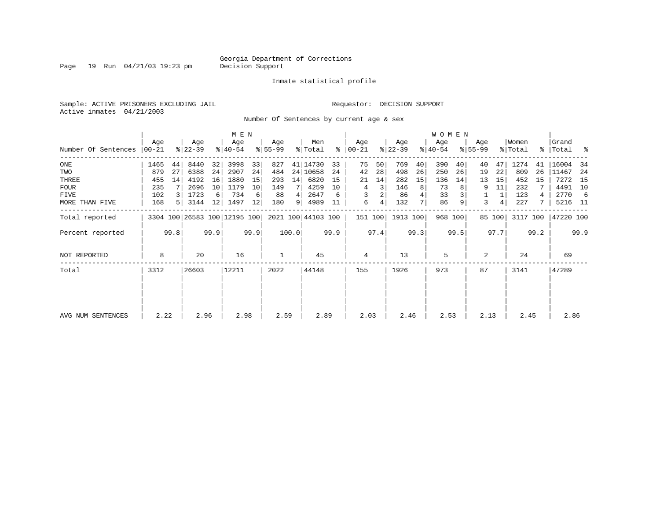Page 19 Run 04/21/03 19:23 pm

#### Inmate statistical profile

Sample: ACTIVE PRISONERS EXCLUDING JAIL **Requestor: DECISION SUPPORT** Active inmates 04/21/2003

Number Of Sentences by current age & sex

| Grand        |
|--------------|
| %   Total %  |
| 16004<br>-34 |
| 11467<br>-24 |
| 7272<br>15   |
| 4491<br>10   |
| 2770<br>-6   |
| 5216 11      |
| 47220 100    |
| 99.9         |
| 69           |
| 47289        |
|              |
| 2.86         |
|              |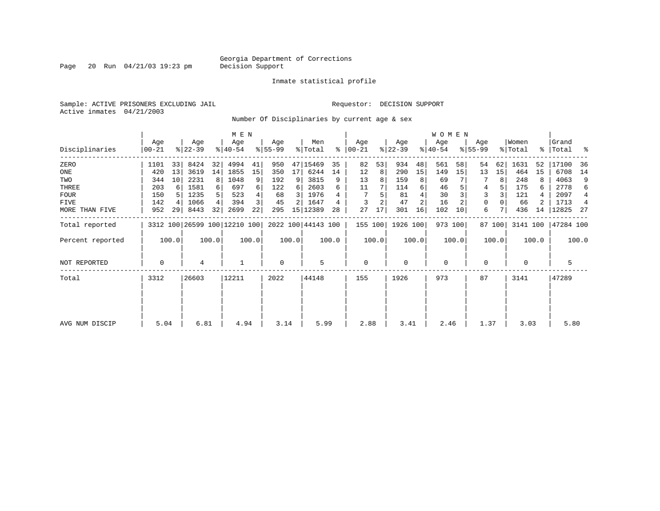Page 20 Run  $04/21/03$  19:23 pm

#### Inmate statistical profile

Sample: ACTIVE PRISONERS EXCLUDING JAIL Requestor: DECISION SUPPORT Active inmates 04/21/2003

Number Of Disciplinaries by current age & sex

|                  |                  |       |                              |          | M E N            |       |                 |       |                    |       |                 |       |                  |       | <b>WOMEN</b>     |         |                  |        |                  |       |                    |       |
|------------------|------------------|-------|------------------------------|----------|------------------|-------|-----------------|-------|--------------------|-------|-----------------|-------|------------------|-------|------------------|---------|------------------|--------|------------------|-------|--------------------|-------|
| Disciplinaries   | Age<br>$00 - 21$ |       | Age<br>$ 22-39 $             |          | Age<br>$ 40-54 $ |       | Age<br>$ 55-99$ |       | Men<br>% Total     | ႜ     | Age<br>$ 00-21$ |       | Age<br>$ 22-39 $ |       | Age<br>$ 40-54 $ |         | Age<br>$8 55-99$ |        | Women<br>% Total |       | Grand<br>%   Total | ್ಠಿ   |
| ZERO             | 1101             | 33    | 8424                         | 32       | 4994             | 41    | 950             |       | 47 15469           | 35    | 82              | 53    | 934              | 48    | 561              | 58      | 54               | 62     | 1631             | 52    | 17100              | 36    |
| ONE              | 420              | 13    | 3619                         | 14       | 1855             | 15    | 350             | 17    | 6244               | 14    | 12              | 8     | 290              | 15    | 149              | 15      | 13               | 15     | 464              | 15    | 6708               | 14    |
| TWO              | 344              | 10    | 2231                         | 8        | 1048             | 9     | 192             | 9     | 3815               | 9     | 13              | 8     | 159              | 8     | 69               |         |                  | 8      | 248              |       | 4063               | 9     |
| THREE            | 203              | 6     | 1581                         | $6 \mid$ | 697              | 6     | 122             | 6     | 2603               | 6     | 11              |       | 114              | 6     | 46               |         | 4                |        | 175              | 6     | 2778               | 6     |
| <b>FOUR</b>      | 150              |       | 1235                         | 5        | 523              |       | 68              | 3     | 1976               |       |                 |       | 81               |       | 30               |         | 3                |        | 121              |       | 2097               | 4     |
| FIVE             | 142              |       | 1066                         | 4        | 394              | 3     | 45              |       | 1647               |       | 3               |       | 47               |       | 16               |         | 0                |        | 66               |       | 1713               | 4     |
| MORE THAN FIVE   | 952              | 29    | 8443                         | 32       | 2699             | 22    | 295             |       | 15   12389         | 28    | 27              | 17    | 301              | 16    | 102              | 10      | 6                |        | 436              | 14    | 12825              | -27   |
| Total reported   |                  |       | 3312 100 26599 100 12210 100 |          |                  |       |                 |       | 2022 100 44143 100 |       | 155 100         |       | 1926 100         |       |                  | 973 100 |                  | 87 100 | 3141 100         |       | 47284 100          |       |
| Percent reported |                  | 100.0 |                              | 100.0    |                  | 100.0 |                 | 100.0 |                    | 100.0 |                 | 100.0 |                  | 100.0 |                  | 100.0   |                  | 100.0  |                  | 100.0 |                    | 100.0 |
| NOT REPORTED     | 0                |       | 4                            |          |                  |       | $\mathbf 0$     |       | 5                  |       | $\mathbf 0$     |       | 0                |       | $\mathbf 0$      |         | 0                |        | $\mathbf 0$      |       | 5                  |       |
| Total            | 3312             |       | 26603                        |          | 12211            |       | 2022            |       | 44148              |       | 155             |       | 1926             |       | 973              |         | 87               |        | 3141             |       | 47289              |       |
|                  |                  |       |                              |          |                  |       |                 |       |                    |       |                 |       |                  |       |                  |         |                  |        |                  |       |                    |       |
|                  |                  |       |                              |          |                  |       |                 |       |                    |       |                 |       |                  |       |                  |         |                  |        |                  |       |                    |       |
| AVG NUM DISCIP   | 5.04             |       | 6.81                         |          | 4.94             |       | 3.14            |       | 5.99               |       | 2.88            |       | 3.41             |       | 2.46             |         | 1.37             |        | 3.03             |       | 5.80               |       |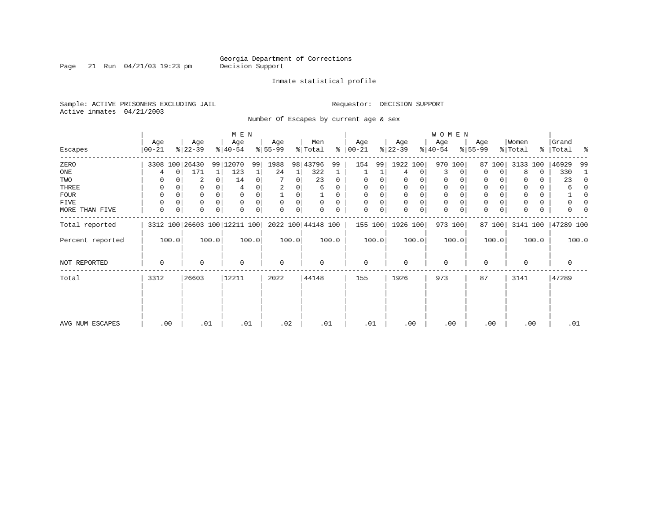Page 21 Run  $04/21/03$  19:23 pm

#### Inmate statistical profile

Sample: ACTIVE PRISONERS EXCLUDING JAIL Requestor: DECISION SUPPORT Active inmates 04/21/2003

Number Of Escapes by current age & sex

|                  |                |             |                  |          | M E N                        |       |                 |       |                    |          |                  |       |                  |             | <b>WOMEN</b>     |             |                  |             |                  |       |                      |              |
|------------------|----------------|-------------|------------------|----------|------------------------------|-------|-----------------|-------|--------------------|----------|------------------|-------|------------------|-------------|------------------|-------------|------------------|-------------|------------------|-------|----------------------|--------------|
| Escapes          | Age<br>  00-21 |             | Age<br>$ 22-39 $ |          | Age<br>$8 40-54$             |       | Age<br>$ 55-99$ |       | Men<br>% Total     | ∻        | Age<br>$ 00-21 $ |       | Age<br>$ 22-39 $ |             | Age<br>$ 40-54 $ |             | Age<br>$8 55-99$ |             | Women<br>% Total |       | Grand<br>%   Total % |              |
| ZERO             |                |             | 3308 100 26430   |          | 99 12070                     | 99    | 1988            | 98    | 43796              | 99       | 154              | 99    | 1922 100         |             |                  | 970 100     | 87               | 100         | 3133             | 100   | 46929                | 99           |
| ONE              |                | 0           | 171              | 1        | 123                          |       | 24              | 1     | 322                |          |                  |       | 4                | 0           | 3                | 0           | $\Omega$         | 0           | 8                | 0     | 330                  | 1            |
| TWO              | 0              |             | 2                | $\Omega$ | 14                           | 0     |                 | 0     | 23                 | 0        | 0                |       | 0                |             | 0                | 0           | 0                |             |                  | 0     | 23                   | 0            |
| THREE            | 0              |             | 0                |          |                              |       |                 |       | 6                  | 0        |                  |       | 0                | 0           | $\mathbf 0$      |             | 0                |             |                  | 0     | 6                    | $\Omega$     |
| FOUR             | 0              |             | 0                | $\Omega$ |                              |       |                 | O     |                    | $\Omega$ |                  |       | $\Omega$         | $\mathbf 0$ | $\mathbf 0$      | $\cap$      | $\Omega$         |             |                  | 0     |                      | <sup>0</sup> |
| FIVE             | 0              |             | 0                | $\Omega$ | $\Omega$                     |       | $\Omega$        | 0     | $\Omega$           | $\Omega$ |                  |       | $\mathbf 0$      | $\mathbf 0$ | $\mathbf 0$      | $\Omega$    | 0                |             |                  | 0     |                      | n            |
| MORE THAN FIVE   | 0              | $\mathbf 0$ | 0                | $\Omega$ |                              |       | $\Omega$        | 0     |                    | 0        | $\Omega$         | 0     | $\Omega$         | 0           | $\mathbf 0$      | $\mathbf 0$ | $\Omega$         | $\mathbf 0$ |                  | 0     |                      |              |
| Total reported   |                |             |                  |          | 3312 100 26603 100 12211 100 |       |                 |       | 2022 100 44148 100 |          | 155 100          |       | 1926 100         |             |                  | 973 100     |                  | 87 100      | 3141 100         |       | 47289 100            |              |
| Percent reported |                | 100.0       |                  | 100.0    |                              | 100.0 |                 | 100.0 |                    | 100.0    |                  | 100.0 |                  | 100.0       |                  | 100.0       |                  | 100.0       |                  | 100.0 |                      | 100.0        |
| NOT REPORTED     | 0              |             | 0                |          | 0                            |       | 0               |       | 0                  |          | $\mathbf 0$      |       | $\mathbf 0$      |             | $\mathbf 0$      |             | $\mathbf 0$      |             | 0                |       | 0                    |              |
| Total            | 3312           |             | 26603            |          | 12211                        |       | 2022            |       | 44148              |          | 155              |       | 1926             |             | 973              |             | 87               |             | 3141             |       | 47289                |              |
|                  |                |             |                  |          |                              |       |                 |       |                    |          |                  |       |                  |             |                  |             |                  |             |                  |       |                      |              |
|                  |                |             |                  |          |                              |       |                 |       |                    |          |                  |       |                  |             |                  |             |                  |             |                  |       |                      |              |
| AVG NUM ESCAPES  | .00            |             | .01              |          | .01                          |       | .02             |       | .01                |          | .01              |       | .00              |             | .00              |             |                  | .00         | .00              |       | .01                  |              |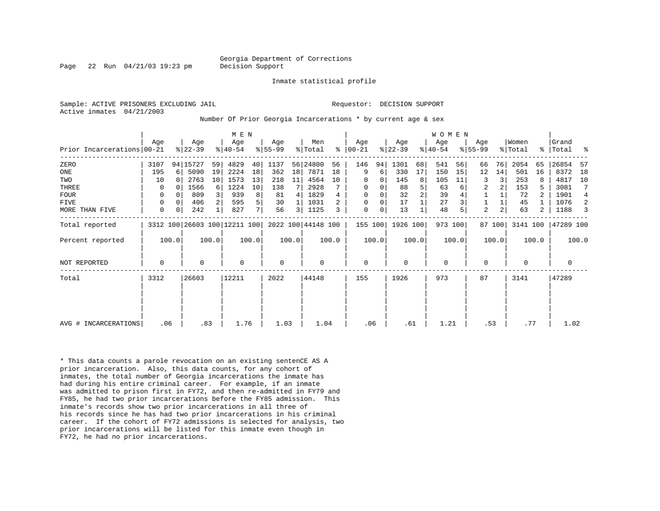Page 22 Run 04/21/03 19:23 pm Decision Support

Inmate statistical profile

Active inmates 04/21/2003

Sample: ACTIVE PRISONERS EXCLUDING JAIL **Requestor: DECISION SUPPORT** 

Number Of Prior Georgia Incarcerations \* by current age & sex

|                            |             |       |                  |       | M E N                        |                |                    |                 |                    |       |                 |          |                  |                | <b>WOMEN</b>     |         |                  |                |                  |       |                |       |
|----------------------------|-------------|-------|------------------|-------|------------------------------|----------------|--------------------|-----------------|--------------------|-------|-----------------|----------|------------------|----------------|------------------|---------|------------------|----------------|------------------|-------|----------------|-------|
| Prior Incarcerations 00-21 | Aqe         |       | Age<br>$ 22-39 $ |       | Age<br>$ 40-54 $             |                | Age<br>$8155 - 99$ |                 | Men<br>% Total     | ႜ     | Aqe<br>$ 00-21$ |          | Age<br>$ 22-39 $ |                | Aqe<br>$ 40-54 $ |         | Age<br>$ 55-99 $ |                | Women<br>% Total | န္    | Grand<br>Total | ႜ     |
| ZERO                       | 3107        |       | 94 15727         | 59    | 4829                         | 40             | 1137               |                 | 56 24800           | 56    | 146             | 94       | 1301             | 68             | 541              | 56      | 66               | 76             | 2054             | 65    | 26854          | 57    |
| ONE                        | 195         | 6     | 5090             | 19    | 2224                         | 18             | 362                | 18 <sup>1</sup> | 7871               | 18    | 9               | 6        | 330              | 17             | 150              | 15      | 12               | 14             | 501              | 16    | 8372           | 18    |
| TWO                        | 10          |       | 2763             | 10    | 1573                         | 13             | 218                | 11              | 4564               | 10    | 0               | 0        | 145              | 8              | 105              | 11      | 3                | 3              | 253              |       | 4817           | 10    |
| THREE                      | 0           |       | 1566             | 6     | 1224                         | 10             | 138                |                 | 2928               |       | 0               | 0        | 88               | 5              | 63               |         | 2                | 2              | 153              |       | 3081           |       |
| <b>FOUR</b>                | $\Omega$    |       | 809              |       | 939                          | 8              | 81                 | 4               | 1829               |       | $\Omega$        | $\Omega$ | 32               | $\overline{2}$ | 39               |         |                  |                | 72               |       | 1901           | 4     |
| <b>FIVE</b>                | 0           |       | 406              |       | 595                          | 5              | 30                 |                 | 1031               |       | 0               | 0        | 17               |                | 27               |         |                  |                | 45               |       | 1076           | 2     |
| MORE THAN FIVE             | 0           | 0     | 242              |       | 827                          | 7 <sup>1</sup> | 56                 | 3               | 1125               |       | 0               | 0        | 13               |                | 48               |         | $\overline{c}$   | $\overline{a}$ | 63               | 2     | 1188           | 3     |
| Total reported             |             |       |                  |       | 3312 100 26603 100 12211 100 |                |                    |                 | 2022 100 44148 100 |       | 155 100         |          | 1926 100         |                |                  | 973 100 |                  | 87 100         | 3141 100         |       | 47289 100      |       |
| Percent reported           |             | 100.0 |                  | 100.0 |                              | 100.0          |                    | 100.0           |                    | 100.0 |                 | 100.0    |                  | 100.0          |                  | 100.0   |                  | 100.0          |                  | 100.0 |                | 100.0 |
| <b>NOT REPORTED</b>        | $\mathbf 0$ |       | $\Omega$         |       | $\Omega$                     |                | 0                  |                 | 0                  |       | 0               |          | $\Omega$         |                | $\mathbf 0$      |         | $\mathbf 0$      |                | $\Omega$         |       | 0              |       |
| Total                      | 3312        |       | 26603            |       | 12211                        |                | 2022               |                 | 44148              |       | 155             |          | 1926             |                | 973              |         | 87               |                | 3141             |       | 47289          |       |
|                            |             |       |                  |       |                              |                |                    |                 |                    |       |                 |          |                  |                |                  |         |                  |                |                  |       |                |       |
|                            |             |       |                  |       |                              |                |                    |                 |                    |       |                 |          |                  |                |                  |         |                  |                |                  |       |                |       |
| AVG # INCARCERATIONS       |             | .06   |                  | .83   | 1.76                         |                | 1.03               |                 | 1.04               |       | .06             |          | .61              |                | 1.21             |         |                  | .53            | .77              |       | 1.02           |       |

\* This data counts a parole revocation on an existing sentenCE AS A prior incarceration. Also, this data counts, for any cohort of inmates, the total number of Georgia incarcerations the inmate has had during his entire criminal career. For example, if an inmate was admitted to prison first in FY72, and then re-admitted in FY79 and FY85, he had two prior incarcerations before the FY85 admission. This inmate's records show two prior incarcerations in all three of his records since he has had two prior incarcerations in his criminal career. If the cohort of FY72 admissions is selected for analysis, two prior incarcerations will be listed for this inmate even though in FY72, he had no prior incarcerations.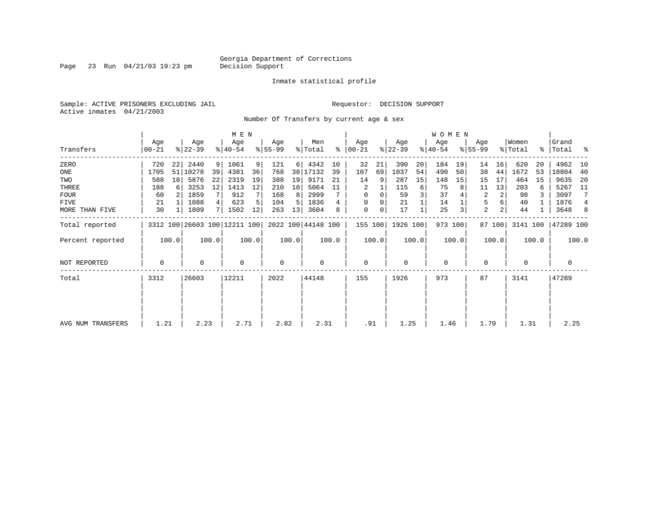Page 23 Run  $04/21/03$  19:23 pm

#### Inmate statistical profile

Sample: ACTIVE PRISONERS EXCLUDING JAIL **Requestor: DECISION SUPPORT** Active inmates 04/21/2003

Number Of Transfers by current age & sex

|                   |                  |                |                  |       | M E N                        |       |                 |                 |                    |       |                  |          |                  |       | <b>WOMEN</b>     |         |                  |                |                              |       |                    |                |
|-------------------|------------------|----------------|------------------|-------|------------------------------|-------|-----------------|-----------------|--------------------|-------|------------------|----------|------------------|-------|------------------|---------|------------------|----------------|------------------------------|-------|--------------------|----------------|
| Transfers         | Age<br>$00 - 21$ |                | Age<br>$ 22-39 $ |       | Age<br>$ 40-54 $             |       | Age<br>$ 55-99$ |                 | Men<br>% Total     | ႜ     | Age<br>$ 00-21 $ |          | Age<br>$ 22-39 $ |       | Age<br>$ 40-54 $ |         | Age<br>$8 55-99$ |                | Women<br>$\frac{1}{2}$ Total |       | Grand<br>% Total % |                |
| ZERO              | 720              | 22             | 2440             | 9     | 1061                         | 9     | 121             |                 | 6   4342           | 10    | 32               | 21       | 390              | 20    | 184              | 19      | 14               | 16             | 620                          | 20    | 4962               | 10             |
| ONE               | 1705             | 51             | 10278            | 39    | 4381                         | 36    | 768             |                 | 38 17132           | 39    | 107              | 69       | 1037             | 54    | 490              | 50      | 38               | 44             | 1672                         | 53    | 18804              | 40             |
| TWO               | 588              | 18             | 5876             | 22    | 2319                         | 19    | 388             | 19              | 9171               | 21    | 14               | 9        | 287              | 15    | 148              | 15      | 15               | 17             | 464                          | 15    | 9635               | -20            |
| THREE             | 188              | 6              | 3253             | 12    | 1413                         | 12    | 210             | 10 <sup>1</sup> | 5064               | 11    | 2                |          | 115              | 6     | 75               | 8       | 11               | 13             | 203                          | 6     | 5267               | 11             |
| <b>FOUR</b>       | 60               | 2 <sub>1</sub> | 1859             |       | 912                          |       | 168             | 8               | 2999               |       | $\Omega$         | $\Omega$ | 59               |       | 37               |         | 2                | 2              | 98                           |       | 3097               | 7              |
| FIVE              | 21               |                | 1088             | 4     | 623                          |       | 104             | 5.              | 1836               |       | $\Omega$         |          | 21               |       | 14               |         | 5                |                | 40                           |       | 1876               | $\overline{4}$ |
| MORE THAN FIVE    | 30               | 1              | 1809             | 71    | 1502                         | 12    | 263             | 13              | 3604               |       | 0                | 0        | 17               |       | 25               | 3       | $\overline{a}$   | 2 <sub>1</sub> | 44                           |       | 3648               | 8              |
| Total reported    |                  |                |                  |       | 3312 100 26603 100 12211 100 |       |                 |                 | 2022 100 44148 100 |       | 155 100          |          | 1926 100         |       |                  | 973 100 |                  | 87 100         | 3141 100                     |       | 47289 100          |                |
| Percent reported  |                  | 100.0          |                  | 100.0 |                              | 100.0 |                 | 100.0           |                    | 100.0 |                  | 100.0    |                  | 100.0 |                  | 100.0   |                  | 100.0          |                              | 100.0 |                    | 100.0          |
| NOT REPORTED      | 0                |                | $\Omega$         |       | 0                            |       | $\mathbf 0$     |                 | 0                  |       | 0                |          | $\mathbf 0$      |       | $\mathbf 0$      |         | 0                |                | 0                            |       | 0                  |                |
| Total             | 3312             |                | 26603            |       | 12211                        |       | 2022            |                 | 44148              |       | 155              |          | 1926             |       | 973              |         | 87               |                | 3141                         |       | 47289              |                |
|                   |                  |                |                  |       |                              |       |                 |                 |                    |       |                  |          |                  |       |                  |         |                  |                |                              |       |                    |                |
|                   |                  |                |                  |       |                              |       |                 |                 |                    |       |                  |          |                  |       |                  |         |                  |                |                              |       |                    |                |
| AVG NUM TRANSFERS | 1.21             |                | 2.23             |       | 2.71                         |       | 2.82            |                 | 2.31               |       | .91              |          | 1.25             |       | 1.46             |         | 1.70             |                | 1.31                         |       | 2.25               |                |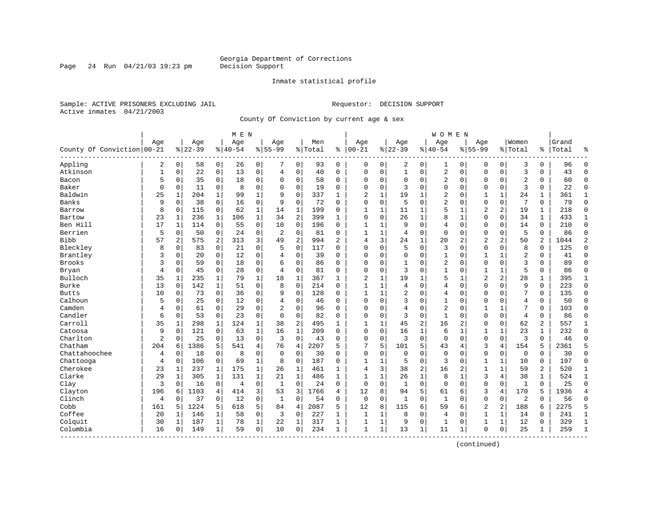Page 24 Run  $04/21/03$  19:23 pm

#### Inmate statistical profile

Sample: ACTIVE PRISONERS EXCLUDING JAIL **Requestor: DECISION SUPPORT** Active inmates 04/21/2003

County Of Conviction by current age & sex

|                            |              |                |           |                | M E N    |                |                |              |         |              |                |              |                |                | <b>WOMEN</b>   |                |                |                |                |              |       |                |
|----------------------------|--------------|----------------|-----------|----------------|----------|----------------|----------------|--------------|---------|--------------|----------------|--------------|----------------|----------------|----------------|----------------|----------------|----------------|----------------|--------------|-------|----------------|
|                            | Age          |                | Age       |                | Age      |                | Aqe            |              | Men     |              | Age            |              | Age            |                | Age            |                | Aqe            |                | Women          |              | Grand |                |
| County Of Conviction 00-21 |              |                | $8 22-39$ |                | $ 40-54$ |                | $8 55-99$      |              | % Total | ႜ            | $ 00-21$       |              | $ 22-39$       |                | $8140 - 54$    |                | $8155 - 99$    |                | % Total        | ి            | Total | န္             |
| Appling                    | 2            | $\overline{0}$ | 58        | $\overline{0}$ | 26       | $\overline{0}$ | 7              | 0            | 93      | 0            | 0              | $\mathbf 0$  | 2              | 0              | 1              | 0              | 0              | $\mathbf 0$    | 3              | 0            | 96    | $\Omega$       |
| Atkinson                   | $\mathbf{1}$ | 0              | 22        | $\mathbf 0$    | 13       | 0              | 4              | $\mathbf 0$  | 40      | $\Omega$     | $\Omega$       | 0            | $\mathbf 1$    | 0              | 2              | $\mathbf 0$    | $\Omega$       | $\mathbf 0$    | $\overline{3}$ | $\Omega$     | 43    | $\Omega$       |
| Bacon                      | 5            | 0              | 35        | $\mathbf 0$    | 18       | 0              | $\Omega$       | 0            | 58      | 0            | $\Omega$       | 0            | $\mathbf 0$    | 0              | 2              | $\mathbf 0$    | $\Omega$       | 0              | $\overline{2}$ | 0            | 60    | $\Omega$       |
| Baker                      | 0            | 0              | 11        | 0              | 8        | 0              | $\Omega$       | $\mathbf 0$  | 19      | 0            | $\Omega$       | 0            | 3              | $\Omega$       | 0              | $\mathbf 0$    | $\Omega$       | 0              | 3              | 0            | 22    | $\Omega$       |
| Baldwin                    | 25           | 1              | 204       | 1              | 99       | $\mathbf{1}$   | 9              | $\Omega$     | 337     | 1            | $\overline{2}$ | 1            | 19             | 1              | 2              | $\mathbf 0$    | 1              | $\mathbf{1}$   | 24             | $\mathbf{1}$ | 361   | 1              |
| Banks                      | 9            | 0              | 38        | $\mathbf 0$    | 16       | 0              | 9              | $\mathbf 0$  | 72      | 0            | $\mathbf 0$    | 0            | 5              | 0              | 2              | $\mathbf 0$    | 0              | 0              | 7              | 0            | 79    | $\Omega$       |
| Barrow                     | 8            | 0              | 115       | $\mathbf 0$    | 62       | 1              | 14             | $\mathbf 1$  | 199     | $\Omega$     | $\mathbf{1}$   | 1            | 11             | 1              | 5              | $\mathbf 1$    | $\overline{2}$ | 2              | 19             | $\mathbf{1}$ | 218   | $\Omega$       |
| Bartow                     | 23           | $\mathbf{1}$   | 236       | $\mathbf{1}$   | 106      | $\mathbf{1}$   | 34             | 2            | 399     | $\mathbf{1}$ | $\Omega$       | 0            | 26             | 1              | 8              | $\mathbf 1$    | $\Omega$       | $\Omega$       | 34             | $\mathbf{1}$ | 433   | $\mathbf{1}$   |
| Ben Hill                   | 17           | 1              | 114       | $\mathbf 0$    | 55       | 0              | 10             | $\mathbf 0$  | 196     | $\Omega$     | 1              | 1            | 9              | 0              | 4              | $\mathbf 0$    | $\mathbf 0$    | $\Omega$       | 14             | $\mathbf 0$  | 210   | $\Omega$       |
| Berrien                    | 5            | 0              | 50        | 0              | 24       | 0              | 2              | $\mathbf 0$  | 81      | $\Omega$     | $\mathbf{1}$   | 1            | 4              | 0              | $\mathbf 0$    | 0              | $\Omega$       | 0              | 5              | 0            | 86    | $\Omega$       |
| <b>Bibb</b>                | 57           | 2              | 575       | 2              | 313      | 3              | 49             | 2            | 994     | 2            | 4              | 3            | 24             | 1              | 20             | 2              | 2              | 2              | 50             | 2            | 1044  | $\overline{2}$ |
| Bleckley                   | 8            | $\Omega$       | 83        | 0              | 21       | 0              | 5              | $\mathbf 0$  | 117     | 0            | $\Omega$       | 0            | 5              | 0              | 3              | $\mathbf 0$    | $\Omega$       | $\Omega$       | 8              | 0            | 125   | $\Omega$       |
| Brantley                   | 3            | 0              | 20        | 0              | 12       | 0              | 4              | $\mathbf 0$  | 39      | 0            | 0              | 0            | $\mathbf 0$    | 0              | 1              | 0              | 1              | 1              | $\overline{2}$ | 0            | 41    | $\Omega$       |
| Brooks                     | 3            | $\Omega$       | 59        | $\Omega$       | 18       | $\Omega$       | 6              | $\Omega$     | 86      | $\Omega$     | $\Omega$       | 0            | $\mathbf{1}$   | $\Omega$       | 2              | $\Omega$       | $\mathbf 0$    | $\Omega$       | 3              | $\Omega$     | 89    | $\Omega$       |
| Bryan                      | 4            | $\Omega$       | 45        | $\mathbf 0$    | 28       | 0              | 4              | $\Omega$     | 81      | $\Omega$     | $\Omega$       | 0            | 3              | $\Omega$       | $\mathbf{1}$   | $\mathbf 0$    | $\mathbf{1}$   | 1              | 5              | 0            | 86    | $\Omega$       |
| Bulloch                    | 35           | 1              | 235       | 1              | 79       | 1              | 18             | 1            | 367     | 1            | $\overline{2}$ | 1            | 19             | 1              | 5              | $\mathbf{1}$   | $\overline{2}$ | 2              | 28             | 1            | 395   | 1              |
| Burke                      | 13           | 0              | 142       | 1              | 51       | 0              | 8              | $\Omega$     | 214     | $\Omega$     | $\mathbf{1}$   | 1            | 4              | $\Omega$       | 4              | $\mathbf 0$    | $\Omega$       | $\Omega$       | 9              | $\Omega$     | 223   | $\Omega$       |
| <b>Butts</b>               | 10           | 0              | 73        | $\mathbf 0$    | 36       | 0              | 9              | $\Omega$     | 128     | $\Omega$     | $\mathbf{1}$   | 1            | $\overline{2}$ | $\Omega$       | 4              | $\mathbf 0$    | $\Omega$       | $\Omega$       | 7              | 0            | 135   | $\Omega$       |
| Calhoun                    | 5            | 0              | 25        | 0              | 12       | 0              | 4              | 0            | 46      | $\Omega$     | $\Omega$       | 0            | 3              | 0              | $\mathbf{1}$   | 0              | 0              | 0              | $\overline{4}$ | 0            | 50    | $\Omega$       |
| Camden                     | 4            | $\Omega$       | 61        | $\Omega$       | 29       | $\Omega$       | $\overline{c}$ | $\Omega$     | 96      | $\Omega$     | $\Omega$       | 0            | 4              | $\Omega$       | $\overline{2}$ | $\Omega$       | $\mathbf{1}$   | $\mathbf{1}$   | 7              | $\Omega$     | 103   | $\Omega$       |
| Candler                    | 6            | 0              | 53        | $\Omega$       | 23       | 0              | $\Omega$       | $\Omega$     | 82      | $\Omega$     | $\Omega$       | 0            | 3              | $\Omega$       | $\mathbf{1}$   | $\mathbf 0$    | $\Omega$       | $\Omega$       | $\overline{4}$ | 0            | 86    | $\Omega$       |
| Carroll                    | 35           | $\mathbf 1$    | 298       | 1              | 124      | 1              | 38             | $\sqrt{2}$   | 495     | $\mathbf{1}$ | $\mathbf{1}$   | 1            | 45             | $\overline{c}$ | 16             | $\overline{c}$ | $\Omega$       | 0              | 62             | 2            | 557   | 1              |
| Catoosa                    | 9            | 0              | 121       | $\mathbf 0$    | 63       | $\mathbf 1$    | 16             | $\mathbf 1$  | 209     | $\Omega$     | $\Omega$       | 0            | 16             | 1              | 6              | 1              | $\mathbf{1}$   | $\mathbf{1}$   | 23             | $\mathbf{1}$ | 232   | $\Omega$       |
| Charlton                   | 2            | 0              | 25        | $\overline{0}$ | 13       | 0              | 3              | $\Omega$     | 43      | 0            | $\Omega$       | 0            | 3              | $\mathbf 0$    | $\mathbf 0$    | $\mathbf 0$    | $\mathbf 0$    | $\mathbf 0$    | $\overline{3}$ | 0            | 46    |                |
| Chatham                    | 204          | 6              | 1386      | 5              | 541      | 4              | 76             | 4            | 2207    | 5            |                | 5            | 101            | 5              | 43             | 4              | 3              | 4              | 154            | 5            | 2361  | 5              |
| Chattahoochee              | 4            | 0              | 18        | $\mathbf 0$    | 8        | 0              | $\mathbf 0$    | 0            | 30      | $\Omega$     | $\Omega$       | 0            | $\mathbf 0$    | $\Omega$       | $\mathbf 0$    | $\Omega$       | $\mathbf 0$    | $\mathbf 0$    | $\mathbf 0$    | $\mathbf 0$  | 30    | $\Omega$       |
| Chattooga                  | 4            | $\Omega$       | 106       | $\mathbf 0$    | 69       | $\mathbf 1$    | 8              | $\Omega$     | 187     | $\Omega$     | $\mathbf{1}$   | 1            | 5              | $\Omega$       | 3              | $\mathbf 0$    | $\mathbf{1}$   | $\mathbf{1}$   | 10             | 0            | 197   | $\Omega$       |
| Cherokee                   | 23           | 1              | 237       | 1              | 175      | $\mathbf 1$    | 26             | 1            | 461     | 1            | 4              | 3            | 38             | $\overline{c}$ | 16             | 2              | $\mathbf{1}$   | $\mathbf 1$    | 59             | 2            | 520   | 1              |
| Clarke                     | 29           | 1              | 305       | $\mathbf{1}$   | 131      | $\mathbf 1$    | 21             | $\mathbf{1}$ | 486     | $\mathbf{1}$ | $\mathbf{1}$   | $\mathbf{1}$ | 26             | 1              | 8              | 1              | 3              | 4              | 38             | $\mathbf{1}$ | 524   | $\mathbf 1$    |
| Clay                       | 3            | $\Omega$       | 16        | $\mathbf 0$    | 4        | 0              | 1              | $\Omega$     | 24      | $\Omega$     | $\mathbf 0$    | 0            | 1              | $\Omega$       | $\mathbf{0}$   | $\Omega$       | $\mathbf 0$    | $\mathbf 0$    | 1              | 0            | 25    | $\Omega$       |
| Clayton                    | 196          | 6              | 1103      | 4              | 414      | 3 <sup>1</sup> | 53             | 3            | 1766    | 4            | 12             | 8            | 94             | 5              | 61             | 6              | 3              | 4              | 170            | 5            | 1936  |                |
| Clinch                     | 4            | 0              | 37        | $\mathbf 0$    | 12       | 0              | $\mathbf{1}$   | 0            | 54      | 0            | $\mathbf 0$    | 0            | $\mathbf{1}$   | 0              | $\mathbf{1}$   | $\mathbf 0$    | $\mathbf{0}$   | $\mathbf 0$    | 2              | $\Omega$     | 56    | $\Omega$       |
| Cobb                       | 161          | 5              | 1224      | 5              | 618      | 5              | 84             | 4            | 2087    | 5            | 12             | 8            | 115            | 6              | 59             | 6              | $\overline{2}$ | $\overline{2}$ | 188            | 6            | 2275  | 5              |
| Coffee                     | 20           | 1              | 146       | 1              | 58       | 0              | 3              | $\mathbf 0$  | 227     | 1            | 1              | 1            | 8              | 0              | 4              | $\Omega$       | $\mathbf{1}$   | 1              | 14             | 0            | 241   | $\mathbf 1$    |
| Colquit                    | 30           | 1              | 187       | 1              | 78       | 1              | 22             | 1            | 317     | 1            | 1              | 1            | 9              | $\Omega$       | 1              | $\mathbf 0$    | 1              | 1              | 12             | 0            | 329   | 1              |
| Columbia<br>--------       | 16           | 0              | 149       | 1              | 59       | $\overline{0}$ | 10             | $\mathbf 0$  | 234     | 1            | $\mathbf{1}$   | $\mathbf{1}$ | 13             | 1              | 11             | 1              | 0              | $\mathbf 0$    | 25             | 1            | 259   | $\mathbf{1}$   |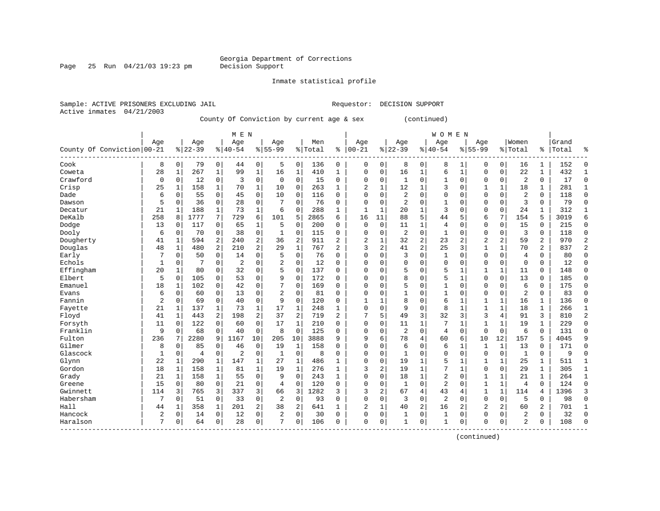Page 25 Run  $04/21/03$  19:23 pm

Inmate statistical profile

Active inmates 04/21/2003

Sample: ACTIVE PRISONERS EXCLUDING JAIL Requestor: DECISION SUPPORT

County Of Conviction by current age & sex (continued)

|                            |                |              |                |                | M E N          |                |                |                |         |                |              |             |                |                | <b>WOMEN</b>   |              |                |                |                |                |       |                |
|----------------------------|----------------|--------------|----------------|----------------|----------------|----------------|----------------|----------------|---------|----------------|--------------|-------------|----------------|----------------|----------------|--------------|----------------|----------------|----------------|----------------|-------|----------------|
|                            | Age            |              | Age            |                | Age            |                | Age            |                | Men     |                | Age          |             | Age            |                | Age            |              | Age            |                | Women          |                | Grand |                |
| County Of Conviction 00-21 |                |              | $8 22-39$      |                | $ 40-54$       |                | $8155 - 99$    |                | % Total | ి              | $00 - 21$    | %           | $22 - 39$      |                | $ 40-54$       |              | $8155 - 99$    |                | % Total        | %              | Total | ႜ              |
| Cook                       | 8              | 0            | 79             | 0              | 44             | 0              | 5              | $\mathbf 0$    | 136     | 0              | 0            | 0           | 8              | 0              | 8              | 1            | 0              | 0              | 16             | 1              | 152   | $\Omega$       |
| Coweta                     | 28             | 1            | 267            | 1              | 99             | $\mathbf{1}$   | 16             | 1              | 410     | 1              | 0            | 0           | 16             | 1              | б              | $\mathbf{1}$ | $\Omega$       | 0              | 22             | $\mathbf{1}$   | 432   | $\mathbf{1}$   |
| Crawford                   | 0              | 0            | 12             | $\mathbf 0$    | 3              | $\mathbf 0$    | $\mathbf 0$    | $\mathbf 0$    | 15      | 0              | 0            | 0           | 1              | $\Omega$       | $\mathbf{1}$   | $\Omega$     | $\Omega$       | 0              | $\overline{2}$ | 0              | 17    | $\Omega$       |
| Crisp                      | 25             | 1            | 158            | 1              | 70             | $\mathbf 1$    | 10             | $\mathbf 0$    | 263     | $\mathbf{1}$   | 2            | 1           | 12             | 1              | 3              | $\mathbf 0$  |                | 1              | 18             | 1              | 281   | 1              |
| Dade                       | 6              | 0            | 55             | 0              | 45             | 0              | 10             | $\mathbf 0$    | 116     | 0              | O            | 0           | 2              | $\Omega$       | 0              | $\Omega$     | $\Omega$       | 0              | $\overline{2}$ | 0              | 118   | $\Omega$       |
| Dawson                     | 5              | $\Omega$     | 36             | $\mathbf 0$    | 28             | 0              | 7              | 0              | 76      | $\Omega$       | O            | 0           | $\overline{2}$ | $\Omega$       | 1              | $\Omega$     | $\Omega$       | $\Omega$       | 3              | $\Omega$       | 79    | $\Omega$       |
| Decatur                    | 21             | $\mathbf{1}$ | 188            | 1              | 73             | 1              | 6              | 0              | 288     | 1              | $\mathbf{1}$ | 1           | 20             | 1              | 3              | $\Omega$     | $\Omega$       | $\Omega$       | 24             | 1              | 312   | $\mathbf{1}$   |
| DeKalb                     | 258            | 8            | 1777           | 7              | 729            | 6              | 101            | 5              | 2865    | 6              | 16           | 11          | 88             | 5              | 44             | 5            | 6              | 7              | 154            | 5              | 3019  | 6              |
| Dodge                      | 13             | 0            | 117            | 0              | 65             | 1              | 5              | 0              | 200     | 0              | 0            | $\mathbf 0$ | 11             | 1              | 4              | $\Omega$     | 0              | 0              | 15             | 0              | 215   | $\mathbf{0}$   |
| Dooly                      | 6              | 0            | 70             | $\mathbf 0$    | 38             | $\mathbf 0$    | 1              | $\mathbf 0$    | 115     | 0              | 0            | 0           | $\overline{2}$ | $\Omega$       | $\mathbf{1}$   | $\Omega$     | $\Omega$       | 0              | 3              | 0              | 118   | $\Omega$       |
| Dougherty                  | 41             | 1            | 594            | 2              | 240            | $\overline{2}$ | 36             | 2              | 911     | 2              | 2            | 1           | 32             | $\overline{2}$ | 23             | 2            | $\overline{c}$ | $\overline{2}$ | 59             | $\overline{a}$ | 970   | $\overline{2}$ |
| Douglas                    | 48             | 1            | 480            | $\overline{a}$ | 210            | $\overline{2}$ | 29             | $\mathbf{1}$   | 767     | $\overline{a}$ | 3            | 2           | 41             | $\overline{2}$ | 25             | 3            | $\mathbf{1}$   | 1              | 70             | $\overline{2}$ | 837   | $\overline{2}$ |
| Early                      |                | $\Omega$     | 50             | $\mathbf 0$    | 14             | $\mathbf 0$    | 5              | $\mathbf 0$    | 76      | 0              | 0            | 0           | 3              | $\Omega$       | 1              | $\Omega$     | $\Omega$       | $\Omega$       | $\overline{4}$ | 0              | 80    | $\Omega$       |
| Echols                     | 1              | 0            |                | $\mathbf 0$    | $\overline{c}$ | $\mathbf 0$    | $\overline{2}$ | $\mathbf 0$    | 12      | $\Omega$       | 0            | 0           | $\Omega$       | $\Omega$       | 0              | $\Omega$     | $\Omega$       | 0              | $\mathbf 0$    | 0              | 12    | $\Omega$       |
| Effingham                  | 20             | $\mathbf{1}$ | 80             | $\mathbf 0$    | 32             | $\mathbf 0$    | 5              | $\mathbf 0$    | 137     | $\Omega$       | $\Omega$     | 0           | 5              | $\Omega$       | 5              | 1            | 1              | 1              | 11             | $\Omega$       | 148   | $\Omega$       |
| Elbert                     | 5              | 0            | 105            | $\mathbf 0$    | 53             | 0              | 9              | 0              | 172     | $\Omega$       | $\Omega$     | 0           | 8              | $\Omega$       | 5              | 1            | $\Omega$       | $\Omega$       | 13             | 0              | 185   | $\Omega$       |
| Emanuel                    | 18             | 1            | 102            | $\mathbf 0$    | 42             | 0              | 7              | $\mathbf 0$    | 169     | $\Omega$       | $\Omega$     | 0           | 5              | 0              | 1              | $\Omega$     | $\Omega$       | $\Omega$       | 6              | 0              | 175   | $\Omega$       |
| Evans                      | 6              | 0            | 60             | 0              | 13             | $\mathsf 0$    | $\overline{a}$ | $\mathbf 0$    | 81      | O              | O            | 0           |                | $\Omega$       | 1              | $\Omega$     | $\Omega$       | 0              | $\overline{2}$ | 0              | 83    | $\Omega$       |
| Fannin                     | $\overline{a}$ | 0            | 69             | 0              | 40             | $\mathsf 0$    | 9              | $\mathbf 0$    | 120     | O              |              |             | 8              | $\Omega$       | 6              | $\mathbf{1}$ | $\mathbf{1}$   | 1              | 16             | 1              | 136   | $\Omega$       |
| Fayette                    | 21             | 1            | 137            | 1              | 73             | $\mathbf 1$    | 17             | 1              | 248     | 1              | $\Omega$     | 0           | 9              | $\Omega$       | 8              | 1            | $\mathbf{1}$   | 1              | 18             | $\mathbf{1}$   | 266   | 1              |
| Floyd                      | 41             | 1            | 443            | 2              | 198            | 2              | 37             | $\overline{2}$ | 719     | $\overline{a}$ |              | 5           | 49             | 3              | 32             | 3            | $\overline{3}$ | 4              | 91             | 3              | 810   | $\overline{2}$ |
| Forsyth                    | 11             | $\Omega$     | 122            | $\mathbf 0$    | 60             | $\mathbf 0$    | 17             | 1              | 210     | 0              | $\Omega$     | 0           | 11             | 1              | 7              | $\mathbf{1}$ | 1              | 1              | 19             | 1              | 229   | $\Omega$       |
| Franklin                   | 9              | $\mathbf 0$  | 68             | $\mathbf 0$    | 40             | $\mathbf 0$    | 8              | $\mathbf 0$    | 125     | 0              | 0            | 0           | $\overline{2}$ | $\Omega$       | $\overline{4}$ | $\mathbf 0$  | $\mathbf{0}$   | $\mathbf 0$    | 6              | 0              | 131   | $\Omega$       |
| Fulton                     | 236            |              | 2280           | 9              | 1167           | 10             | 205            | 10             | 3888    | 9              | 9            | 6           | 78             | 4              | 60             | 6            | 10             | 12             | 157            | 5              | 4045  | 9              |
| Gilmer                     | 8              | 0            | 85             | $\mathbf 0$    | 46             | $\mathsf 0$    | 19             | 1              | 158     | $\Omega$       | $\Omega$     | 0           | 6              | $\Omega$       | б              | 1            | 1              | 1              | 13             | 0              | 171   | $\Omega$       |
| Glascock                   | 1              | 0            | $\overline{4}$ | 0              | 2              | 0              | 1              | 0              | 8       | 0              | $\Omega$     | 0           |                | 0              | 0              | $\mathbf 0$  | $\Omega$       | 0              | 1              | 0              | 9     | $\Omega$       |
| Glynn                      | 22             | $\mathbf{1}$ | 290            | 1              | 147            | 1              | 27             | 1              | 486     | 1              | $\Omega$     | 0           | 19             | 1              | 5              | $\mathbf{1}$ | 1              | 1              | 25             | 1              | 511   | 1              |
| Gordon                     | 18             | $\mathbf{1}$ | 158            | 1              | 81             | $\mathbf{1}$   | 19             | 1              | 276     | 1              | 3            | 2           | 19             | 1              | 7              | $\mathbf{1}$ | $\Omega$       | 0              | 29             | 1              | 305   | 1              |
| Grady                      | 21             | 1            | 158            | 1              | 55             | $\mathbf 0$    | 9              | $\mathbf 0$    | 243     | 1              | $\Omega$     | 0           | 18             | 1              | $\overline{2}$ | $\Omega$     | $\mathbf{1}$   | 1              | 21             | $\mathbf{1}$   | 264   | $\mathbf{1}$   |
| Greene                     | 15             | 0            | 80             | $\mathbf 0$    | 21             | $\mathbf 0$    | 4              | 0              | 120     | 0              | $\Omega$     | 0           | 1              | $\Omega$       | $\overline{2}$ | $\Omega$     | $\mathbf{1}$   | 1              | $\overline{4}$ | 0              | 124   | $\Omega$       |
| Gwinnett                   | 114            | 3            | 765            | 3              | 337            | 3              | 66             | 3              | 1282    | 3              | 3            | 2           | 67             | 4              | 43             | 4            | 1              | 1              | 114            | 4              | 1396  | 3              |
| Habersham                  | 7              | 0            | 51             | 0              | 33             | 0              | 2              | $\mathbf 0$    | 93      | 0              | 0            | 0           | 3              | $\Omega$       | 2              | $\mathbf 0$  | $\Omega$       | 0              | 5              | 0              | 98    | $\Omega$       |
| Hall                       | 44             | 1            | 358            | $\mathbf 1$    | 201            | 2              | 38             | 2              | 641     | $\mathbf{1}$   | 2            | 1           | 40             | 2              | 16             | 2            | $\overline{2}$ | 2              | 60             | 2              | 701   | $\mathbf{1}$   |
| Hancock                    | $\overline{a}$ | 0            | 14             | 0              | 12             | 0              | $\overline{2}$ | $\mathbf 0$    | 30      | $\Omega$       | 0            | 0           | 1              | 0              | 1              | $\Omega$     | $\Omega$       | 0              | $\overline{c}$ | 0              | 32    | $\Omega$       |
| Haralson                   | 7              | 0            | 64             | 0              | 28             | 0              | 7              | 0              | 106     | $\Omega$       | $\Omega$     | 0           | $\mathbf{1}$   | 0              | 1              | $\Omega$     | $\Omega$       | 0              | 2              | 0              | 108   | $\Omega$       |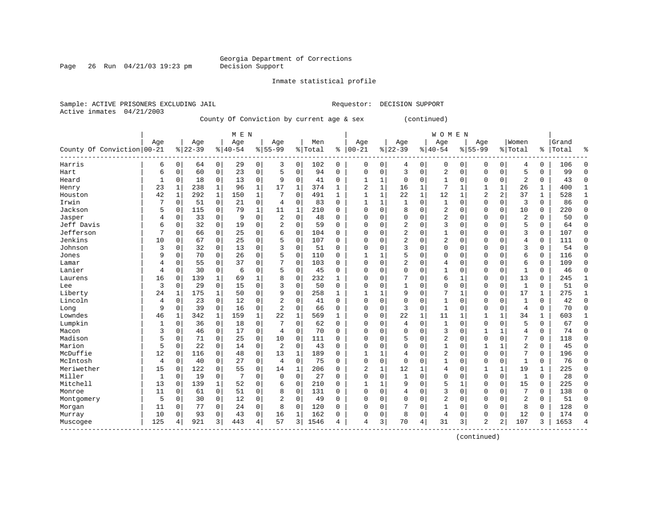Page 26 Run  $04/21/03$  19:23 pm

Inmate statistical profile

Active inmates 04/21/2003

Sample: ACTIVE PRISONERS EXCLUDING JAIL Requestor: DECISION SUPPORT

County Of Conviction by current age & sex (continued)

|                            |             |              |           |             | M E N     |              |                |             |         |              |              |             |                |              | <b>WOMEN</b> |              |                |          |                |               |       |              |
|----------------------------|-------------|--------------|-----------|-------------|-----------|--------------|----------------|-------------|---------|--------------|--------------|-------------|----------------|--------------|--------------|--------------|----------------|----------|----------------|---------------|-------|--------------|
|                            | Age         |              | Age       |             | Age       |              | Age            |             | Men     |              | Age          |             | Age            |              | Age          |              | Age            |          | Women          |               | Grand |              |
| County Of Conviction 00-21 |             |              | $8 22-39$ |             | $8 40-54$ |              | $8 55-99$      |             | % Total | ి            | $ 00 - 21$   | %           | $22 - 39$      |              | $8 40-54$    |              | $8 55-99$      |          | % Total        | $\frac{8}{6}$ | Total | ႜ            |
| Harris                     | 6           | 0            | 64        | 0           | 29        | 0            | 3              | $\mathbf 0$ | 102     | 0            | 0            | 0           | 4              | 0            | 0            | 0            | 0              | 0        | 4              | 0             | 106   | $\Omega$     |
| Hart                       | 6           | 0            | 60        | 0           | 23        | $\mathbf 0$  | 5              | 0           | 94      | 0            | $\Omega$     | 0           | 3              | 0            | 2            | $\mathbf 0$  | $\Omega$       | 0        | 5              | 0             | 99    | $\Omega$     |
| Heard                      | 1           | 0            | 18        | $\mathbf 0$ | 13        | 0            | 9              | $\mathbf 0$ | 41      | 0            |              | 1           | $\mathbf 0$    | 0            | 1            | $\mathbf 0$  | 0              | 0        | $\overline{2}$ | 0             | 43    | $\Omega$     |
| Henry                      | 23          | $\mathbf 1$  | 238       | $\mathbf 1$ | 96        | $\mathbf 1$  | 17             | 1           | 374     | 1            | 2            | $\mathbf 1$ | 16             | 1            | 7            | 1            | 1              | 1        | 26             | 1             | 400   |              |
| Houston                    | 42          | $\mathbf{1}$ | 292       | $\mathbf 1$ | 150       | $\mathbf 1$  | 7              | $\mathbf 0$ | 491     | $\mathbf{1}$ | $\mathbf{1}$ | $\mathbf 1$ | 22             | $\mathbf{1}$ | 12           | $\mathbf{1}$ | $\overline{2}$ | 2        | 37             | $\mathbf{1}$  | 528   | $\mathbf{1}$ |
| Irwin                      | 7           | $\mathbf 0$  | 51        | $\mathbf 0$ | 21        | 0            | 4              | 0           | 83      | $\Omega$     | $\mathbf{1}$ | 1           | $\mathbf{1}$   | 0            | $\mathbf{1}$ | $\Omega$     | $\Omega$       | 0        | 3              | 0             | 86    | $\Omega$     |
| Jackson                    | 5           | 0            | 115       | $\mathbf 0$ | 79        | $\mathbf 1$  | 11             | 1           | 210     | $\Omega$     | $\Omega$     | 0           | 8              | 0            | 2            | $\Omega$     | $\Omega$       | 0        | 10             | 0             | 220   | $\Omega$     |
| Jasper                     | 4           | 0            | 33        | $\mathbf 0$ | 9         | $\mathbf 0$  | 2              | 0           | 48      | 0            | 0            | 0           | $\Omega$       | $\Omega$     | 2            | 0            | 0              | 0        | 2              | 0             | 50    | $\Omega$     |
| Jeff Davis                 | 6           | 0            | 32        | 0           | 19        | $\mathsf 0$  | $\overline{2}$ | $\mathbf 0$ | 59      | 0            | Ω            | 0           | 2              | $\Omega$     | 3            | $\Omega$     | $\Omega$       | 0        | 5              | 0             | 64    | $\Omega$     |
| Jefferson                  | 7           | $\Omega$     | 66        | $\mathbf 0$ | 25        | $\mathbf 0$  | 6              | $\mathbf 0$ | 104     | 0            | Ω            | O           | 2              | $\Omega$     | $\mathbf{1}$ | $\Omega$     | $\Omega$       | $\Omega$ | 3              | 0             | 107   | $\Omega$     |
| Jenkins                    | 10          | 0            | 67        | $\mathbf 0$ | 25        | $\mathbf 0$  | 5              | $\mathbf 0$ | 107     | 0            | Ω            | 0           | $\overline{2}$ | $\Omega$     | 2            | 0            | $\Omega$       | $\Omega$ | 4              | 0             | 111   | $\Omega$     |
| Johnson                    | 3           | 0            | 32        | $\mathbf 0$ | 13        | $\mathbf 0$  | 3              | $\mathbf 0$ | 51      | 0            | 0            | 0           | 3              | $\Omega$     | 0            | $\Omega$     | $\Omega$       | $\Omega$ | 3              | 0             | 54    | $\Omega$     |
| Jones                      | 9           | 0            | 70        | $\mathbf 0$ | 26        | $\mathbf 0$  | 5              | $\mathbf 0$ | 110     | 0            | 1            | 1           | 5              | $\Omega$     | 0            | 0            | $\Omega$       | 0        | 6              | 0             | 116   | $\Omega$     |
| Lamar                      | 4           | 0            | 55        | 0           | 37        | $\mathbf 0$  | 7              | 0           | 103     | 0            | $\Omega$     | 0           | 2              | $\Omega$     | 4            | 0            | $\Omega$       | 0        | 6              | 0             | 109   | $\Omega$     |
| Lanier                     | 4           | 0            | 30        | $\mathbf 0$ | 6         | $\mathbf 0$  | 5              | 0           | 45      | 0            | $\Omega$     | 0           | $\Omega$       | $\Omega$     | 1            | $\Omega$     | $\Omega$       | 0        | $\mathbf{1}$   | 0             | 46    | $\Omega$     |
| Laurens                    | 16          | 0            | 139       | 1           | 69        | $\mathbf{1}$ | 8              | 0           | 232     | 1            | Ω            | 0           |                | 0            | 6            | 1            | $\Omega$       | $\Omega$ | 13             | 0             | 245   | 1            |
| Lee                        | 3           | 0            | 29        | 0           | 15        | $\mathsf 0$  | 3              | $\mathbf 0$ | 50      | 0            | 0            | 0           |                | 0            | 0            | $\Omega$     | $\Omega$       | 0        | $\mathbf{1}$   | 0             | 51    | $\Omega$     |
| Liberty                    | 24          | $\mathbf{1}$ | 175       | 1           | 50        | $\mathsf 0$  | 9              | $\mathbf 0$ | 258     | 1            |              |             | 9              | $\Omega$     | 7            | $\mathbf{1}$ | $\Omega$       | $\Omega$ | 17             | 1             | 275   | 1            |
| Lincoln                    | 4           | 0            | 23        | 0           | 12        | $\mathbf 0$  | $\overline{2}$ | $\mathbf 0$ | 41      | $\Omega$     | 0            | 0           | $\Omega$       | $\Omega$     | $\mathbf{1}$ | $\Omega$     | $\Omega$       | 0        | $\mathbf{1}$   | $\Omega$      | 42    | $\Omega$     |
| Long                       | 9           | 0            | 39        | $\mathbf 0$ | 16        | $\mathbf 0$  | $\overline{2}$ | 0           | 66      | $\Omega$     | 0            | 0           | 3              | $\Omega$     | $\mathbf{1}$ | $\Omega$     | $\Omega$       | $\Omega$ | $\overline{4}$ | 0             | 70    | ∩            |
| Lowndes                    | 46          | 1            | 342       | 1           | 159       | $\mathbf 1$  | 22             | 1           | 569     | $\mathbf{1}$ | 0            | 0           | 22             | 1            | 11           | 1            | 1              | 1        | 34             | 1             | 603   | 1            |
| Lumpkin                    | 1           | 0            | 36        | 0           | 18        | 0            |                | $\mathbf 0$ | 62      | 0            | 0            | 0           | 4              | 0            | 1            | $\Omega$     | $\Omega$       | 0        | 5              | 0             | 67    | $\Omega$     |
| Macon                      | 3           | 0            | 46        | 0           | 17        | 0            | $\overline{4}$ | 0           | 70      | $\Omega$     | 0            | 0           | $\Omega$       | $\Omega$     | 3            | 0            | 1              | 1        | 4              | 0             | 74    | $\Omega$     |
| Madison                    | 5           | 0            | 71        | $\mathbf 0$ | 25        | 0            | 10             | 0           | 111     | $\Omega$     | $\Omega$     | 0           | 5              | $\Omega$     | 2            | $\Omega$     | $\Omega$       | $\Omega$ | 7              | 0             | 118   | $\Omega$     |
| Marion                     | 5           | 0            | 22        | 0           | 14        | 0            | 2              | 0           | 43      | $\Omega$     | O            | 0           | $\Omega$       | $\Omega$     | 1            | $\Omega$     |                |          | 2              | 0             | 45    | $\Omega$     |
| McDuffie                   | 12          | $\Omega$     | 116       | 0           | 48        | 0            | 13             | 1           | 189     | O            | $\mathbf{1}$ | 1           | 4              | $\Omega$     | 2            | $\Omega$     | $\Omega$       | 0        |                | 0             | 196   | $\Omega$     |
| McIntosh                   | 4           | 0            | 40        | 0           | 27        | $\mathbf 0$  | $\overline{4}$ | $\mathbf 0$ | 75      | 0            | $\Omega$     | 0           | $\Omega$       | $\Omega$     | $\mathbf{1}$ | $\Omega$     | $\Omega$       | $\Omega$ | $\mathbf{1}$   | 0             | 76    | $\Omega$     |
| Meriwether                 | 15          | $\Omega$     | 122       | 0           | 55        | $\mathbf 0$  | 14             | 1           | 206     | 0            | 2            | 1           | 12             | 1            | 4            | 0            | 1              | 1        | 19             | $\mathbf{1}$  | 225   | ∩            |
| Miller                     | $\mathbf 1$ | $\Omega$     | 19        | 0           | 7         | $\mathbf 0$  | 0              | $\mathbf 0$ | 27      | $\Omega$     | $\Omega$     | 0           | $\mathbf{1}$   | $\Omega$     | 0            | $\Omega$     | $\Omega$       | 0        | 1              | 0             | 28    | ∩            |
| Mitchell                   | 13          | 0            | 139       | $\mathbf 1$ | 52        | 0            | 6              | $\mathbf 0$ | 210     | 0            |              | 1           | 9              | 0            | 5            | 1            | $\Omega$       | 0        | 15             | 0             | 225   | ∩            |
| Monroe                     | 11          | 0            | 61        | 0           | 51        | 0            | 8              | $\mathbf 0$ | 131     | 0            | 0            | 0           | 4              | $\Omega$     | 3            | 0            | $\Omega$       | 0        | 7              | 0             | 138   | $\Omega$     |
| Montgomery                 | 5           | 0            | 30        | 0           | 12        | $\mathsf 0$  | $\overline{2}$ | $\mathbf 0$ | 49      | 0            | 0            | 0           | $\Omega$       | $\Omega$     | 2            | 0            | $\Omega$       | 0        | $\overline{2}$ | 0             | 51    | $\Omega$     |
| Morgan                     | 11          | 0            | 77        | $\mathbf 0$ | 24        | $\mathbf 0$  | 8              | $\mathbf 0$ | 120     | 0            | 0            | 0           |                | 0            | 1            | 0            | 0              | 0        | 8              | 0             | 128   | $\Omega$     |
| Murray                     | 10          | 0            | 93        | $\mathbf 0$ | 43        | $\mathbf 0$  | 16             | 1           | 162     | 0            | 0            | 0           | 8              | 0            | 4            | 0            | $\Omega$       | 0        | 12             | 0             | 174   | $\Omega$     |
| Muscogee                   | 125         | 4            | 921       | 3           | 443       | 4            | 57             | 3           | 1546    | 4            | 4            | 3           | 70             | 4            | 31           | 3            | $\overline{2}$ | 2        | 107            | 3             | 1653  |              |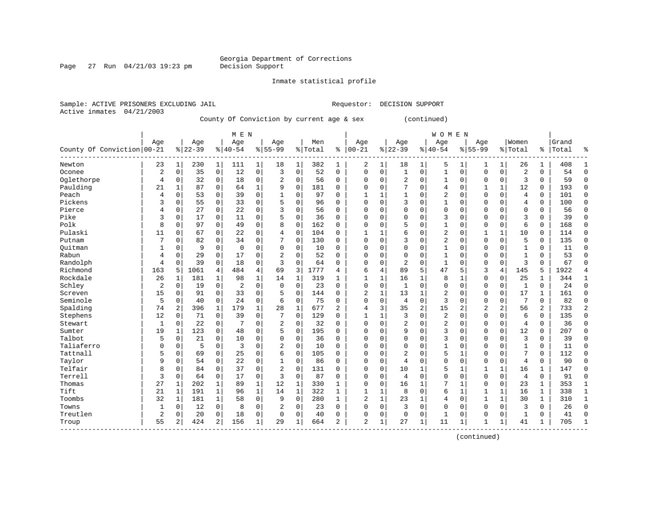Page 27 Run  $04/21/03$  19:23 pm

Inmate statistical profile

Sample: ACTIVE PRISONERS EXCLUDING JAIL Requestor: DECISION SUPPORT Active inmates 04/21/2003

County Of Conviction by current age & sex (continued)

|                            |                |              |           |                | M E N          |                |                |              |         |                |                |   |                |                | WOMEN          |                |                |              |                |               |       |                |
|----------------------------|----------------|--------------|-----------|----------------|----------------|----------------|----------------|--------------|---------|----------------|----------------|---|----------------|----------------|----------------|----------------|----------------|--------------|----------------|---------------|-------|----------------|
|                            | Aqe            |              | Age       |                | Age            |                | Age            |              | Men     |                | Age            |   | Age            |                | Age            |                | Age            |              | Women          |               | Grand |                |
| County Of Conviction 00-21 |                |              | $8 22-39$ |                | $8 40-54$      |                | $8155 - 99$    |              | % Total | ႜ              | $ 00 - 21$     |   | $ 22-39$       |                | $8 40-54$      |                | $8155 - 99$    |              | % Total        | $\frac{1}{6}$ | Total | န္             |
| Newton                     | 23             | $\mathbf{1}$ | 230       | $\mathbf{1}$   | 111            | $\mathbf 1$    | 18             | 1            | 382     | 1              | 2              | 1 | 18             | 1              | 5              | 1              | 1              | 1            | 26             | 1             | 408   | 1              |
| Oconee                     | $\overline{2}$ | $\mathbf 0$  | 35        | 0              | 12             | 0              | 3              | $\mathbf 0$  | 52      | 0              | $\Omega$       | 0 | $\mathbf{1}$   | 0              | $\mathbf{1}$   | $\mathbf 0$    | $\Omega$       | $\mathbf 0$  | $\overline{c}$ | $\Omega$      | 54    | $\Omega$       |
| Oglethorpe                 | $\overline{4}$ | 0            | 32        | 0              | 18             | $\mathbf 0$    | $\overline{2}$ | $\mathbf 0$  | 56      | 0              | $\Omega$       | 0 | $\overline{2}$ | 0              | 1              | $\mathbf 0$    | $\Omega$       | 0            | 3              | 0             | 59    | $\Omega$       |
| Paulding                   | 21             | 1            | 87        | $\mathbf 0$    | 64             | $\mathbf{1}$   | 9              | $\mathbf 0$  | 181     | $\Omega$       | 0              | 0 |                | 0              | 4              | $\mathbf 0$    | 1              | $\mathbf{1}$ | 12             | 0             | 193   | $\Omega$       |
| Peach                      | 4              | $\mathbf 0$  | 53        | 0              | 39             | 0              | $\mathbf{1}$   | $\mathbf 0$  | 97      | 0              | $\mathbf{1}$   | 1 | $\mathbf{1}$   | $\Omega$       | 2              | $\Omega$       | $\Omega$       | 0            | $\overline{4}$ | 0             | 101   | $\Omega$       |
| Pickens                    | 3              | $\mathbf 0$  | 55        | $\mathbf 0$    | 33             | $\mathsf 0$    | 5              | $\mathbf 0$  | 96      | $\Omega$       | $\Omega$       | 0 | 3              | $\Omega$       | $\mathbf{1}$   | $\Omega$       | $\Omega$       | $\Omega$     | 4              | 0             | 100   | $\Omega$       |
| Pierce                     | 4              | $\mathbf 0$  | 27        | 0              | 22             | 0              | 3              | $\mathbf 0$  | 56      | 0              | $\Omega$       | 0 | $\Omega$       | $\Omega$       | 0              | $\mathbf 0$    | $\Omega$       | 0            | $\mathbf 0$    | 0             | 56    | $\Omega$       |
| Pike                       | 3              | 0            | 17        | $\mathbf 0$    | 11             | $\mathbf 0$    | 5              | $\mathbf 0$  | 36      | 0              | $\Omega$       | 0 | $\Omega$       | 0              | 3              | $\mathbf 0$    | $\Omega$       | $\Omega$     | 3              | 0             | 39    | $\Omega$       |
| Polk                       | 8              | 0            | 97        | 0              | 49             | $\mathbf 0$    | 8              | $\mathbf 0$  | 162     | 0              | 0              | 0 | 5              | $\Omega$       | 1              | $\Omega$       | $\Omega$       | 0            | 6              | 0             | 168   | $\Omega$       |
| Pulaski                    | 11             | 0            | 67        | 0              | 22             | $\mathbf 0$    | 4              | $\mathbf 0$  | 104     | 0              | $\mathbf{1}$   |   | 6              | $\Omega$       | $\overline{2}$ | $\Omega$       | $\mathbf{1}$   | $\mathbf{1}$ | 10             | 0             | 114   | $\Omega$       |
| Putnam                     | 7              | $\Omega$     | 82        | 0              | 34             | $\mathbf 0$    | 7              | $\mathbf 0$  | 130     | $\Omega$       | $\Omega$       | 0 | 3              | $\Omega$       | $\overline{2}$ | $\Omega$       | $\Omega$       | $\Omega$     | 5              | 0             | 135   | $\Omega$       |
| Ouitman                    |                | 0            | 9         | $\mathbf 0$    | $\mathbf 0$    | $\mathbf 0$    | $\mathbf 0$    | $\mathbf 0$  | 10      | 0              | 0              | 0 | $\Omega$       | 0              | $\mathbf{1}$   | $\Omega$       | $\Omega$       | $\Omega$     | $\mathbf{1}$   | 0             | 11    | ∩              |
| Rabun                      | 4              | $\mathsf 0$  | 29        | $\mathbf 0$    | 17             | 0              | 2              | $\mathbf 0$  | 52      | 0              | 0              | 0 | $\Omega$       | 0              | 1              | $\Omega$       | $\mathbf 0$    | 0            | $\mathbf{1}$   | 0             | 53    | $\Omega$       |
| Randolph                   | 4              | $\mathbf 0$  | 39        | $\mathbf 0$    | 18             | 0              | 3              | $\mathbf 0$  | 64      | 0              | $\Omega$       | 0 | $\overline{2}$ | 0              | $\mathbf{1}$   | $\Omega$       | $\Omega$       | 0            | 3              | $\Omega$      | 67    | $\Omega$       |
| Richmond                   | 163            | 5            | 1061      | 4              | 484            | $\overline{4}$ | 69             | 3            | 1777    | 4              | 6              | 4 | 89             | 5              | 47             | 5              | 3              | 4            | 145            | 5             | 1922  | 4              |
| Rockdale                   | 26             | 1            | 181       | $\mathbf{1}$   | 98             | $\mathbf 1$    | 14             | 1            | 319     | $\mathbf{1}$   | -1             | 1 | 16             | 1              | 8              | 1              | $\Omega$       | 0            | 25             | 1             | 344   | 1              |
| Schley                     | $\overline{2}$ | 0            | 19        | $\mathbf 0$    | $\overline{2}$ | $\mathbf 0$    | $\mathbf 0$    | $\mathbf 0$  | 23      | 0              | $\Omega$       | 0 | 1              | 0              | 0              | $\mathbf 0$    | 0              | 0            | $\mathbf{1}$   | 0             | 24    | $\mathbf{0}$   |
| Screven                    | 15             | 0            | 91        | 0              | 33             | $\mathbf 0$    | 5              | $\mathbf 0$  | 144     | 0              | $\overline{2}$ | 1 | 13             | 1              | 2              | $\Omega$       | $\Omega$       | 0            | 17             | $\mathbf{1}$  | 161   | $\Omega$       |
| Seminole                   | 5              | $\Omega$     | 40        | $\mathbf 0$    | 24             | $\mathbf 0$    | 6              | $\mathbf 0$  | 75      | $\Omega$       | $\Omega$       | 0 | 4              | $\Omega$       | 3              | $\Omega$       | $\Omega$       | $\Omega$     | 7              | 0             | 82    | $\Omega$       |
| Spalding                   | 74             | 2            | 396       | 1              | 179            | $\mathbf{1}$   | 28             | $\mathbf{1}$ | 677     | $\overline{a}$ | 4              | 3 | 35             | $\overline{2}$ | 15             | $\overline{2}$ | $\overline{2}$ | 2            | 56             | 2             | 733   | $\overline{2}$ |
| Stephens                   | 12             | 0            | 71        | $\mathbf 0$    | 39             | 0              | 7              | $\mathbf 0$  | 129     | 0              | $\mathbf{1}$   | 1 | 3              | 0              | 2              | $\mathbf 0$    | $\Omega$       | 0            | 6              | 0             | 135   | $\Omega$       |
| Stewart                    | $\mathbf{1}$   | $\mathbf 0$  | 22        | $\mathbf 0$    | 7              | $\mathbf 0$    | $\sqrt{2}$     | $\mathbf 0$  | 32      | 0              | 0              | 0 | $\overline{2}$ | 0              | $\overline{2}$ | $\mathbf 0$    | 0              | 0            | 4              | 0             | 36    | $\Omega$       |
| Sumter                     | 19             | $\mathbf{1}$ | 123       | $\mathbf 0$    | 48             | $\mathbf 0$    | 5              | $\mathbf 0$  | 195     | 0              | 0              | 0 | 9              | $\Omega$       | 3              | 0              | 0              | 0            | 12             | 0             | 207   | $\Omega$       |
| Talbot                     | 5              | 0            | 21        | $\mathbf 0$    | 10             | $\mathbf 0$    | $\mathbf 0$    | $\mathbf 0$  | 36      | 0              | $\Omega$       | 0 | $\Omega$       | $\Omega$       | 3              | $\Omega$       | $\Omega$       | 0            | 3              | 0             | 39    | $\Omega$       |
| Taliaferro                 | $\Omega$       | 0            | 5         | $\mathbf 0$    | 3              | $\mathbf 0$    | $\overline{2}$ | $\mathbf 0$  | 10      | 0              | $\Omega$       | 0 | $\Omega$       | $\Omega$       | 1              | $\Omega$       | $\Omega$       | $\Omega$     | $\mathbf{1}$   | 0             | 11    | $\Omega$       |
| Tattnall                   | 5              | 0            | 69        | 0              | 25             | $\mathbf 0$    | б              | $\mathbf 0$  | 105     | 0              | 0              | 0 | 2              | $\Omega$       | 5              | 1              | $\Omega$       | 0            |                | 0             | 112   | $\Omega$       |
| Taylor                     | 9              | $\mathbf 0$  | 54        | 0              | 22             | $\mathbf 0$    | 1              | $\mathbf 0$  | 86      | 0              | $\Omega$       | 0 | 4              | $\Omega$       | $\Omega$       | $\Omega$       | $\Omega$       | $\Omega$     | $\overline{4}$ | 0             | 90    | $\Omega$       |
| Telfair                    | 8              | $\Omega$     | 84        | 0              | 37             | $\Omega$       | 2              | $\Omega$     | 131     | 0              | $\Omega$       | 0 | 10             | 1              | 5              | $\mathbf{1}$   | $\mathbf{1}$   | $\mathbf{1}$ | 16             | 1             | 147   | ∩              |
| Terrell                    | 3              | 0            | 64        | $\mathbf 0$    | 17             | $\mathbf 0$    | 3              | 0            | 87      | 0              | $\Omega$       | 0 | 4              | 0              | 0              | $\mathbf 0$    | $\Omega$       | 0            | $\overline{4}$ | 0             | 91    | ∩              |
| Thomas                     | 27             | 1            | 202       | 1              | 89             | $\mathbf 1$    | 12             | 1            | 330     | 1              | 0              | 0 | 16             | 1              | 7              | 1              | $\mathbf 0$    | $\mathbf 0$  | 23             | 1             | 353   | 1              |
| Tift                       | 21             | $\mathbf{1}$ | 191       | $\mathbf{1}$   | 96             | $\mathbf{1}$   | 14             | $\mathbf{1}$ | 322     | $\mathbf{1}$   | 1              | 1 | 8              | 0              | 6              | $\mathbf{1}$   | 1              | $\mathbf 1$  | 16             | $\mathbf{1}$  | 338   | $\mathbf{1}$   |
| Toombs                     | 32             | $\mathbf{1}$ | 181       | $\mathbf{1}$   | 58             | $\mathbf 0$    | 9              | $\mathbf 0$  | 280     | $\mathbf{1}$   | $\overline{2}$ | 1 | 23             | 1              | 4              | 0              | $\mathbf{1}$   | $\mathbf 1$  | 30             | $\mathbf{1}$  | 310   | $\mathbf{1}$   |
| Towns                      | $\mathbf 1$    | 0            | 12        | 0              | 8              | 0              | $\overline{c}$ | 0            | 23      | $\Omega$       | 0              | 0 | 3              | $\Omega$       | 0              | $\Omega$       | $\Omega$       | $\Omega$     | 3              | 0             | 26    | $\Omega$       |
| Treutlen                   | $\overline{2}$ | $\Omega$     | 20        | $\mathbf 0$    | 18             | 0              | $\mathbf 0$    | 0            | 40      | 0              | 0              | 0 | $\Omega$       | $\Omega$       | 1              | 0              | $\Omega$       | 0            | 1              | 0             | 41    | $\Omega$       |
| Troup                      | 55             | 2            | 424       | $\overline{a}$ | 156            | $\mathbf 1$    | 29             | 1            | 664     | 2              | 2              | 1 | 27             | 1              | 11             | 1              | 1              | 1            | 41             | 1             | 705   | $\mathbf{1}$   |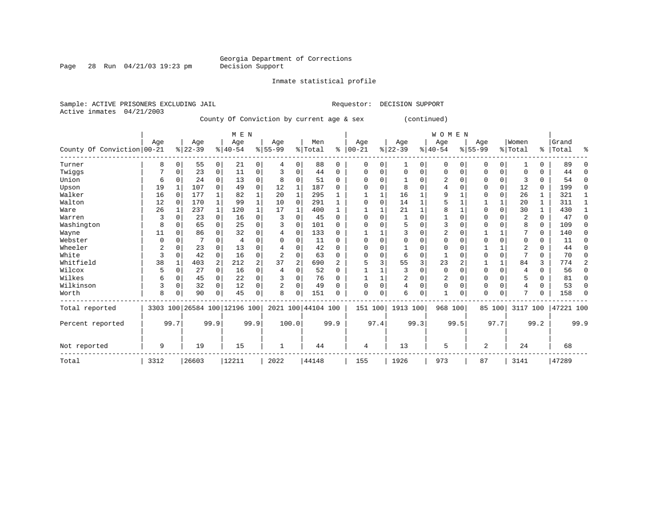Page 28 Run  $04/21/03$  19:23 pm

Inmate statistical profile

Active inmates 04/21/2003

Sample: ACTIVE PRISONERS EXCLUDING JAIL **Requestor: DECISION SUPPORT** 

County Of Conviction by current age & sex (continued)

|                            |      |      |           |                | M E N                        |                |                |              |                    |                |             |          |           |          | <b>WOMEN</b>   |          |             |             |                |              |           |      |
|----------------------------|------|------|-----------|----------------|------------------------------|----------------|----------------|--------------|--------------------|----------------|-------------|----------|-----------|----------|----------------|----------|-------------|-------------|----------------|--------------|-----------|------|
|                            | Age  |      | Age       |                | Age                          |                | Age            |              | Men                |                | Age         |          | Age       |          | Age            |          | Age         |             | Women          |              | Grand     |      |
| County Of Conviction 00-21 |      |      | $8 22-39$ |                | $8 40-54$                    |                | $8 55-99$      |              | % Total            | နွ             | $ 00-21$    |          | $ 22-39 $ |          | $8 40-54$      |          | $8155 - 99$ |             | % Total        |              | %   Total | ႜ    |
| Turner                     | 8    | 0    | 55        | $\overline{0}$ | 21                           | 0              | 4              | 0            | 88                 | 0              | $\mathbf 0$ | 0        | 1         | 0        | $\mathbf 0$    | $\Omega$ | 0           | $\mathbf 0$ |                | 0            | 89        |      |
| Twiggs                     |      |      | 23        | $\overline{0}$ | 11                           | 0              | 3              | $\Omega$     | 44                 | $\Omega$       | O           | O        | $\Omega$  | $\Omega$ | $\Omega$       | $\Omega$ | $\Omega$    | 0           | $\Omega$       | U            | 44        | ∩    |
| Union                      | 6    |      | 24        | 0              | 13                           | 0              | 8              | 0            | 51                 | U              | $\Omega$    | U        |           | O        | 2              | $\Omega$ | U           | 0           | 3              | 0            | 54        | ∩    |
| Upson                      | 19   |      | 107       | 0              | 49                           | 0              | 12             | 1            | 187                | U              | O           | O        | 8         | $\Omega$ |                | $\Omega$ | $\Omega$    | $\Omega$    | 12             | 0            | 199       | ∩    |
| Walker                     | 16   | 0    | 177       |                | 82                           | 1              | 20             | $\mathbf{1}$ | 295                |                |             |          | 16        |          | 9              |          | $\Omega$    | 0           | 26             | 1            | 321       |      |
| Walton                     | 12   |      | 170       | $\mathbf{1}$   | 99                           | 1              | 10             | $\Omega$     | 291                |                | $\Omega$    | O        | 14        |          |                |          |             |             | 20             | 1            | 311       | -1   |
| Ware                       | 26   |      | 237       | $\mathbf{1}$   | 120                          | $\mathbf{1}$   | 17             | 1            | 400                |                |             |          | 21        | 1        | 8              |          | $\Omega$    | $\Omega$    | 30             | $\mathbf{1}$ | 430       |      |
| Warren                     | 3    |      | 23        | $\Omega$       | 16                           | 0              | 3              |              | 45                 | U              | $\Omega$    | O        |           | $\Omega$ |                | $\Omega$ | $\Omega$    |             | 2              | 0            | 47        | U    |
| Washington                 | 8    |      | 65        | 0              | 25                           | $\Omega$       |                | $\Omega$     | 101                | 0              | C           | O        |           | $\Omega$ | 3              | $\Omega$ | $\Omega$    |             | 8              | 0            | 109       | ∩    |
| Wayne                      | 11   | U    | 86        |                | 32                           | 0              |                | $\Omega$     | 133                | <sup>n</sup>   |             |          |           | $\Omega$ | $\overline{2}$ | $\cap$   |             |             |                | $\Omega$     | 140       | ∩    |
| Webster                    |      |      |           |                | 4                            | U              |                |              | 11                 | U              | O           |          | U         | U        | 0              | $\cap$   | ∩           |             | $\Omega$       | 0            | 11        | ∩    |
| Wheeler                    | 2    |      | 23        |                | 13                           | 0              |                | U            | 42                 | U              | O           | U        |           | U        | 0              | $\cap$   |             |             | 2              | U            | 44        |      |
| White                      | 3    |      | 42        | $\Omega$       | 16                           | 0              | $\overline{c}$ | $\Omega$     | 63                 | $\Omega$       | $\Omega$    | O        | 6         | $\Omega$ |                | C        | $\Omega$    | $\Omega$    | $\overline{ }$ | 0            | 70        |      |
| Whitfield                  | 38   |      | 403       | 2              | 212                          | $\overline{a}$ | 37             | 2            | 690                | $\overline{2}$ | 5           | 3        | 55        | 3        | 23             | 2        |             | 1           | 84             | 3            | 774       | 2    |
| Wilcox                     | 5    | 0    | 27        | $\Omega$       | 16                           | $\Omega$       | 4              | $\Omega$     | 52                 | $\Omega$       |             |          | ζ         | $\Omega$ | $\mathbf 0$    | $\Omega$ | $\Omega$    | $\Omega$    | 4              | 0            | 56        | U    |
| Wilkes                     | 6    | 0    | 45        | 0              | 22                           | 0              |                |              | 76                 | U              |             |          | 2         | $\Omega$ | 2              | $\Omega$ | $\Omega$    |             | 5              | 0            | 81        | ∩    |
| Wilkinson                  | 3    | 0    | 32        | $\Omega$       | 12                           | 0              |                | $\Omega$     | 49                 | U              | O           | $\Omega$ | 4         | $\Omega$ | $\Omega$       | $\Omega$ | $\Omega$    | $\Omega$    | 4              | 0            | 53        |      |
| Worth                      | 8    |      | 90        | $\Omega$       | 45                           | 0              | 8              |              | 151                | U              | $\Omega$    | 0        | 6         | 0        | $\mathbf{1}$   | $\Omega$ | $\Omega$    | $\Omega$    | π              | 0            | 158       |      |
| Total reported             |      |      |           |                | 3303 100 26584 100 12196 100 |                |                |              | 2021 100 44104 100 |                |             | 151 100  | 1913 100  |          |                | 968 100  |             | 85 100      | 3117 100       |              | 47221 100 |      |
| Percent reported           |      | 99.7 |           | 99.9           |                              | 99.9           |                | 100.0        |                    | 99.9           |             | 97.4     |           | 99.3     |                | 99.5     |             | 97.7        |                | 99.2         |           | 99.9 |
| Not reported               | 9    |      | 19        |                | 15                           |                | 1              |              | 44                 |                | 4           |          | 13        |          | 5              |          | 2           |             | 24             |              | 68        |      |
| Total                      | 3312 |      | 26603     |                | 12211                        |                | 2022           |              | 44148              |                | 155         |          | 1926      |          | 973            |          | 87          |             | 3141           |              | 47289     |      |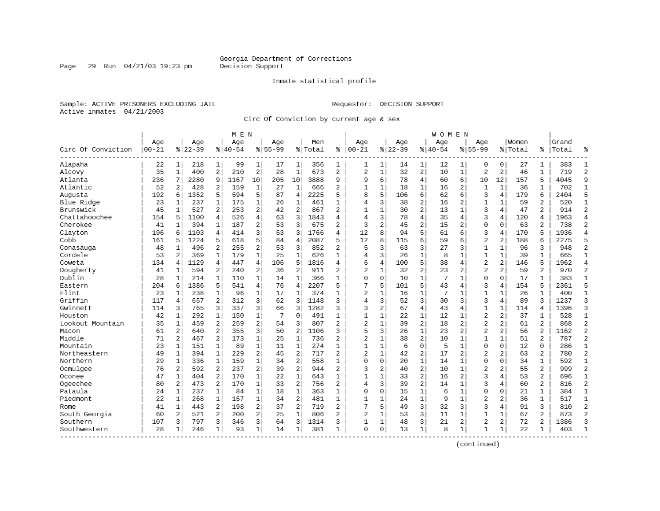Page 29 Run 04/21/03 19:23 pm

#### Inmate statistical profile

Sample: ACTIVE PRISONERS EXCLUDING JAIL Requestor: DECISION SUPPORT Active inmates 04/21/2003

Circ Of Conviction by current age & sex

| Age<br>Women<br>Aqe<br>Grand<br>Age<br>Age<br>Aqe<br>Men<br>Aqe<br>Aqe<br>Aqe<br>$00 - 21$<br>$8 22-39$<br>$8 40-54$<br>$8155 - 99$<br>$ 00 - 21$<br>$8 22-39$<br>$8140 - 54$<br>$8155 - 99$<br>Circ Of Conviction<br>% Total<br>ి<br>% Total<br>Total<br>‱<br>°<br>Alapaha<br>22<br>$\mathbf{1}$<br>99<br>356<br>$\mathbf 0$<br>27<br>383<br>1<br>218<br>1<br>17<br>1<br>1<br>1<br>14<br>1<br>12<br>$\Omega$<br>1<br>$\mathbf{1}$<br>1<br>1<br>$\overline{a}$<br>$\overline{2}$<br>673<br>32<br>$\overline{2}$<br>35<br>400<br>210<br>28<br>$\mathbf{1}$<br>$\overline{a}$<br>$\overline{2}$<br>$\mathbf{1}$<br>10<br>$\mathbf{1}$<br>$\overline{a}$<br>2<br>46<br>719<br>$\overline{2}$<br>Alcovy<br>$\mathbf{1}$<br>$\mathbf{1}$<br>$\overline{4}$<br>9<br>Atlanta<br>2280<br>9<br>1167<br>10<br>10<br>3888<br>9<br>9<br>6<br>78<br>6<br>10<br>12<br>5<br>4045<br>236<br>205<br>60<br>157<br>7<br>Atlantic<br>52<br>428<br>2<br>159<br>666<br>$\mathbf{1}$<br>$\mathbf{1}$<br>18<br>$\mathbf{1}$<br>2<br>$\mathbf{1}$<br>$\mathbf 1$<br>36<br>702<br>2<br>1<br>27<br>1<br>2<br>16<br>1<br>1<br>8<br>5<br>6<br>3<br>5<br>5<br>2225<br>5<br>62<br>4<br>6<br>2404<br>5<br>Augusta<br>192<br>1352<br>594<br>87<br>$\overline{4}$<br>106<br>6<br>179<br>6<br>3<br>$\overline{c}$<br>$\mathbf{1}$<br>$\mathbf{1}$<br>$\overline{4}$<br>38<br>2<br>2<br>520<br>Blue Ridge<br>23<br>237<br>1<br>175<br>461<br>1<br>16<br>1<br>1<br>59<br>$\mathbf{1}$<br>1<br>26<br>$\overline{a}$<br>$\overline{2}$<br>$\overline{a}$<br>$\overline{2}$<br>Brunswick<br>45<br>$\mathbf{1}$<br>527<br>2<br>253<br>2<br>$\overline{a}$<br>$\mathbf{1}$<br>30<br>$\mathbf{1}$<br>3<br>47<br>42<br>867<br>$\mathbf 1$<br>13<br>4<br>914<br>4<br>3<br>3<br>$\overline{4}$<br>3<br>Chattahoochee<br>154<br>4<br>526<br>1843<br>$\overline{4}$<br>78<br>35<br>4<br>120<br>1963<br>5<br>1100<br>63<br>4<br>4<br>4<br>$\overline{4}$<br>Cherokee<br>2<br>3<br>$\overline{c}$<br>394<br>187<br>3<br>675<br>2<br>45<br>15<br>$\mathbf{0}$<br>$\Omega$<br>63<br>2<br>738<br>$\overline{2}$<br>41<br>1<br>53<br>2<br>2<br>1<br>5<br>Clayton<br>1103<br>3<br>3<br>1766<br>12<br>8<br>94<br>61<br>3<br>4<br>170<br>5<br>1936<br>196<br>4<br>414<br>53<br>6<br>$\overline{4}$<br>6<br>4<br>$\overline{2}$<br>Cobb<br>1224<br>5<br>2087<br>5<br>12<br>8<br>6<br>$\overline{a}$<br>6<br>2275<br>161<br>5<br>618<br>84<br>$\overline{4}$<br>115<br>59<br>6<br>188<br>5<br>5<br>$\overline{2}$<br>3<br>3<br>3<br>3<br>$\overline{2}$<br>2<br>$\overline{a}$<br>5<br>63<br>3<br>48<br>496<br>255<br>53<br>852<br>27<br>$\mathbf{1}$<br>$\mathbf{1}$<br>96<br>948<br>Conasauga<br>$\mathbf{1}$<br>$\mathbf{1}$<br>Cordele<br>$\overline{a}$<br>$\mathbf{1}$<br>$\mathbf{1}$<br>626<br>$\mathbf{1}$<br>3<br>$\mathbf{1}$<br>8<br>$\mathbf{1}$<br>$\mathbf{1}$<br>39<br>$\mathbf{1}$<br>$\overline{1}$<br>53<br>369<br>179<br>25<br>$\overline{4}$<br>26<br>$\mathbf 1$<br>665<br>1129<br>$\overline{4}$<br>447<br>4<br>5<br>6<br>100<br>5<br>38<br>$\overline{2}$<br>$\overline{2}$<br>146<br>1962<br>134<br>106<br>1816<br>4<br>4<br>$\overline{4}$<br>5<br>$\overline{4}$<br>Coweta<br>4<br>2<br>$\overline{\mathbf{c}}$<br>$\overline{2}$<br>$\overline{c}$<br>970<br>$\overline{c}$<br>Dougherty<br>594<br>2<br>$\sqrt{2}$<br>911<br>2<br>$\overline{2}$<br>$\mathbf{1}$<br>32<br>23<br>$\overline{a}$<br>59<br>2<br>41<br>240<br>36<br>1<br>Dublin<br>$\mathbf{1}$<br>$\Omega$<br>$\mathbf 0$<br>$\mathbf{1}$<br>7<br>$\mathbf{0}$<br>17<br>28<br>214<br>1<br>110<br>1<br>366<br>$\mathbf{1}$<br>10<br>1<br>0<br>1<br>383<br>1<br>1<br>14<br>5<br>5<br>4<br>2207<br>5<br>7<br>5<br>43<br>3<br>5<br>5<br>Eastern<br>204<br>1386<br>541<br>76<br>$\overline{4}$<br>101<br>4<br>154<br>2361<br>6<br>4<br>$\mathbf{1}$<br>Flint<br>$\overline{2}$<br>$\mathbf 1$<br>7<br>$\mathbf{1}$<br>23<br>238<br>$\mathbf{1}$<br>96<br>17<br>1<br>374<br>$\mathbf{1}$<br>$\mathbf 1$<br>16<br>$\mathbf 1$<br>26<br>$\mathbf{1}$<br>400<br>$\mathbf{1}$<br>$\mathbf{1}$<br>$\mathbf{1}$<br>3<br>Griffin<br>2<br>3<br>3<br>3<br>$\overline{4}$<br>3<br>52<br>30<br>3<br>3<br>89<br>ζ<br>$\overline{3}$<br>117<br>657<br>312<br>62<br>1148<br>4<br>1237<br>4<br>3<br>337<br>3<br>1282<br>3<br>2<br>67<br>$\overline{4}$<br>$\mathbf{1}$<br>$\mathbf{1}$<br>$\overline{3}$<br>Gwinnett<br>3<br>765<br>66<br>3<br>3<br>43<br>114<br>4<br>1396<br>114<br>4<br>$\overline{2}$<br>$\overline{c}$<br>Houston<br>42<br>292<br>150<br>$\mathbf 1$<br>$\mathbf 0$<br>491<br>$\mathbf{1}$<br>$\mathbf 1$<br>37<br>528<br>$\mathbf{1}$<br>1<br>1<br>7<br>1<br>22<br>12<br>1<br>1<br>$\overline{2}$<br>$\overline{2}$<br>$\overline{2}$<br>35<br>2<br>259<br>2<br>807<br>2<br>$\overline{c}$<br>2<br>$\overline{a}$<br>61<br>$\overline{2}$<br>868<br>Lookout Mountain<br>459<br>54<br>3<br>$\mathbf{1}$<br>39<br>18<br>$\mathbf{1}$<br>$\mathbf{1}$<br>$\overline{a}$<br>61<br>2<br>3<br>$\overline{2}$<br>5<br>3<br>$\overline{2}$<br>56<br>$\overline{a}$<br>1162<br>$\overline{a}$<br>$\overline{a}$<br>640<br>355<br>50<br>1106<br>3<br>26<br>23<br>$\overline{a}$<br>Macon<br>$\overline{a}$<br>$\overline{2}$<br>Middle<br>$\overline{a}$<br>$\mathbf{1}$<br>$\mathbf{1}$<br>2<br>$\overline{2}$<br>$\mathbf{1}$<br>38<br>$\overline{a}$<br>71<br>2<br>467<br>173<br>25<br>736<br>10<br>$\mathbf{1}$<br>$\mathbf{1}$<br>$\mathbf{1}$<br>51<br>787<br>$\mathbf{1}$<br>$\mathbf{1}$<br>89<br>$\mathbf{1}$<br>$\mathbf{1}$<br>$\mathbf{1}$<br>$\mathbf 0$<br>$\mathbf{1}$<br>$\mathbf 0$<br>12<br>Mountain<br>23<br>151<br>274<br>$\mathbf{1}$<br>$\mathbf 1$<br>6<br>5<br>$\mathbf 0$<br>$\Omega$<br>286<br>$\mathbf{1}$<br>11<br>$\mathbf{1}$<br>229<br>2<br>$\overline{2}$<br>$\overline{2}$<br>$\overline{2}$<br>42<br>$\overline{2}$<br>$\overline{2}$<br>2<br>63<br>$\overline{a}$<br>780<br>$\overline{2}$<br>Northeastern<br>49<br>$\mathbf{1}$<br>394<br>45<br>717<br>$\mathbf{1}$<br>17<br>$\overline{2}$<br>$\mathbf 1$<br>$\mathbf 1$<br>Northern<br>1<br>159<br>$\overline{2}$<br>558<br>$\Omega$<br>0<br>0<br>0<br>34<br>592<br>$\mathbf{1}$<br>29<br>1<br>336<br>34<br>1<br>20<br>14<br>1<br>1<br>$\overline{2}$<br>$\overline{2}$<br>Ocmulgee<br>2<br>237<br>2<br>$\overline{2}$<br>3<br>2<br>$\overline{2}$<br>$\overline{a}$<br>$\overline{2}$<br>999<br>76<br>2<br>592<br>944<br>2<br>40<br>10<br>$\mathbf 1$<br>55<br>39<br>$\overline{2}$<br>$\mathbf{3}$<br>$\overline{a}$<br>$\mathbf{1}$<br>53<br>$\overline{a}$<br>Oconee<br>47<br>404<br>170<br>2.2<br>1<br>643<br>$\mathbf{1}$<br>$\mathbf{1}$<br>$\mathbf{1}$<br>33<br>16<br>$\overline{a}$<br>4<br>696<br>$\mathbf{1}$<br>$\mathbf{1}$<br>$\overline{a}$<br>$\overline{2}$<br>3<br>$\overline{\mathbf{3}}$<br>$\overline{2}$<br>$\overline{a}$<br>$\mathbf{1}$<br>$\overline{2}$<br>$\overline{4}$<br>39<br>$\overline{4}$<br>$\overline{a}$<br>Ogeechee<br>80<br>2<br>473<br>170<br>33<br>756<br>14<br>$\mathbf{1}$<br>60<br>816<br>$\mathbf{1}$<br>$\mathbf 1$<br>$\mathbf 1$<br>$\mathbf{1}$<br>$\mathbf 1$<br>$\mathbf{1}$<br>$\mathbf 0$<br>Pataula<br>$\mathbf{1}$<br>237<br>84<br>363<br>$\mathbf 0$<br>0<br>15<br>6<br>$\mathbf 0$<br>21<br>$\mathbf{1}$<br>384<br>$\mathbf{1}$<br>24<br>18<br>$\mathbf 1$<br>$\mathbf{1}$<br>$\overline{2}$<br>$\mathbf 1$<br>$\overline{2}$<br>2<br>Piedmont<br>22<br>268<br>157<br>34<br>481<br>$\mathbf{1}$<br>$\mathbf{1}$<br>$\mathbf 1$<br>24<br>9<br>$\mathbf 1$<br>36<br>$\mathbf{1}$<br>517<br>$\mathbf{1}$<br>1<br>3<br>2<br>198<br>2<br>$\overline{2}$<br>7<br>5<br>49<br>32<br>3<br>3<br>3<br>810<br>$\overline{2}$<br>41<br>443<br>37<br>719<br>$\overline{a}$<br>4<br>91<br>1<br>Rome<br>$\overline{a}$<br>$\overline{2}$<br>$\overline{2}$<br>3<br>$\mathbf{1}$<br>$\overline{a}$<br>$\overline{2}$<br>South Georgia<br>60<br>2<br>521<br>200<br>25<br>$\mathbf{1}$<br>806<br>2<br>$\mathbf{1}$<br>11<br>$\mathbf{1}$<br>67<br>873<br>53<br>1<br>3<br>3<br>$\overline{a}$<br>$\overline{a}$<br>Southern<br>797<br>3<br>3<br>1314<br>48<br>21<br>2<br>2<br>72<br>1386<br>3<br>107<br>3<br>346<br>64<br>3<br>1<br>1<br>28<br>246<br>93<br>$\mathbf{1}$<br>381<br>$\Omega$<br>$\mathbf 0$<br>13<br>$\mathbf{1}$<br>8<br>22<br>403<br>Southwestern<br>14<br>1<br>1<br>1<br>1<br>1<br>$\mathbf{1}$<br>-1<br>1<br>1 |  |  | M E N |  |  |  |  | W O M E N |  |  |  |  |
|------------------------------------------------------------------------------------------------------------------------------------------------------------------------------------------------------------------------------------------------------------------------------------------------------------------------------------------------------------------------------------------------------------------------------------------------------------------------------------------------------------------------------------------------------------------------------------------------------------------------------------------------------------------------------------------------------------------------------------------------------------------------------------------------------------------------------------------------------------------------------------------------------------------------------------------------------------------------------------------------------------------------------------------------------------------------------------------------------------------------------------------------------------------------------------------------------------------------------------------------------------------------------------------------------------------------------------------------------------------------------------------------------------------------------------------------------------------------------------------------------------------------------------------------------------------------------------------------------------------------------------------------------------------------------------------------------------------------------------------------------------------------------------------------------------------------------------------------------------------------------------------------------------------------------------------------------------------------------------------------------------------------------------------------------------------------------------------------------------------------------------------------------------------------------------------------------------------------------------------------------------------------------------------------------------------------------------------------------------------------------------------------------------------------------------------------------------------------------------------------------------------------------------------------------------------------------------------------------------------------------------------------------------------------------------------------------------------------------------------------------------------------------------------------------------------------------------------------------------------------------------------------------------------------------------------------------------------------------------------------------------------------------------------------------------------------------------------------------------------------------------------------------------------------------------------------------------------------------------------------------------------------------------------------------------------------------------------------------------------------------------------------------------------------------------------------------------------------------------------------------------------------------------------------------------------------------------------------------------------------------------------------------------------------------------------------------------------------------------------------------------------------------------------------------------------------------------------------------------------------------------------------------------------------------------------------------------------------------------------------------------------------------------------------------------------------------------------------------------------------------------------------------------------------------------------------------------------------------------------------------------------------------------------------------------------------------------------------------------------------------------------------------------------------------------------------------------------------------------------------------------------------------------------------------------------------------------------------------------------------------------------------------------------------------------------------------------------------------------------------------------------------------------------------------------------------------------------------------------------------------------------------------------------------------------------------------------------------------------------------------------------------------------------------------------------------------------------------------------------------------------------------------------------------------------------------------------------------------------------------------------------------------------------------------------------------------------------------------------------------------------------------------------------------------------------------------------------------------------------------------------------------------------------------------------------------------------------------------------------------------------------------------------------------------------------------------------------------------------------------------------------------------------------------------------------------------------------------------------------------------------------------------------------------------------------------------------------------------------------------------------------------------------------------------------------------------------------------------------------------------------------------------------------------------------------------------------------------------------------------------------------------------------------------------------------------------------------------------------------------------------------------------------------------------------------------------------------------------------------------------------------------------------------------------------------------------------------------------------------------------------------------------------------------------------------------------------------------------------------------------------------------------------------------------------------------------------------------------------------------------------------------------------------------------------------------------------------------------------------------------------------------------------------------------------------------------------------------------------------------------------------------------------------------------------------------------------------------------------------------------------------------------------------------------------------------------------------------------------------------------------------------------------------------------------------------------------------------------------------------------------------------------------------------------------------------------------------------------------------------------------------------------------------------------------------------------------------------------------------------------------------------------------------------------------------------------------------------------------------------------------------------------------------------------------------------------------------------------------------------------------------------------------------------------------------------------------------------------------------------------------------------------------------------------------------------------------------------------------------------------------------------------------|--|--|-------|--|--|--|--|-----------|--|--|--|--|
|                                                                                                                                                                                                                                                                                                                                                                                                                                                                                                                                                                                                                                                                                                                                                                                                                                                                                                                                                                                                                                                                                                                                                                                                                                                                                                                                                                                                                                                                                                                                                                                                                                                                                                                                                                                                                                                                                                                                                                                                                                                                                                                                                                                                                                                                                                                                                                                                                                                                                                                                                                                                                                                                                                                                                                                                                                                                                                                                                                                                                                                                                                                                                                                                                                                                                                                                                                                                                                                                                                                                                                                                                                                                                                                                                                                                                                                                                                                                                                                                                                                                                                                                                                                                                                                                                                                                                                                                                                                                                                                                                                                                                                                                                                                                                                                                                                                                                                                                                                                                                                                                                                                                                                                                                                                                                                                                                                                                                                                                                                                                                                                                                                                                                                                                                                                                                                                                                                                                                                                                                                                                                                                                                                                                                                                                                                                                                                                                                                                                                                                                                                                                                                                                                                                                                                                                                                                                                                                                                                                                                                                                                                                                                                                                                                                                                                                                                                                                                                                                                                                                                                                                                                                                                                                                                                                                                                                                                                                                                                                                                                                                                                                                                                                                                                                                                    |  |  |       |  |  |  |  |           |  |  |  |  |
|                                                                                                                                                                                                                                                                                                                                                                                                                                                                                                                                                                                                                                                                                                                                                                                                                                                                                                                                                                                                                                                                                                                                                                                                                                                                                                                                                                                                                                                                                                                                                                                                                                                                                                                                                                                                                                                                                                                                                                                                                                                                                                                                                                                                                                                                                                                                                                                                                                                                                                                                                                                                                                                                                                                                                                                                                                                                                                                                                                                                                                                                                                                                                                                                                                                                                                                                                                                                                                                                                                                                                                                                                                                                                                                                                                                                                                                                                                                                                                                                                                                                                                                                                                                                                                                                                                                                                                                                                                                                                                                                                                                                                                                                                                                                                                                                                                                                                                                                                                                                                                                                                                                                                                                                                                                                                                                                                                                                                                                                                                                                                                                                                                                                                                                                                                                                                                                                                                                                                                                                                                                                                                                                                                                                                                                                                                                                                                                                                                                                                                                                                                                                                                                                                                                                                                                                                                                                                                                                                                                                                                                                                                                                                                                                                                                                                                                                                                                                                                                                                                                                                                                                                                                                                                                                                                                                                                                                                                                                                                                                                                                                                                                                                                                                                                                                                    |  |  |       |  |  |  |  |           |  |  |  |  |
|                                                                                                                                                                                                                                                                                                                                                                                                                                                                                                                                                                                                                                                                                                                                                                                                                                                                                                                                                                                                                                                                                                                                                                                                                                                                                                                                                                                                                                                                                                                                                                                                                                                                                                                                                                                                                                                                                                                                                                                                                                                                                                                                                                                                                                                                                                                                                                                                                                                                                                                                                                                                                                                                                                                                                                                                                                                                                                                                                                                                                                                                                                                                                                                                                                                                                                                                                                                                                                                                                                                                                                                                                                                                                                                                                                                                                                                                                                                                                                                                                                                                                                                                                                                                                                                                                                                                                                                                                                                                                                                                                                                                                                                                                                                                                                                                                                                                                                                                                                                                                                                                                                                                                                                                                                                                                                                                                                                                                                                                                                                                                                                                                                                                                                                                                                                                                                                                                                                                                                                                                                                                                                                                                                                                                                                                                                                                                                                                                                                                                                                                                                                                                                                                                                                                                                                                                                                                                                                                                                                                                                                                                                                                                                                                                                                                                                                                                                                                                                                                                                                                                                                                                                                                                                                                                                                                                                                                                                                                                                                                                                                                                                                                                                                                                                                                                    |  |  |       |  |  |  |  |           |  |  |  |  |
|                                                                                                                                                                                                                                                                                                                                                                                                                                                                                                                                                                                                                                                                                                                                                                                                                                                                                                                                                                                                                                                                                                                                                                                                                                                                                                                                                                                                                                                                                                                                                                                                                                                                                                                                                                                                                                                                                                                                                                                                                                                                                                                                                                                                                                                                                                                                                                                                                                                                                                                                                                                                                                                                                                                                                                                                                                                                                                                                                                                                                                                                                                                                                                                                                                                                                                                                                                                                                                                                                                                                                                                                                                                                                                                                                                                                                                                                                                                                                                                                                                                                                                                                                                                                                                                                                                                                                                                                                                                                                                                                                                                                                                                                                                                                                                                                                                                                                                                                                                                                                                                                                                                                                                                                                                                                                                                                                                                                                                                                                                                                                                                                                                                                                                                                                                                                                                                                                                                                                                                                                                                                                                                                                                                                                                                                                                                                                                                                                                                                                                                                                                                                                                                                                                                                                                                                                                                                                                                                                                                                                                                                                                                                                                                                                                                                                                                                                                                                                                                                                                                                                                                                                                                                                                                                                                                                                                                                                                                                                                                                                                                                                                                                                                                                                                                                                    |  |  |       |  |  |  |  |           |  |  |  |  |
|                                                                                                                                                                                                                                                                                                                                                                                                                                                                                                                                                                                                                                                                                                                                                                                                                                                                                                                                                                                                                                                                                                                                                                                                                                                                                                                                                                                                                                                                                                                                                                                                                                                                                                                                                                                                                                                                                                                                                                                                                                                                                                                                                                                                                                                                                                                                                                                                                                                                                                                                                                                                                                                                                                                                                                                                                                                                                                                                                                                                                                                                                                                                                                                                                                                                                                                                                                                                                                                                                                                                                                                                                                                                                                                                                                                                                                                                                                                                                                                                                                                                                                                                                                                                                                                                                                                                                                                                                                                                                                                                                                                                                                                                                                                                                                                                                                                                                                                                                                                                                                                                                                                                                                                                                                                                                                                                                                                                                                                                                                                                                                                                                                                                                                                                                                                                                                                                                                                                                                                                                                                                                                                                                                                                                                                                                                                                                                                                                                                                                                                                                                                                                                                                                                                                                                                                                                                                                                                                                                                                                                                                                                                                                                                                                                                                                                                                                                                                                                                                                                                                                                                                                                                                                                                                                                                                                                                                                                                                                                                                                                                                                                                                                                                                                                                                                    |  |  |       |  |  |  |  |           |  |  |  |  |
|                                                                                                                                                                                                                                                                                                                                                                                                                                                                                                                                                                                                                                                                                                                                                                                                                                                                                                                                                                                                                                                                                                                                                                                                                                                                                                                                                                                                                                                                                                                                                                                                                                                                                                                                                                                                                                                                                                                                                                                                                                                                                                                                                                                                                                                                                                                                                                                                                                                                                                                                                                                                                                                                                                                                                                                                                                                                                                                                                                                                                                                                                                                                                                                                                                                                                                                                                                                                                                                                                                                                                                                                                                                                                                                                                                                                                                                                                                                                                                                                                                                                                                                                                                                                                                                                                                                                                                                                                                                                                                                                                                                                                                                                                                                                                                                                                                                                                                                                                                                                                                                                                                                                                                                                                                                                                                                                                                                                                                                                                                                                                                                                                                                                                                                                                                                                                                                                                                                                                                                                                                                                                                                                                                                                                                                                                                                                                                                                                                                                                                                                                                                                                                                                                                                                                                                                                                                                                                                                                                                                                                                                                                                                                                                                                                                                                                                                                                                                                                                                                                                                                                                                                                                                                                                                                                                                                                                                                                                                                                                                                                                                                                                                                                                                                                                                                    |  |  |       |  |  |  |  |           |  |  |  |  |
|                                                                                                                                                                                                                                                                                                                                                                                                                                                                                                                                                                                                                                                                                                                                                                                                                                                                                                                                                                                                                                                                                                                                                                                                                                                                                                                                                                                                                                                                                                                                                                                                                                                                                                                                                                                                                                                                                                                                                                                                                                                                                                                                                                                                                                                                                                                                                                                                                                                                                                                                                                                                                                                                                                                                                                                                                                                                                                                                                                                                                                                                                                                                                                                                                                                                                                                                                                                                                                                                                                                                                                                                                                                                                                                                                                                                                                                                                                                                                                                                                                                                                                                                                                                                                                                                                                                                                                                                                                                                                                                                                                                                                                                                                                                                                                                                                                                                                                                                                                                                                                                                                                                                                                                                                                                                                                                                                                                                                                                                                                                                                                                                                                                                                                                                                                                                                                                                                                                                                                                                                                                                                                                                                                                                                                                                                                                                                                                                                                                                                                                                                                                                                                                                                                                                                                                                                                                                                                                                                                                                                                                                                                                                                                                                                                                                                                                                                                                                                                                                                                                                                                                                                                                                                                                                                                                                                                                                                                                                                                                                                                                                                                                                                                                                                                                                                    |  |  |       |  |  |  |  |           |  |  |  |  |
|                                                                                                                                                                                                                                                                                                                                                                                                                                                                                                                                                                                                                                                                                                                                                                                                                                                                                                                                                                                                                                                                                                                                                                                                                                                                                                                                                                                                                                                                                                                                                                                                                                                                                                                                                                                                                                                                                                                                                                                                                                                                                                                                                                                                                                                                                                                                                                                                                                                                                                                                                                                                                                                                                                                                                                                                                                                                                                                                                                                                                                                                                                                                                                                                                                                                                                                                                                                                                                                                                                                                                                                                                                                                                                                                                                                                                                                                                                                                                                                                                                                                                                                                                                                                                                                                                                                                                                                                                                                                                                                                                                                                                                                                                                                                                                                                                                                                                                                                                                                                                                                                                                                                                                                                                                                                                                                                                                                                                                                                                                                                                                                                                                                                                                                                                                                                                                                                                                                                                                                                                                                                                                                                                                                                                                                                                                                                                                                                                                                                                                                                                                                                                                                                                                                                                                                                                                                                                                                                                                                                                                                                                                                                                                                                                                                                                                                                                                                                                                                                                                                                                                                                                                                                                                                                                                                                                                                                                                                                                                                                                                                                                                                                                                                                                                                                                    |  |  |       |  |  |  |  |           |  |  |  |  |
|                                                                                                                                                                                                                                                                                                                                                                                                                                                                                                                                                                                                                                                                                                                                                                                                                                                                                                                                                                                                                                                                                                                                                                                                                                                                                                                                                                                                                                                                                                                                                                                                                                                                                                                                                                                                                                                                                                                                                                                                                                                                                                                                                                                                                                                                                                                                                                                                                                                                                                                                                                                                                                                                                                                                                                                                                                                                                                                                                                                                                                                                                                                                                                                                                                                                                                                                                                                                                                                                                                                                                                                                                                                                                                                                                                                                                                                                                                                                                                                                                                                                                                                                                                                                                                                                                                                                                                                                                                                                                                                                                                                                                                                                                                                                                                                                                                                                                                                                                                                                                                                                                                                                                                                                                                                                                                                                                                                                                                                                                                                                                                                                                                                                                                                                                                                                                                                                                                                                                                                                                                                                                                                                                                                                                                                                                                                                                                                                                                                                                                                                                                                                                                                                                                                                                                                                                                                                                                                                                                                                                                                                                                                                                                                                                                                                                                                                                                                                                                                                                                                                                                                                                                                                                                                                                                                                                                                                                                                                                                                                                                                                                                                                                                                                                                                                                    |  |  |       |  |  |  |  |           |  |  |  |  |
|                                                                                                                                                                                                                                                                                                                                                                                                                                                                                                                                                                                                                                                                                                                                                                                                                                                                                                                                                                                                                                                                                                                                                                                                                                                                                                                                                                                                                                                                                                                                                                                                                                                                                                                                                                                                                                                                                                                                                                                                                                                                                                                                                                                                                                                                                                                                                                                                                                                                                                                                                                                                                                                                                                                                                                                                                                                                                                                                                                                                                                                                                                                                                                                                                                                                                                                                                                                                                                                                                                                                                                                                                                                                                                                                                                                                                                                                                                                                                                                                                                                                                                                                                                                                                                                                                                                                                                                                                                                                                                                                                                                                                                                                                                                                                                                                                                                                                                                                                                                                                                                                                                                                                                                                                                                                                                                                                                                                                                                                                                                                                                                                                                                                                                                                                                                                                                                                                                                                                                                                                                                                                                                                                                                                                                                                                                                                                                                                                                                                                                                                                                                                                                                                                                                                                                                                                                                                                                                                                                                                                                                                                                                                                                                                                                                                                                                                                                                                                                                                                                                                                                                                                                                                                                                                                                                                                                                                                                                                                                                                                                                                                                                                                                                                                                                                                    |  |  |       |  |  |  |  |           |  |  |  |  |
|                                                                                                                                                                                                                                                                                                                                                                                                                                                                                                                                                                                                                                                                                                                                                                                                                                                                                                                                                                                                                                                                                                                                                                                                                                                                                                                                                                                                                                                                                                                                                                                                                                                                                                                                                                                                                                                                                                                                                                                                                                                                                                                                                                                                                                                                                                                                                                                                                                                                                                                                                                                                                                                                                                                                                                                                                                                                                                                                                                                                                                                                                                                                                                                                                                                                                                                                                                                                                                                                                                                                                                                                                                                                                                                                                                                                                                                                                                                                                                                                                                                                                                                                                                                                                                                                                                                                                                                                                                                                                                                                                                                                                                                                                                                                                                                                                                                                                                                                                                                                                                                                                                                                                                                                                                                                                                                                                                                                                                                                                                                                                                                                                                                                                                                                                                                                                                                                                                                                                                                                                                                                                                                                                                                                                                                                                                                                                                                                                                                                                                                                                                                                                                                                                                                                                                                                                                                                                                                                                                                                                                                                                                                                                                                                                                                                                                                                                                                                                                                                                                                                                                                                                                                                                                                                                                                                                                                                                                                                                                                                                                                                                                                                                                                                                                                                                    |  |  |       |  |  |  |  |           |  |  |  |  |
|                                                                                                                                                                                                                                                                                                                                                                                                                                                                                                                                                                                                                                                                                                                                                                                                                                                                                                                                                                                                                                                                                                                                                                                                                                                                                                                                                                                                                                                                                                                                                                                                                                                                                                                                                                                                                                                                                                                                                                                                                                                                                                                                                                                                                                                                                                                                                                                                                                                                                                                                                                                                                                                                                                                                                                                                                                                                                                                                                                                                                                                                                                                                                                                                                                                                                                                                                                                                                                                                                                                                                                                                                                                                                                                                                                                                                                                                                                                                                                                                                                                                                                                                                                                                                                                                                                                                                                                                                                                                                                                                                                                                                                                                                                                                                                                                                                                                                                                                                                                                                                                                                                                                                                                                                                                                                                                                                                                                                                                                                                                                                                                                                                                                                                                                                                                                                                                                                                                                                                                                                                                                                                                                                                                                                                                                                                                                                                                                                                                                                                                                                                                                                                                                                                                                                                                                                                                                                                                                                                                                                                                                                                                                                                                                                                                                                                                                                                                                                                                                                                                                                                                                                                                                                                                                                                                                                                                                                                                                                                                                                                                                                                                                                                                                                                                                                    |  |  |       |  |  |  |  |           |  |  |  |  |
|                                                                                                                                                                                                                                                                                                                                                                                                                                                                                                                                                                                                                                                                                                                                                                                                                                                                                                                                                                                                                                                                                                                                                                                                                                                                                                                                                                                                                                                                                                                                                                                                                                                                                                                                                                                                                                                                                                                                                                                                                                                                                                                                                                                                                                                                                                                                                                                                                                                                                                                                                                                                                                                                                                                                                                                                                                                                                                                                                                                                                                                                                                                                                                                                                                                                                                                                                                                                                                                                                                                                                                                                                                                                                                                                                                                                                                                                                                                                                                                                                                                                                                                                                                                                                                                                                                                                                                                                                                                                                                                                                                                                                                                                                                                                                                                                                                                                                                                                                                                                                                                                                                                                                                                                                                                                                                                                                                                                                                                                                                                                                                                                                                                                                                                                                                                                                                                                                                                                                                                                                                                                                                                                                                                                                                                                                                                                                                                                                                                                                                                                                                                                                                                                                                                                                                                                                                                                                                                                                                                                                                                                                                                                                                                                                                                                                                                                                                                                                                                                                                                                                                                                                                                                                                                                                                                                                                                                                                                                                                                                                                                                                                                                                                                                                                                                                    |  |  |       |  |  |  |  |           |  |  |  |  |
|                                                                                                                                                                                                                                                                                                                                                                                                                                                                                                                                                                                                                                                                                                                                                                                                                                                                                                                                                                                                                                                                                                                                                                                                                                                                                                                                                                                                                                                                                                                                                                                                                                                                                                                                                                                                                                                                                                                                                                                                                                                                                                                                                                                                                                                                                                                                                                                                                                                                                                                                                                                                                                                                                                                                                                                                                                                                                                                                                                                                                                                                                                                                                                                                                                                                                                                                                                                                                                                                                                                                                                                                                                                                                                                                                                                                                                                                                                                                                                                                                                                                                                                                                                                                                                                                                                                                                                                                                                                                                                                                                                                                                                                                                                                                                                                                                                                                                                                                                                                                                                                                                                                                                                                                                                                                                                                                                                                                                                                                                                                                                                                                                                                                                                                                                                                                                                                                                                                                                                                                                                                                                                                                                                                                                                                                                                                                                                                                                                                                                                                                                                                                                                                                                                                                                                                                                                                                                                                                                                                                                                                                                                                                                                                                                                                                                                                                                                                                                                                                                                                                                                                                                                                                                                                                                                                                                                                                                                                                                                                                                                                                                                                                                                                                                                                                                    |  |  |       |  |  |  |  |           |  |  |  |  |
|                                                                                                                                                                                                                                                                                                                                                                                                                                                                                                                                                                                                                                                                                                                                                                                                                                                                                                                                                                                                                                                                                                                                                                                                                                                                                                                                                                                                                                                                                                                                                                                                                                                                                                                                                                                                                                                                                                                                                                                                                                                                                                                                                                                                                                                                                                                                                                                                                                                                                                                                                                                                                                                                                                                                                                                                                                                                                                                                                                                                                                                                                                                                                                                                                                                                                                                                                                                                                                                                                                                                                                                                                                                                                                                                                                                                                                                                                                                                                                                                                                                                                                                                                                                                                                                                                                                                                                                                                                                                                                                                                                                                                                                                                                                                                                                                                                                                                                                                                                                                                                                                                                                                                                                                                                                                                                                                                                                                                                                                                                                                                                                                                                                                                                                                                                                                                                                                                                                                                                                                                                                                                                                                                                                                                                                                                                                                                                                                                                                                                                                                                                                                                                                                                                                                                                                                                                                                                                                                                                                                                                                                                                                                                                                                                                                                                                                                                                                                                                                                                                                                                                                                                                                                                                                                                                                                                                                                                                                                                                                                                                                                                                                                                                                                                                                                                    |  |  |       |  |  |  |  |           |  |  |  |  |
|                                                                                                                                                                                                                                                                                                                                                                                                                                                                                                                                                                                                                                                                                                                                                                                                                                                                                                                                                                                                                                                                                                                                                                                                                                                                                                                                                                                                                                                                                                                                                                                                                                                                                                                                                                                                                                                                                                                                                                                                                                                                                                                                                                                                                                                                                                                                                                                                                                                                                                                                                                                                                                                                                                                                                                                                                                                                                                                                                                                                                                                                                                                                                                                                                                                                                                                                                                                                                                                                                                                                                                                                                                                                                                                                                                                                                                                                                                                                                                                                                                                                                                                                                                                                                                                                                                                                                                                                                                                                                                                                                                                                                                                                                                                                                                                                                                                                                                                                                                                                                                                                                                                                                                                                                                                                                                                                                                                                                                                                                                                                                                                                                                                                                                                                                                                                                                                                                                                                                                                                                                                                                                                                                                                                                                                                                                                                                                                                                                                                                                                                                                                                                                                                                                                                                                                                                                                                                                                                                                                                                                                                                                                                                                                                                                                                                                                                                                                                                                                                                                                                                                                                                                                                                                                                                                                                                                                                                                                                                                                                                                                                                                                                                                                                                                                                                    |  |  |       |  |  |  |  |           |  |  |  |  |
|                                                                                                                                                                                                                                                                                                                                                                                                                                                                                                                                                                                                                                                                                                                                                                                                                                                                                                                                                                                                                                                                                                                                                                                                                                                                                                                                                                                                                                                                                                                                                                                                                                                                                                                                                                                                                                                                                                                                                                                                                                                                                                                                                                                                                                                                                                                                                                                                                                                                                                                                                                                                                                                                                                                                                                                                                                                                                                                                                                                                                                                                                                                                                                                                                                                                                                                                                                                                                                                                                                                                                                                                                                                                                                                                                                                                                                                                                                                                                                                                                                                                                                                                                                                                                                                                                                                                                                                                                                                                                                                                                                                                                                                                                                                                                                                                                                                                                                                                                                                                                                                                                                                                                                                                                                                                                                                                                                                                                                                                                                                                                                                                                                                                                                                                                                                                                                                                                                                                                                                                                                                                                                                                                                                                                                                                                                                                                                                                                                                                                                                                                                                                                                                                                                                                                                                                                                                                                                                                                                                                                                                                                                                                                                                                                                                                                                                                                                                                                                                                                                                                                                                                                                                                                                                                                                                                                                                                                                                                                                                                                                                                                                                                                                                                                                                                                    |  |  |       |  |  |  |  |           |  |  |  |  |
|                                                                                                                                                                                                                                                                                                                                                                                                                                                                                                                                                                                                                                                                                                                                                                                                                                                                                                                                                                                                                                                                                                                                                                                                                                                                                                                                                                                                                                                                                                                                                                                                                                                                                                                                                                                                                                                                                                                                                                                                                                                                                                                                                                                                                                                                                                                                                                                                                                                                                                                                                                                                                                                                                                                                                                                                                                                                                                                                                                                                                                                                                                                                                                                                                                                                                                                                                                                                                                                                                                                                                                                                                                                                                                                                                                                                                                                                                                                                                                                                                                                                                                                                                                                                                                                                                                                                                                                                                                                                                                                                                                                                                                                                                                                                                                                                                                                                                                                                                                                                                                                                                                                                                                                                                                                                                                                                                                                                                                                                                                                                                                                                                                                                                                                                                                                                                                                                                                                                                                                                                                                                                                                                                                                                                                                                                                                                                                                                                                                                                                                                                                                                                                                                                                                                                                                                                                                                                                                                                                                                                                                                                                                                                                                                                                                                                                                                                                                                                                                                                                                                                                                                                                                                                                                                                                                                                                                                                                                                                                                                                                                                                                                                                                                                                                                                                    |  |  |       |  |  |  |  |           |  |  |  |  |
|                                                                                                                                                                                                                                                                                                                                                                                                                                                                                                                                                                                                                                                                                                                                                                                                                                                                                                                                                                                                                                                                                                                                                                                                                                                                                                                                                                                                                                                                                                                                                                                                                                                                                                                                                                                                                                                                                                                                                                                                                                                                                                                                                                                                                                                                                                                                                                                                                                                                                                                                                                                                                                                                                                                                                                                                                                                                                                                                                                                                                                                                                                                                                                                                                                                                                                                                                                                                                                                                                                                                                                                                                                                                                                                                                                                                                                                                                                                                                                                                                                                                                                                                                                                                                                                                                                                                                                                                                                                                                                                                                                                                                                                                                                                                                                                                                                                                                                                                                                                                                                                                                                                                                                                                                                                                                                                                                                                                                                                                                                                                                                                                                                                                                                                                                                                                                                                                                                                                                                                                                                                                                                                                                                                                                                                                                                                                                                                                                                                                                                                                                                                                                                                                                                                                                                                                                                                                                                                                                                                                                                                                                                                                                                                                                                                                                                                                                                                                                                                                                                                                                                                                                                                                                                                                                                                                                                                                                                                                                                                                                                                                                                                                                                                                                                                                                    |  |  |       |  |  |  |  |           |  |  |  |  |
|                                                                                                                                                                                                                                                                                                                                                                                                                                                                                                                                                                                                                                                                                                                                                                                                                                                                                                                                                                                                                                                                                                                                                                                                                                                                                                                                                                                                                                                                                                                                                                                                                                                                                                                                                                                                                                                                                                                                                                                                                                                                                                                                                                                                                                                                                                                                                                                                                                                                                                                                                                                                                                                                                                                                                                                                                                                                                                                                                                                                                                                                                                                                                                                                                                                                                                                                                                                                                                                                                                                                                                                                                                                                                                                                                                                                                                                                                                                                                                                                                                                                                                                                                                                                                                                                                                                                                                                                                                                                                                                                                                                                                                                                                                                                                                                                                                                                                                                                                                                                                                                                                                                                                                                                                                                                                                                                                                                                                                                                                                                                                                                                                                                                                                                                                                                                                                                                                                                                                                                                                                                                                                                                                                                                                                                                                                                                                                                                                                                                                                                                                                                                                                                                                                                                                                                                                                                                                                                                                                                                                                                                                                                                                                                                                                                                                                                                                                                                                                                                                                                                                                                                                                                                                                                                                                                                                                                                                                                                                                                                                                                                                                                                                                                                                                                                                    |  |  |       |  |  |  |  |           |  |  |  |  |
|                                                                                                                                                                                                                                                                                                                                                                                                                                                                                                                                                                                                                                                                                                                                                                                                                                                                                                                                                                                                                                                                                                                                                                                                                                                                                                                                                                                                                                                                                                                                                                                                                                                                                                                                                                                                                                                                                                                                                                                                                                                                                                                                                                                                                                                                                                                                                                                                                                                                                                                                                                                                                                                                                                                                                                                                                                                                                                                                                                                                                                                                                                                                                                                                                                                                                                                                                                                                                                                                                                                                                                                                                                                                                                                                                                                                                                                                                                                                                                                                                                                                                                                                                                                                                                                                                                                                                                                                                                                                                                                                                                                                                                                                                                                                                                                                                                                                                                                                                                                                                                                                                                                                                                                                                                                                                                                                                                                                                                                                                                                                                                                                                                                                                                                                                                                                                                                                                                                                                                                                                                                                                                                                                                                                                                                                                                                                                                                                                                                                                                                                                                                                                                                                                                                                                                                                                                                                                                                                                                                                                                                                                                                                                                                                                                                                                                                                                                                                                                                                                                                                                                                                                                                                                                                                                                                                                                                                                                                                                                                                                                                                                                                                                                                                                                                                                    |  |  |       |  |  |  |  |           |  |  |  |  |
|                                                                                                                                                                                                                                                                                                                                                                                                                                                                                                                                                                                                                                                                                                                                                                                                                                                                                                                                                                                                                                                                                                                                                                                                                                                                                                                                                                                                                                                                                                                                                                                                                                                                                                                                                                                                                                                                                                                                                                                                                                                                                                                                                                                                                                                                                                                                                                                                                                                                                                                                                                                                                                                                                                                                                                                                                                                                                                                                                                                                                                                                                                                                                                                                                                                                                                                                                                                                                                                                                                                                                                                                                                                                                                                                                                                                                                                                                                                                                                                                                                                                                                                                                                                                                                                                                                                                                                                                                                                                                                                                                                                                                                                                                                                                                                                                                                                                                                                                                                                                                                                                                                                                                                                                                                                                                                                                                                                                                                                                                                                                                                                                                                                                                                                                                                                                                                                                                                                                                                                                                                                                                                                                                                                                                                                                                                                                                                                                                                                                                                                                                                                                                                                                                                                                                                                                                                                                                                                                                                                                                                                                                                                                                                                                                                                                                                                                                                                                                                                                                                                                                                                                                                                                                                                                                                                                                                                                                                                                                                                                                                                                                                                                                                                                                                                                                    |  |  |       |  |  |  |  |           |  |  |  |  |
|                                                                                                                                                                                                                                                                                                                                                                                                                                                                                                                                                                                                                                                                                                                                                                                                                                                                                                                                                                                                                                                                                                                                                                                                                                                                                                                                                                                                                                                                                                                                                                                                                                                                                                                                                                                                                                                                                                                                                                                                                                                                                                                                                                                                                                                                                                                                                                                                                                                                                                                                                                                                                                                                                                                                                                                                                                                                                                                                                                                                                                                                                                                                                                                                                                                                                                                                                                                                                                                                                                                                                                                                                                                                                                                                                                                                                                                                                                                                                                                                                                                                                                                                                                                                                                                                                                                                                                                                                                                                                                                                                                                                                                                                                                                                                                                                                                                                                                                                                                                                                                                                                                                                                                                                                                                                                                                                                                                                                                                                                                                                                                                                                                                                                                                                                                                                                                                                                                                                                                                                                                                                                                                                                                                                                                                                                                                                                                                                                                                                                                                                                                                                                                                                                                                                                                                                                                                                                                                                                                                                                                                                                                                                                                                                                                                                                                                                                                                                                                                                                                                                                                                                                                                                                                                                                                                                                                                                                                                                                                                                                                                                                                                                                                                                                                                                                    |  |  |       |  |  |  |  |           |  |  |  |  |
|                                                                                                                                                                                                                                                                                                                                                                                                                                                                                                                                                                                                                                                                                                                                                                                                                                                                                                                                                                                                                                                                                                                                                                                                                                                                                                                                                                                                                                                                                                                                                                                                                                                                                                                                                                                                                                                                                                                                                                                                                                                                                                                                                                                                                                                                                                                                                                                                                                                                                                                                                                                                                                                                                                                                                                                                                                                                                                                                                                                                                                                                                                                                                                                                                                                                                                                                                                                                                                                                                                                                                                                                                                                                                                                                                                                                                                                                                                                                                                                                                                                                                                                                                                                                                                                                                                                                                                                                                                                                                                                                                                                                                                                                                                                                                                                                                                                                                                                                                                                                                                                                                                                                                                                                                                                                                                                                                                                                                                                                                                                                                                                                                                                                                                                                                                                                                                                                                                                                                                                                                                                                                                                                                                                                                                                                                                                                                                                                                                                                                                                                                                                                                                                                                                                                                                                                                                                                                                                                                                                                                                                                                                                                                                                                                                                                                                                                                                                                                                                                                                                                                                                                                                                                                                                                                                                                                                                                                                                                                                                                                                                                                                                                                                                                                                                                                    |  |  |       |  |  |  |  |           |  |  |  |  |
|                                                                                                                                                                                                                                                                                                                                                                                                                                                                                                                                                                                                                                                                                                                                                                                                                                                                                                                                                                                                                                                                                                                                                                                                                                                                                                                                                                                                                                                                                                                                                                                                                                                                                                                                                                                                                                                                                                                                                                                                                                                                                                                                                                                                                                                                                                                                                                                                                                                                                                                                                                                                                                                                                                                                                                                                                                                                                                                                                                                                                                                                                                                                                                                                                                                                                                                                                                                                                                                                                                                                                                                                                                                                                                                                                                                                                                                                                                                                                                                                                                                                                                                                                                                                                                                                                                                                                                                                                                                                                                                                                                                                                                                                                                                                                                                                                                                                                                                                                                                                                                                                                                                                                                                                                                                                                                                                                                                                                                                                                                                                                                                                                                                                                                                                                                                                                                                                                                                                                                                                                                                                                                                                                                                                                                                                                                                                                                                                                                                                                                                                                                                                                                                                                                                                                                                                                                                                                                                                                                                                                                                                                                                                                                                                                                                                                                                                                                                                                                                                                                                                                                                                                                                                                                                                                                                                                                                                                                                                                                                                                                                                                                                                                                                                                                                                                    |  |  |       |  |  |  |  |           |  |  |  |  |
|                                                                                                                                                                                                                                                                                                                                                                                                                                                                                                                                                                                                                                                                                                                                                                                                                                                                                                                                                                                                                                                                                                                                                                                                                                                                                                                                                                                                                                                                                                                                                                                                                                                                                                                                                                                                                                                                                                                                                                                                                                                                                                                                                                                                                                                                                                                                                                                                                                                                                                                                                                                                                                                                                                                                                                                                                                                                                                                                                                                                                                                                                                                                                                                                                                                                                                                                                                                                                                                                                                                                                                                                                                                                                                                                                                                                                                                                                                                                                                                                                                                                                                                                                                                                                                                                                                                                                                                                                                                                                                                                                                                                                                                                                                                                                                                                                                                                                                                                                                                                                                                                                                                                                                                                                                                                                                                                                                                                                                                                                                                                                                                                                                                                                                                                                                                                                                                                                                                                                                                                                                                                                                                                                                                                                                                                                                                                                                                                                                                                                                                                                                                                                                                                                                                                                                                                                                                                                                                                                                                                                                                                                                                                                                                                                                                                                                                                                                                                                                                                                                                                                                                                                                                                                                                                                                                                                                                                                                                                                                                                                                                                                                                                                                                                                                                                                    |  |  |       |  |  |  |  |           |  |  |  |  |
|                                                                                                                                                                                                                                                                                                                                                                                                                                                                                                                                                                                                                                                                                                                                                                                                                                                                                                                                                                                                                                                                                                                                                                                                                                                                                                                                                                                                                                                                                                                                                                                                                                                                                                                                                                                                                                                                                                                                                                                                                                                                                                                                                                                                                                                                                                                                                                                                                                                                                                                                                                                                                                                                                                                                                                                                                                                                                                                                                                                                                                                                                                                                                                                                                                                                                                                                                                                                                                                                                                                                                                                                                                                                                                                                                                                                                                                                                                                                                                                                                                                                                                                                                                                                                                                                                                                                                                                                                                                                                                                                                                                                                                                                                                                                                                                                                                                                                                                                                                                                                                                                                                                                                                                                                                                                                                                                                                                                                                                                                                                                                                                                                                                                                                                                                                                                                                                                                                                                                                                                                                                                                                                                                                                                                                                                                                                                                                                                                                                                                                                                                                                                                                                                                                                                                                                                                                                                                                                                                                                                                                                                                                                                                                                                                                                                                                                                                                                                                                                                                                                                                                                                                                                                                                                                                                                                                                                                                                                                                                                                                                                                                                                                                                                                                                                                                    |  |  |       |  |  |  |  |           |  |  |  |  |
|                                                                                                                                                                                                                                                                                                                                                                                                                                                                                                                                                                                                                                                                                                                                                                                                                                                                                                                                                                                                                                                                                                                                                                                                                                                                                                                                                                                                                                                                                                                                                                                                                                                                                                                                                                                                                                                                                                                                                                                                                                                                                                                                                                                                                                                                                                                                                                                                                                                                                                                                                                                                                                                                                                                                                                                                                                                                                                                                                                                                                                                                                                                                                                                                                                                                                                                                                                                                                                                                                                                                                                                                                                                                                                                                                                                                                                                                                                                                                                                                                                                                                                                                                                                                                                                                                                                                                                                                                                                                                                                                                                                                                                                                                                                                                                                                                                                                                                                                                                                                                                                                                                                                                                                                                                                                                                                                                                                                                                                                                                                                                                                                                                                                                                                                                                                                                                                                                                                                                                                                                                                                                                                                                                                                                                                                                                                                                                                                                                                                                                                                                                                                                                                                                                                                                                                                                                                                                                                                                                                                                                                                                                                                                                                                                                                                                                                                                                                                                                                                                                                                                                                                                                                                                                                                                                                                                                                                                                                                                                                                                                                                                                                                                                                                                                                                                    |  |  |       |  |  |  |  |           |  |  |  |  |
|                                                                                                                                                                                                                                                                                                                                                                                                                                                                                                                                                                                                                                                                                                                                                                                                                                                                                                                                                                                                                                                                                                                                                                                                                                                                                                                                                                                                                                                                                                                                                                                                                                                                                                                                                                                                                                                                                                                                                                                                                                                                                                                                                                                                                                                                                                                                                                                                                                                                                                                                                                                                                                                                                                                                                                                                                                                                                                                                                                                                                                                                                                                                                                                                                                                                                                                                                                                                                                                                                                                                                                                                                                                                                                                                                                                                                                                                                                                                                                                                                                                                                                                                                                                                                                                                                                                                                                                                                                                                                                                                                                                                                                                                                                                                                                                                                                                                                                                                                                                                                                                                                                                                                                                                                                                                                                                                                                                                                                                                                                                                                                                                                                                                                                                                                                                                                                                                                                                                                                                                                                                                                                                                                                                                                                                                                                                                                                                                                                                                                                                                                                                                                                                                                                                                                                                                                                                                                                                                                                                                                                                                                                                                                                                                                                                                                                                                                                                                                                                                                                                                                                                                                                                                                                                                                                                                                                                                                                                                                                                                                                                                                                                                                                                                                                                                                    |  |  |       |  |  |  |  |           |  |  |  |  |
|                                                                                                                                                                                                                                                                                                                                                                                                                                                                                                                                                                                                                                                                                                                                                                                                                                                                                                                                                                                                                                                                                                                                                                                                                                                                                                                                                                                                                                                                                                                                                                                                                                                                                                                                                                                                                                                                                                                                                                                                                                                                                                                                                                                                                                                                                                                                                                                                                                                                                                                                                                                                                                                                                                                                                                                                                                                                                                                                                                                                                                                                                                                                                                                                                                                                                                                                                                                                                                                                                                                                                                                                                                                                                                                                                                                                                                                                                                                                                                                                                                                                                                                                                                                                                                                                                                                                                                                                                                                                                                                                                                                                                                                                                                                                                                                                                                                                                                                                                                                                                                                                                                                                                                                                                                                                                                                                                                                                                                                                                                                                                                                                                                                                                                                                                                                                                                                                                                                                                                                                                                                                                                                                                                                                                                                                                                                                                                                                                                                                                                                                                                                                                                                                                                                                                                                                                                                                                                                                                                                                                                                                                                                                                                                                                                                                                                                                                                                                                                                                                                                                                                                                                                                                                                                                                                                                                                                                                                                                                                                                                                                                                                                                                                                                                                                                                    |  |  |       |  |  |  |  |           |  |  |  |  |
|                                                                                                                                                                                                                                                                                                                                                                                                                                                                                                                                                                                                                                                                                                                                                                                                                                                                                                                                                                                                                                                                                                                                                                                                                                                                                                                                                                                                                                                                                                                                                                                                                                                                                                                                                                                                                                                                                                                                                                                                                                                                                                                                                                                                                                                                                                                                                                                                                                                                                                                                                                                                                                                                                                                                                                                                                                                                                                                                                                                                                                                                                                                                                                                                                                                                                                                                                                                                                                                                                                                                                                                                                                                                                                                                                                                                                                                                                                                                                                                                                                                                                                                                                                                                                                                                                                                                                                                                                                                                                                                                                                                                                                                                                                                                                                                                                                                                                                                                                                                                                                                                                                                                                                                                                                                                                                                                                                                                                                                                                                                                                                                                                                                                                                                                                                                                                                                                                                                                                                                                                                                                                                                                                                                                                                                                                                                                                                                                                                                                                                                                                                                                                                                                                                                                                                                                                                                                                                                                                                                                                                                                                                                                                                                                                                                                                                                                                                                                                                                                                                                                                                                                                                                                                                                                                                                                                                                                                                                                                                                                                                                                                                                                                                                                                                                                                    |  |  |       |  |  |  |  |           |  |  |  |  |
|                                                                                                                                                                                                                                                                                                                                                                                                                                                                                                                                                                                                                                                                                                                                                                                                                                                                                                                                                                                                                                                                                                                                                                                                                                                                                                                                                                                                                                                                                                                                                                                                                                                                                                                                                                                                                                                                                                                                                                                                                                                                                                                                                                                                                                                                                                                                                                                                                                                                                                                                                                                                                                                                                                                                                                                                                                                                                                                                                                                                                                                                                                                                                                                                                                                                                                                                                                                                                                                                                                                                                                                                                                                                                                                                                                                                                                                                                                                                                                                                                                                                                                                                                                                                                                                                                                                                                                                                                                                                                                                                                                                                                                                                                                                                                                                                                                                                                                                                                                                                                                                                                                                                                                                                                                                                                                                                                                                                                                                                                                                                                                                                                                                                                                                                                                                                                                                                                                                                                                                                                                                                                                                                                                                                                                                                                                                                                                                                                                                                                                                                                                                                                                                                                                                                                                                                                                                                                                                                                                                                                                                                                                                                                                                                                                                                                                                                                                                                                                                                                                                                                                                                                                                                                                                                                                                                                                                                                                                                                                                                                                                                                                                                                                                                                                                                                    |  |  |       |  |  |  |  |           |  |  |  |  |
|                                                                                                                                                                                                                                                                                                                                                                                                                                                                                                                                                                                                                                                                                                                                                                                                                                                                                                                                                                                                                                                                                                                                                                                                                                                                                                                                                                                                                                                                                                                                                                                                                                                                                                                                                                                                                                                                                                                                                                                                                                                                                                                                                                                                                                                                                                                                                                                                                                                                                                                                                                                                                                                                                                                                                                                                                                                                                                                                                                                                                                                                                                                                                                                                                                                                                                                                                                                                                                                                                                                                                                                                                                                                                                                                                                                                                                                                                                                                                                                                                                                                                                                                                                                                                                                                                                                                                                                                                                                                                                                                                                                                                                                                                                                                                                                                                                                                                                                                                                                                                                                                                                                                                                                                                                                                                                                                                                                                                                                                                                                                                                                                                                                                                                                                                                                                                                                                                                                                                                                                                                                                                                                                                                                                                                                                                                                                                                                                                                                                                                                                                                                                                                                                                                                                                                                                                                                                                                                                                                                                                                                                                                                                                                                                                                                                                                                                                                                                                                                                                                                                                                                                                                                                                                                                                                                                                                                                                                                                                                                                                                                                                                                                                                                                                                                                                    |  |  |       |  |  |  |  |           |  |  |  |  |
|                                                                                                                                                                                                                                                                                                                                                                                                                                                                                                                                                                                                                                                                                                                                                                                                                                                                                                                                                                                                                                                                                                                                                                                                                                                                                                                                                                                                                                                                                                                                                                                                                                                                                                                                                                                                                                                                                                                                                                                                                                                                                                                                                                                                                                                                                                                                                                                                                                                                                                                                                                                                                                                                                                                                                                                                                                                                                                                                                                                                                                                                                                                                                                                                                                                                                                                                                                                                                                                                                                                                                                                                                                                                                                                                                                                                                                                                                                                                                                                                                                                                                                                                                                                                                                                                                                                                                                                                                                                                                                                                                                                                                                                                                                                                                                                                                                                                                                                                                                                                                                                                                                                                                                                                                                                                                                                                                                                                                                                                                                                                                                                                                                                                                                                                                                                                                                                                                                                                                                                                                                                                                                                                                                                                                                                                                                                                                                                                                                                                                                                                                                                                                                                                                                                                                                                                                                                                                                                                                                                                                                                                                                                                                                                                                                                                                                                                                                                                                                                                                                                                                                                                                                                                                                                                                                                                                                                                                                                                                                                                                                                                                                                                                                                                                                                                                    |  |  |       |  |  |  |  |           |  |  |  |  |
|                                                                                                                                                                                                                                                                                                                                                                                                                                                                                                                                                                                                                                                                                                                                                                                                                                                                                                                                                                                                                                                                                                                                                                                                                                                                                                                                                                                                                                                                                                                                                                                                                                                                                                                                                                                                                                                                                                                                                                                                                                                                                                                                                                                                                                                                                                                                                                                                                                                                                                                                                                                                                                                                                                                                                                                                                                                                                                                                                                                                                                                                                                                                                                                                                                                                                                                                                                                                                                                                                                                                                                                                                                                                                                                                                                                                                                                                                                                                                                                                                                                                                                                                                                                                                                                                                                                                                                                                                                                                                                                                                                                                                                                                                                                                                                                                                                                                                                                                                                                                                                                                                                                                                                                                                                                                                                                                                                                                                                                                                                                                                                                                                                                                                                                                                                                                                                                                                                                                                                                                                                                                                                                                                                                                                                                                                                                                                                                                                                                                                                                                                                                                                                                                                                                                                                                                                                                                                                                                                                                                                                                                                                                                                                                                                                                                                                                                                                                                                                                                                                                                                                                                                                                                                                                                                                                                                                                                                                                                                                                                                                                                                                                                                                                                                                                                                    |  |  |       |  |  |  |  |           |  |  |  |  |
|                                                                                                                                                                                                                                                                                                                                                                                                                                                                                                                                                                                                                                                                                                                                                                                                                                                                                                                                                                                                                                                                                                                                                                                                                                                                                                                                                                                                                                                                                                                                                                                                                                                                                                                                                                                                                                                                                                                                                                                                                                                                                                                                                                                                                                                                                                                                                                                                                                                                                                                                                                                                                                                                                                                                                                                                                                                                                                                                                                                                                                                                                                                                                                                                                                                                                                                                                                                                                                                                                                                                                                                                                                                                                                                                                                                                                                                                                                                                                                                                                                                                                                                                                                                                                                                                                                                                                                                                                                                                                                                                                                                                                                                                                                                                                                                                                                                                                                                                                                                                                                                                                                                                                                                                                                                                                                                                                                                                                                                                                                                                                                                                                                                                                                                                                                                                                                                                                                                                                                                                                                                                                                                                                                                                                                                                                                                                                                                                                                                                                                                                                                                                                                                                                                                                                                                                                                                                                                                                                                                                                                                                                                                                                                                                                                                                                                                                                                                                                                                                                                                                                                                                                                                                                                                                                                                                                                                                                                                                                                                                                                                                                                                                                                                                                                                                                    |  |  |       |  |  |  |  |           |  |  |  |  |
|                                                                                                                                                                                                                                                                                                                                                                                                                                                                                                                                                                                                                                                                                                                                                                                                                                                                                                                                                                                                                                                                                                                                                                                                                                                                                                                                                                                                                                                                                                                                                                                                                                                                                                                                                                                                                                                                                                                                                                                                                                                                                                                                                                                                                                                                                                                                                                                                                                                                                                                                                                                                                                                                                                                                                                                                                                                                                                                                                                                                                                                                                                                                                                                                                                                                                                                                                                                                                                                                                                                                                                                                                                                                                                                                                                                                                                                                                                                                                                                                                                                                                                                                                                                                                                                                                                                                                                                                                                                                                                                                                                                                                                                                                                                                                                                                                                                                                                                                                                                                                                                                                                                                                                                                                                                                                                                                                                                                                                                                                                                                                                                                                                                                                                                                                                                                                                                                                                                                                                                                                                                                                                                                                                                                                                                                                                                                                                                                                                                                                                                                                                                                                                                                                                                                                                                                                                                                                                                                                                                                                                                                                                                                                                                                                                                                                                                                                                                                                                                                                                                                                                                                                                                                                                                                                                                                                                                                                                                                                                                                                                                                                                                                                                                                                                                                                    |  |  |       |  |  |  |  |           |  |  |  |  |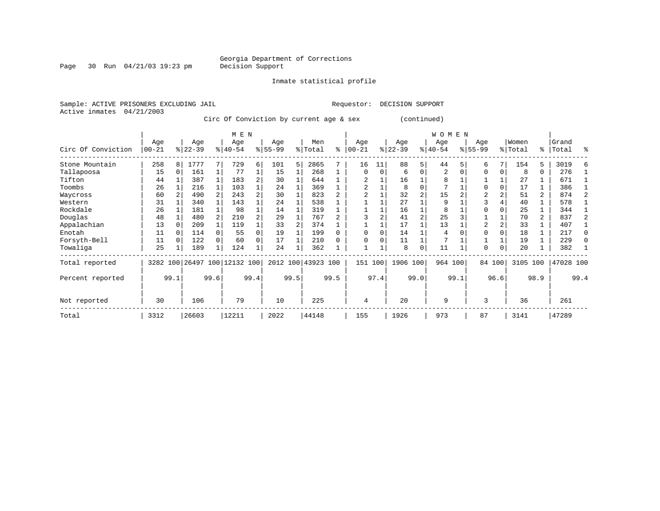Page 30 Run  $04/21/03$  19:23 pm

Inmate statistical profile

Active inmates 04/21/2003

Sample: ACTIVE PRISONERS EXCLUDING JAIL Requestor: DECISION SUPPORT

Circ Of Conviction by current age & sex (continued)

|                    |                  |          |                  |    | M E N                        |      |                 |      |                    |      |                 |          |                  |                | W O M E N        |      |                  |             |                  |                |                |      |
|--------------------|------------------|----------|------------------|----|------------------------------|------|-----------------|------|--------------------|------|-----------------|----------|------------------|----------------|------------------|------|------------------|-------------|------------------|----------------|----------------|------|
| Circ Of Conviction | Age<br>$00 - 21$ |          | Age<br>$ 22-39 $ |    | Age<br>$ 40-54 $             |      | Age<br>$ 55-99$ |      | Men<br>% Total     | ి    | Age<br>$ 00-21$ | ៖        | Age<br>$22 - 39$ |                | Age<br>$ 40-54 $ |      | Age<br>$8 55-99$ |             | Women<br>% Total | ႜ              | Grand<br>Total | ዱ    |
| Stone Mountain     | 258              | 8        | 1777             |    | 729                          | 6    | 101             | 5    | 2865               |      | 16              | 11       | 88               | 5              | 44               |      | 6                | 7           | 154              | 5              | 3019           |      |
| Tallapoosa         | 15               | $\Omega$ | 161              |    | 77                           |      | 15              |      | 268                |      | $\Omega$        | $\Omega$ | 6                | $\Omega$       | 2                |      | $\Omega$         | 0           | 8                | 0              | 276            |      |
| Tifton             | 44               |          | 387              |    | 183                          | 2    | 30              |      | 644                |      |                 |          | 16               |                | 8                |      |                  |             | 27               |                | 671            |      |
| Toombs             | 26               |          | 216              |    | 103                          |      | 24              |      | 369                |      | 2               |          | 8                |                | 7                |      | $\Omega$         | $\Omega$    | 17               |                | 386            |      |
| Waycross           | 60               |          | 490              |    | 243                          |      | 30              |      | 823                |      |                 |          | 32               |                | 15               |      | $\overline{2}$   |             | 51               | $\mathbf{2}$   | 874            |      |
| Western            | 31               |          | 340              |    | 143                          |      | 24              |      | 538                |      |                 |          | 27               |                | 9                |      | 3                |             | 40               |                | 578            |      |
| Rockdale           | 26               |          | 181              |    | 98                           |      | 14              |      | 319                |      |                 |          | 16               |                | 8                |      |                  |             | 25               |                | 344            |      |
| Douglas            | 48               |          | 480              |    | 210                          |      | 29              |      | 767                |      |                 |          | 41               | $\overline{c}$ | 25               |      |                  |             | 70               | $\overline{a}$ | 837            |      |
| Appalachian        | 13               |          | 209              |    | 119                          |      | 33              |      | 374                |      |                 |          | 17               |                | 13               |      | $\overline{2}$   | 2           | 33               |                | 407            |      |
| Enotah             | 11               |          | 114              |    | 55                           | 0    | 19              |      | 199                |      | $\Omega$        | $\Omega$ | 14               |                | 4                |      | $\Omega$         | $\Omega$    | 18               |                | 217            |      |
| Forsyth-Bell       | 11               |          | 122              |    | 60                           | 0    | 17              |      | 210                |      | $\Omega$        | O        | 11               |                |                  |      |                  |             | 19               |                | 229            |      |
| Towaliga           | 25               |          | 189              |    | 124                          |      | 24              |      | 362                |      |                 |          | 8                | $\Omega$       | 11               |      | $\Omega$         | $\mathbf 0$ | 20               |                | 382            |      |
| Total reported     |                  |          |                  |    | 3282 100 26497 100 12132 100 |      |                 |      | 2012 100 43923 100 |      | 151             | 100      | 1906 100         |                | 964 100          |      |                  | 84 100      | 3105 100         |                | 47028 100      |      |
| Percent reported   |                  | 99.1     | 99.6             |    |                              | 99.4 |                 | 99.5 |                    | 99.5 |                 | 97.4     |                  | 99.0           |                  | 99.1 |                  | 96.6        |                  | 98.9           |                | 99.4 |
| Not reported       | 30               |          | 106              | 79 |                              | 10   |                 | 225  |                    | 4    |                 | 20       |                  | 9              |                  | 3    |                  | 36          |                  | 261            |                |      |
| Total              | 3312             |          | 26603            |    | 12211                        |      | 2022            |      | 44148              |      | 155             |          | 1926             |                | 973              |      | 87               |             | 3141             |                | 47289          |      |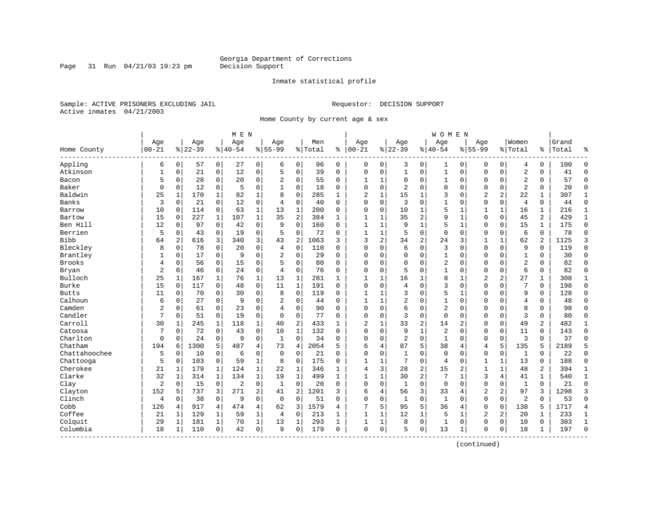Page 31 Run  $04/21/03$  19:23 pm

#### Inmate statistical profile

Sample: ACTIVE PRISONERS EXCLUDING JAIL Requestor: DECISION SUPPORT Active inmates 04/21/2003

Home County by current age & sex

|               |                  |          |                  |                | M E N            |              |                    |                |                |              |                   |              |                  |                | W O M E N          |              |                    |                |                  |                |                |              |
|---------------|------------------|----------|------------------|----------------|------------------|--------------|--------------------|----------------|----------------|--------------|-------------------|--------------|------------------|----------------|--------------------|--------------|--------------------|----------------|------------------|----------------|----------------|--------------|
| Home County   | Age<br>$00 - 21$ |          | Age<br>$8 22-39$ |                | Age<br>$8 40-54$ |              | Age<br>$8155 - 99$ |                | Men<br>% Total | ి            | Age<br>$100 - 21$ |              | Age<br>$8 22-39$ |                | Age<br>$8140 - 54$ |              | Aqe<br>$8155 - 99$ |                | Women<br>% Total | ႜ              | Grand<br>Total | ٩,           |
| Appling       | 6                | 0        | 57               | $\overline{0}$ | 27               | 0            | 6                  | $\mathbf 0$    | 96             | $\mathbf 0$  | $\Omega$          | 0            | 3                | 0              | 1                  | 0            | $\Omega$           | 0              | 4                | 0              | 100            | $\mathbf 0$  |
| Atkinson      | $\mathbf{1}$     | 0        | 21               | 0              | 12               | 0            | 5                  | $\mathbf 0$    | 39             | $\mathbf 0$  | $\Omega$          | $\mathbf 0$  | $\mathbf{1}$     | $\mathbf 0$    | $\mathbf{1}$       | $\Omega$     | $\Omega$           | $\mathbf 0$    | 2                | 0              | 41             | $\mathbf 0$  |
| Bacon         | 5                | 0        | 28               | 0              | 20               | 0            | 2                  | 0              | 55             | 0            | $\mathbf{1}$      | 1            | $\Omega$         | 0              | 1                  | $\mathbf 0$  | $\Omega$           | 0              | 2                | 0              | 57             | $\mathbf 0$  |
| Baker         | $\mathbf 0$      | 0        | 12               | $\mathbf 0$    | 5                | 0            | $\mathbf{1}$       | $\mathbf 0$    | 18             | 0            | $\Omega$          | 0            | $\overline{2}$   | $\Omega$       | $\Omega$           | $\Omega$     | $\Omega$           | $\Omega$       | $\overline{a}$   | $\Omega$       | 20             | $\mathbf 0$  |
| Baldwin       | 25               | 1        | 170              | 1              | 82               | $\mathbf 1$  | $\mathsf{R}$       | $\mathbf 0$    | 285            | $\mathbf{1}$ | $\overline{2}$    | $\mathbf{1}$ | 15               | 1              | 3                  | $\sqrt{ }$   | $\overline{c}$     | $\overline{a}$ | 22               | $\mathbf{1}$   | 307            | 1            |
| Banks         | 3                | $\Omega$ | 21               | $\mathbf 0$    | 12               | 0            | $\overline{4}$     | $\mathbf 0$    | 40             | $\Omega$     | $\Omega$          | 0            | $\overline{3}$   | $\Omega$       | 1                  | $\mathbf 0$  | $\mathbf 0$        | $\mathbf 0$    | $\overline{4}$   | 0              | 44             | $\Omega$     |
| Barrow        | 10               | 0        | 114              | 0              | 63               | $\mathbf{1}$ | 13                 | $\mathbf{1}$   | 200            | 0            | $\Omega$          | $\mathbf 0$  | 10               | 1              | 5                  | $\mathbf{1}$ | $\mathbf{1}$       | $\mathbf 1$    | 16               | 1              | 216            | $\mathbf{1}$ |
| Bartow        | 15               | 0        | 227              | $\mathbf{1}$   | 107              | $\mathbf{1}$ | 35                 | $\overline{a}$ | 384            | $\mathbf{1}$ | $\mathbf{1}$      | 1            | 35               | $\overline{2}$ | 9                  | $\mathbf{1}$ | $\Omega$           | $\mathbf 0$    | 45               | 2              | 429            | $\mathbf{1}$ |
| Ben Hill      | 12               | 0        | 97               | 0              | 42               | 0            | 9                  | $\mathbf 0$    | 160            | $\Omega$     | $\mathbf{1}$      | 1            | 9                | 1              | 5                  | $\mathbf{1}$ | $\Omega$           | $\mathbf 0$    | 15               | 1              | 175            | $\mathbf 0$  |
| Berrien       | 5                | 0        | 43               | 0              | 19               | 0            | 5                  | $\mathbf 0$    | 72             | 0            | $\mathbf{1}$      | 1            | 5                | $\mathbf 0$    | $\mathbf 0$        | $\mathbf 0$  | $\Omega$           | $\mathbf 0$    | 6                | 0              | 78             | $\mathbf 0$  |
| <b>Bibb</b>   | 64               | 2        | 616              | 3              | 340              | 3            | 43                 | 2              | 1063           | 3            | 3                 | 2            | 34               | $\overline{2}$ | 24                 | 3            | 1                  | $\mathbf{1}$   | 62               | $\overline{a}$ | 1125           | 3            |
| Bleckley      | 8                | $\Omega$ | 78               | $\Omega$       | 20               | 0            | 4                  | $\mathbf 0$    | 110            | $\Omega$     | $\Omega$          | 0            | 6                | $\Omega$       | 3                  | $\Omega$     | $\Omega$           | $\Omega$       | 9                | $\Omega$       | 119            | $\Omega$     |
| Brantley      | 1                | 0        | 17               | $\mathbf 0$    | 9                | 0            | $\overline{2}$     | $\mathbf 0$    | 29             | 0            | $\Omega$          | 0            | $\Omega$         | $\Omega$       | 1                  | $\Omega$     | $\Omega$           | $\Omega$       | $\mathbf{1}$     | $\Omega$       | 30             | $\Omega$     |
| Brooks        | 4                | 0        | 56               | $\mathbf 0$    | 15               | 0            | 5                  | $\mathbf 0$    | 80             | $\Omega$     | $\Omega$          | 0            | $\Omega$         | $\Omega$       | $\overline{2}$     | $\Omega$     | $\Omega$           | $\Omega$       | $\overline{a}$   | $\Omega$       | 82             | $\Omega$     |
| Bryan         | 2                | 0        | 46               | 0              | 24               | 0            | $\overline{4}$     | 0              | 76             | 0            | $\Omega$          | 0            | 5                | $\Omega$       | 1                  | $\Omega$     | $\Omega$           | 0              | 6                | 0              | 82             | $\mathbf 0$  |
| Bulloch       | 25               | 1        | 167              | 1              | 76               | $\mathbf 1$  | 13                 | 1              | 281            | $\mathbf{1}$ | $\mathbf{1}$      | 1            | 16               | 1              | 8                  |              | $\overline{2}$     | 2              | 27               | 1              | 308            | 1            |
| Burke         | 15               | $\Omega$ | 117              | 0              | 48               | 0            | 11                 | $\mathbf{1}$   | 191            | $\Omega$     | $\cap$            | 0            | $\overline{4}$   | $\Omega$       | 3                  | $\sqrt{ }$   | $\Omega$           | $\Omega$       | 7                | $\Omega$       | 198            | $\Omega$     |
| <b>Butts</b>  | 11               | $\Omega$ | 70               | 0              | 30               | 0            | 8                  | $\mathbf 0$    | 119            | $\Omega$     | -1                | 1            | 3                | $\Omega$       | 5                  | -1           | $\Omega$           | $\Omega$       | 9                | 0              | 128            | $\Omega$     |
| Calhoun       | 6                | 0        | 27               | $\mathbf 0$    | 9                | 0            | $\overline{2}$     | $\mathbf 0$    | 44             | $\Omega$     | 1                 | 1            | 2                | $\mathbf 0$    | 1                  | $\Omega$     | $\Omega$           | $\mathbf 0$    | 4                | 0              | 48             | $\Omega$     |
| Camden        | 2                | 0        | 61               | 0              | 23               | 0            | $\overline{4}$     | $\mathbf 0$    | 90             | $\Omega$     | $\Omega$          | 0            | 6                | 0              | $\overline{2}$     | $\Omega$     | $\Omega$           | $\Omega$       | 8                | 0              | 98             | $\Omega$     |
| Candler       | 7                | 0        | 51               | $\mathbf 0$    | 19               | 0            | $\Omega$           | $\mathbf 0$    | 77             | $\Omega$     | $\Omega$          | 0            | 3                | $\Omega$       | $\mathbf 0$        | $\Omega$     | $\Omega$           | $\Omega$       | 3                | 0              | 80             | $\Omega$     |
| Carroll       | 30               | 1        | 245              | 1              | 118              | 1            | 40                 | 2              | 433            | 1            | 2                 | 1            | 33               | $\overline{2}$ | 14                 | 2            | $\Omega$           | $\Omega$       | 49               | 2              | 482            | 1            |
| Catoosa       | 7                | 0        | 72               | 0              | 43               | 0            | 10                 | $\mathbf{1}$   | 132            | 0            | $\Omega$          | 0            | 9                | $\mathbf{1}$   | 2                  | C            | $\Omega$           | $\Omega$       | 11               | 0              | 143            | $\Omega$     |
| Charlton      | $\mathbf 0$      | 0        | 24               | 0              | 9                | 0            | 1                  | 0              | 34             | 0            | $\Omega$          | 0            | $\overline{2}$   | $\mathbf 0$    | 1                  | $\Omega$     | $\mathbf 0$        | $\mathbf 0$    | 3                | 0              | 37             | $\Omega$     |
| Chatham       | 194              | 6        | 1300             | 5              | 487              | 4            | 73                 | 4              | 2054           | 5            | 6                 | 4            | 87               | 5              | 38                 | 4            | $\overline{4}$     | 5              | 135              | 5              | 2189           | 5            |
| Chattahoochee | 5                | 0        | 10               | 0              | 6                | 0            | $\Omega$           | $\mathbf 0$    | 21             | 0            | $\Omega$          | 0            | $\overline{1}$   | $\Omega$       | $\mathbf 0$        | $\Omega$     | $\Omega$           | $\mathbf 0$    | $\mathbf{1}$     | $\Omega$       | 22             | $\bigcap$    |
| Chattooga     | 5                | 0        | 103              | 0              | 59               | $\mathbf{1}$ | 8                  | $\mathbf 0$    | 175            | $\Omega$     | $\mathbf{1}$      | 1            | 7                | $\mathbf 0$    | 4                  | $\Omega$     | 1                  | $\mathbf{1}$   | 13               | 0              | 188            | $\mathbf 0$  |
| Cherokee      | 21               | 1        | 179              | 1              | 124              | $\mathbf 1$  | 22                 | 1              | 346            | $\mathbf{1}$ | 4                 | 3            | 28               | $\overline{2}$ | 15                 | 2            | $\mathbf{1}$       |                | 48               | 2              | 394            | 1            |
| Clarke        | 32               | 1        | 314              | $\mathbf{1}$   | 134              | $\mathbf{1}$ | 19                 | $\mathbf 1$    | 499            | $\mathbf{1}$ | $\mathbf{1}$      | 1            | 30               | $\overline{2}$ | 7                  | $\mathbf{1}$ | 3                  | 4              | 41               | $\mathbf{1}$   | 540            | $\mathbf{1}$ |
| Clay          | $\overline{2}$   | $\Omega$ | 15               | 0              | $\overline{2}$   | 0            | 1                  | $\mathbf 0$    | 20             | $\Omega$     | $\Omega$          | 0            | 1                | $\Omega$       | $\mathbf 0$        | $\Omega$     | $\mathbf 0$        | $\Omega$       | $\mathbf{1}$     | $\Omega$       | 21             | $\Omega$     |
| Clayton       | 152              | 5        | 737              | 3              | 271              | 2            | 41                 | 2              | 1201           | 3            | 6                 | 4            | 56               | 3              | 33                 | 4            | 2                  | 2              | 97               | 3              | 1298           | 3            |
| Clinch        | 4                | 0        | 38               | $\mathbf 0$    | 9                | 0            | $\mathbf 0$        | $\mathbf 0$    | 51             | 0            | $\Omega$          | 0            | $\mathbf{1}$     | $\mathbf 0$    | $\mathbf{1}$       | $\mathbf 0$  | $\Omega$           | $\mathbf 0$    | $\overline{2}$   | $\Omega$       | 53             | $\cap$       |
| Cobb          | 126              | 4        | 917              | $\overline{4}$ | 474              | 4            | 62                 | 3              | 1579           | 4            | 7                 | 5            | 95               | 5              | 36                 | 4            | $\Omega$           | $\Omega$       | 138              | 5              | 1717           | 4            |
| Coffee        | 21               | 1        | 129              | 1              | 59               | $\mathbf{1}$ | 4                  | 0              | 213            | 1            | 1                 | 1            | 12               | 1              | 5                  | 1            | 2                  | 2              | 20               | 1              | 233            | 1            |
| Colquit       | 29               | 1        | 181              | 1              | 70               | 1            | 13                 | 1              | 293            | 1            | 1                 | 1            | 8                | $\mathsf 0$    | 1                  | $\Omega$     | $\Omega$           | 0              | 10               | 0              | 303            | 1            |
| Columbia      | 18               | 1        | 110              | 0              | 42               | 0            | 9                  | 0              | 179            | 0            | $\Omega$          | $\mathbf 0$  | 5                | $\mathbf 0$    | 13                 | 1            | 0                  | 0              | 18               | 1              | 197            | $\bigcap$    |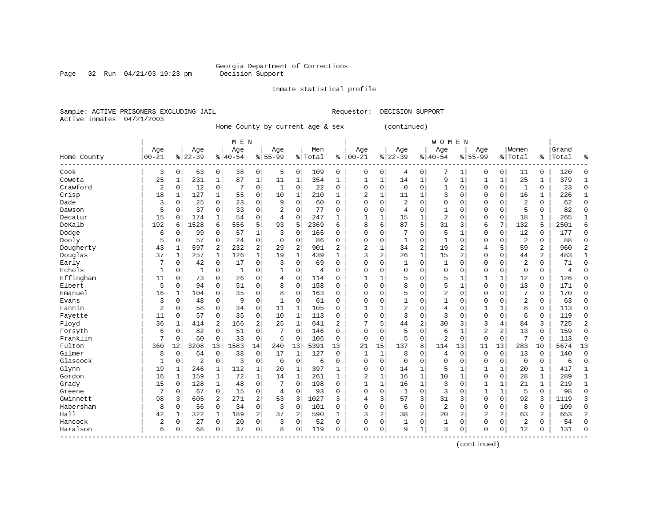# Georgia Department of Corrections<br>Decision Support

Page 32 Run  $04/21/03$  19:23 pm

Inmate statistical profile

Sample: ACTIVE PRISONERS EXCLUDING JAIL Requestor: DECISION SUPPORT Active inmates 04/21/2003

Home County by current age & sex (continued)

|             |                | M E N        |                |                |          |                |                |              |           |                |                |                |                |                | <b>WOMEN</b>   |              |                |                |                |                |       |                |
|-------------|----------------|--------------|----------------|----------------|----------|----------------|----------------|--------------|-----------|----------------|----------------|----------------|----------------|----------------|----------------|--------------|----------------|----------------|----------------|----------------|-------|----------------|
|             | Age            |              | Age            |                | Age      |                | Age            |              | Men       |                | Age            |                | Age            |                | Age            |              | Age            |                | Women          |                | Grand |                |
| Home County | $00 - 21$      |              | $8 22-39$      |                | $ 40-54$ |                | $8155 - 99$    |              | %   Total | ႜ              | $ 00-21$       |                | $8 22-39$      |                | $8140 - 54$    |              | $8155 - 99$    |                | % Total        | ៖              | Total | ႜ              |
| Cook        | 3              | $\mathbf 0$  | 63             | 0              | 38       | 0              | 5              | 0            | 109       | 0              | 0              | 0              | 4              | 0              | 7              | 1            | 0              | $\overline{0}$ | 11             | 0              | 120   | 0              |
| Coweta      | 25             | 1            | 231            | $\mathbf 1$    | 87       | $\mathbf 1$    | 11             | $\mathbf{1}$ | 354       | 1              | 1              | $\mathbf 1$    | 14             | $\mathbf 1$    | 9              | $\mathbf{1}$ | 1              | $\mathbf{1}$   | 25             | 1              | 379   | $\mathbf{1}$   |
| Crawford    | $\overline{c}$ | 0            | 12             | 0              |          | 0              | 1              | $\mathbf 0$  | 22        | 0              | $\Omega$       | $\mathbf 0$    | $\mathbf 0$    | $\mathbf 0$    |                | $\mathbf 0$  | 0              | 0              | 1              | 0              | 23    | 0              |
| Crisp       | 18             | 1            | 127            | 1              | 55       | $\mathbf 0$    | 10             | 1            | 210       | $\mathbf{1}$   | $\overline{c}$ | 1              | 11             | 1              | 3              | 0            | 0              | 0              | 16             | 1              | 226   | $\mathbf{1}$   |
| Dade        | 3              | 0            | 25             | 0              | 23       | $\mathbf 0$    | 9              | $\mathbf 0$  | 60        | $\Omega$       | $\Omega$       | 0              | 2              | $\mathbf 0$    | $\Omega$       | 0            | 0              | 0              | $\overline{2}$ | 0              | 62    | $\mathbf 0$    |
| Dawson      | 5              | 0            | 37             | $\mathbf 0$    | 33       | 0              | 2              | $\mathbf 0$  | 77        | 0              | $\Omega$       | 0              | 4              | $\mathbf 0$    | 1              | $\mathbf 0$  | 0              | 0              | 5              | 0              | 82    | $\mathsf 0$    |
| Decatur     | 15             | 0            | 174            | 1              | 54       | 0              | $\overline{4}$ | $\mathbf 0$  | 247       | $\mathbf{1}$   | 1              | $\mathbf{1}$   | 15             | $\mathbf{1}$   | $\overline{2}$ | $\mathbf 0$  | 0              | 0              | 18             | 1              | 265   | $\mathbf{1}$   |
| DeKalb      | 192            | 6            | 1528           | 6              | 556      | 5              | 93             | 5            | 2369      | 6              | 8              | 6              | 87             | 5              | 31             | 3            | 6              | 7              | 132            | 5              | 2501  | 6              |
| Dodge       | 6              | $\Omega$     | 99             | $\mathbf 0$    | 57       | $\mathbf{1}$   | 3              | $\Omega$     | 165       | $\Omega$       | $\Omega$       | $\Omega$       | 7              | $\Omega$       | 5              | $\mathbf{1}$ | U              | $\Omega$       | 12             | $\Omega$       | 177   | $\Omega$       |
| Dooly       | 5              | $\Omega$     | 57             | $\mathbf 0$    | 24       | $\mathbf 0$    | $\Omega$       | $\mathbf 0$  | 86        | $\Omega$       | $\Omega$       | $\Omega$       | 1              | $\mathbf 0$    | $\mathbf{1}$   | $\Omega$     | 0              | $\Omega$       | $\overline{2}$ | $\Omega$       | 88    | $\mathbf 0$    |
| Dougherty   | 43             | 1            | 597            | 2              | 232      | $\overline{c}$ | 29             | 2            | 901       | 2              | $\overline{2}$ | $\mathbf 1$    | 34             | 2              | 19             | 2            | 4              | 5              | 59             | $\overline{2}$ | 960   | $\overline{2}$ |
| Douglas     | 37             | $\mathbf{1}$ | 257            | $\mathbf{1}$   | 126      | $\mathbf{1}$   | 19             | $\mathbf{1}$ | 439       | $\mathbf{1}$   | 3              | 2              | 26             | $\mathbf{1}$   | 15             | 2            | 0              | 0              | 44             | 2              | 483   | $\mathbf{1}$   |
| Early       | 7              | 0            | 42             | 0              | 17       | 0              | 3              | $\mathbf 0$  | 69        | $\Omega$       | $\Omega$       | 0              | $\mathbf{1}$   | 0              | 1              | 0            | 0              | 0              | $\overline{2}$ | 0              | 71    | 0              |
| Echols      | 1              | 0            | 1              | 0              | 1        | 0              |                | $\mathbf 0$  | 4         | $\Omega$       | $\Omega$       | 0              | 0              | $\mathbf 0$    | $\Omega$       | 0            | 0              | 0              | $\Omega$       | 0              | 4     | 0              |
| Effingham   | 11             | 0            | 73             | 0              | 26       | 0              | $\overline{4}$ | $\mathbf 0$  | 114       | $\Omega$       | $\mathbf{1}$   | 1              | 5              | $\mathbf 0$    | 5              | 1            | 1              | $\mathbf{1}$   | 12             | $\mathbf 0$    | 126   | 0              |
| Elbert      | 5              | $\Omega$     | 94             | $\mathbf 0$    | 51       | $\mathbf 0$    | 8              | $\Omega$     | 158       | $\Omega$       | $\Omega$       | $\Omega$       | 8              | 0              | 5              | 1            | 0              | 0              | 13             | $\Omega$       | 171   | 0              |
| Emanuel     | 16             | 1            | 104            | 0              | 35       | $\mathbf 0$    | 8              | $\Omega$     | 163       | 0              | $\Omega$       | $\Omega$       | 5              | $\Omega$       | 2              | $\Omega$     | 0              | $\Omega$       | 7              | $\Omega$       | 170   | 0              |
| Evans       | 3              | 0            | 48             | $\mathbf 0$    | 9        | $\mathbf 0$    | 1              | $\mathbf 0$  | 61        | 0              | 0              | $\Omega$       | $\mathbf{1}$   | $\Omega$       | 1              | 0            | 0              | 0              | $\overline{2}$ | 0              | 63    | $\mathbf 0$    |
| Fannin      | $\overline{2}$ | 0            | 58             | $\mathbf 0$    | 34       | 0              | 11             | $\mathbf{1}$ | 105       | 0              | $\mathbf{1}$   | 1              | $\overline{a}$ | $\mathsf 0$    | 4              | $\mathbf 0$  | 1              | $\mathbf{1}$   | 8              | $\mathbf 0$    | 113   | $\mathsf 0$    |
| Fayette     | 11             | 0            | 57             | $\mathbf 0$    | 35       | 0              | 10             | $\mathbf{1}$ | 113       | $\Omega$       | $\Omega$       | $\mathbf 0$    | 3              | $\mathbf 0$    | 3              | $\mathbf 0$  | 0              | 0              | 6              | $\mathbf 0$    | 119   | $\mathbf 0$    |
| Floyd       | 36             | 1            | 414            | $\overline{a}$ | 166      | 2              | 25             | $\mathbf{1}$ | 641       | $\overline{a}$ | 7              | 5              | 44             | 2              | 30             | 3            | 3              | 4              | 84             | 3              | 725   | 2              |
| Forsyth     | 6              | 0            | 82             | $\mathbf 0$    | 51       | 0              | 7              | $\mathbf 0$  | 146       | $\Omega$       | $\Omega$       | 0              | 5              | $\mathbf 0$    | 6              | 1            | 2              | 2              | 13             | $\mathbf 0$    | 159   | 0              |
| Franklin    | 7              | $\Omega$     | 60             | $\mathbf 0$    | 33       | 0              | 6              | $\mathbf 0$  | 106       | $\Omega$       | $\Omega$       | 0              | 5              | $\mathbf 0$    | $\overline{2}$ | $\mathbf 0$  | $\Omega$       | 0              | 7              | $\Omega$       | 113   | $\mathbf 0$    |
| Fulton      | 360            | 12           | 3208           | 13             | 1583     | 14             | 240            | 13           | 5391      | 13             | 21             | 15             | 137            | 8              | 114            | 13           | 11             | 13             | 283            | 10             | 5674  | 13             |
| Gilmer      | 8              | $\mathbf 0$  | 64             | $\mathbf 0$    | 38       | $\mathbf 0$    | 17             | $\mathbf{1}$ | 127       | 0              | 1              | 1              | 8              | 0              | 4              | $\mathbf 0$  | 0              | 0              | 13             | 0              | 140   | $\mathbf 0$    |
| Glascock    | 1              | $\mathbf 0$  | $\overline{2}$ | $\mathsf 0$    | 3        | 0              | $\mathbf 0$    | $\mathbf 0$  | 6         | 0              | 0              | $\mathbf 0$    | $\mathbf 0$    | $\mathbf 0$    | $\mathbf 0$    | $\mathbf 0$  | 0              | 0              | $\mathbf 0$    | $\mathbf 0$    | 6     | $\mathsf 0$    |
| Glynn       | 19             | 1            | 246            | 1              | 112      | $\mathbf{1}$   | 20             | $\mathbf{1}$ | 397       | 1              | 0              | $\mathbf 0$    | 14             | $\mathbf 1$    | 5              | 1            | 1              | $\mathbf{1}$   | 20             | 1              | 417   | $1\,$          |
| Gordon      | 16             | $\mathbf{1}$ | 159            | $\mathbf 1$    | 72       | $\mathbf{1}$   | 14             | $\mathbf{1}$ | 261       | $\mathbf{1}$   | $\overline{c}$ | $\mathbf 1$    | 16             | $\mathbf{1}$   | 10             | $\mathbf{1}$ | $\mathbf 0$    | 0              | 28             | $\mathbf{1}$   | 289   | $\mathbf{1}$   |
| Grady       | 15             | 0            | 128            | 1              | 48       | $\mathbf 0$    | 7              | $\Omega$     | 198       | $\Omega$       | 1              | 1              | 16             | 1              | 3              | 0            | 1              | 1              | 21             | 1              | 219   | $\mathbf{1}$   |
| Greene      | 7              | $\mathbf 0$  | 67             | 0              | 15       | 0              | 4              | 0            | 93        | $\Omega$       | $\Omega$       | 0              | 1              | $\mathbf 0$    | 3              | 0            | $\mathbf{1}$   | 1              | 5              | 0              | 98    | 0              |
| Gwinnett    | 98             | 3            | 605            | 2              | 271      | 2              | 53             | 3            | 1027      | 3              | $\overline{4}$ | 3              | 57             | 3              | 31             | 3            | $\mathbf 0$    | 0              | 92             | 3              | 1119  | 3              |
| Habersham   | 8              | $\Omega$     | 56             | $\mathbf 0$    | 34       | $\mathbf 0$    | 3              | 0            | 101       | 0              | $\Omega$       | $\Omega$       | 6              | $\mathbf 0$    | $\overline{2}$ | $\mathbf 0$  | $\mathbf 0$    | $\Omega$       | 8              | $\Omega$       | 109   | $\mathbf 0$    |
| Hall        | 42             | 1            | 322            | $\mathbf{1}$   | 189      | $\overline{c}$ | 37             | 2            | 590       | 1              | 3              | $\overline{2}$ | 38             | $\overline{a}$ | 20             | 2            | $\overline{2}$ | $\overline{a}$ | 63             | 2              | 653   | $\overline{2}$ |
| Hancock     | $\overline{2}$ | 0            | 27             | 0              | 20       | 0              | 3              | $\mathbf 0$  | 52        | 0              | 0              | 0              | 1              | 0              | 1              | 0            | 0              | 0              | $\overline{2}$ | 0              | 54    | $\mathbf 0$    |
| Haralson    | 6              | 0            | 68             | 0              | 37       | 0              | 8              | $\mathbf 0$  | 119       | $\Omega$       | $\mathbf 0$    | 0              | 9              | $\mathbf{1}$   | 3              | $\mathbf 0$  | 0              | 0              | 12             | 0              | 131   | $\Omega$       |
|             |                |              |                |                |          |                |                |              |           |                |                |                |                |                |                |              |                |                |                |                |       |                |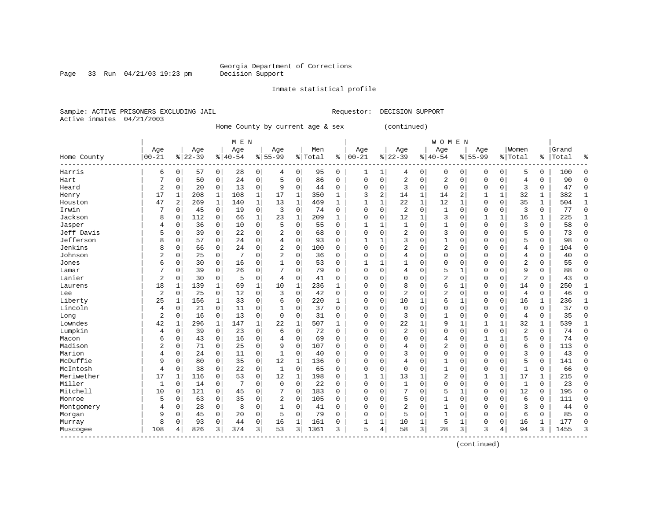Page 33 Run  $04/21/03$  19:23 pm

Inmate statistical profile

Sample: ACTIVE PRISONERS EXCLUDING JAIL Requestor: DECISION SUPPORT Active inmates 04/21/2003

Home County by current age & sex (continued)

| Age<br>Age<br>Women<br>Age<br>Age<br>Men<br>Grand<br>Age<br>Age<br>Age<br>Age<br>$00 - 21$<br>$ 22-39$<br>$8 22-39$<br>$8140 - 54$<br>$8 55-99$<br>%   Total<br>$ 00 - 21$<br>$8155 - 99$<br>% Total<br>Total<br>Home County<br>ి<br>$8140 - 54$<br>ွေ<br>ႜ<br>. _ _ _ _ _ _ _<br>0<br>Harris<br>0<br>28<br>0<br>$\mathbf 0$<br>95<br>0<br>1<br>0<br>0<br>5<br>0<br>100<br>$\mathbf 0$<br>6<br>57<br>4<br>0<br>0<br>0<br>4<br>-1<br>$\mathbf 0$<br>0<br>$\Omega$<br>0<br>24<br>5<br>$\mathbf 0$<br>86<br>2<br>$\mathbf 0$<br>2<br>0<br>90<br>Hart<br>7<br>50<br>$\Omega$<br>0<br>$\Omega$<br>4<br>0<br>$\Omega$<br>0<br>$\overline{c}$<br>20<br>$\mathbf 0$<br>13<br>0<br>9<br>$\mathbf 0$<br>$\Omega$<br>0<br>3<br>$\mathbf 0$<br>$\mathbf 0$<br>0<br>3<br>0<br>47<br>$\Omega$<br>Heard<br>0<br>44<br>$\Omega$<br>$\Omega$<br>$\Omega$<br>17<br>$\mathbf{1}$<br>$\overline{c}$<br>32<br>208<br>108<br>$\mathbf{1}$<br>17<br>350<br>$\mathbf{1}$<br>3<br>$\mathbf{1}$<br>$\overline{2}$<br>$\mathbf{1}$<br>$\mathbf{1}$<br>382<br>$\mathbf{1}$<br>1<br>1<br>14<br>14<br>1<br>Henry<br>12<br>35<br>47<br>$\overline{2}$<br>269<br>$\mathbf{1}$<br>140<br>$\mathbf{1}$<br>13<br>$\mathbf{1}$<br>469<br>22<br>$\mathbf{1}$<br>$\Omega$<br>0<br>504<br>$\mathbf{1}$<br>1<br>1<br>$\mathbf{1}$<br>1<br>Houston<br>-1<br>$\mathbf 0$<br>$\mathbf 0$<br>Irwin<br>7<br>$\mathbf 0$<br>3<br>$\mathbf 0$<br>74<br>0<br>2<br>3<br>77<br>$\mathbf{0}$<br>$\Omega$<br>45<br>19<br>0<br>$\Omega$<br>$\mathbf{1}$<br>0<br>0<br>0<br>0<br>Jackson<br>1<br>23<br>209<br>$\mathbf{1}$<br>0<br>12<br>3<br>1<br>16<br>225<br>8<br>$\Omega$<br>112<br>0<br>1<br>$\Omega$<br>1<br>1<br>$\mathbf 1$<br>1<br>66<br>0<br>Jasper<br>$\mathbf 0$<br>5<br>$\mathbf{1}$<br>$\Omega$<br>3<br>58<br>$\mathbf 0$<br>36<br>0<br>10<br>$\mathbf 0$<br>55<br>$\Omega$<br>$\mathbf{1}$<br>1<br>$\mathbf{1}$<br>$\Omega$<br>$\Omega$<br>0<br>$\Omega$<br>4<br>$\Omega$<br>$\overline{2}$<br>3<br>5<br>Jeff Davis<br>5<br>$\Omega$<br>22<br>$\Omega$<br>68<br>$\overline{a}$<br>73<br>$\Omega$<br>39<br>$\Omega$<br>$\Omega$<br>$\Omega$<br>$\Omega$<br>$\Omega$<br>$\Omega$<br>$\Omega$<br>0<br>$\Omega$<br>$\Omega$<br>$\Omega$<br>5<br>Jefferson<br>8<br>57<br>0<br>24<br>4<br>$\mathbf 0$<br>93<br>$\Omega$<br>3<br>$\Omega$<br>$\mathbf{1}$<br>$\Omega$<br>98<br>$\Omega$<br>1<br>$\Omega$<br>$\Omega$<br>0<br>$\Omega$<br>Jenkins<br>24<br>$\mathbf 0$<br>$\overline{2}$<br>$\Omega$<br>$\overline{2}$<br>$\overline{2}$<br>8<br>0<br>$\mathbf 0$<br>100<br>$\Omega$<br>$\Omega$<br>$\Omega$<br>$\overline{4}$<br>104<br>$\Omega$<br>66<br>$\Omega$<br>$\Omega$<br>0<br>0<br>$\Omega$<br>25<br>$\mathbf 0$<br>7<br>$\Omega$<br>2<br>$\mathbf 0$<br>36<br>$\Omega$<br>40<br>Johnson<br>2<br>$\Omega$<br>$\Omega$<br>$\Omega$<br>$\Omega$<br>0<br>$\Omega$<br>$\Omega$<br>$\Omega$<br>4<br>0<br>$\Omega$<br>4<br>$\overline{c}$<br>30<br>$\mathbf 0$<br>$\mathbf 0$<br>53<br>0<br>55<br>6<br>0<br>16<br>1<br>$\mathbf 0$<br>0<br>$\mathbf{1}$<br>$\Omega$<br>0<br>$\Omega$<br>0<br>0<br>$\Omega$<br>Jones<br>1<br>1<br>$\mathbf 0$<br>79<br>5<br>9<br>88<br>7<br>0<br>39<br>0<br>26<br>7<br>$\mathbf 0$<br>0<br>$\Omega$<br>0<br>4<br>0<br>1<br>$\Omega$<br>0<br>0<br>$\Omega$<br>Lamar<br>Lanier<br>$\mathbf 0$<br>2<br>$\Omega$<br>$\overline{2}$<br>2<br>$\Omega$<br>30<br>0<br>5<br>4<br>$\mathbf 0$<br>41<br>$\Omega$<br>0<br>$\Omega$<br>$\mathbf 0$<br>$\Omega$<br>0<br>43<br>$\Omega$<br>0<br>$\Omega$<br>18<br>139<br>$\mathbf 1$<br>10<br>6<br>$\Omega$<br>250<br>1<br>$\mathbf 1$<br>69<br>1<br>236<br>$\mathbf{1}$<br>$\Omega$<br>8<br>$\Omega$<br>$\mathbf{1}$<br>$\Omega$<br>14<br>0<br>$\mathbf{1}$<br>0<br>Laurens<br>$\overline{c}$<br>$\Omega$<br>3<br>$\overline{2}$<br>2<br>$\Omega$<br>25<br>0<br>12<br>$\Omega$<br>42<br>$\Omega$<br>$\Omega$<br>$\Omega$<br>$\Omega$<br>$\Omega$<br>$\Omega$<br>$\overline{4}$<br>0<br>46<br>$\Omega$<br>$\Omega$<br>Lee<br>25<br>156<br>33<br>$\mathbf 0$<br>6<br>220<br>$\Omega$<br>10<br>6<br>$\Omega$<br>16<br>236<br>Liberty<br>1<br>$\mathbf 0$<br>$\mathbf{1}$<br>$\Omega$<br>1<br>$\Omega$<br>1<br>1<br>-1<br>-1<br>Lincoln<br>$\mathbf 0$<br>11<br>$\mathbf 0$<br>$\Omega$<br>$\Omega$<br>$\Omega$<br>$\mathbf 0$<br>4<br>$\Omega$<br>21<br>1<br>$\mathbf 0$<br>37<br>$\Omega$<br>$\mathbf 0$<br>0<br>$\mathbf 0$<br>$\Omega$<br>0<br>37<br>$\Omega$<br>0<br>$\overline{2}$<br>16<br>$\mathbf 0$<br>13<br>$\mathbf 0$<br>$\mathbf 0$<br>$\mathbf 0$<br>31<br>0<br>$\Omega$<br>0<br>35<br>$\Omega$<br>0<br>$\Omega$<br>3<br>$\Omega$<br>$\Omega$<br>4<br>0<br>0<br>1<br>Long<br>Lowndes<br>42<br>296<br>$\mathbf 1$<br>1<br>22<br>507<br>$\mathbf{1}$<br>22<br>9<br>32<br>$\mathbf{1}$<br>539<br>1<br>147<br>1<br>0<br>$\mathbf{1}$<br>1<br>1<br>1<br>$\mathbf{1}$<br>C<br>$\overline{a}$<br>Lumpkin<br>$\mathbf 0$<br>23<br>$\mathbf 0$<br>6<br>$\mathbf 0$<br>72<br>$\overline{2}$<br>$\Omega$<br>$\Omega$<br>74<br>$\Omega$<br>$\overline{4}$<br>0<br>39<br>$\Omega$<br>$\Omega$<br>$\Omega$<br>0<br>$\Omega$<br>$\Omega$<br>0<br>$\mathbf 0$<br>5<br>74<br>Macon<br>6<br>$\Omega$<br>43<br>0<br>16<br>$\mathbf 0$<br>69<br>$\Omega$<br>$\Omega$<br>$\Omega$<br>4<br>$\mathbf{1}$<br>0<br>$\Omega$<br>4<br>C<br>$\Omega$<br>0<br>Madison<br>$\mathbf 0$<br>6<br>2<br>71<br>0<br>25<br>9<br>$\mathbf 0$<br>107<br>$\Omega$<br>$\Omega$<br>2<br>$\Omega$<br>$\Omega$<br>$\Omega$<br>0<br>113<br>$\Omega$<br>0<br>0<br>C<br>Marion<br>$\mathbf 0$<br>3<br>$\Omega$<br>24<br>0<br>11<br>$\mathbf{1}$<br>$\mathbf 0$<br>40<br>$\Omega$<br>$\Omega$<br>3<br>$\Omega$<br>0<br>$\Omega$<br>$\Omega$<br>0<br>43<br>$\Omega$<br>4<br>C<br>0<br>McDuffie<br>$\Omega$<br>5<br>9<br>35<br>12<br>$\Omega$<br>$\Omega$<br>$\Omega$<br>80<br>$\Omega$<br>1<br>136<br>$\Omega$<br>$\Omega$<br>$\mathbf{1}$<br>$\Omega$<br>$\Omega$<br>141<br>0<br>4<br>0<br>∩<br>McIntosh<br>22<br>$\mathbf 0$<br>$\Omega$<br>$\Omega$<br>$\mathbf{1}$<br>66<br>$\overline{4}$<br>$\Omega$<br>38<br>0<br>1<br>$\Omega$<br>65<br>$\Omega$<br>$\Omega$<br>1<br>$\Omega$<br>0<br>$\Omega$<br>$\Omega$<br>$\Omega$<br>$\Omega$<br>$\mathbf 0$<br>Meriwether<br>2<br>17<br>17<br>116<br>0<br>53<br>12<br>1<br>198<br>$\Omega$<br>1<br>13<br>$\mathbf 0$<br>$\mathbf{1}$<br>1<br>1<br>215<br>$\Omega$<br>1<br>1<br>Miller<br>0<br>$\mathbf 0$<br>$\mathbf 0$<br>$\mathbf 0$<br>22<br>$\Omega$<br>0<br>$\Omega$<br>$\Omega$<br>0<br>$\mathbf{1}$<br>23<br>1<br>0<br>14<br>$\mathbf{1}$<br>$\Omega$<br>$\Omega$<br>0<br>$\Omega$<br>0<br>Mitchell<br>5<br>121<br>0<br>$\mathbf 0$<br>7<br>$\Omega$<br>12<br>10<br>$\Omega$<br>45<br>$\mathbf 0$<br>183<br>$\Omega$<br>$\Omega$<br>7<br>$\Omega$<br>1<br>$\Omega$<br>$\Omega$<br>195<br>$\Omega$<br>C<br>35<br>$\mathbf 0$<br>$\overline{a}$<br>105<br>6<br>111<br>5<br>$\Omega$<br>63<br>0<br>$\mathbf 0$<br>$\Omega$<br>$\Omega$<br>$\Omega$<br>5<br>$\Omega$<br>$\mathbf{1}$<br>$\mathbf 0$<br>$\Omega$<br>0<br>0<br>$\Omega$<br>Monroe<br>28<br>0<br>8<br>0<br>1<br>0<br>41<br>0<br>2<br>0<br>$\Omega$<br>0<br>3<br>0<br>44<br>$\Omega$<br>$\overline{4}$<br>0<br>0<br>$\Omega$<br>1<br>$\Omega$<br>Montgomery<br>0<br>45<br>0<br>20<br>5<br>0<br>79<br>$\Omega$<br>0<br>$\Omega$<br>$\Omega$<br>6<br>9<br>$\Omega$<br>$\Omega$<br>$\Omega$<br>5<br>1<br>0<br>0<br>85<br>$\Omega$<br>Morgan<br>0<br>8<br>93<br>16<br>1<br>161<br>1<br>10<br>1<br>5<br>1<br>$\Omega$<br>16<br>1<br>177<br>$\Omega$<br>$\Omega$<br>0<br>44<br>$\Omega$<br>$\mathbf{1}$<br>0<br>Murray<br>3 <sup>1</sup><br>3<br>28<br>826<br>3<br>374<br>53<br>1361<br>5<br>3<br>3<br>94<br>3<br>108<br>3<br>3<br>4<br>58<br>1455<br>3<br>4<br>Muscogee<br>4<br>--------- |  |  | M E N |  |  |  |  | <b>WOMEN</b> |  |  |  |  |
|-----------------------------------------------------------------------------------------------------------------------------------------------------------------------------------------------------------------------------------------------------------------------------------------------------------------------------------------------------------------------------------------------------------------------------------------------------------------------------------------------------------------------------------------------------------------------------------------------------------------------------------------------------------------------------------------------------------------------------------------------------------------------------------------------------------------------------------------------------------------------------------------------------------------------------------------------------------------------------------------------------------------------------------------------------------------------------------------------------------------------------------------------------------------------------------------------------------------------------------------------------------------------------------------------------------------------------------------------------------------------------------------------------------------------------------------------------------------------------------------------------------------------------------------------------------------------------------------------------------------------------------------------------------------------------------------------------------------------------------------------------------------------------------------------------------------------------------------------------------------------------------------------------------------------------------------------------------------------------------------------------------------------------------------------------------------------------------------------------------------------------------------------------------------------------------------------------------------------------------------------------------------------------------------------------------------------------------------------------------------------------------------------------------------------------------------------------------------------------------------------------------------------------------------------------------------------------------------------------------------------------------------------------------------------------------------------------------------------------------------------------------------------------------------------------------------------------------------------------------------------------------------------------------------------------------------------------------------------------------------------------------------------------------------------------------------------------------------------------------------------------------------------------------------------------------------------------------------------------------------------------------------------------------------------------------------------------------------------------------------------------------------------------------------------------------------------------------------------------------------------------------------------------------------------------------------------------------------------------------------------------------------------------------------------------------------------------------------------------------------------------------------------------------------------------------------------------------------------------------------------------------------------------------------------------------------------------------------------------------------------------------------------------------------------------------------------------------------------------------------------------------------------------------------------------------------------------------------------------------------------------------------------------------------------------------------------------------------------------------------------------------------------------------------------------------------------------------------------------------------------------------------------------------------------------------------------------------------------------------------------------------------------------------------------------------------------------------------------------------------------------------------------------------------------------------------------------------------------------------------------------------------------------------------------------------------------------------------------------------------------------------------------------------------------------------------------------------------------------------------------------------------------------------------------------------------------------------------------------------------------------------------------------------------------------------------------------------------------------------------------------------------------------------------------------------------------------------------------------------------------------------------------------------------------------------------------------------------------------------------------------------------------------------------------------------------------------------------------------------------------------------------------------------------------------------------------------------------------------------------------------------------------------------------------------------------------------------------------------------------------------------------------------------------------------------------------------------------------------------------------------------------------------------------------------------------------------------------------------------------------------------------------------------------------------------------------------------------------------------------------------------------------------------------------------------------------------------------------------------------------------------------------------------------------------------------------------------------------------------------------------------------------------------------------------------------------------------------------------------------------------------------------------------------------------------------------------------------------------------------------------------------------------------------------------------------------------------------------------------------------------------------------------------------------------------------------------------------------------------------------------------------------------------------------------------------------------------------------------------------------------------------------------------------------------------------------------------------------------------------------------------------------------------------------------------------------------------------------------------------------------------------------------------------------------------------------------------------------------------------------------------------------------------------------------------|--|--|-------|--|--|--|--|--------------|--|--|--|--|
|                                                                                                                                                                                                                                                                                                                                                                                                                                                                                                                                                                                                                                                                                                                                                                                                                                                                                                                                                                                                                                                                                                                                                                                                                                                                                                                                                                                                                                                                                                                                                                                                                                                                                                                                                                                                                                                                                                                                                                                                                                                                                                                                                                                                                                                                                                                                                                                                                                                                                                                                                                                                                                                                                                                                                                                                                                                                                                                                                                                                                                                                                                                                                                                                                                                                                                                                                                                                                                                                                                                                                                                                                                                                                                                                                                                                                                                                                                                                                                                                                                                                                                                                                                                                                                                                                                                                                                                                                                                                                                                                                                                                                                                                                                                                                                                                                                                                                                                                                                                                                                                                                                                                                                                                                                                                                                                                                                                                                                                                                                                                                                                                                                                                                                                                                                                                                                                                                                                                                                                                                                                                                                                                                                                                                                                                                                                                                                                                                                                                                                                                                                                                                                                                                                                                                                                                                                                                                                                                                                                                                                                                                                                                                                                                                                                                                                                                                                                                                                                                                                                                                                                                                                                                                   |  |  |       |  |  |  |  |              |  |  |  |  |
|                                                                                                                                                                                                                                                                                                                                                                                                                                                                                                                                                                                                                                                                                                                                                                                                                                                                                                                                                                                                                                                                                                                                                                                                                                                                                                                                                                                                                                                                                                                                                                                                                                                                                                                                                                                                                                                                                                                                                                                                                                                                                                                                                                                                                                                                                                                                                                                                                                                                                                                                                                                                                                                                                                                                                                                                                                                                                                                                                                                                                                                                                                                                                                                                                                                                                                                                                                                                                                                                                                                                                                                                                                                                                                                                                                                                                                                                                                                                                                                                                                                                                                                                                                                                                                                                                                                                                                                                                                                                                                                                                                                                                                                                                                                                                                                                                                                                                                                                                                                                                                                                                                                                                                                                                                                                                                                                                                                                                                                                                                                                                                                                                                                                                                                                                                                                                                                                                                                                                                                                                                                                                                                                                                                                                                                                                                                                                                                                                                                                                                                                                                                                                                                                                                                                                                                                                                                                                                                                                                                                                                                                                                                                                                                                                                                                                                                                                                                                                                                                                                                                                                                                                                                                                   |  |  |       |  |  |  |  |              |  |  |  |  |
|                                                                                                                                                                                                                                                                                                                                                                                                                                                                                                                                                                                                                                                                                                                                                                                                                                                                                                                                                                                                                                                                                                                                                                                                                                                                                                                                                                                                                                                                                                                                                                                                                                                                                                                                                                                                                                                                                                                                                                                                                                                                                                                                                                                                                                                                                                                                                                                                                                                                                                                                                                                                                                                                                                                                                                                                                                                                                                                                                                                                                                                                                                                                                                                                                                                                                                                                                                                                                                                                                                                                                                                                                                                                                                                                                                                                                                                                                                                                                                                                                                                                                                                                                                                                                                                                                                                                                                                                                                                                                                                                                                                                                                                                                                                                                                                                                                                                                                                                                                                                                                                                                                                                                                                                                                                                                                                                                                                                                                                                                                                                                                                                                                                                                                                                                                                                                                                                                                                                                                                                                                                                                                                                                                                                                                                                                                                                                                                                                                                                                                                                                                                                                                                                                                                                                                                                                                                                                                                                                                                                                                                                                                                                                                                                                                                                                                                                                                                                                                                                                                                                                                                                                                                                                   |  |  |       |  |  |  |  |              |  |  |  |  |
|                                                                                                                                                                                                                                                                                                                                                                                                                                                                                                                                                                                                                                                                                                                                                                                                                                                                                                                                                                                                                                                                                                                                                                                                                                                                                                                                                                                                                                                                                                                                                                                                                                                                                                                                                                                                                                                                                                                                                                                                                                                                                                                                                                                                                                                                                                                                                                                                                                                                                                                                                                                                                                                                                                                                                                                                                                                                                                                                                                                                                                                                                                                                                                                                                                                                                                                                                                                                                                                                                                                                                                                                                                                                                                                                                                                                                                                                                                                                                                                                                                                                                                                                                                                                                                                                                                                                                                                                                                                                                                                                                                                                                                                                                                                                                                                                                                                                                                                                                                                                                                                                                                                                                                                                                                                                                                                                                                                                                                                                                                                                                                                                                                                                                                                                                                                                                                                                                                                                                                                                                                                                                                                                                                                                                                                                                                                                                                                                                                                                                                                                                                                                                                                                                                                                                                                                                                                                                                                                                                                                                                                                                                                                                                                                                                                                                                                                                                                                                                                                                                                                                                                                                                                                                   |  |  |       |  |  |  |  |              |  |  |  |  |
|                                                                                                                                                                                                                                                                                                                                                                                                                                                                                                                                                                                                                                                                                                                                                                                                                                                                                                                                                                                                                                                                                                                                                                                                                                                                                                                                                                                                                                                                                                                                                                                                                                                                                                                                                                                                                                                                                                                                                                                                                                                                                                                                                                                                                                                                                                                                                                                                                                                                                                                                                                                                                                                                                                                                                                                                                                                                                                                                                                                                                                                                                                                                                                                                                                                                                                                                                                                                                                                                                                                                                                                                                                                                                                                                                                                                                                                                                                                                                                                                                                                                                                                                                                                                                                                                                                                                                                                                                                                                                                                                                                                                                                                                                                                                                                                                                                                                                                                                                                                                                                                                                                                                                                                                                                                                                                                                                                                                                                                                                                                                                                                                                                                                                                                                                                                                                                                                                                                                                                                                                                                                                                                                                                                                                                                                                                                                                                                                                                                                                                                                                                                                                                                                                                                                                                                                                                                                                                                                                                                                                                                                                                                                                                                                                                                                                                                                                                                                                                                                                                                                                                                                                                                                                   |  |  |       |  |  |  |  |              |  |  |  |  |
|                                                                                                                                                                                                                                                                                                                                                                                                                                                                                                                                                                                                                                                                                                                                                                                                                                                                                                                                                                                                                                                                                                                                                                                                                                                                                                                                                                                                                                                                                                                                                                                                                                                                                                                                                                                                                                                                                                                                                                                                                                                                                                                                                                                                                                                                                                                                                                                                                                                                                                                                                                                                                                                                                                                                                                                                                                                                                                                                                                                                                                                                                                                                                                                                                                                                                                                                                                                                                                                                                                                                                                                                                                                                                                                                                                                                                                                                                                                                                                                                                                                                                                                                                                                                                                                                                                                                                                                                                                                                                                                                                                                                                                                                                                                                                                                                                                                                                                                                                                                                                                                                                                                                                                                                                                                                                                                                                                                                                                                                                                                                                                                                                                                                                                                                                                                                                                                                                                                                                                                                                                                                                                                                                                                                                                                                                                                                                                                                                                                                                                                                                                                                                                                                                                                                                                                                                                                                                                                                                                                                                                                                                                                                                                                                                                                                                                                                                                                                                                                                                                                                                                                                                                                                                   |  |  |       |  |  |  |  |              |  |  |  |  |
|                                                                                                                                                                                                                                                                                                                                                                                                                                                                                                                                                                                                                                                                                                                                                                                                                                                                                                                                                                                                                                                                                                                                                                                                                                                                                                                                                                                                                                                                                                                                                                                                                                                                                                                                                                                                                                                                                                                                                                                                                                                                                                                                                                                                                                                                                                                                                                                                                                                                                                                                                                                                                                                                                                                                                                                                                                                                                                                                                                                                                                                                                                                                                                                                                                                                                                                                                                                                                                                                                                                                                                                                                                                                                                                                                                                                                                                                                                                                                                                                                                                                                                                                                                                                                                                                                                                                                                                                                                                                                                                                                                                                                                                                                                                                                                                                                                                                                                                                                                                                                                                                                                                                                                                                                                                                                                                                                                                                                                                                                                                                                                                                                                                                                                                                                                                                                                                                                                                                                                                                                                                                                                                                                                                                                                                                                                                                                                                                                                                                                                                                                                                                                                                                                                                                                                                                                                                                                                                                                                                                                                                                                                                                                                                                                                                                                                                                                                                                                                                                                                                                                                                                                                                                                   |  |  |       |  |  |  |  |              |  |  |  |  |
|                                                                                                                                                                                                                                                                                                                                                                                                                                                                                                                                                                                                                                                                                                                                                                                                                                                                                                                                                                                                                                                                                                                                                                                                                                                                                                                                                                                                                                                                                                                                                                                                                                                                                                                                                                                                                                                                                                                                                                                                                                                                                                                                                                                                                                                                                                                                                                                                                                                                                                                                                                                                                                                                                                                                                                                                                                                                                                                                                                                                                                                                                                                                                                                                                                                                                                                                                                                                                                                                                                                                                                                                                                                                                                                                                                                                                                                                                                                                                                                                                                                                                                                                                                                                                                                                                                                                                                                                                                                                                                                                                                                                                                                                                                                                                                                                                                                                                                                                                                                                                                                                                                                                                                                                                                                                                                                                                                                                                                                                                                                                                                                                                                                                                                                                                                                                                                                                                                                                                                                                                                                                                                                                                                                                                                                                                                                                                                                                                                                                                                                                                                                                                                                                                                                                                                                                                                                                                                                                                                                                                                                                                                                                                                                                                                                                                                                                                                                                                                                                                                                                                                                                                                                                                   |  |  |       |  |  |  |  |              |  |  |  |  |
|                                                                                                                                                                                                                                                                                                                                                                                                                                                                                                                                                                                                                                                                                                                                                                                                                                                                                                                                                                                                                                                                                                                                                                                                                                                                                                                                                                                                                                                                                                                                                                                                                                                                                                                                                                                                                                                                                                                                                                                                                                                                                                                                                                                                                                                                                                                                                                                                                                                                                                                                                                                                                                                                                                                                                                                                                                                                                                                                                                                                                                                                                                                                                                                                                                                                                                                                                                                                                                                                                                                                                                                                                                                                                                                                                                                                                                                                                                                                                                                                                                                                                                                                                                                                                                                                                                                                                                                                                                                                                                                                                                                                                                                                                                                                                                                                                                                                                                                                                                                                                                                                                                                                                                                                                                                                                                                                                                                                                                                                                                                                                                                                                                                                                                                                                                                                                                                                                                                                                                                                                                                                                                                                                                                                                                                                                                                                                                                                                                                                                                                                                                                                                                                                                                                                                                                                                                                                                                                                                                                                                                                                                                                                                                                                                                                                                                                                                                                                                                                                                                                                                                                                                                                                                   |  |  |       |  |  |  |  |              |  |  |  |  |
|                                                                                                                                                                                                                                                                                                                                                                                                                                                                                                                                                                                                                                                                                                                                                                                                                                                                                                                                                                                                                                                                                                                                                                                                                                                                                                                                                                                                                                                                                                                                                                                                                                                                                                                                                                                                                                                                                                                                                                                                                                                                                                                                                                                                                                                                                                                                                                                                                                                                                                                                                                                                                                                                                                                                                                                                                                                                                                                                                                                                                                                                                                                                                                                                                                                                                                                                                                                                                                                                                                                                                                                                                                                                                                                                                                                                                                                                                                                                                                                                                                                                                                                                                                                                                                                                                                                                                                                                                                                                                                                                                                                                                                                                                                                                                                                                                                                                                                                                                                                                                                                                                                                                                                                                                                                                                                                                                                                                                                                                                                                                                                                                                                                                                                                                                                                                                                                                                                                                                                                                                                                                                                                                                                                                                                                                                                                                                                                                                                                                                                                                                                                                                                                                                                                                                                                                                                                                                                                                                                                                                                                                                                                                                                                                                                                                                                                                                                                                                                                                                                                                                                                                                                                                                   |  |  |       |  |  |  |  |              |  |  |  |  |
|                                                                                                                                                                                                                                                                                                                                                                                                                                                                                                                                                                                                                                                                                                                                                                                                                                                                                                                                                                                                                                                                                                                                                                                                                                                                                                                                                                                                                                                                                                                                                                                                                                                                                                                                                                                                                                                                                                                                                                                                                                                                                                                                                                                                                                                                                                                                                                                                                                                                                                                                                                                                                                                                                                                                                                                                                                                                                                                                                                                                                                                                                                                                                                                                                                                                                                                                                                                                                                                                                                                                                                                                                                                                                                                                                                                                                                                                                                                                                                                                                                                                                                                                                                                                                                                                                                                                                                                                                                                                                                                                                                                                                                                                                                                                                                                                                                                                                                                                                                                                                                                                                                                                                                                                                                                                                                                                                                                                                                                                                                                                                                                                                                                                                                                                                                                                                                                                                                                                                                                                                                                                                                                                                                                                                                                                                                                                                                                                                                                                                                                                                                                                                                                                                                                                                                                                                                                                                                                                                                                                                                                                                                                                                                                                                                                                                                                                                                                                                                                                                                                                                                                                                                                                                   |  |  |       |  |  |  |  |              |  |  |  |  |
|                                                                                                                                                                                                                                                                                                                                                                                                                                                                                                                                                                                                                                                                                                                                                                                                                                                                                                                                                                                                                                                                                                                                                                                                                                                                                                                                                                                                                                                                                                                                                                                                                                                                                                                                                                                                                                                                                                                                                                                                                                                                                                                                                                                                                                                                                                                                                                                                                                                                                                                                                                                                                                                                                                                                                                                                                                                                                                                                                                                                                                                                                                                                                                                                                                                                                                                                                                                                                                                                                                                                                                                                                                                                                                                                                                                                                                                                                                                                                                                                                                                                                                                                                                                                                                                                                                                                                                                                                                                                                                                                                                                                                                                                                                                                                                                                                                                                                                                                                                                                                                                                                                                                                                                                                                                                                                                                                                                                                                                                                                                                                                                                                                                                                                                                                                                                                                                                                                                                                                                                                                                                                                                                                                                                                                                                                                                                                                                                                                                                                                                                                                                                                                                                                                                                                                                                                                                                                                                                                                                                                                                                                                                                                                                                                                                                                                                                                                                                                                                                                                                                                                                                                                                                                   |  |  |       |  |  |  |  |              |  |  |  |  |
|                                                                                                                                                                                                                                                                                                                                                                                                                                                                                                                                                                                                                                                                                                                                                                                                                                                                                                                                                                                                                                                                                                                                                                                                                                                                                                                                                                                                                                                                                                                                                                                                                                                                                                                                                                                                                                                                                                                                                                                                                                                                                                                                                                                                                                                                                                                                                                                                                                                                                                                                                                                                                                                                                                                                                                                                                                                                                                                                                                                                                                                                                                                                                                                                                                                                                                                                                                                                                                                                                                                                                                                                                                                                                                                                                                                                                                                                                                                                                                                                                                                                                                                                                                                                                                                                                                                                                                                                                                                                                                                                                                                                                                                                                                                                                                                                                                                                                                                                                                                                                                                                                                                                                                                                                                                                                                                                                                                                                                                                                                                                                                                                                                                                                                                                                                                                                                                                                                                                                                                                                                                                                                                                                                                                                                                                                                                                                                                                                                                                                                                                                                                                                                                                                                                                                                                                                                                                                                                                                                                                                                                                                                                                                                                                                                                                                                                                                                                                                                                                                                                                                                                                                                                                                   |  |  |       |  |  |  |  |              |  |  |  |  |
|                                                                                                                                                                                                                                                                                                                                                                                                                                                                                                                                                                                                                                                                                                                                                                                                                                                                                                                                                                                                                                                                                                                                                                                                                                                                                                                                                                                                                                                                                                                                                                                                                                                                                                                                                                                                                                                                                                                                                                                                                                                                                                                                                                                                                                                                                                                                                                                                                                                                                                                                                                                                                                                                                                                                                                                                                                                                                                                                                                                                                                                                                                                                                                                                                                                                                                                                                                                                                                                                                                                                                                                                                                                                                                                                                                                                                                                                                                                                                                                                                                                                                                                                                                                                                                                                                                                                                                                                                                                                                                                                                                                                                                                                                                                                                                                                                                                                                                                                                                                                                                                                                                                                                                                                                                                                                                                                                                                                                                                                                                                                                                                                                                                                                                                                                                                                                                                                                                                                                                                                                                                                                                                                                                                                                                                                                                                                                                                                                                                                                                                                                                                                                                                                                                                                                                                                                                                                                                                                                                                                                                                                                                                                                                                                                                                                                                                                                                                                                                                                                                                                                                                                                                                                                   |  |  |       |  |  |  |  |              |  |  |  |  |
|                                                                                                                                                                                                                                                                                                                                                                                                                                                                                                                                                                                                                                                                                                                                                                                                                                                                                                                                                                                                                                                                                                                                                                                                                                                                                                                                                                                                                                                                                                                                                                                                                                                                                                                                                                                                                                                                                                                                                                                                                                                                                                                                                                                                                                                                                                                                                                                                                                                                                                                                                                                                                                                                                                                                                                                                                                                                                                                                                                                                                                                                                                                                                                                                                                                                                                                                                                                                                                                                                                                                                                                                                                                                                                                                                                                                                                                                                                                                                                                                                                                                                                                                                                                                                                                                                                                                                                                                                                                                                                                                                                                                                                                                                                                                                                                                                                                                                                                                                                                                                                                                                                                                                                                                                                                                                                                                                                                                                                                                                                                                                                                                                                                                                                                                                                                                                                                                                                                                                                                                                                                                                                                                                                                                                                                                                                                                                                                                                                                                                                                                                                                                                                                                                                                                                                                                                                                                                                                                                                                                                                                                                                                                                                                                                                                                                                                                                                                                                                                                                                                                                                                                                                                                                   |  |  |       |  |  |  |  |              |  |  |  |  |
|                                                                                                                                                                                                                                                                                                                                                                                                                                                                                                                                                                                                                                                                                                                                                                                                                                                                                                                                                                                                                                                                                                                                                                                                                                                                                                                                                                                                                                                                                                                                                                                                                                                                                                                                                                                                                                                                                                                                                                                                                                                                                                                                                                                                                                                                                                                                                                                                                                                                                                                                                                                                                                                                                                                                                                                                                                                                                                                                                                                                                                                                                                                                                                                                                                                                                                                                                                                                                                                                                                                                                                                                                                                                                                                                                                                                                                                                                                                                                                                                                                                                                                                                                                                                                                                                                                                                                                                                                                                                                                                                                                                                                                                                                                                                                                                                                                                                                                                                                                                                                                                                                                                                                                                                                                                                                                                                                                                                                                                                                                                                                                                                                                                                                                                                                                                                                                                                                                                                                                                                                                                                                                                                                                                                                                                                                                                                                                                                                                                                                                                                                                                                                                                                                                                                                                                                                                                                                                                                                                                                                                                                                                                                                                                                                                                                                                                                                                                                                                                                                                                                                                                                                                                                                   |  |  |       |  |  |  |  |              |  |  |  |  |
|                                                                                                                                                                                                                                                                                                                                                                                                                                                                                                                                                                                                                                                                                                                                                                                                                                                                                                                                                                                                                                                                                                                                                                                                                                                                                                                                                                                                                                                                                                                                                                                                                                                                                                                                                                                                                                                                                                                                                                                                                                                                                                                                                                                                                                                                                                                                                                                                                                                                                                                                                                                                                                                                                                                                                                                                                                                                                                                                                                                                                                                                                                                                                                                                                                                                                                                                                                                                                                                                                                                                                                                                                                                                                                                                                                                                                                                                                                                                                                                                                                                                                                                                                                                                                                                                                                                                                                                                                                                                                                                                                                                                                                                                                                                                                                                                                                                                                                                                                                                                                                                                                                                                                                                                                                                                                                                                                                                                                                                                                                                                                                                                                                                                                                                                                                                                                                                                                                                                                                                                                                                                                                                                                                                                                                                                                                                                                                                                                                                                                                                                                                                                                                                                                                                                                                                                                                                                                                                                                                                                                                                                                                                                                                                                                                                                                                                                                                                                                                                                                                                                                                                                                                                                                   |  |  |       |  |  |  |  |              |  |  |  |  |
|                                                                                                                                                                                                                                                                                                                                                                                                                                                                                                                                                                                                                                                                                                                                                                                                                                                                                                                                                                                                                                                                                                                                                                                                                                                                                                                                                                                                                                                                                                                                                                                                                                                                                                                                                                                                                                                                                                                                                                                                                                                                                                                                                                                                                                                                                                                                                                                                                                                                                                                                                                                                                                                                                                                                                                                                                                                                                                                                                                                                                                                                                                                                                                                                                                                                                                                                                                                                                                                                                                                                                                                                                                                                                                                                                                                                                                                                                                                                                                                                                                                                                                                                                                                                                                                                                                                                                                                                                                                                                                                                                                                                                                                                                                                                                                                                                                                                                                                                                                                                                                                                                                                                                                                                                                                                                                                                                                                                                                                                                                                                                                                                                                                                                                                                                                                                                                                                                                                                                                                                                                                                                                                                                                                                                                                                                                                                                                                                                                                                                                                                                                                                                                                                                                                                                                                                                                                                                                                                                                                                                                                                                                                                                                                                                                                                                                                                                                                                                                                                                                                                                                                                                                                                                   |  |  |       |  |  |  |  |              |  |  |  |  |
|                                                                                                                                                                                                                                                                                                                                                                                                                                                                                                                                                                                                                                                                                                                                                                                                                                                                                                                                                                                                                                                                                                                                                                                                                                                                                                                                                                                                                                                                                                                                                                                                                                                                                                                                                                                                                                                                                                                                                                                                                                                                                                                                                                                                                                                                                                                                                                                                                                                                                                                                                                                                                                                                                                                                                                                                                                                                                                                                                                                                                                                                                                                                                                                                                                                                                                                                                                                                                                                                                                                                                                                                                                                                                                                                                                                                                                                                                                                                                                                                                                                                                                                                                                                                                                                                                                                                                                                                                                                                                                                                                                                                                                                                                                                                                                                                                                                                                                                                                                                                                                                                                                                                                                                                                                                                                                                                                                                                                                                                                                                                                                                                                                                                                                                                                                                                                                                                                                                                                                                                                                                                                                                                                                                                                                                                                                                                                                                                                                                                                                                                                                                                                                                                                                                                                                                                                                                                                                                                                                                                                                                                                                                                                                                                                                                                                                                                                                                                                                                                                                                                                                                                                                                                                   |  |  |       |  |  |  |  |              |  |  |  |  |
|                                                                                                                                                                                                                                                                                                                                                                                                                                                                                                                                                                                                                                                                                                                                                                                                                                                                                                                                                                                                                                                                                                                                                                                                                                                                                                                                                                                                                                                                                                                                                                                                                                                                                                                                                                                                                                                                                                                                                                                                                                                                                                                                                                                                                                                                                                                                                                                                                                                                                                                                                                                                                                                                                                                                                                                                                                                                                                                                                                                                                                                                                                                                                                                                                                                                                                                                                                                                                                                                                                                                                                                                                                                                                                                                                                                                                                                                                                                                                                                                                                                                                                                                                                                                                                                                                                                                                                                                                                                                                                                                                                                                                                                                                                                                                                                                                                                                                                                                                                                                                                                                                                                                                                                                                                                                                                                                                                                                                                                                                                                                                                                                                                                                                                                                                                                                                                                                                                                                                                                                                                                                                                                                                                                                                                                                                                                                                                                                                                                                                                                                                                                                                                                                                                                                                                                                                                                                                                                                                                                                                                                                                                                                                                                                                                                                                                                                                                                                                                                                                                                                                                                                                                                                                   |  |  |       |  |  |  |  |              |  |  |  |  |
|                                                                                                                                                                                                                                                                                                                                                                                                                                                                                                                                                                                                                                                                                                                                                                                                                                                                                                                                                                                                                                                                                                                                                                                                                                                                                                                                                                                                                                                                                                                                                                                                                                                                                                                                                                                                                                                                                                                                                                                                                                                                                                                                                                                                                                                                                                                                                                                                                                                                                                                                                                                                                                                                                                                                                                                                                                                                                                                                                                                                                                                                                                                                                                                                                                                                                                                                                                                                                                                                                                                                                                                                                                                                                                                                                                                                                                                                                                                                                                                                                                                                                                                                                                                                                                                                                                                                                                                                                                                                                                                                                                                                                                                                                                                                                                                                                                                                                                                                                                                                                                                                                                                                                                                                                                                                                                                                                                                                                                                                                                                                                                                                                                                                                                                                                                                                                                                                                                                                                                                                                                                                                                                                                                                                                                                                                                                                                                                                                                                                                                                                                                                                                                                                                                                                                                                                                                                                                                                                                                                                                                                                                                                                                                                                                                                                                                                                                                                                                                                                                                                                                                                                                                                                                   |  |  |       |  |  |  |  |              |  |  |  |  |
|                                                                                                                                                                                                                                                                                                                                                                                                                                                                                                                                                                                                                                                                                                                                                                                                                                                                                                                                                                                                                                                                                                                                                                                                                                                                                                                                                                                                                                                                                                                                                                                                                                                                                                                                                                                                                                                                                                                                                                                                                                                                                                                                                                                                                                                                                                                                                                                                                                                                                                                                                                                                                                                                                                                                                                                                                                                                                                                                                                                                                                                                                                                                                                                                                                                                                                                                                                                                                                                                                                                                                                                                                                                                                                                                                                                                                                                                                                                                                                                                                                                                                                                                                                                                                                                                                                                                                                                                                                                                                                                                                                                                                                                                                                                                                                                                                                                                                                                                                                                                                                                                                                                                                                                                                                                                                                                                                                                                                                                                                                                                                                                                                                                                                                                                                                                                                                                                                                                                                                                                                                                                                                                                                                                                                                                                                                                                                                                                                                                                                                                                                                                                                                                                                                                                                                                                                                                                                                                                                                                                                                                                                                                                                                                                                                                                                                                                                                                                                                                                                                                                                                                                                                                                                   |  |  |       |  |  |  |  |              |  |  |  |  |
|                                                                                                                                                                                                                                                                                                                                                                                                                                                                                                                                                                                                                                                                                                                                                                                                                                                                                                                                                                                                                                                                                                                                                                                                                                                                                                                                                                                                                                                                                                                                                                                                                                                                                                                                                                                                                                                                                                                                                                                                                                                                                                                                                                                                                                                                                                                                                                                                                                                                                                                                                                                                                                                                                                                                                                                                                                                                                                                                                                                                                                                                                                                                                                                                                                                                                                                                                                                                                                                                                                                                                                                                                                                                                                                                                                                                                                                                                                                                                                                                                                                                                                                                                                                                                                                                                                                                                                                                                                                                                                                                                                                                                                                                                                                                                                                                                                                                                                                                                                                                                                                                                                                                                                                                                                                                                                                                                                                                                                                                                                                                                                                                                                                                                                                                                                                                                                                                                                                                                                                                                                                                                                                                                                                                                                                                                                                                                                                                                                                                                                                                                                                                                                                                                                                                                                                                                                                                                                                                                                                                                                                                                                                                                                                                                                                                                                                                                                                                                                                                                                                                                                                                                                                                                   |  |  |       |  |  |  |  |              |  |  |  |  |
|                                                                                                                                                                                                                                                                                                                                                                                                                                                                                                                                                                                                                                                                                                                                                                                                                                                                                                                                                                                                                                                                                                                                                                                                                                                                                                                                                                                                                                                                                                                                                                                                                                                                                                                                                                                                                                                                                                                                                                                                                                                                                                                                                                                                                                                                                                                                                                                                                                                                                                                                                                                                                                                                                                                                                                                                                                                                                                                                                                                                                                                                                                                                                                                                                                                                                                                                                                                                                                                                                                                                                                                                                                                                                                                                                                                                                                                                                                                                                                                                                                                                                                                                                                                                                                                                                                                                                                                                                                                                                                                                                                                                                                                                                                                                                                                                                                                                                                                                                                                                                                                                                                                                                                                                                                                                                                                                                                                                                                                                                                                                                                                                                                                                                                                                                                                                                                                                                                                                                                                                                                                                                                                                                                                                                                                                                                                                                                                                                                                                                                                                                                                                                                                                                                                                                                                                                                                                                                                                                                                                                                                                                                                                                                                                                                                                                                                                                                                                                                                                                                                                                                                                                                                                                   |  |  |       |  |  |  |  |              |  |  |  |  |
|                                                                                                                                                                                                                                                                                                                                                                                                                                                                                                                                                                                                                                                                                                                                                                                                                                                                                                                                                                                                                                                                                                                                                                                                                                                                                                                                                                                                                                                                                                                                                                                                                                                                                                                                                                                                                                                                                                                                                                                                                                                                                                                                                                                                                                                                                                                                                                                                                                                                                                                                                                                                                                                                                                                                                                                                                                                                                                                                                                                                                                                                                                                                                                                                                                                                                                                                                                                                                                                                                                                                                                                                                                                                                                                                                                                                                                                                                                                                                                                                                                                                                                                                                                                                                                                                                                                                                                                                                                                                                                                                                                                                                                                                                                                                                                                                                                                                                                                                                                                                                                                                                                                                                                                                                                                                                                                                                                                                                                                                                                                                                                                                                                                                                                                                                                                                                                                                                                                                                                                                                                                                                                                                                                                                                                                                                                                                                                                                                                                                                                                                                                                                                                                                                                                                                                                                                                                                                                                                                                                                                                                                                                                                                                                                                                                                                                                                                                                                                                                                                                                                                                                                                                                                                   |  |  |       |  |  |  |  |              |  |  |  |  |
|                                                                                                                                                                                                                                                                                                                                                                                                                                                                                                                                                                                                                                                                                                                                                                                                                                                                                                                                                                                                                                                                                                                                                                                                                                                                                                                                                                                                                                                                                                                                                                                                                                                                                                                                                                                                                                                                                                                                                                                                                                                                                                                                                                                                                                                                                                                                                                                                                                                                                                                                                                                                                                                                                                                                                                                                                                                                                                                                                                                                                                                                                                                                                                                                                                                                                                                                                                                                                                                                                                                                                                                                                                                                                                                                                                                                                                                                                                                                                                                                                                                                                                                                                                                                                                                                                                                                                                                                                                                                                                                                                                                                                                                                                                                                                                                                                                                                                                                                                                                                                                                                                                                                                                                                                                                                                                                                                                                                                                                                                                                                                                                                                                                                                                                                                                                                                                                                                                                                                                                                                                                                                                                                                                                                                                                                                                                                                                                                                                                                                                                                                                                                                                                                                                                                                                                                                                                                                                                                                                                                                                                                                                                                                                                                                                                                                                                                                                                                                                                                                                                                                                                                                                                                                   |  |  |       |  |  |  |  |              |  |  |  |  |
|                                                                                                                                                                                                                                                                                                                                                                                                                                                                                                                                                                                                                                                                                                                                                                                                                                                                                                                                                                                                                                                                                                                                                                                                                                                                                                                                                                                                                                                                                                                                                                                                                                                                                                                                                                                                                                                                                                                                                                                                                                                                                                                                                                                                                                                                                                                                                                                                                                                                                                                                                                                                                                                                                                                                                                                                                                                                                                                                                                                                                                                                                                                                                                                                                                                                                                                                                                                                                                                                                                                                                                                                                                                                                                                                                                                                                                                                                                                                                                                                                                                                                                                                                                                                                                                                                                                                                                                                                                                                                                                                                                                                                                                                                                                                                                                                                                                                                                                                                                                                                                                                                                                                                                                                                                                                                                                                                                                                                                                                                                                                                                                                                                                                                                                                                                                                                                                                                                                                                                                                                                                                                                                                                                                                                                                                                                                                                                                                                                                                                                                                                                                                                                                                                                                                                                                                                                                                                                                                                                                                                                                                                                                                                                                                                                                                                                                                                                                                                                                                                                                                                                                                                                                                                   |  |  |       |  |  |  |  |              |  |  |  |  |
|                                                                                                                                                                                                                                                                                                                                                                                                                                                                                                                                                                                                                                                                                                                                                                                                                                                                                                                                                                                                                                                                                                                                                                                                                                                                                                                                                                                                                                                                                                                                                                                                                                                                                                                                                                                                                                                                                                                                                                                                                                                                                                                                                                                                                                                                                                                                                                                                                                                                                                                                                                                                                                                                                                                                                                                                                                                                                                                                                                                                                                                                                                                                                                                                                                                                                                                                                                                                                                                                                                                                                                                                                                                                                                                                                                                                                                                                                                                                                                                                                                                                                                                                                                                                                                                                                                                                                                                                                                                                                                                                                                                                                                                                                                                                                                                                                                                                                                                                                                                                                                                                                                                                                                                                                                                                                                                                                                                                                                                                                                                                                                                                                                                                                                                                                                                                                                                                                                                                                                                                                                                                                                                                                                                                                                                                                                                                                                                                                                                                                                                                                                                                                                                                                                                                                                                                                                                                                                                                                                                                                                                                                                                                                                                                                                                                                                                                                                                                                                                                                                                                                                                                                                                                                   |  |  |       |  |  |  |  |              |  |  |  |  |
|                                                                                                                                                                                                                                                                                                                                                                                                                                                                                                                                                                                                                                                                                                                                                                                                                                                                                                                                                                                                                                                                                                                                                                                                                                                                                                                                                                                                                                                                                                                                                                                                                                                                                                                                                                                                                                                                                                                                                                                                                                                                                                                                                                                                                                                                                                                                                                                                                                                                                                                                                                                                                                                                                                                                                                                                                                                                                                                                                                                                                                                                                                                                                                                                                                                                                                                                                                                                                                                                                                                                                                                                                                                                                                                                                                                                                                                                                                                                                                                                                                                                                                                                                                                                                                                                                                                                                                                                                                                                                                                                                                                                                                                                                                                                                                                                                                                                                                                                                                                                                                                                                                                                                                                                                                                                                                                                                                                                                                                                                                                                                                                                                                                                                                                                                                                                                                                                                                                                                                                                                                                                                                                                                                                                                                                                                                                                                                                                                                                                                                                                                                                                                                                                                                                                                                                                                                                                                                                                                                                                                                                                                                                                                                                                                                                                                                                                                                                                                                                                                                                                                                                                                                                                                   |  |  |       |  |  |  |  |              |  |  |  |  |
|                                                                                                                                                                                                                                                                                                                                                                                                                                                                                                                                                                                                                                                                                                                                                                                                                                                                                                                                                                                                                                                                                                                                                                                                                                                                                                                                                                                                                                                                                                                                                                                                                                                                                                                                                                                                                                                                                                                                                                                                                                                                                                                                                                                                                                                                                                                                                                                                                                                                                                                                                                                                                                                                                                                                                                                                                                                                                                                                                                                                                                                                                                                                                                                                                                                                                                                                                                                                                                                                                                                                                                                                                                                                                                                                                                                                                                                                                                                                                                                                                                                                                                                                                                                                                                                                                                                                                                                                                                                                                                                                                                                                                                                                                                                                                                                                                                                                                                                                                                                                                                                                                                                                                                                                                                                                                                                                                                                                                                                                                                                                                                                                                                                                                                                                                                                                                                                                                                                                                                                                                                                                                                                                                                                                                                                                                                                                                                                                                                                                                                                                                                                                                                                                                                                                                                                                                                                                                                                                                                                                                                                                                                                                                                                                                                                                                                                                                                                                                                                                                                                                                                                                                                                                                   |  |  |       |  |  |  |  |              |  |  |  |  |
|                                                                                                                                                                                                                                                                                                                                                                                                                                                                                                                                                                                                                                                                                                                                                                                                                                                                                                                                                                                                                                                                                                                                                                                                                                                                                                                                                                                                                                                                                                                                                                                                                                                                                                                                                                                                                                                                                                                                                                                                                                                                                                                                                                                                                                                                                                                                                                                                                                                                                                                                                                                                                                                                                                                                                                                                                                                                                                                                                                                                                                                                                                                                                                                                                                                                                                                                                                                                                                                                                                                                                                                                                                                                                                                                                                                                                                                                                                                                                                                                                                                                                                                                                                                                                                                                                                                                                                                                                                                                                                                                                                                                                                                                                                                                                                                                                                                                                                                                                                                                                                                                                                                                                                                                                                                                                                                                                                                                                                                                                                                                                                                                                                                                                                                                                                                                                                                                                                                                                                                                                                                                                                                                                                                                                                                                                                                                                                                                                                                                                                                                                                                                                                                                                                                                                                                                                                                                                                                                                                                                                                                                                                                                                                                                                                                                                                                                                                                                                                                                                                                                                                                                                                                                                   |  |  |       |  |  |  |  |              |  |  |  |  |
|                                                                                                                                                                                                                                                                                                                                                                                                                                                                                                                                                                                                                                                                                                                                                                                                                                                                                                                                                                                                                                                                                                                                                                                                                                                                                                                                                                                                                                                                                                                                                                                                                                                                                                                                                                                                                                                                                                                                                                                                                                                                                                                                                                                                                                                                                                                                                                                                                                                                                                                                                                                                                                                                                                                                                                                                                                                                                                                                                                                                                                                                                                                                                                                                                                                                                                                                                                                                                                                                                                                                                                                                                                                                                                                                                                                                                                                                                                                                                                                                                                                                                                                                                                                                                                                                                                                                                                                                                                                                                                                                                                                                                                                                                                                                                                                                                                                                                                                                                                                                                                                                                                                                                                                                                                                                                                                                                                                                                                                                                                                                                                                                                                                                                                                                                                                                                                                                                                                                                                                                                                                                                                                                                                                                                                                                                                                                                                                                                                                                                                                                                                                                                                                                                                                                                                                                                                                                                                                                                                                                                                                                                                                                                                                                                                                                                                                                                                                                                                                                                                                                                                                                                                                                                   |  |  |       |  |  |  |  |              |  |  |  |  |
|                                                                                                                                                                                                                                                                                                                                                                                                                                                                                                                                                                                                                                                                                                                                                                                                                                                                                                                                                                                                                                                                                                                                                                                                                                                                                                                                                                                                                                                                                                                                                                                                                                                                                                                                                                                                                                                                                                                                                                                                                                                                                                                                                                                                                                                                                                                                                                                                                                                                                                                                                                                                                                                                                                                                                                                                                                                                                                                                                                                                                                                                                                                                                                                                                                                                                                                                                                                                                                                                                                                                                                                                                                                                                                                                                                                                                                                                                                                                                                                                                                                                                                                                                                                                                                                                                                                                                                                                                                                                                                                                                                                                                                                                                                                                                                                                                                                                                                                                                                                                                                                                                                                                                                                                                                                                                                                                                                                                                                                                                                                                                                                                                                                                                                                                                                                                                                                                                                                                                                                                                                                                                                                                                                                                                                                                                                                                                                                                                                                                                                                                                                                                                                                                                                                                                                                                                                                                                                                                                                                                                                                                                                                                                                                                                                                                                                                                                                                                                                                                                                                                                                                                                                                                                   |  |  |       |  |  |  |  |              |  |  |  |  |
|                                                                                                                                                                                                                                                                                                                                                                                                                                                                                                                                                                                                                                                                                                                                                                                                                                                                                                                                                                                                                                                                                                                                                                                                                                                                                                                                                                                                                                                                                                                                                                                                                                                                                                                                                                                                                                                                                                                                                                                                                                                                                                                                                                                                                                                                                                                                                                                                                                                                                                                                                                                                                                                                                                                                                                                                                                                                                                                                                                                                                                                                                                                                                                                                                                                                                                                                                                                                                                                                                                                                                                                                                                                                                                                                                                                                                                                                                                                                                                                                                                                                                                                                                                                                                                                                                                                                                                                                                                                                                                                                                                                                                                                                                                                                                                                                                                                                                                                                                                                                                                                                                                                                                                                                                                                                                                                                                                                                                                                                                                                                                                                                                                                                                                                                                                                                                                                                                                                                                                                                                                                                                                                                                                                                                                                                                                                                                                                                                                                                                                                                                                                                                                                                                                                                                                                                                                                                                                                                                                                                                                                                                                                                                                                                                                                                                                                                                                                                                                                                                                                                                                                                                                                                                   |  |  |       |  |  |  |  |              |  |  |  |  |
|                                                                                                                                                                                                                                                                                                                                                                                                                                                                                                                                                                                                                                                                                                                                                                                                                                                                                                                                                                                                                                                                                                                                                                                                                                                                                                                                                                                                                                                                                                                                                                                                                                                                                                                                                                                                                                                                                                                                                                                                                                                                                                                                                                                                                                                                                                                                                                                                                                                                                                                                                                                                                                                                                                                                                                                                                                                                                                                                                                                                                                                                                                                                                                                                                                                                                                                                                                                                                                                                                                                                                                                                                                                                                                                                                                                                                                                                                                                                                                                                                                                                                                                                                                                                                                                                                                                                                                                                                                                                                                                                                                                                                                                                                                                                                                                                                                                                                                                                                                                                                                                                                                                                                                                                                                                                                                                                                                                                                                                                                                                                                                                                                                                                                                                                                                                                                                                                                                                                                                                                                                                                                                                                                                                                                                                                                                                                                                                                                                                                                                                                                                                                                                                                                                                                                                                                                                                                                                                                                                                                                                                                                                                                                                                                                                                                                                                                                                                                                                                                                                                                                                                                                                                                                   |  |  |       |  |  |  |  |              |  |  |  |  |
|                                                                                                                                                                                                                                                                                                                                                                                                                                                                                                                                                                                                                                                                                                                                                                                                                                                                                                                                                                                                                                                                                                                                                                                                                                                                                                                                                                                                                                                                                                                                                                                                                                                                                                                                                                                                                                                                                                                                                                                                                                                                                                                                                                                                                                                                                                                                                                                                                                                                                                                                                                                                                                                                                                                                                                                                                                                                                                                                                                                                                                                                                                                                                                                                                                                                                                                                                                                                                                                                                                                                                                                                                                                                                                                                                                                                                                                                                                                                                                                                                                                                                                                                                                                                                                                                                                                                                                                                                                                                                                                                                                                                                                                                                                                                                                                                                                                                                                                                                                                                                                                                                                                                                                                                                                                                                                                                                                                                                                                                                                                                                                                                                                                                                                                                                                                                                                                                                                                                                                                                                                                                                                                                                                                                                                                                                                                                                                                                                                                                                                                                                                                                                                                                                                                                                                                                                                                                                                                                                                                                                                                                                                                                                                                                                                                                                                                                                                                                                                                                                                                                                                                                                                                                                   |  |  |       |  |  |  |  |              |  |  |  |  |
|                                                                                                                                                                                                                                                                                                                                                                                                                                                                                                                                                                                                                                                                                                                                                                                                                                                                                                                                                                                                                                                                                                                                                                                                                                                                                                                                                                                                                                                                                                                                                                                                                                                                                                                                                                                                                                                                                                                                                                                                                                                                                                                                                                                                                                                                                                                                                                                                                                                                                                                                                                                                                                                                                                                                                                                                                                                                                                                                                                                                                                                                                                                                                                                                                                                                                                                                                                                                                                                                                                                                                                                                                                                                                                                                                                                                                                                                                                                                                                                                                                                                                                                                                                                                                                                                                                                                                                                                                                                                                                                                                                                                                                                                                                                                                                                                                                                                                                                                                                                                                                                                                                                                                                                                                                                                                                                                                                                                                                                                                                                                                                                                                                                                                                                                                                                                                                                                                                                                                                                                                                                                                                                                                                                                                                                                                                                                                                                                                                                                                                                                                                                                                                                                                                                                                                                                                                                                                                                                                                                                                                                                                                                                                                                                                                                                                                                                                                                                                                                                                                                                                                                                                                                                                   |  |  |       |  |  |  |  |              |  |  |  |  |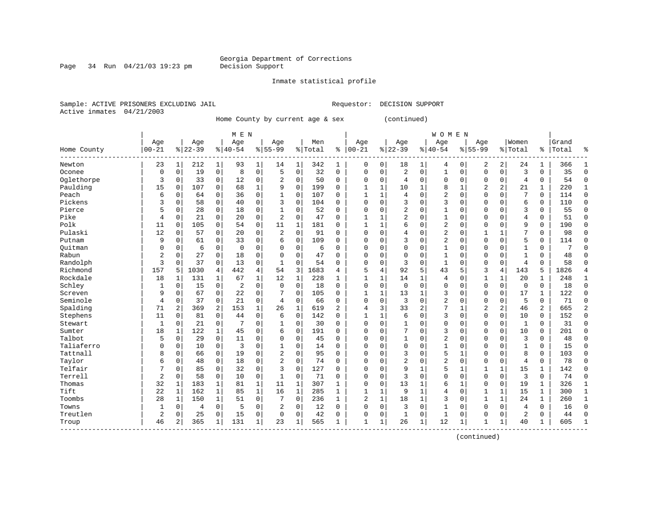Page 34 Run  $04/21/03$  19:23 pm

#### Inmate statistical profile

Sample: ACTIVE PRISONERS EXCLUDING JAIL Requestor: DECISION SUPPORT Active inmates 04/21/2003

Home County by current age & sex (continued)

|             |                | M E N       |           |              |                |              |                |              |         |                |              |          |                |                | <b>WOMEN</b>   |              |                |                |              |              |       |              |
|-------------|----------------|-------------|-----------|--------------|----------------|--------------|----------------|--------------|---------|----------------|--------------|----------|----------------|----------------|----------------|--------------|----------------|----------------|--------------|--------------|-------|--------------|
|             | Age            |             | Age       |              | Age            |              | Age            |              | Men     |                | Age          |          | Age            |                | Age            |              | Age            |                | Women        |              | Grand |              |
| Home County | $00 - 21$      |             | $8 22-39$ |              | $8 40-54$      |              | $8155 - 99$    |              | % Total | ႜ              | $00 - 21$    |          | $ 22-39$       |                | $ 40-54$       |              | $8155 - 99$    |                | % Total      | ႜ            | Total | å            |
| Newton      | 23             | 1           | 212       | 1            | 93             | 1            | 14             | 1            | 342     | 1              | $\mathbf 0$  | 0        | 18             | 1              | 4              | 0            | 2              | 2              | 24           | 1            | 366   |              |
| Oconee      | $\mathbf 0$    | $\mathbf 0$ | 19        | 0            | 8              | 0            | 5              | $\mathbf 0$  | 32      | $\mathbf 0$    | $\Omega$     | 0        | $\overline{2}$ | $\mathbf 0$    | $\mathbf{1}$   | $\mathbf 0$  | $\mathbf 0$    | $\mathbf 0$    | 3            | 0            | 35    | $\Omega$     |
| Oglethorpe  | 3              | $\mathbf 0$ | 33        | $\mathbf 0$  | 12             | 0            | 2              | $\mathbf 0$  | 50      | $\Omega$       | $\Omega$     | 0        | 4              | $\Omega$       | $\Omega$       | $\Omega$     | $\Omega$       | $\Omega$       | 4            | 0            | 54    | ∩            |
| Paulding    | 15             | 0           | 107       | $\Omega$     | 68             | 1            | 9              | $\mathbf 0$  | 199     | $\Omega$       | 1            | 1        | 10             |                | 8              | $\mathbf{1}$ | 2              | $\mathbf{2}$   | 21           | 1            | 220   |              |
| Peach       | 6              | 0           | 64        | 0            | 36             | 0            |                | $\mathbf 0$  | 107     | $\Omega$       | $\mathbf{1}$ | 1        | 4              | $\Omega$       | $\overline{2}$ | $\mathbf 0$  | $\Omega$       | $\Omega$       | 7            | 0            | 114   | $\Omega$     |
| Pickens     | 3              | $\mathbf 0$ | 58        | 0            | 40             | 0            | 3              | $\Omega$     | 104     | $\Omega$       | $\Omega$     | 0        | 3              | $\Omega$       | 3              | $\sqrt{ }$   | $\Omega$       | $\Omega$       | 6            | 0            | 110   | $\Omega$     |
| Pierce      | 5              | 0           | 28        | 0            | 18             | 0            |                | 0            | 52      | $\Omega$       | $\Omega$     | 0        | 2              | $\Omega$       | 1              | $\sqrt{ }$   | $\Omega$       | $\Omega$       | 3            | 0            | 55    | $\Omega$     |
| Pike        | 4              | 0           | 21        | $\mathbf 0$  | 20             | 0            | $\overline{2}$ | $\mathbf 0$  | 47      | 0              | $\mathbf{1}$ | 1        | 2              | $\Omega$       | $\mathbf{1}$   | $\Omega$     | $\Omega$       | $\Omega$       | 4            | 0            | 51    | $\Omega$     |
| Polk        | 11             | $\mathbf 0$ | 105       | 0            | 54             | 0            | 11             | 1            | 181     | 0              | $\mathbf{1}$ | 1        | 6              | $\Omega$       | $\overline{2}$ | C            | $\Omega$       | $\Omega$       | 9            | 0            | 190   | <sup>0</sup> |
| Pulaski     | 12             | $\mathbf 0$ | 57        | 0            | 20             | 0            | $\overline{2}$ | $\Omega$     | 91      | $\Omega$       | $\Omega$     | $\Omega$ | 4              | $\Omega$       | $\overline{2}$ | C            |                |                | 7            | 0            | 98    | ſ            |
| Putnam      | 9              | $\mathbf 0$ | 61        | $\Omega$     | 33             | 0            | 6              | $\mathbf 0$  | 109     | $\Omega$       | $\Omega$     | O        | 3              | $\Omega$       | $\overline{2}$ | $\sqrt{ }$   | $\Omega$       | $\Omega$       | 5            | 0            | 114   | ∩            |
| Ouitman     | 0              | 0           | 6         | $\mathbf 0$  | $\mathbf 0$    | 0            | $\Omega$       | $\mathbf 0$  | 6       | 0              | $\Omega$     | $\Omega$ | $\Omega$       | 0              | 1              | C            | $\Omega$       | $\Omega$       | -1           | 0            | 7     | ſ            |
| Rabun       | $\overline{2}$ | $\mathbf 0$ | 27        | $\mathbf 0$  | 18             | 0            | $\Omega$       | $\mathbf 0$  | 47      | $\Omega$       | $\Omega$     | 0        | $\Omega$       | $\Omega$       | 1              | C            | $\Omega$       | $\Omega$       | $\mathbf{1}$ | 0            | 48    | ∩            |
| Randolph    | 3              | $\mathbf 0$ | 37        | 0            | 13             | 0            | $\mathbf{1}$   | $\mathbf 0$  | 54      | $\Omega$       | $\Omega$     | 0        | 3              | $\Omega$       | $\mathbf{1}$   | C            | $\Omega$       | $\mathbf 0$    | 4            | $\Omega$     | 58    | ſ            |
| Richmond    | 157            | 5           | 1030      | 4            | 442            | 4            | 54             | 3            | 1683    | 4              | 5            | 4        | 92             | 5              | 43             | 5            | 3              | $\overline{4}$ | 143          | 5            | 1826  |              |
| Rockdale    | 18             | 1           | 131       | 1            | 67             | 1            | 12             | 1            | 228     | $\mathbf{1}$   | 1            | 1        | 14             | 1              | 4              | $\Omega$     | $\mathbf{1}$   | 1              | 20           | 1            | 248   | $\mathbf{1}$ |
| Schley      | 1              | $\mathbf 0$ | 15        | $\mathbf 0$  | $\overline{2}$ | 0            | $\Omega$       | $\mathbf 0$  | 18      | 0              | $\Omega$     | 0        | $\mathbf 0$    | $\Omega$       | 0              | $\Omega$     | $\Omega$       | $\mathbf 0$    | $\mathbf 0$  | 0            | 18    | $\Omega$     |
| Screven     | 9              | 0           | 67        | 0            | 22             | 0            |                | $\mathbf 0$  | 105     | $\Omega$       | $\mathbf{1}$ | 1        | 13             | $\mathbf{1}$   | 3              | $\Omega$     | $\Omega$       | $\mathbf 0$    | 17           | 1            | 122   | $\Omega$     |
| Seminole    | 4              | $\mathbf 0$ | 37        | 0            | 21             | 0            | 4              | $\mathbf 0$  | 66      | $\Omega$       | $\Omega$     | 0        | 3              | $\Omega$       | $\overline{2}$ | $\sqrt{ }$   | $\Omega$       | $\Omega$       | 5            | 0            | 71    | $\cap$       |
| Spalding    | 71             | 2           | 369       | 2            | 153            | 1            | 26             | $\mathbf{1}$ | 619     | $\overline{a}$ | 4            | 3        | 33             | $\overline{2}$ | 7              | -1           | $\overline{c}$ | 2              | 46           | 2            | 665   |              |
| Stephens    | 11             | 0           | 81        | $\mathbf 0$  | 44             | 0            | 6              | $\mathbf 0$  | 142     | 0              | 1            |          | 6              | $\mathbf 0$    | 3              | $\Omega$     | $\Omega$       | $\mathbf 0$    | 10           | 0            | 152   | $\Omega$     |
| Stewart     | 1              | $\mathbf 0$ | 21        | $\mathbf 0$  | 7              | 0            |                | $\mathbf 0$  | 30      | $\Omega$       | $\Omega$     | 0        |                | $\Omega$       | 0              | $\Omega$     | 0              | $\Omega$       | 1            | 0            | 31    | <sup>0</sup> |
| Sumter      | 18             | 1           | 122       | $\mathbf 1$  | 45             | 0            | 6              | $\mathbf 0$  | 191     | $\Omega$       | 0            | 0        |                | $\Omega$       | 3              | $\Omega$     | $\Omega$       | $\Omega$       | 10           | 0            | 201   | Ω            |
| Talbot      | 5              | 0           | 29        | $\mathbf 0$  | 11             | 0            | $\Omega$       | $\mathbf 0$  | 45      | $\Omega$       | $\Omega$     | 0        | $\mathbf{1}$   | $\Omega$       | $\overline{2}$ | $\Omega$     | $\Omega$       | $\Omega$       | 3            | 0            | 48    | $\Omega$     |
| Taliaferro  | $\Omega$       | $\mathbf 0$ | 10        | 0            | 3              | 0            | 1              | $\Omega$     | 14      | $\Omega$       | $\Omega$     | O        | $\Omega$       | $\Omega$       | $\mathbf{1}$   | C            | $\Omega$       | $\Omega$       | $\mathbf{1}$ | $\Omega$     | 15    | $\Omega$     |
| Tattnall    | 8              | $\mathbf 0$ | 66        | 0            | 19             | 0            | 2              | 0            | 95      | $\Omega$       | $\Omega$     | O        | 3              | $\Omega$       | 5              |              | $\Omega$       | $\Omega$       | 8            | 0            | 103   | $\Omega$     |
| Taylor      | 6              | $\mathbf 0$ | 48        | 0            | 18             | 0            | $\overline{2}$ | $\mathbf 0$  | 74      | $\Omega$       | $\Omega$     | O        | $\overline{2}$ | $\Omega$       | $\overline{2}$ | $\Omega$     | $\Omega$       | 0              | 4            | 0            | 78    | $\Omega$     |
| Telfair     |                | $\mathbf 0$ | 85        | 0            | 32             | 0            | 3              | $\Omega$     | 127     | 0              | $\Omega$     | 0        | 9              | 1              | 5              | $\mathbf{1}$ |                | 1              | 15           | $\mathbf{1}$ | 142   | <sup>0</sup> |
| Terrell     | $\overline{2}$ | $\mathbf 0$ | 58        | 0            | 10             | 0            | $\mathbf{1}$   | 0            | 71      | $\Omega$       | $\Omega$     | O        | ζ              | $\Omega$       | $\Omega$       | $\sqrt{ }$   | $\Omega$       | $\Omega$       | 3            | 0            | 74    | ∩            |
| Thomas      | 32             | 1           | 183       | 1            | 81             | $\mathbf{1}$ | 11             | 1            | 307     | $\mathbf{1}$   | $\Omega$     | 0        | 13             | 1              | 6              | -1           | $\Omega$       | $\mathbf 0$    | 19           | 1            | 326   | -1           |
| Tift        | 22             | 1           | 162       | $\mathbf{1}$ | 85             | $\mathbf 1$  | 16             | $\mathbf{1}$ | 285     | 1              | 1            | 1        | 9              | 1              | $\overline{4}$ | 0            |                | 1              | 15           | 1            | 300   | $\mathbf{1}$ |
| Toombs      | 28             | 1           | 150       | $\mathbf{1}$ | 51             | 0            |                | $\mathbf 0$  | 236     | $\mathbf{1}$   | 2            | 1        | 18             | 1              | 3              | $\Omega$     | $\mathbf{1}$   | $\mathbf{1}$   | 24           | $\mathbf{1}$ | 260   | $\mathbf{1}$ |
| Towns       | 1              | 0           | 4         | 0            | 5              | 0            | 2              | 0            | 12      | $\Omega$       | $\Omega$     | 0        | 3              | $\mathbf 0$    | $\mathbf{1}$   | $\sqrt{ }$   | $\Omega$       | $\Omega$       | 4            | 0            | 16    | $\Omega$     |
| Treutlen    | $\overline{2}$ | $\mathbf 0$ | 25        | 0            | 15             | 0            | $\Omega$       | $\Omega$     | 42      | $\Omega$       | $\Omega$     | 0        | 1              | 0              | 1              | C            | $\Omega$       | $\Omega$       | 2            | 0            | 44    | $\sqrt{ }$   |
| Troup       | 46             | 2           | 365       | 1            | 131            | 1            | 23             | 1            | 565     | 1              | $\mathbf{1}$ | 1        | 26             | 1              | 12             | -1           | 1              | 1              | 40           | 1            | 605   |              |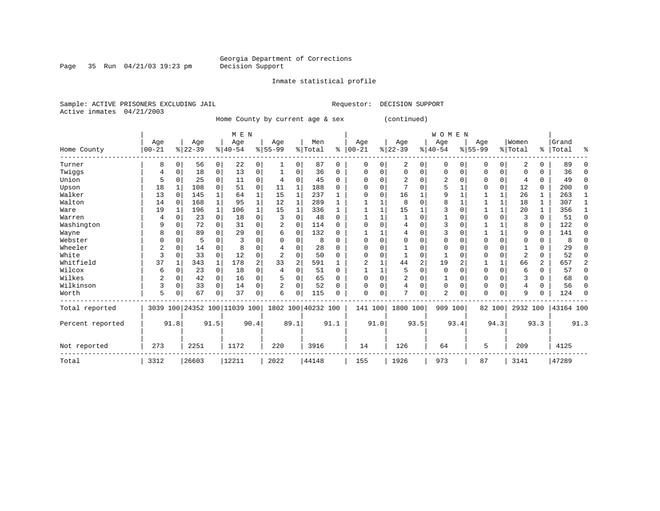Inmate statistical profile

Sample: ACTIVE PRISONERS EXCLUDING JAIL Requestor: DECISION SUPPORT Active inmates 04/21/2003

Home County by current age & sex (continued)

|                  |           |             |           |              | M E N                        |          |             |                |                    |          |              |          |          |                | W O M E N      |          |             |              |                          |          |           |          |
|------------------|-----------|-------------|-----------|--------------|------------------------------|----------|-------------|----------------|--------------------|----------|--------------|----------|----------|----------------|----------------|----------|-------------|--------------|--------------------------|----------|-----------|----------|
|                  | Age       |             | Age       |              | Age                          |          | Age         |                | Men                |          | Age          |          | Age      |                | Age            |          | Age         |              | Women                    |          | Grand     |          |
| Home County      | $00 - 21$ |             | $8 22-39$ |              | $8 40-54$                    |          | $8155 - 99$ |                | % Total            | ⊱        | $ 00 - 21$   |          | $ 22-39$ |                | $ 40-54$       |          | $8155 - 99$ |              | % Total                  |          | %   Total | ႜ        |
| Turner           | 8         | 0           | 56        | 0            | 22                           | 0        | 1           | 0              | 87                 | 0        | $\Omega$     | 0        | 2        | 0              | 0              | $\Omega$ | 0           | $\Omega$     | 2                        | 0        | 89        |          |
| Twiggs           | 4         | 0           | 18        | 0            | 13                           | 0        |             | 0              | 36                 | $\Omega$ | <sup>0</sup> | O        | $\Omega$ | 0              | 0              | 0        | $\Omega$    | 0            | <sup>0</sup>             | 0        | 36        | ∩        |
| Union            | 5         | $\Omega$    | 25        | 0            | 11                           | 0        | 4           | 0              | 45                 | $\Omega$ | ∩            |          | 2        | U              |                |          | O           | 0            | 4                        | 0        | 49        | $\Omega$ |
| Upson            | 18        |             | 108       | $\Omega$     | 51                           | 0        | 11          | 1              | 188                | 0        |              | U        |          | O              |                |          |             | 0            | 12                       | 0        | 200       | $\Omega$ |
| Walker           | 13        | $\Omega$    | 145       | 1            | 64                           |          | 15          | 1              | 237                |          | ∩            | $\Omega$ | 16       |                | 9              |          |             | 1            | 26                       | 1        | 263       |          |
| Walton           | 14        | 0           | 168       | $\mathbf{1}$ | 95                           |          | 12          | 1              | 289                |          |              |          | 8        | 0              | 8              |          |             | $\mathbf{1}$ | 18                       | 1        | 307       |          |
| Ware             | 19        | 1           | 196       | 1            | 106                          |          | 15          | 1              | 336                |          |              |          | 15       |                |                | $\Omega$ |             | 1            | 20                       | 1        | 356       |          |
| Warren           | 4         | $\Omega$    | 23        | 0            | 18                           | 0        |             | $\Omega$       | 48                 | $\Omega$ |              |          |          | O              |                | $\Omega$ | $\Omega$    | $\Omega$     | 3                        | $\Omega$ | 51        | $\Omega$ |
| Washington       | 9         | $\Omega$    | 72        | $\Omega$     | 31                           | $\Omega$ |             | $\Omega$       | 114                | $\Omega$ |              |          | 4        | O              | 3              | $\Omega$ |             |              | 8                        | $\Omega$ | 122       | $\Omega$ |
| Wayne            | 8         | $\Omega$    | 89        | U            | 29                           | 0        | 6           | 0              | 132                | 0        |              |          | 4        | O              |                | $\Omega$ |             | $\mathbf{1}$ | 9                        | 0        | 141       | ∩        |
| Webster          |           | $\Omega$    | 5         | U            | 3                            | N        |             | 0              | 8                  | $\Omega$ |              | $\Omega$ |          | O              |                | $\Omega$ | U           | $\Omega$     | 0                        | 0        |           |          |
| Wheeler          |           | $\Omega$    | 14        | $\Omega$     | 8                            |          |             | $\Omega$       | 28                 | O        | <sup>0</sup> |          |          | O              | $\Omega$       | $\Omega$ | $\Omega$    | $\Omega$     |                          | 0        | 29        |          |
| White            | 3         | 0           | 33        | $\Omega$     | 12                           | 0        |             | $\Omega$       | 50                 | $\Omega$ | ∩            | O        |          | 0              |                | $\Omega$ | O           | $\Omega$     | $\overline{\mathcal{L}}$ | 0        | 52        | ∩        |
| Whitfield        | 37        |             | 343       | $\mathbf{1}$ | 178                          | 2        | 33          | $\overline{a}$ | 591                |          | 2            |          | 44       | $\overline{2}$ | 19             | 2        |             | $\mathbf{1}$ | 66                       | 2        | 657       | 2        |
| Wilcox           | 6         | 0           | 23        | 0            | 18                           | 0        | 4           | $\Omega$       | 51                 | $\Omega$ |              |          | 5        | 0              | $\Omega$       | $\Omega$ | 0           | 0            | 6                        | 0        | 57        | ∩        |
| Wilkes           | 2         | $\mathbf 0$ | 42        | 0            | 16                           | 0        |             | $\Omega$       | 65                 | $\Omega$ |              | $\Omega$ | 2        | 0              |                | $\Omega$ | $\Omega$    | $\Omega$     | 3                        | U        | 68        |          |
| Wilkinson        | 3         | $\mathbf 0$ | 33        | $\Omega$     | 14                           | $\Omega$ | 2           | $\Omega$       | 52                 | O        | <sup>0</sup> | $\Omega$ | 4        | 0              | $\Omega$       | $\Omega$ | $\Omega$    | $\Omega$     | 4                        | $\Omega$ | 56        | n        |
| Worth            | 5         |             | 67        | 0            | 37                           | 0        | 6           | $\Omega$       | 115                | 0        | $\Omega$     | 0        | 7        | 0              | $\overline{2}$ | $\Omega$ | $\Omega$    | $\Omega$     | 9                        | 0        | 124       | ∩        |
| Total reported   |           |             |           |              | 3039 100 24352 100 11039 100 |          |             |                | 1802 100 40232 100 |          | 141 100      |          | 1800 100 |                | 909 100        |          |             | 82 100       | 2932 100                 |          | 43164 100 |          |
| Percent reported |           | 91.8        | 91.5      |              |                              | 90.4     |             | 89.1           |                    | 91.1     |              | 91.0     |          | 93.5           |                | 93.4     |             | 94.3         |                          | 93.3     |           | 91.3     |
| Not reported     | 273       |             | 2251      |              | 1172                         |          | 220         |                | 3916               |          | 14           |          | 126      |                | 64             |          | 5           |              | 209                      |          | 4125      |          |
| Total            | 3312      |             | 26603     |              | 12211                        |          | 2022        |                | 44148              |          | 155          |          | 1926     |                | 973            |          | 87          |              | 3141                     |          | 47289     |          |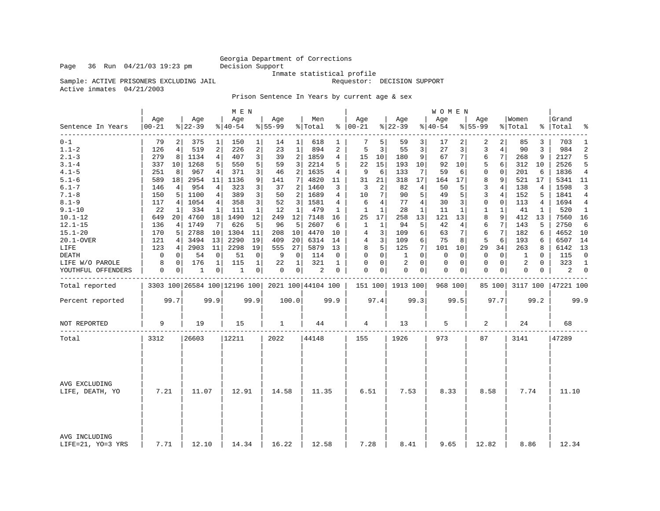### Georgia Department of Corrections<br>Decision Support

Sample: ACTIVE PRISONERS EXCLUDING JAIL

Inmate statistical profile<br>Requestor: DECISION SUPPORT

Active inmates 04/21/2003

Prison Sentence In Years by current age & sex

|                                    |              |                |                 |                | M E N            |                |                  |                |                                                 |          |                      |                |                  |                | W O M E N       |              |                    |                |                  |              |                    |                |
|------------------------------------|--------------|----------------|-----------------|----------------|------------------|----------------|------------------|----------------|-------------------------------------------------|----------|----------------------|----------------|------------------|----------------|-----------------|--------------|--------------------|----------------|------------------|--------------|--------------------|----------------|
| Sentence In Years                  | Age<br>00-21 |                | Age<br>$ 22-39$ |                | Age<br>$8 40-54$ |                | Age<br>$8 55-99$ |                | Men<br>% Total                                  |          | Age<br>$8   00 - 21$ |                | Age<br>$ 22-39$  |                | Age<br>$ 40-54$ |              | Age<br>$8 55 - 99$ |                | Women<br>% Total |              | Grand<br>%   Total | ႜ              |
| --------<br>$0 - 1$                | 79           | $\overline{2}$ | 375             | 1              | 150              | $\mathbf{1}$   | 14               | $1\vert$       | 618                                             | 1        | 7                    | 5              | 59               | 3              | 17              | 2            | 2                  | 2              | 85               | 3            | 703                | $\mathbf{1}$   |
| $1.1 - 2$                          | 126          | 4              | 519             | 2              | 226              | 2              | 23               | $\mathbf{1}$   | 894                                             | 2        | 5                    | 3              | 55               | 3              | 27              | 3            | 3                  | $\overline{4}$ | 90               | 3            | 984                | $\overline{2}$ |
| $2.1 - 3$                          | 279          | 8              | 1134            | $\overline{4}$ | 407              | 3              | 39               | 2              | 1859                                            | 4        | 15                   | 10             | 180              | 9              | 67              | 7            | 6                  | 7              | 268              | 9            | 2127               | 5              |
| $3.1 - 4$                          | 337          | 10             | 1268            | 5              | 550              | 5              | 59               | 3              | 2214                                            | 5        | 22                   | 15             | 193              | 10             | 92              | 10           | 5                  | 6              | 312              | 10           | 2526               | 5              |
| $4.1 - 5$                          | 251          | 8              | 967             | 4              | 371              | 3 <sup>1</sup> | 46               | 2              | 1635                                            | 4        | 9                    | 6              | 133              | 7              | 59              | 6            | $\mathbf{0}$       | $\mathbf 0$    | 201              | 6            | 1836               | $\overline{4}$ |
| $5.1 - 6$                          | 589          | 18             | 2954            | 11             | 1136             | 9 <sup>1</sup> | 141              | $\overline{7}$ | 4820                                            | 11       | 31                   | 21             | 318              | 17             | 164             | 17           | 8                  | 9              | 521              | 17           | 5341 11            |                |
| $6.1 - 7$                          | 146          | 4              | 954             | 4              | 323              | 3              | 37               | 2              | 1460                                            | 3        | 3                    | 2              | 82               | 4              | 50              | 5            | 3                  | $\overline{4}$ | 138              | 4            | 1598               | 3              |
| $7.1 - 8$                          | 150          | 5              | 1100            | 4              | 389              | 3              | 50               | 2              | 1689                                            | 4        | 10                   | 7              | 90               | 5              | 49              | 5            | $\overline{3}$     | $\overline{4}$ | 152              | 5            | 1841               | $\overline{4}$ |
| $8.1 - 9$                          | 117          | 4              | 1054            | 4 <sup>1</sup> | 358              | 3              | 52               | 3              | 1581                                            | 4        | 6                    | 4              | 77               | $\overline{4}$ | 30              | 3            | $\Omega$           | $\Omega$       | 113              | 4            | 1694               | 4              |
| $9.1 - 10$                         | 22           | 1              | 334             | 1              | 111              | $\mathbf{1}$   | 12               | $\mathbf{1}$   | 479                                             | 1        | $\mathbf{1}$         | $\mathbf{1}$   | 28               | $\mathbf{1}$   | 11              | $\mathbf{1}$ | $\mathbf{1}$       | $\mathbf{1}$   | 41               | $\mathbf{1}$ | 520                | $\mathbf{1}$   |
| $10.1 - 12$                        | 649          | 20             | 4760            | 18             | 1490             | 12             | 249              | 12             | 7148                                            | 16       | 25                   | 17             | 258              | 13             | 121             | 13           | 8                  | 9              | 412              | 13           | 7560               | 16             |
| $12.1 - 15$                        | 136          | 4              | 1749            | 7              | 626              | 5              | 96               | 5              | 2607                                            | 6        | 1                    | 1              | 94               | 5              | 42              | 4            | 6                  | 7              | 143              | 5            | 2750               | 6              |
| $15.1 - 20$                        | 170          | 5              | 2788            | 10             | 1304             | 11             | 208              | 10             | 4470                                            | 10       | 4                    | 3              | 109              | 6              | 63              | 7            | 6                  | 7              | 182              | 6            | 4652               | 10             |
| 20.1-OVER                          | 121          | 4              | 3494            | 13             | 2290             | 19             | 409              | 20             | 6314                                            | 14       | 4                    | 3              | 109              | 6              | 75              | 8            | 5                  | 6              | 193              | 6            | 6507               | 14             |
| LIFE                               | 123          | 4              | 2903            | 11             | 2298             | 19             | 555              | 27             | 5879                                            | 13       | 8                    | 5              | 125              | 7              | 101             | 10           | 29                 | 34             | 263              | 8            | 6142               | 13             |
| <b>DEATH</b>                       | $\mathbf 0$  | 0              | 54              | $\mathbf 0$    | 51               | $\Omega$       | 9                | $\mathbf 0$    | 114                                             | $\Omega$ | $\Omega$             | $\Omega$       | 1                | $\Omega$       | 0               | $\Omega$     | $\Omega$           | $\Omega$       | 1                | $\Omega$     | 115                | $\Omega$       |
| LIFE W/O PAROLE                    | 8            | $\Omega$       | 176             | $\mathbf 1$    | 115              | $\mathbf 1$    | 22               | 1              | 321                                             | 1        | $\mathbf 0$          | 0              | $\overline{2}$   | $\Omega$       | $\mathbf 0$     | 0            | $\mathbf{0}$       | $\mathbf 0$    | 2                | $\Omega$     | 323                | $\mathbf{1}$   |
| YOUTHFUL OFFENDERS                 | 0            | $\overline{0}$ | 1               | $\overline{0}$ | 1                | 0 <sup>1</sup> | 0                | 0 <sup>1</sup> | $\overline{c}$                                  | 0        | 0                    | 0 <sup>1</sup> | 0                | $\overline{0}$ | 0               | 0            | $\mathbf 0$        | $\mathbf{0}$   | 0                | 0            | 2                  | $\mathbf 0$    |
| Total reported                     |              |                |                 |                |                  |                |                  |                | 3303 100 26584 100 12196 100 2021 100 44104 100 |          |                      |                | 151 100 1913 100 |                | 968 100         |              |                    | 85 100         | 3117 100         |              | 47221 100          |                |
| Percent reported                   |              | 99.7           |                 | 99.9           |                  | 99.9           |                  | 100.0          |                                                 | 99.9     |                      | 97.4           |                  | 99.3           |                 | 99.5         |                    | 97.7           |                  | 99.2         |                    | 99.9           |
| NOT REPORTED                       | 9            |                | 19              |                | 15               |                | 1                |                | 44                                              |          | 4                    |                | 13               |                | 5               |              | 2                  |                | 24               |              | 68                 |                |
| Total                              | 3312         |                | 26603           |                | 12211            |                | 2022             |                | 44148                                           |          | 155                  |                | 1926             |                | 973             |              | 87                 |                | 3141             |              | 47289              |                |
|                                    |              |                |                 |                |                  |                |                  |                |                                                 |          |                      |                |                  |                |                 |              |                    |                |                  |              |                    |                |
| AVG EXCLUDING<br>LIFE, DEATH, YO   | 7.21         |                | 11.07           |                | 12.91            |                | 14.58            |                | 11.35                                           |          | 6.51                 |                | 7.53             |                | 8.33            |              | 8.58               |                | 7.74             |              | 11.10              |                |
| AVG INCLUDING<br>LIFE=21, YO=3 YRS | 7.71         |                | 12.10           |                | 14.34            |                | 16.22            |                | 12.58                                           |          | 7.28                 |                | 8.41             |                | 9.65            |              | 12.82              |                | 8.86             |              | 12.34              |                |

Page 36 Run  $04/21/03$  19:23 pm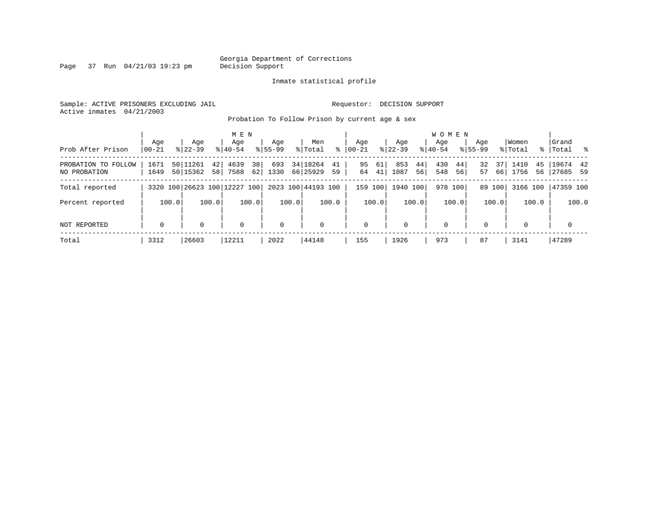Page 37 Run  $04/21/03$  19:23 pm

#### Inmate statistical profile

Sample: ACTIVE PRISONERS EXCLUDING JAIL **Requestor: DECISION SUPPORT** Active inmates 04/21/2003

Probation To Follow Prison by current age & sex

| Prob After Prison                   | Age<br>$00 - 21$ | Age<br>$8122 - 39$                | M E N<br>Age<br>$8140 - 54$  | Aqe<br>$8155 - 99$ | Men<br>ွေ<br>% Total             | Aqe<br>$ 00-21 $     | Aqe<br>$8122 - 39$      | <b>WOMEN</b><br>Aqe<br>$8140 - 54$ | Aqe<br>$8155 - 99$   | Women<br>% Total         | Grand<br>% Total %      |
|-------------------------------------|------------------|-----------------------------------|------------------------------|--------------------|----------------------------------|----------------------|-------------------------|------------------------------------|----------------------|--------------------------|-------------------------|
| PROBATION TO FOLLOW<br>NO PROBATION | 1671<br>1649     | 50 11261<br>421<br>50 15362<br>58 | 38<br>4639<br>62 <br>7588    | 693<br>1330        | 34 18264<br>41<br>66 25929<br>59 | 95<br>61<br>64<br>41 | 853<br>44<br>1087<br>56 | 430<br>44<br>548<br>56             | 32<br>37<br>57<br>66 | 1410<br>45<br>1756<br>56 | $19674$ 42<br> 27685 59 |
| Total reported                      |                  |                                   | 3320 100 26623 100 12227 100 |                    | 2023 100 44193 100               | 159 100              | 1940 100                | 978 100                            | 89 100               | 3166 100                 | 47359 100               |
| Percent reported                    | 100.0            | 100.0                             | 100.0                        | 100.0              | 100.0                            | 100.0                | 100.0                   | 100.0                              | 100.0                | 100.0                    | 100.0                   |
| NOT REPORTED                        | $\mathbf 0$      | 0                                 | $\mathbf 0$                  | $\mathbf 0$        | $\mathbf 0$                      | 0                    | 0                       | $\mathbf 0$                        | $\Omega$             | $\Omega$                 | $\mathbf 0$             |
| Total                               | 3312             | 26603                             | 12211                        | 2022               | 44148                            | 155                  | 1926                    | 973                                | 87                   | 3141                     | 47289                   |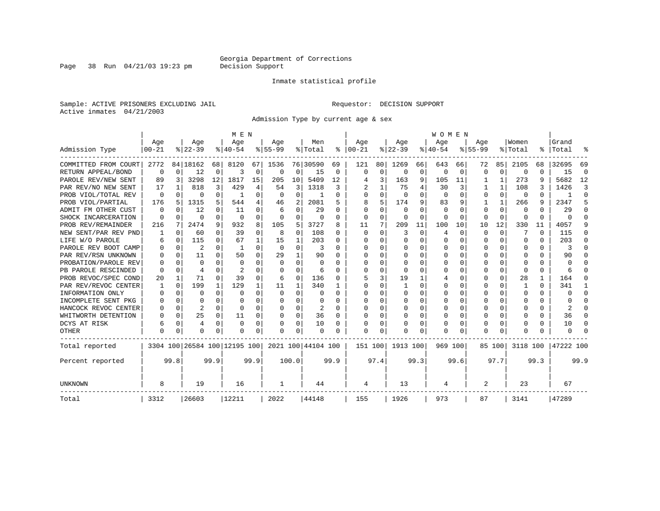Page 38 Run  $04/21/03$  19:23 pm

#### Inmate statistical profile

Sample: ACTIVE PRISONERS EXCLUDING JAIL **Requestor: DECISION SUPPORT** Active inmates 04/21/2003

Admission Type by current age & sex

|                      |            |          |                              |          | M E N     |          |              |              |                    |              |          |                 |          |          | <b>WOMEN</b> |              |             |          |              |          |                  |              |
|----------------------|------------|----------|------------------------------|----------|-----------|----------|--------------|--------------|--------------------|--------------|----------|-----------------|----------|----------|--------------|--------------|-------------|----------|--------------|----------|------------------|--------------|
|                      | Age        |          | Age                          |          | Age       |          | Aqe          |              | Men                |              | Age      |                 | Age      |          | Age          |              | Aqe         |          | Women        |          | Grand            |              |
| Admission Type       | $ 00 - 21$ |          | $8 22-39$                    |          | $8 40-54$ |          | $8 55-99$    |              | % Total            | ႜ            | $ 00-21$ |                 | $ 22-39$ |          | $ 40-54$     |              | $8155 - 99$ |          | % Total      | ႜ        | Total            |              |
| COMMITTED FROM COURT | 2772       |          | 84 18162                     | 68       | 8120      | 67       | 1536         | 76           | 30590              | 69           | 121      | 80 <sup>1</sup> | 1269     | 66       | 643          | 66           | 72          | 85       | 2105         | 68       | 32695            | 69           |
| RETURN APPEAL/BOND   | 0          | $\Omega$ | 12                           | $\Omega$ | 3         | $\Omega$ | $\Omega$     | 0            | 15                 | $\mathbf 0$  | $\Omega$ | $\mathbf 0$     | $\Omega$ | $\Omega$ | $\Omega$     | $\Omega$     | $\Omega$    | $\Omega$ | $\Omega$     | $\Omega$ | 15               | $\Omega$     |
| PAROLE REV/NEW SENT  | 89         | 3        | 3298                         | 12       | 1817      | 15       | 205          | 10           | 5409               | 12           |          | 3               | 163      | 9        | 105          | 11           |             |          | 273          | 9        | 5682             | 12           |
| PAR REV/NO NEW SENT  | 17         |          | 818                          | 3        | 429       | 4        | 54           | 3            | 1318               | 3            |          |                 | 75       | 4        | 30           | 3            |             |          | 108          | 3        | 1426             | 3            |
| PROB VIOL/TOTAL REV  | 0          | 0        | 0                            | $\Omega$ |           |          | O            | 0            |                    | $\Omega$     |          | O               | $\Omega$ | $\Omega$ | 0            | 0            | $\Omega$    | 0        | 0            | 0        |                  | <sup>0</sup> |
| PROB VIOL/PARTIAL    | 176        | 5        | 1315                         | 5        | 544       |          | 46           | 2            | 2081               | 5            |          | 5.              | 174      | 9        | 83           | 9            |             |          | 266          | 9        | 2347             | 5            |
| ADMIT FM OTHER CUST  | $\Omega$   | 0        | 12                           | $\Omega$ | 11        | O        | 6            | 0            | 29                 | <sup>0</sup> | U        | 0               | $\Omega$ | $\Omega$ | 0            | <sup>0</sup> | $\Omega$    | $\Omega$ | $\Omega$     | 0        | 29               | n            |
| SHOCK INCARCERATION  | $\Omega$   | 0        | U                            | $\Omega$ | $\Omega$  | $\Omega$ | U            | 0            | $\Omega$           | $\Omega$     | ∩        | $\Omega$        | $\Omega$ | $\Omega$ | $\Omega$     | $\Omega$     | $\Omega$    | $\Omega$ | $\Omega$     | 0        | U                | ∩            |
| PROB REV/REMAINDER   | 216        | 7        | 2474                         | 9        | 932       | 8        | 105          | 5            | 3727               | 8            | 11       | 7               | 209      | 11       | 100          | 10           | 10          | 12       | 330          | 11       | 4057             |              |
| NEW SENT/PAR REV PND |            | $\Omega$ | 60                           | $\Omega$ | 39        | $\Omega$ | 8            | 0            | 108                | $\Omega$     | $\Omega$ | $\Omega$        | 3        | $\Omega$ | 4            | $\Omega$     | $\Omega$    | $\Omega$ |              | $\Omega$ | 115              | n            |
| LIFE W/O PAROLE      |            | $\Omega$ | 115                          | $\Omega$ | 67        |          | 15           | $\mathbf{1}$ | 203                | $\Omega$     |          | $\Omega$        | $\Omega$ | $\Omega$ | $\Omega$     | $\Omega$     | $\Omega$    | $\Omega$ | <sup>0</sup> | 0        | 203              | ∩            |
| PAROLE REV BOOT CAMP |            | $\Omega$ | $\overline{a}$               | O        | -1        | $\Omega$ | $\Omega$     | $\Omega$     | 3                  | $\Omega$     |          | $\Omega$        | 0        | $\Omega$ | 0            | $\Omega$     | $\Omega$    | $\Omega$ | 0            | 0        | 3                | ∩            |
| PAR REV/RSN UNKNOWN  |            | $\Omega$ | 11                           | $\Omega$ | 50        | O        | 29           | 1            | 90                 | <sup>0</sup> |          | $\Omega$        | $\Omega$ | $\Omega$ | O            | $\Omega$     | O           | $\Omega$ | O            | 0        | 90               |              |
| PROBATION/PAROLE REV |            | $\Omega$ | $\Omega$                     | U        | $\Omega$  | U        | O            | O            | $\Omega$           | $\Omega$     |          | O               | $\Omega$ | $\Omega$ | O            | $\Omega$     | $\Omega$    | $\Omega$ | <sup>0</sup> | 0        | U                |              |
| PB PAROLE RESCINDED  | O          | O        | 4                            | U        | 2         |          | U            | O            | 6                  | $\cap$       | U        | $\Omega$        | ∩        | U        | U            | $\Omega$     | ∩           | $\Omega$ | $\Omega$     | 0        | 6                |              |
| PROB REVOC/SPEC COND | 20         |          | 71                           | $\Omega$ | 39        | O        | 6            | 0            | 136                | O            |          | 3               | 19       | 1        |              | 0            | $\Omega$    | $\Omega$ | 28           | 1        | 164              |              |
| PAR REV/REVOC CENTER |            | 0        | 199                          | 1        | 129       |          | 11           | 1            | 340                |              |          | U               |          | O        | O            | <sup>0</sup> | O           |          |              | U        | 341              |              |
| INFORMATION ONLY     |            | 0        | U                            | $\Omega$ | $\Omega$  |          | <sup>0</sup> | 0            | $\Omega$           | $\Omega$     |          | U               | $\Omega$ | O        | 0            | $\Omega$     | $\Omega$    | U        | <sup>0</sup> | 0        | U                | $\Omega$     |
| INCOMPLETE SENT PKG  |            | $\Omega$ | U                            | U        |           |          | O            | 0            | $\Omega$           | <sup>0</sup> |          | U               | $\Omega$ | O        | 0            | $\Omega$     | $\Omega$    | $\Omega$ | O            | 0        | $\left( \right)$ | n            |
| HANCOCK REVOC CENTER | U          | 0        | 2                            | $\Omega$ | $\cap$    | O        | U            | 0            | 2                  | $\Omega$     |          | 0               | $\Omega$ | O        | O            | $\Omega$     | ∩           | $\Omega$ | n            | 0        | 2                | n            |
| WHITWORTH DETENTION  | U          | $\Omega$ | 25                           | $\Omega$ | 11        | 0        | 0            | $\Omega$     | 36                 | $\Omega$     |          | $\Omega$        | $\Omega$ | $\Omega$ | $\Omega$     | $\Omega$     | $\Omega$    | $\Omega$ |              | U        | 36               | ∩            |
| DCYS AT RISK         |            | $\Omega$ | 4                            | $\Omega$ | $\Omega$  | $\Omega$ | U            | 0            | 10                 | $\Omega$     |          | 0               | U        | $\Omega$ | O            | $\Omega$     | $\Omega$    | $\Omega$ |              | U        | 10               | ∩            |
| <b>OTHER</b>         | O          | 0        | U                            | $\Omega$ |           |          | U            | 0            | $\Omega$           | $\Omega$     | $\Omega$ | O               |          | 0        | O            | $\Omega$     | $\Omega$    | $\Omega$ |              | U        | U                |              |
| Total reported       |            |          | 3304 100 26584 100 12195 100 |          |           |          |              |              | 2021 100 44104 100 |              | 151 100  |                 | 1913 100 |          | 969 100      |              |             | 85 100   | 3118 100     |          | 47222 100        |              |
| Percent reported     |            | 99.8     |                              | 99.9     |           | 99.9     |              | 100.0        |                    | 99.9         |          | 97.4            |          | 99.3     |              | 99.6         |             | 97.7     |              | 99.3     |                  | 99.9         |
| UNKNOWN              | 8          |          | 19                           |          | 16        |          | 1            |              | 44                 |              | 4        |                 | 13       |          | 4            |              | 2           |          | 23           |          | 67               |              |
| Total                | 3312       |          | 26603                        |          | 12211     |          | 2022         |              | 44148              |              | 155      |                 | 1926     |          | 973          |              | 87          |          | 3141         |          | 47289            |              |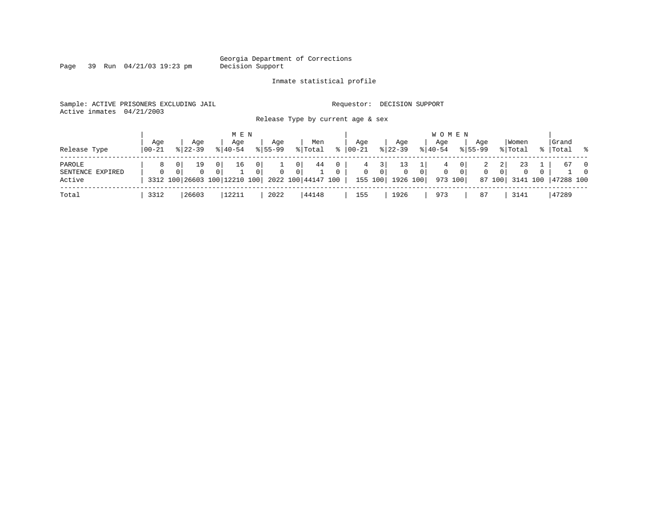Page 39 Run 04/21/03 19:23 pm

#### Inmate statistical profile

Sample: ACTIVE PRISONERS EXCLUDING JAIL **Requestor: DECISION SUPPORT** Active inmates 04/21/2003

Release Type by current age & sex

| Release Type                         | Age<br>  00-21 | Aqe<br>$8122 - 39$                   | M E N<br>Age<br>$8140 - 54$            | Age<br>$8155 - 99$                                                       | Men<br>% Total              | °≈                               | Aqe<br>$00 - 21$  | Aqe<br>$ 22-39 $                              | Age<br>$8140 - 54$ | <b>WOMEN</b><br>Aqe<br>$8155 - 99$ | Women<br>% Total                                                                      | Grand<br>%   Total % |                                  |
|--------------------------------------|----------------|--------------------------------------|----------------------------------------|--------------------------------------------------------------------------|-----------------------------|----------------------------------|-------------------|-----------------------------------------------|--------------------|------------------------------------|---------------------------------------------------------------------------------------|----------------------|----------------------------------|
| PAROLE<br>SENTENCE EXPIRED<br>Active | 8<br>$\Omega$  | 19<br>$\mathbf{0}$<br>$\overline{0}$ | 0 <sup>1</sup><br>16<br>0 <sup>1</sup> | 0 I<br>$\Omega$<br>01<br>3312 100 26603 100 12210 100 2022 100 44147 100 | 44<br>0 I<br>$\overline{0}$ | $\overline{0}$<br>$\overline{0}$ | 4<br>$\mathbf{0}$ | 0 <sup>1</sup><br>$\circ$<br>155 100 1926 100 | 0 <sup>1</sup>     | 4<br>0<br>- 0 I<br>973 100         | 21<br>23<br>2<br>$\mathbf{0}$<br>0 <sup>1</sup><br>$\mathbf{0}$<br>87 100<br>3141 100 | 67<br>47288 100      | $\overline{0}$<br>$\overline{0}$ |
| Total                                | 3312           | 26603                                | 12211                                  | 2022                                                                     | 44148                       |                                  | 155               | 1926                                          | 973                | 87                                 | 3141                                                                                  | 47289                |                                  |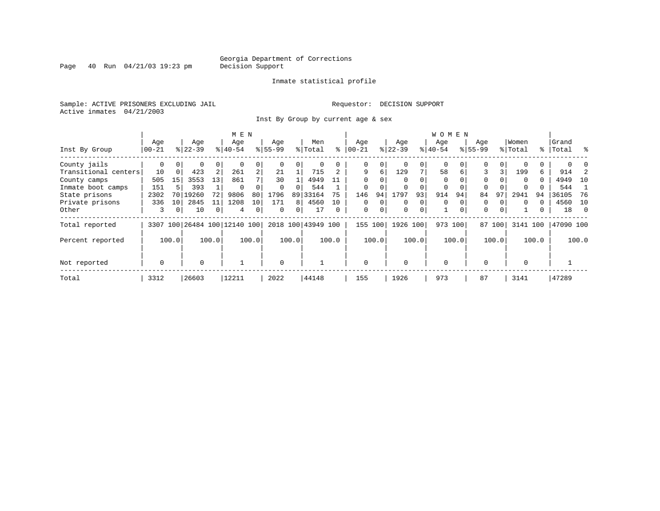Page 40 Run  $04/21/03$  19:23 pm

#### Inmate statistical profile

Sample: ACTIVE PRISONERS EXCLUDING JAIL **Requestor: DECISION SUPPORT** Active inmates 04/21/2003

Inst By Group by current age & sex

|                      |           |          |           |                | M E N                   |                |             |          |                    |          |             |          |          |          | <b>WOMEN</b> |          |             |          |          |       |           |       |
|----------------------|-----------|----------|-----------|----------------|-------------------------|----------------|-------------|----------|--------------------|----------|-------------|----------|----------|----------|--------------|----------|-------------|----------|----------|-------|-----------|-------|
|                      | Age       |          | Age       |                | Age                     |                | Age         |          | Men                |          | Aqe         |          | Age      |          | Age          |          | Age         |          | Women    |       | Grand     |       |
| Inst By Group        | $00 - 21$ |          | $8 22-39$ |                | $ 40-54 $               |                | $8155 - 99$ |          | % Total            | ႜ        | $ 00 - 21 $ |          | $ 22-39$ |          | $ 40-54$     |          | $8155 - 99$ |          | % Total  |       | %   Total | ွေ    |
| County jails         | 0         | $\Omega$ | 0         | 0              |                         | 0              |             | $\Omega$ | 0                  |          | 0           | $\Omega$ |          | $\Omega$ | $\Omega$     |          | $\Omega$    | $\Omega$ |          |       |           |       |
| Transitional centers | 10        | $\Omega$ | 423       | 2              | 261                     | $\overline{a}$ | 21          |          | 715                |          | 9           | 6        | 129      | 7        | 58           | 6        | 3           | 3        | 199      | 6     | 914       |       |
| County camps         | 505       | 15       | 3553      | 13             | 861                     |                | 30          |          | 4949               |          | $\Omega$    |          |          |          | $\Omega$     |          | $\Omega$    |          | $\Omega$ | 0     | 4949      | 10    |
| Inmate boot camps    | 151       |          | 393       |                | $\Omega$                |                | $\Omega$    | $\Omega$ | 544                |          | $\mathbf 0$ |          |          |          | 0            |          | $\Omega$    |          |          |       | 544       |       |
| State prisons        | 2302      | 70       | 19260     | 72             | 9806                    | 80             | 1796        | 89       | 33164              | 75       | 146         | 94       | 1797     | 93       | 914          | 94       | 84          | 97       | 2941     | 94    | 36105     | 76    |
| Private prisons      | 336       | 10       | 2845      | 11             | 1208                    | 10             | 171         | 8        | 4560               | 10       | 0           | $\Omega$ | $\Omega$ | 0        | $\Omega$     |          | 0           |          | $\Omega$ |       | 4560      | 10    |
| Other                | 3         | 0        | 10        | $\overline{0}$ | 4                       | 0              | $\Omega$    | 0        | 17                 | $\Omega$ | $\mathbf 0$ | 0        | $\Omega$ | 0        |              | $\Omega$ | $\Omega$    | $\Omega$ |          | 0     | 18        | - 0   |
| Total reported       | 3307      |          |           |                | 100 26484 100 12140 100 |                |             |          | 2018 100 43949 100 |          | 155         | 100      | 1926     | 100      | 973 100      |          | 87          | 100      | 3141     | 100   | 47090 100 |       |
| Percent reported     |           | 100.0    |           | 100.0          |                         | 100.0          |             | 100.0    |                    | 100.0    |             | 100.0    |          | 100.0    |              | 100.0    |             | 100.0    |          | 100.0 |           | 100.0 |
| Not reported         | 0         |          | $\Omega$  |                |                         |                | $\Omega$    |          |                    |          | $\mathbf 0$ |          | $\Omega$ |          | $\Omega$     |          | $\cap$      |          | $\Omega$ |       |           |       |
| Total                | 3312      |          | 26603     |                | 12211                   |                | 2022        |          | 44148              |          | 155         |          | 1926     |          | 973          |          | 87          |          | 3141     |       | 47289     |       |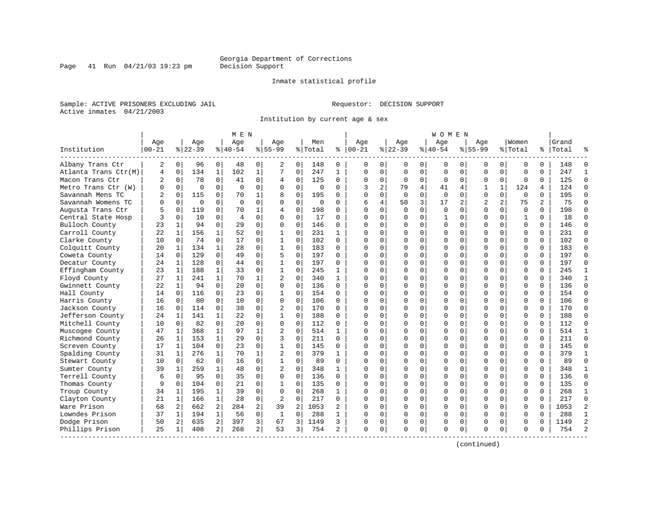Inmate statistical profile

Sample: ACTIVE PRISONERS EXCLUDING JAIL **Requestor: DECISION SUPPORT** Active inmates 04/21/2003

Page 41 Run  $04/21/03$  19:23 pm

Institution by current age & sex

|                      |                  |                |                  |                | M E N            |                |                    |                |                |              |                 |                |                  |             | <b>WOMEN</b>       |             |                    |                |                  |          |                |                |
|----------------------|------------------|----------------|------------------|----------------|------------------|----------------|--------------------|----------------|----------------|--------------|-----------------|----------------|------------------|-------------|--------------------|-------------|--------------------|----------------|------------------|----------|----------------|----------------|
| Institution          | Age<br>$00 - 21$ |                | Age<br>$8 22-39$ |                | Age<br>$8 40-54$ |                | Aqe<br>$8155 - 99$ |                | Men<br>% Total | ៖            | Aqe<br>$ 00-21$ |                | Aqe<br>$8 22-39$ |             | Aqe<br>$8140 - 54$ |             | Aqe<br>$8155 - 99$ |                | Women<br>% Total | %        | Grand<br>Total |                |
| Albany Trans Ctr     | 2                | 0              | 96               | 0              | 48               | 0              | 2                  | 0              | 148            | 0            | 0               | 0              | 0                | 0           | 0                  | 0           | 0                  | 0              | 0                | $\Omega$ | 148            | $\Omega$       |
| Atlanta Trans Ctr(M) | 4                | $\mathbf 0$    | 134              | $\mathbf{1}$   | 102              | $\mathbf{1}$   | 7                  | $\mathbf 0$    | 247            | $\mathbf{1}$ | $\Omega$        | $\mathbf 0$    | $\mathbf 0$      | $\mathbf 0$ | $\Omega$           | $\mathbf 0$ | $\mathbf 0$        | $\Omega$       | $\mathbf 0$      | $\Omega$ | 247            | $\mathbf{1}$   |
| Macon Trans Ctr      | 2                | 0              | 78               | 0              | 41               | 0              | 4                  | 0              | 125            | 0            | $\Omega$        | $\mathbf{0}$   | 0                | 0           | $\mathbf 0$        | $\mathbf 0$ | 0                  | 0              | $\mathbf 0$      | 0        | 125            | $\Omega$       |
| Metro Trans Ctr (W)  | 0                | $\Omega$       | $\Omega$         | $\Omega$       | $\Omega$         | $\mathbf 0$    | $\Omega$           | $\mathbf 0$    | $\Omega$       | 0            | 3               | $\overline{a}$ | 79               | 4           | 41                 | 4           | $\mathbf{1}$       | $\mathbf{1}$   | 124              | 4        | 124            | $\Omega$       |
| Savannah Mens TC     | 2                | $\Omega$       | 115              | 0              | 70               | 1              | 8                  | $\Omega$       | 195            | 0            | $\cap$          | 0              | $\Omega$         | $\Omega$    | $\Omega$           | $\Omega$    | $\Omega$           | $\Omega$       | $\Omega$         | $\Omega$ | 195            | $\Omega$       |
| Savannah Womens TC   | U                | $\Omega$       | $\mathbf 0$      | $\Omega$       | $\Omega$         | $\Omega$       | $\Omega$           | $\mathbf 0$    | $\Omega$       | $\Omega$     | 6               | 4              | 50               | 3           | 17                 | 2           | $\overline{2}$     | $\overline{a}$ | 75               | 2        | 75             | $\Omega$       |
| Augusta Trans Ctr    |                  | $\mathbf 0$    | 119              | $\mathbf 0$    | 70               | 1              | 4                  | 0              | 198            | 0            | ∩               | $\Omega$       | $\Omega$         | $\mathbf 0$ | $\mathbf 0$        | $\mathbf 0$ | $\Omega$           | $\mathbf 0$    | $\mathbf 0$      | $\Omega$ | 198            | $\Omega$       |
| Central State Hosp   |                  | $\Omega$       | 10               | $\Omega$       | $\overline{4}$   | $\Omega$       | $\Omega$           | $\mathbf 0$    | 17             | $\Omega$     | $\cap$          | 0              | $\Omega$         | 0           |                    | $\Omega$    | $\Omega$           | $\Omega$       | $\mathbf{1}$     | $\Omega$ | 18             | $\Omega$       |
| Bulloch County       | 23               | 1              | 94               | $\Omega$       | 29               | 0              | $\Omega$           | $\mathbf 0$    | 146            | $\Omega$     | $\cap$          | 0              | $\Omega$         | 0           | $\Omega$           | 0           | $\Omega$           | $\Omega$       | $\mathbf 0$      | $\Omega$ | 146            | $\Omega$       |
| Carroll County       | 22               | 1              | 156              | $\mathbf 1$    | 52               | 0              | 1                  | $\mathbf 0$    | 231            | 1            |                 | 0              | $\Omega$         | 0           | $\Omega$           | 0           | $\Omega$           | $\Omega$       | $\Omega$         | $\Omega$ | 231            | $\Omega$       |
| Clarke County        | 10               | $\mathbf 0$    | 74               | 0              | 17               | $\Omega$       | 1                  | 0              | 102            | $\Omega$     | $\cap$          | $\Omega$       | $\Omega$         | 0           | $\Omega$           | $\Omega$    | $\Omega$           | $\Omega$       | $\Omega$         | $\Omega$ | 102            | $\Omega$       |
| Colquitt County      | 20               | $\mathbf{1}$   | 134              | $\mathbf{1}$   | 28               | $\Omega$       | $\mathbf{1}$       | $\Omega$       | 183            | $\Omega$     | ∩               | $\Omega$       | $\Omega$         | $\Omega$    | $\Omega$           | $\Omega$    | $\Omega$           | $\Omega$       | $\Omega$         | $\Omega$ | 183            | $\Omega$       |
| Coweta County        | 14               | $\mathbf 0$    | 129              | $\Omega$       | 49               | $\Omega$       | 5                  | $\mathbf 0$    | 197            | $\Omega$     |                 | $\Omega$       | O                | 0           | $\Omega$           | $\mathbf 0$ | $\Omega$           | $\Omega$       | $\mathbf 0$      | $\Omega$ | 197            | $\Omega$       |
| Decatur County       | 24               | 1              | 128              | $\Omega$       | 44               | $\Omega$       | $\mathbf 1$        | $\Omega$       | 197            | $\Omega$     | $\cap$          | $\Omega$       | O                | 0           | ∩                  | 0           | $\Omega$           | $\Omega$       | $\Omega$         | $\Omega$ | 197            | $\Omega$       |
| Effingham County     | 23               | 1              | 188              | $\mathbf{1}$   | 33               | 0              | $\mathbf{1}$       | $\mathbf 0$    | 245            | 1            | ∩               | $\Omega$       | $\Omega$         | 0           | $\Omega$           | 0           | $\Omega$           | $\Omega$       | $\mathbf 0$      | $\Omega$ | 245            | $\mathbf{1}$   |
| Floyd County         | 27               | 1              | 241              | $\mathbf{1}$   | 70               | 1              | $\overline{c}$     | $\Omega$       | 340            | 1            |                 | 0              | $\Omega$         | 0           | $\Omega$           | 0           | $\Omega$           | $\Omega$       | $\Omega$         | $\Omega$ | 340            | $\mathbf{1}$   |
| Gwinnett County      | 22               | $\mathbf{1}$   | 94               | $\Omega$       | 20               | $\Omega$       | $\Omega$           | $\Omega$       | 136            | $\Omega$     | ∩               | 0              | $\Omega$         | $\Omega$    | $\Omega$           | $\Omega$    | $\Omega$           | $\Omega$       | $\Omega$         | $\Omega$ | 136            | $\Omega$       |
| Hall County          | 14               | $\Omega$       | 116              | $\Omega$       | 23               | 0              | 1                  | $\mathbf 0$    | 154            | 0            |                 | $\cap$         | $\Omega$         | 0           | $\Omega$           | $\Omega$    | $\Omega$           | $\Omega$       | $\mathbf 0$      | $\Omega$ | 154            | $\Omega$       |
| Harris County        | 16               | 0              | 80               | $\mathbf 0$    | 10               | $\mathbf 0$    | 0                  | $\mathbf 0$    | 106            | $\Omega$     |                 | $\Omega$       | O                | $\mathbf 0$ | C                  | $\mathbf 0$ | $\Omega$           | $\Omega$       | $\mathbf 0$      | $\Omega$ | 106            | $\Omega$       |
| Jackson County       | 16               | $\mathbf 0$    | 114              | $\mathbf 0$    | 38               | 0              | $\overline{2}$     | $\mathbf 0$    | 170            | $\Omega$     | $\cap$          | $\Omega$       | 0                | 0           | $\Omega$           | 0           | $\Omega$           | $\Omega$       | $\mathbf 0$      | $\Omega$ | 170            | $\Omega$       |
| Jefferson County     | 24               | 1              | 141              | $\mathbf{1}$   | 22               | $\mathbf 0$    | $\mathbf{1}$       | $\mathbf 0$    | 188            | 0            | $\cap$          | $\Omega$       | $\Omega$         | $\Omega$    | $\Omega$           | 0           | $\Omega$           | $\Omega$       | $\Omega$         | $\Omega$ | 188            | $\Omega$       |
| Mitchell County      | 10               | 0              | 82               | $\mathbf 0$    | 20               | 0              | $\Omega$           | 0              | 112            | 0            | ∩               | $\Omega$       | U                | 0           | $\Omega$           | 0           | $\Omega$           | $\Omega$       | $\Omega$         | $\Omega$ | 112            | $\Omega$       |
| Muscogee County      | 47               | 1              | 368              | $\mathbf{1}$   | 97               | 1              |                    | $\mathbf 0$    | 514            | 1            | ∩               | $\Omega$       | $\Omega$         | 0           | $\Omega$           | $\mathbf 0$ | $\Omega$           | $\Omega$       | $\Omega$         | $\Omega$ | 514            | $\mathbf{1}$   |
| Richmond County      | 26               | 1              | 153              | $\mathbf{1}$   | 29               | 0              | 3                  | $\mathbf 0$    | 211            | $\Omega$     | ∩               | 0              | $\Omega$         | $\mathbf 0$ | $\Omega$           | 0           | $\Omega$           | $\Omega$       | $\mathbf 0$      | $\Omega$ | 211            | $\Omega$       |
| Screven County       | 17               | 1              | 104              | $\Omega$       | 23               | $\Omega$       | $\mathbf 1$        | $\mathbf 0$    | 145            | $\Omega$     | <sup>0</sup>    | $\Omega$       | 0                | $\Omega$    | C                  | $\mathbf 0$ | $\Omega$           | $\Omega$       | $\Omega$         | $\Omega$ | 145            | $\Omega$       |
| Spalding County      | 31               | $\mathbf{1}$   | 276              | $\mathbf{1}$   | 70               | $\mathbf{1}$   | $\overline{a}$     | $\Omega$       | 379            | $\mathbf{1}$ | $\Omega$        | $\Omega$       | O                | 0           | $\Omega$           | $\mathbf 0$ | $\Omega$           | $\Omega$       | $\Omega$         | $\Omega$ | 379            | $\mathbf{1}$   |
| Stewart County       | 10               | 0              | 62               | $\Omega$       | 16               | 0              | $\mathbf{1}$       | $\mathbf 0$    | 89             | $\Omega$     | $\Omega$        | $\Omega$       | $\Omega$         | 0           | $\Omega$           | 0           | $\Omega$           | $\Omega$       | $\Omega$         | $\Omega$ | 89             | $\Omega$       |
| Sumter County        | 39               | 1              | 259              | $\mathbf{1}$   | 48               | $\Omega$       | 2                  | $\Omega$       | 348            | 1            | ∩               | $\Omega$       | $\Omega$         | 0           | $\Omega$           | 0           | $\Omega$           | $\Omega$       | $\Omega$         | $\Omega$ | 348            | $\mathbf{1}$   |
| Terrell County       | 6                | 0              | 95               | $\Omega$       | 35               | 0              | $\Omega$           | $\Omega$       | 136            | 0            |                 | 0              | $\Omega$         | 0           | $\Omega$           | $\mathbf 0$ | $\Omega$           | $\Omega$       | $\Omega$         | $\Omega$ | 136            | $\Omega$       |
| Thomas County        | 9                | $\Omega$       | 104              | $\Omega$       | 21               | $\Omega$       | 1                  | $\Omega$       | 135            | 0            | ∩               | $\cap$         | $\Omega$         | 0           | ∩                  | $\Omega$    | $\Omega$           | $\Omega$       | $\Omega$         | $\Omega$ | 135            | $\Omega$       |
| Troup County         | 34               | 1              | 195              | $\mathbf{1}$   | 39               | $\mathbf 0$    | 0                  | $\mathbf 0$    | 268            | 1            |                 | $\Omega$       | O                | 0           | $\Omega$           | 0           | $\Omega$           | $\Omega$       | $\mathbf 0$      | $\Omega$ | 268            | $\mathbf{1}$   |
| Clayton County       | 21               | $\mathbf 1$    | 166              | $\mathbf{1}$   | 28               | 0              | $\overline{2}$     | $\mathbf 0$    | 217            | 0            |                 | $\Omega$       | 0                | 0           | $\Omega$           | 0           | $\Omega$           | 0              | $\mathbf 0$      | $\Omega$ | 217            | $\Omega$       |
| Ware Prison          | 68               | 2 <sup>1</sup> | 662              | 2              | 284              | 2              | 39                 | $\overline{2}$ | 1053           | 2            | $\cap$          | $\Omega$       | O                | $\Omega$    | $\Omega$           | 0           | $\Omega$           | $\Omega$       | $\Omega$         | $\Omega$ | 1053           | $\overline{2}$ |
| Lowndes Prison       | 37               | $\mathbf 1$    | 194              | $\mathbf{1}$   | 56               | $\mathbf 0$    | 1                  | $\mathbf 0$    | 288            | 1            | ∩               | $\Omega$       | $\Omega$         | 0           | $\Omega$           | $\mathbf 0$ | $\Omega$           | $\Omega$       | $\mathbf 0$      | $\Omega$ | 288            | $\mathbf{1}$   |
| Dodge Prison         | 50               | 2              | 635              | $\overline{a}$ | 397              | 3              | 67                 | 3              | 1149           | 3            |                 | 0              | $\Omega$         | 0           | $\Omega$           | 0           | 0                  | 0              | 0                | O        | 1149           | $\overline{2}$ |
| Phillips Prison      | 25               | 1              | 408              | $\overline{2}$ | 268              | $\overline{a}$ | 53                 | 3              | 754            | 2            | $\Omega$        | 0              | $\Omega$         | 0           | $\Omega$           | 0           | $\Omega$           | 0              | $\Omega$         | $\Omega$ | 754            | $\mathcal{D}$  |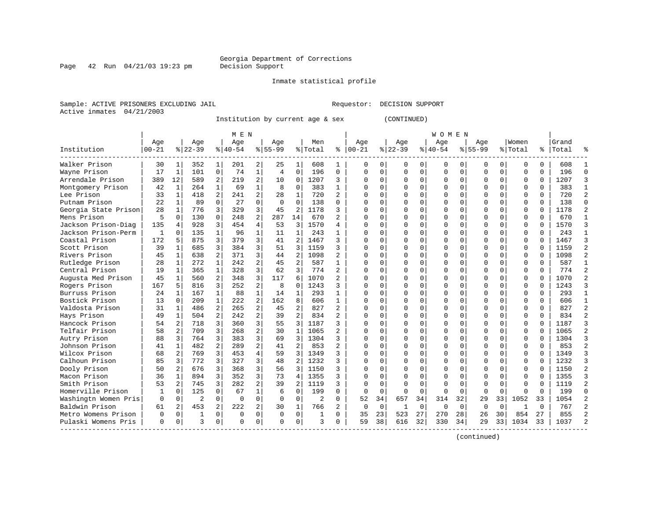Page  $42$  Run  $04/21/03$  19:23 pm

#### Inmate statistical profile

Sample: ACTIVE PRISONERS EXCLUDING JAIL Requestor: DECISION SUPPORT Active inmates 04/21/2003

Institution by current age & sex (CONTINUED)

|                      |           |                |                |                | M E N       |                |                |                |                |                |             |             |          |             | W O M E N   |             |             |              |              |          |       |                |
|----------------------|-----------|----------------|----------------|----------------|-------------|----------------|----------------|----------------|----------------|----------------|-------------|-------------|----------|-------------|-------------|-------------|-------------|--------------|--------------|----------|-------|----------------|
|                      | Age       |                | Age            |                | Age         |                | Age            |                | Men            |                | Age         |             | Age      |             | Age         |             | Age         |              | Women        |          | Grand |                |
| Institution          | $00 - 21$ |                | $8 22-39$      |                | $8 40-54$   |                | $8155 - 99$    |                | % Total        | ి              | $00 - 21$   |             | $ 22-39$ |             | $8 40-54$   |             | $8155 - 99$ |              | % Total      | ႜ        | Total |                |
| Walker Prison        | 30        | 1              | 352            | 1              | 201         | 2              | 25             | 1              | 608            | 1              | 0           | 0           | $\Omega$ | 0           | 0           | $\Omega$    | O           | 0            | n            | 0        | 608   |                |
| Wayne Prison         | 17        | 1              | 101            | $\mathbf 0$    | 74          | $\mathbf 1$    | $\overline{4}$ | $\mathbf 0$    | 196            | 0              | $\mathbf 0$ | $\Omega$    | 0        | $\mathbf 0$ | 0           | $\mathbf 0$ | $\Omega$    | 0            | $\Omega$     | 0        | 196   | $\Omega$       |
| Arrendale Prison     | 389       | 12             | 589            | 2              | 219         | $\overline{a}$ | 10             | 0              | 1207           | 3              | $\Omega$    | $\Omega$    | $\Omega$ | $\Omega$    | 0           | $\Omega$    | $\Omega$    | $\Omega$     | $\mathbf 0$  | $\Omega$ | 1207  | 3              |
| Montgomery Prison    | 42        | 1              | 264            | $\mathbf{1}$   | 69          | $\mathbf{1}$   | 8              | $\mathbf 0$    | 383            | $\mathbf{1}$   | $\Omega$    | $\Omega$    | $\Omega$ | 0           | Ω           | $\mathbf 0$ | $\Omega$    | $\Omega$     | $\Omega$     | 0        | 383   | $\mathbf{1}$   |
| Lee Prison           | 33        | $\mathbf{1}$   | 418            | $\overline{a}$ | 241         | $\overline{a}$ | 28             | $\mathbf{1}$   | 720            | $\overline{a}$ | $\cap$      | $\Omega$    | $\Omega$ | $\Omega$    |             | $\Omega$    | $\Omega$    | $\Omega$     | $\Omega$     | 0        | 720   | $\overline{a}$ |
| Putnam Prison        | 22        | 1              | 89             | $\Omega$       | 27          | $\Omega$       | $\Omega$       | $\Omega$       | 138            | U              | $\cap$      | $\Omega$    | $\Omega$ | $\Omega$    | U           | $\Omega$    | $\Omega$    | $\Omega$     | $\Omega$     | $\Omega$ | 138   | $\Omega$       |
| Georgia State Prison | 28        | 1              | 776            | 3              | 329         | 3              | 45             | $\overline{2}$ | 1178           | 3              | $\Omega$    | $\Omega$    | $\Omega$ | $\Omega$    | O           | $\Omega$    | $\Omega$    | $\Omega$     | <sup>0</sup> | 0        | 1178  | 2              |
| Mens Prison          | 5         | $\Omega$       | 130            | $\Omega$       | 248         | 2              | 287            | 14             | 670            | 2              | $\Omega$    | 0           | 0        | $\Omega$    | 0           | $\Omega$    | $\Omega$    | 0            | $\Omega$     | 0        | 670   | -1             |
| Jackson Prison-Diag  | 135       | $\overline{4}$ | 928            | 3              | 454         | 4              | 53             | 3              | 1570           | 4              |             | $\Omega$    | $\Omega$ | $\Omega$    | O           | $\Omega$    | $\Omega$    | $\Omega$     | $\Omega$     | O        | 1570  | 3              |
| Jackson Prison-Perm  | 1         | $\Omega$       | 135            | $\mathbf{1}$   | 96          | 1              | 11             | 1              | 243            | $\mathbf{1}$   |             | $\Omega$    | $\Omega$ | $\Omega$    | O           | $\Omega$    | $\Omega$    | $\Omega$     | $\Omega$     | O        | 243   | 1              |
| Coastal Prison       | 172       | 5              | 875            | 3              | 379         | 3              | 41             | $\overline{2}$ | 1467           | 3              | n           | $\Omega$    | $\cap$   | $\Omega$    | O           | $\cap$      | $\Omega$    | <sup>0</sup> | $\Omega$     | 0        | 1467  | ζ              |
| Scott Prison         | 39        | 1              | 685            | 3              | 384         | 3              | 51             | 3              | 1159           | 3              | n           | $\Omega$    | $\Omega$ | $\Omega$    | Ω           | $\cap$      | $\Omega$    | $\Omega$     | $\mathbf 0$  | 0        | 1159  | 2              |
| Rivers Prison        | 45        | 1              | 638            | $\overline{2}$ | 371         | 3              | 44             | $\overline{2}$ | 1098           | 2              | C           | 0           | $\Omega$ | 0           | Ω           | $\Omega$    | $\Omega$    | $\Omega$     | $\Omega$     | 0        | 1098  |                |
| Rutledge Prison      | 28        | $\mathbf 1$    | 272            | $\mathbf{1}$   | 242         | $\overline{a}$ | 45             | $\overline{a}$ | 587            | $\mathbf{1}$   | $\cap$      | $\Omega$    | $\Omega$ | $\Omega$    |             | $\Omega$    | $\Omega$    | $\Omega$     | $\Omega$     | 0        | 587   | $\overline{1}$ |
| Central Prison       | 19        | $\mathbf 1$    | 365            | $\mathbf{1}$   | 328         | 3              | 62             | 3              | 774            | $\overline{a}$ | $\cap$      | $\Omega$    | O        | $\Omega$    | U           | $\Omega$    | $\Omega$    | 0            | 0            | $\Omega$ | 774   | $\overline{a}$ |
| Augusta Med Prison   | 45        | $\mathbf{1}$   | 560            | $\overline{2}$ | 348         | 3              | 117            | 6              | 1070           | $\overline{a}$ | $\cap$      | $\Omega$    | O        | $\Omega$    | $\Omega$    | $\Omega$    | $\Omega$    | $\Omega$     | $\Omega$     | $\Omega$ | 1070  | 2              |
| Rogers Prison        | 167       | 5              | 816            | 3              | 252         | $\overline{a}$ | 8              | $\Omega$       | 1243           | 3              | $\Omega$    | $\Omega$    | $\Omega$ | $\Omega$    | U           | $\Omega$    | $\Omega$    | $\Omega$     | $\Omega$     | 0        | 1243  | ₹              |
| Burruss Prison       | 24        | 1              | 167            | 1              | 88          | $\mathbf 1$    | 14             | 1              | 293            |                | C           | $\Omega$    | O        | $\Omega$    | Ω           | $\Omega$    | $\Omega$    | $\Omega$     | <sup>0</sup> | U        | 293   | 1              |
| Bostick Prison       | 13        | $\Omega$       | 209            | $\mathbf{1}$   | 222         | $\overline{a}$ | 162            | 8              | 606            | $\mathbf{1}$   | n           | 0           | $\cap$   | $\Omega$    | Ω           | $\Omega$    | $\Omega$    | <sup>0</sup> | $\cap$       | U        | 606   | 1              |
| Valdosta Prison      | 31        | 1              | 486            | $\overline{a}$ | 265         | $\overline{a}$ | 45             | $\overline{2}$ | 827            | $\overline{a}$ | $\Omega$    | $\Omega$    | U        | $\Omega$    | Λ           | $\Omega$    | ∩           | <sup>0</sup> | $\Omega$     | 0        | 827   | $\mathfrak{D}$ |
| Hays Prison          | 49        | $\mathbf{1}$   | 504            | $\mathfrak{D}$ | 242         | $\overline{2}$ | 39             | $\overline{a}$ | 834            | 2              | C           | $\Omega$    | O        | $\Omega$    | Ω           | $\cap$      | $\Omega$    | 0            | $\Omega$     | 0        | 834   |                |
| Hancock Prison       | 54        | 2              | 718            | 3              | 360         | 3              | 55             | 3              | 1187           | 3              | C           | $\Omega$    | $\Omega$ | $\Omega$    | Ω           | $\Omega$    | $\Omega$    | $\Omega$     | $\Omega$     | 0        | 1187  | 3              |
| Telfair Prison       | 58        | 2              | 709            | 3              | 268         | $\overline{a}$ | 30             | 1              | 1065           | 2              | C           | $\Omega$    | $\Omega$ | 0           | Ω           | $\mathbf 0$ | $\Omega$    | $\Omega$     | $\Omega$     | U        | 1065  |                |
| Autry Prison         | 88        | 3              | 764            | 3              | 383         | 3              | 69             | 3              | 1304           | 3              | $\cap$      | $\Omega$    | $\Omega$ | $\Omega$    | Ω           | $\Omega$    | $\Omega$    | $\Omega$     | $\Omega$     | 0        | 1304  |                |
| Johnson Prison       | 41        | $\mathbf{1}$   | 482            | $\overline{2}$ | 289         | $\overline{2}$ | 41             | 2              | 853            | $\overline{a}$ | $\Omega$    | $\Omega$    | $\Omega$ | $\Omega$    | U           | $\Omega$    | $\Omega$    | $\Omega$     | $\Omega$     | $\Omega$ | 853   | $\mathfrak{D}$ |
| Wilcox Prison        | 68        | 2              | 769            | 3              | 453         | 4              | 59             | 3              | 1349           | 3              | ∩           | $\Omega$    | O        | $\Omega$    | 0           | $\Omega$    | $\Omega$    | $\Omega$     | $\Omega$     | 0        | 1349  | ₹              |
| Calhoun Prison       | 85        | 3              | 772            | 3              | 327         | 3              | 48             | 2              | 1232           | 3              | $\Omega$    | 0           | O        | $\Omega$    | 0           | $\Omega$    | $\Omega$    | 0            | 0            | U        | 1232  | 3              |
| Dooly Prison         | 50        | 2              | 676            | 3              | 368         | 3              | 56             | 3              | 1150           | 3              |             | $\Omega$    | O        | $\Omega$    | Ω           | $\Omega$    | $\Omega$    | $\Omega$     | $\Omega$     | O        | 1150  | 2              |
| Macon Prison         | 36        | $\mathbf{1}$   | 894            | 3              | 352         | 3              | 73             | 4              | 1355           | 3              |             | $\cap$      | $\cap$   | $\cap$      | Λ           | $\cap$      | $\Omega$    | $\cap$       | $\Omega$     | U        | 1355  | ς              |
| Smith Prison         | 53        | 2              | 745            | 3              | 282         | $\overline{a}$ | 39             | $\overline{a}$ | 1119           | 3              | ∩           | $\Omega$    | $\Omega$ | $\Omega$    | U           | $\cap$      | $\Omega$    | <sup>n</sup> | $\Omega$     | U        | 1119  | $\mathfrak{D}$ |
| Homerville Prison    | 1         | $\Omega$       | 125            | $\Omega$       | 67          | $\mathbf 1$    | 6              | $\Omega$       | 199            | 0              | $\Omega$    | $\mathbf 0$ | $\Omega$ | $\Omega$    | $\Omega$    | $\Omega$    | $\Omega$    | $\Omega$     | <sup>0</sup> | U        | 199   | $\cap$         |
| Washingtn Women Pris | $\Omega$  | $\mathbf 0$    | $\overline{2}$ | $\Omega$       | $\Omega$    | $\Omega$       | $\Omega$       | $\Omega$       | $\overline{2}$ | 0              | 52          | 34          | 657      | 34          | 314         | 32          | 29          | 33           | 1052         | 33       | 1054  |                |
| Baldwin Prison       | 61        | 2              | 453            | 2              | 222         | 2              | 30             | 1              | 766            | 2              | $\mathbf 0$ | $\mathbf 0$ | 1        | 0           | $\mathbf 0$ | $\mathbf 0$ | $\Omega$    | 0            | $\mathbf{1}$ | $\Omega$ | 767   | 2              |
| Metro Womens Prison  | 0         | 0              | 1              | $\Omega$       | $\mathbf 0$ | 0              | $\Omega$       | 0              | $\mathbf{1}$   | O              | 35          | 23          | 523      | 27          | 270         | 28          | 26          | 30           | 854          | 27       | 855   | 2              |
| Pulaski Womens Pris  | $\Omega$  | 0              | ζ              | 0              | $\cap$      | 0              | U              | 0              | ς              | $\Omega$       | 59          | 38          | 616      | 32          | 330         | 34          | 29          | 33           | 1034         | 33       | 1037  | 2              |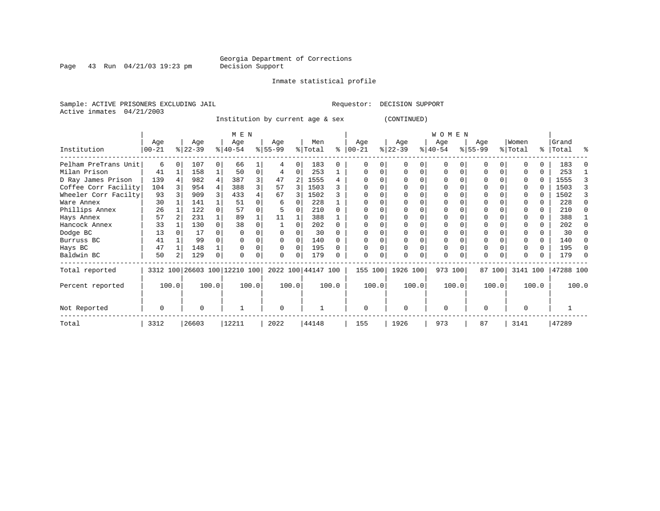Page 43 Run  $04/21/03$  19:23 pm

#### Inmate statistical profile

Sample: ACTIVE PRISONERS EXCLUDING JAIL **Requestor: DECISION SUPPORT** Active inmates 04/21/2003

Institution by current age & sex (CONTINUED)

|                      | M E N            |       |                  |          |                              |       |                 |          |                    |       |                 |       |                  |          | WOMEN            |       |                 |        |                  |       |                    |       |
|----------------------|------------------|-------|------------------|----------|------------------------------|-------|-----------------|----------|--------------------|-------|-----------------|-------|------------------|----------|------------------|-------|-----------------|--------|------------------|-------|--------------------|-------|
| Institution          | Age<br>$00 - 21$ |       | Age<br>$ 22-39 $ |          | Age<br>$ 40-54 $             |       | Age<br>$ 55-99$ |          | Men<br>% Total     | ి     | Age<br>$ 00-21$ |       | Age<br>$ 22-39 $ |          | Age<br>$ 40-54 $ |       | Age<br>$ 55-99$ |        | Women<br>% Total |       | Grand<br>%   Total | ႜ     |
| Pelham PreTrans Unit | 6                |       | 107              | $\Omega$ | 66                           |       |                 | $\Omega$ | 183                | 0     |                 | 0     | $\cap$           | 0        | $\Omega$         |       | ∩               |        |                  |       | 183                |       |
| Milan Prison         | 41               |       | 158              |          | 50                           | 0     | 4               | $\Omega$ | 253                |       |                 | 0     |                  | $\Omega$ | U                | O     |                 |        |                  | U     | 253                |       |
| D Ray James Prison   | 139              |       | 982              |          | 387                          | 3     | 47              |          | 1555               |       |                 |       |                  |          |                  |       |                 |        |                  | 0     | 1555               |       |
| Coffee Corr Facility | 104              |       | 954              |          | 388                          | 3     | 57              | 3        | 1503               |       |                 |       |                  |          |                  |       |                 |        |                  |       | 1503               |       |
| Wheeler Corr Facilty | 93               |       | 909              |          | 433                          |       | 67              | 3        | 1502               |       |                 |       |                  |          |                  |       |                 |        |                  |       | 1502               |       |
| Ware Annex           | 30               |       | 141              |          | 51                           |       | 6               |          | 228                |       |                 |       |                  |          |                  |       |                 |        |                  |       | 228                |       |
| Phillips Annex       | 26               |       | 122              |          | 57                           |       |                 |          | 210                |       |                 |       |                  |          |                  |       |                 |        |                  |       | 210                |       |
| Hays Annex           | 57               |       | 231              |          | 89                           |       | 11              |          | 388                |       |                 |       |                  |          |                  |       |                 |        |                  | 0     | 388                |       |
| Hancock Annex        | 33               |       | 130              |          | 38                           |       |                 |          | 202                |       |                 |       |                  |          |                  |       |                 |        |                  | 0     | 202                |       |
| Dodge BC             | 13               |       | 17               |          |                              |       |                 |          | 30                 |       |                 |       |                  |          |                  |       |                 |        |                  |       | 30                 |       |
| Burruss BC           | 41               |       | 99               |          |                              |       | $\Omega$        |          | 140                |       |                 |       |                  |          | 0                |       |                 |        |                  | 0     | 140                |       |
| Hays BC              | 47               |       | 148              |          |                              |       | $\Omega$        | 0        | 195                |       |                 |       |                  |          |                  |       |                 |        |                  | 0     | 195                |       |
| Baldwin BC           | 50               |       | 129              |          |                              |       | $\Omega$        |          | 179                |       |                 |       |                  |          | $\mathbf 0$      |       | $\Omega$        |        |                  |       | 179                |       |
| Total reported       |                  |       |                  |          | 3312 100 26603 100 12210 100 |       |                 |          | 2022 100 44147 100 |       | 155 100         |       | 1926 100         |          | 973 100          |       |                 | 87 100 | 3141 100         |       | 47288 100          |       |
| Percent reported     |                  | 100.0 |                  | 100.0    |                              | 100.0 | 100.0           |          |                    | 100.0 |                 | 100.0 | 100.0            |          |                  | 100.0 |                 | 100.0  |                  | 100.0 |                    | 100.0 |
| Not Reported         | $\Omega$         |       | U                |          |                              |       | $\Omega$        |          |                    |       | $\Omega$        |       | $\Omega$         |          | $\Omega$         |       | $\Omega$        |        | <sup>0</sup>     |       |                    |       |
| Total                | 3312             |       | 26603            |          | 12211                        |       | 2022            |          | 44148              |       | 155             |       | 1926             |          | 973              |       | 87              |        | 3141             |       | 47289              |       |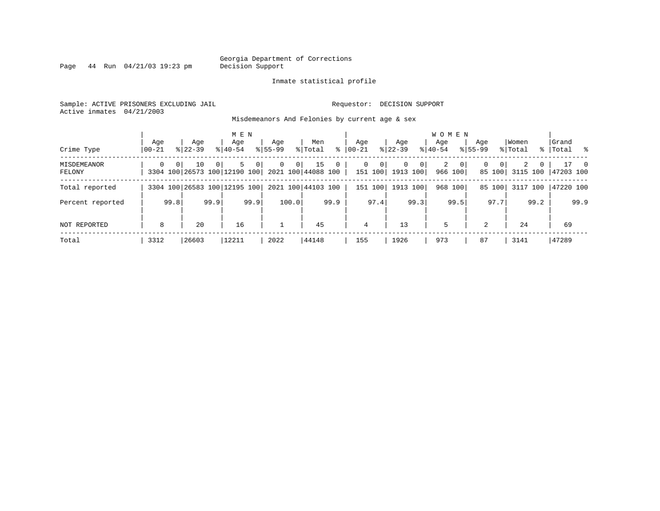Page 44 Run  $04/21/03$  19:23 pm

#### Inmate statistical profile

Sample: ACTIVE PRISONERS EXCLUDING JAIL Requestor: DECISION SUPPORT Active inmates 04/21/2003

Misdemeanors And Felonies by current age & sex

| Crime Type                   | Aqe<br>$ 00-21 $ |                | Age<br>$8122 - 39$                 |          | M E N<br>Aqe<br>$8140 - 54$ |                | Age<br>$8155 - 99$ |                | Men<br>% Total           | ႜ           | Aqe<br>$ 00-21 $ |              | Aqe<br>$ 22-39 $     |                | <b>WOMEN</b><br>Aqe<br>$8 40-54$ |                  | Aqe<br>$8155 - 99$ |                    | Women<br>% Total |          | Grand<br>%   Total % |                |
|------------------------------|------------------|----------------|------------------------------------|----------|-----------------------------|----------------|--------------------|----------------|--------------------------|-------------|------------------|--------------|----------------------|----------------|----------------------------------|------------------|--------------------|--------------------|------------------|----------|----------------------|----------------|
| <b>MISDEMEANOR</b><br>FELONY | $\Omega$         | 0 <sup>1</sup> | 10<br>3304 100 26573 100 12190 100 | $\Omega$ | 5.                          | 0 <sup>1</sup> | $\Omega$           | 0 <sup>1</sup> | 15<br>2021 100 44088 100 | $\mathbf 0$ | $\Omega$         | 0<br>151 100 | $\Omega$<br>1913 100 | 0 <sup>1</sup> | 2                                | - 0 I<br>966 100 | $\mathbf{0}$       | $\Omega$<br>85 100 | 2<br>3115 100    | $\Omega$ | 47203 100            | $\overline{0}$ |
| Total reported               |                  |                | 3304 100 26583 100 12195 100       |          |                             |                |                    |                | 2021 100 44103 100       |             |                  | 151 100      | 1913 100             |                |                                  | 968 100          |                    | 85 100             | 3117 100         |          | 47220 100            |                |
| Percent reported             |                  | 99.8           |                                    | 99.9     |                             | 99.9           |                    | 100.0          |                          | 99.9        |                  | 97.4         |                      | 99.3           |                                  | 99.5             |                    | 97.7               |                  | 99.2     |                      | 99.9           |
| NOT REPORTED                 | 8                |                | 20                                 |          | 16                          |                |                    |                | 45                       |             | $\overline{4}$   |              | 13                   |                | 5                                |                  | 2                  |                    | 24               |          | 69                   |                |
| Total                        | 3312             |                | 26603                              |          | 12211                       |                | 2022               |                | 44148                    |             | 155              |              | 1926                 |                | 973                              |                  | 87                 |                    | 3141             |          | 47289                |                |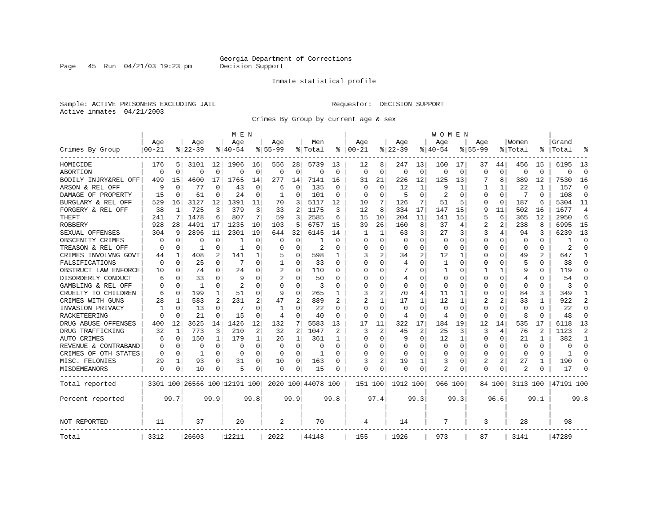# Georgia Department of Corrections<br>Decision Support

Page 45 Run  $04/21/03$  19:23 pm

#### Inmate statistical profile

Sample: ACTIVE PRISONERS EXCLUDING JAIL **Requestor: DECISION SUPPORT** Active inmates 04/21/2003

Crimes By Group by current age & sex

|                      |           |          |           |              | M E N                        |             |              |                |                    |               |            |          |             |                | W O M E N      |             |                |                |             |              |           |                |
|----------------------|-----------|----------|-----------|--------------|------------------------------|-------------|--------------|----------------|--------------------|---------------|------------|----------|-------------|----------------|----------------|-------------|----------------|----------------|-------------|--------------|-----------|----------------|
|                      | Age       |          | Age       |              | Age                          |             | Age          |                | Men                |               | Age        |          | Age         |                | Age            |             | Age            |                | Women       |              | Grand     |                |
| Crimes By Group      | $00 - 21$ |          | $8 22-39$ |              | % 40-54                      |             | $8155 - 99$  |                | % Total            | ႜ             | $ 00 - 21$ |          | $8$   22-39 |                | $8140 - 54$    |             | $8155 - 99$    |                | % Total     | ႜ            | Total     |                |
| HOMICIDE             | 176       | 5        | 3101      | 12           | 1906                         | 16          | 556          | 28             | 5739               | 13            | 12         | 8        | 247         | 13             | 160            | 17          | 37             | 44             | 456         | 15           | 6195      | 13             |
| ABORTION             | $\Omega$  | $\Omega$ | $\Omega$  | 0            | $\Omega$                     | $\mathbf 0$ | $\Omega$     | $\mathbf 0$    | 0                  | 0             | $\Omega$   | $\Omega$ | $\Omega$    | 0              | $\Omega$       | 0           | $\Omega$       | $\mathbf 0$    | $\mathbf 0$ | $\Omega$     | $\Omega$  | $\Omega$       |
| BODILY INJRY&REL OFF | 499       | 15       | 4600      | 17           | 1765                         | 14          | 277          | 14             | 7141               | 16            | 31         | 21       | 226         | 12             | 125            | 13          |                | 8              | 389         | 12           | 7530      | 16             |
| ARSON & REL OFF      | q         | $\Omega$ | 77        | 0            | 43                           | 0           | 6            | 0              | 135                | 0             | ∩          | $\Omega$ | 12          | 1              | 9              | 1           |                | $\mathbf{1}$   | 22          | 1            | 157       | $\Omega$       |
| DAMAGE OF PROPERTY   | 15        | $\Omega$ | 61        | 0            | 24                           | 0           | 1            | 0              | 101                | $\Omega$      | ∩          | $\Omega$ | 5           | 0              | $\overline{2}$ | $\Omega$    | O              | $\Omega$       | 7           | $\Omega$     | 108       | $\Omega$       |
| BURGLARY & REL OFF   | 529       | 16       | 3127      | 12           | 1391                         | 11          | 70           | 3              | 5117               | 12            | 10         | 7        | 126         | 7              | 51             | .5          | O              | $\mathbf 0$    | 187         | 6            | 5304      | 11             |
| FORGERY & REL OFF    | 38        | 1        | 725       | 3            | 379                          | 3           | 33           | 2              | 1175               | 3             | 12         | 8        | 334         | 17             | 147            | 15          | 9              | 11             | 502         | 16           | 1677      | $\overline{4}$ |
| THEFT                | 241       | 7        | 1478      | 6            | 807                          | 7           | 59           | 3              | 2585               | 6             | 15         | 10       | 204         | 11             | 141            | 15          | 5              | 6              | 365         | 12           | 2950      | 6              |
| <b>ROBBERY</b>       | 928       | 28       | 4491      | 17           | 1235                         | 10          | 103          | 5              | 6757               | 15            | 39         | 26       | 160         | 8              | 37             | 4           | $\overline{2}$ | $\overline{a}$ | 238         | 8            | 6995      | 15             |
| SEXUAL OFFENSES      | 304       | 9        | 2896      | 11           | 2301                         | 19          | 644          | 32             | 6145               | 14            | -1         | 1        | 63          | 3              | 27             | 3           | 3              | 4              | 94          | 3            | 6239      | 13             |
| OBSCENITY CRIMES     | n         | $\Omega$ | O         | 0            | -1                           | O           | O            | 0              |                    | $\Omega$      | ∩          | O        | $\Omega$    | U              | $\Omega$       | $\Omega$    | $\Omega$       | U              | $\Omega$    | $\Omega$     |           | ∩              |
| TREASON & REL OFF    | $\Omega$  | $\Omega$ | 1         | 0            | -1                           | 0           | U            | 0              | 2                  | $\Omega$      | $\Omega$   | O        | $\Omega$    | 0              | $\Omega$       | $\Omega$    | 0              | 0              | 0           | 0            | 2         | ∩              |
| CRIMES INVOLVNG GOVT | 44        | 1        | 408       | 2            | 141                          | 1           | 5            | 0              | 598                | 1             | 3          | 2        | 34          | 2              | 12             | 1           | 0              | 0              | 49          |              | 647       | -1             |
| FALSIFICATIONS       | $\Omega$  | 0        | 25        | 0            | 7                            | 0           | -1           | 0              | 33                 | $\Omega$      | $\Omega$   | O        | 4           | O              | 1              | 0           | $\Omega$       | $\Omega$       | .5          | 0            | 38        | $\Omega$       |
| OBSTRUCT LAW ENFORCE | 10        | $\Omega$ | 74        | 0            | 2.4                          | 0           | 2            | 0              | 110                | 0             |            | U        |             | U              | -1             | $\Omega$    | 1              | $\mathbf{1}$   | <b>q</b>    | O            | 119       | $\Omega$       |
| DISORDERLY CONDUCT   | 6         | $\Omega$ | 33        | 0            | q                            | $\Omega$    |              | 0              | 50                 |               |            |          | 4           | U              | $\Omega$       | $\Omega$    | $\Omega$       | $\Omega$       | 4           |              | 54        |                |
| GAMBLING & REL OFF   | n         | $\Omega$ | -1        | 0            | $\overline{2}$               | 0           | $\Omega$     | $\Omega$       | 3                  | $\Omega$      | ∩          | U        | $\Omega$    | U              | $\Omega$       | $\Omega$    | U              | 0              | $\Omega$    | 0            | 3         |                |
| CRUELTY TO CHILDREN  | 6         | 0        | 199       | $\mathbf 1$  | 51                           | 0           | 9            | $\mathbf 0$    | 265                | 1             | 3          | 2        | 70          | 4              | 11             | 1           | 0              | $\Omega$       | 84          | 3            | 349       | -1             |
| CRIMES WITH GUNS     | 28        | 1        | 583       | 2            | 231                          | 2           | 47           | 2              | 889                |               | 2          |          | 17          | 1              | 12             | 1           | 2              | 2              | 33          | 1            | 922       | 2              |
| INVASION PRIVACY     |           | 0        | 13        | $\Omega$     | 7                            | 0           | $\mathbf{1}$ | 0              | 22                 | $\Omega$      | $\Omega$   | 0        | $\Omega$    | $\Omega$       | $\Omega$       | 0           | 0              | $\Omega$       | $\mathbf 0$ | $\Omega$     | 22        | $\Omega$       |
| RACKETEERING         |           | $\Omega$ | 21        | 0            | 15                           | 0           | 4            | 0              | 40                 | 0             | $\Omega$   | 0        | 4           | 0              | 4              | 0           | $\Omega$       | 0              | 8           | $\Omega$     | 48        | $\Omega$       |
| DRUG ABUSE OFFENSES  | 400       | 12       | 3625      | 14           | 1426                         | 12          | 132          | 7              | 5583               | 13            | 17         | 11       | 322         | 17             | 184            | 19          | 12             | 14             | 535         | 17           | 6118      | 13             |
| DRUG TRAFFICKING     | 32        | 1        | 773       | 3            | 210                          | 2           | 32           | $\overline{2}$ | 1047               | $\mathcal{D}$ | 3          | 2        | 45          | $\overline{2}$ | 25             | 3           | 3              | 4              | 76          | $\mathbf{2}$ | 1123      | $\mathcal{D}$  |
| AUTO CRIMES          | 6         | $\Omega$ | 150       | $\mathbf{1}$ | 179                          | 1           | 26           | 1              | 361                | 1             | $\Omega$   | $\Omega$ | 9           | 0              | 12             | 1           | $\Omega$       | 0              | 21          |              | 382       | $\mathbf{1}$   |
| REVENUE & CONTRABAND |           | $\Omega$ | 0         | 0            | $\mathbf 0$                  | 0           | $\Omega$     | $\mathbf 0$    | 0                  | $\Omega$      |            | O        | 0           | O              | 0              | $\mathbf 0$ | $\Omega$       | 0              | $\mathbf 0$ | $\Omega$     | $\Omega$  | $\Omega$       |
| CRIMES OF OTH STATES | $\Omega$  | 0        | 1         | 0            | 0                            | 0           | $\Omega$     | 0              | 1                  | $\Omega$      | ∩          | O        | 0           | 0              | $\Omega$       | 0           | 0              | $\Omega$       | 0           | $\Omega$     | 1         | ∩              |
| MISC. FELONIES       | 29        | 1        | 93        | 0            | 31                           | 0           | 10           | 0              | 163                | $\Omega$      | 3          | 2        | 19          | 1              | 3              | 0           | 2              | 2              | 27          |              | 190       | $\Omega$       |
| MISDEMEANORS         | 0         | 0        | 10        | 0            | 5                            | 0           | 0            | 0              | 15                 | $\Omega$      | $\Omega$   | 0        | 0           | 0              | 2              | 0           | $\Omega$       | 0              |             | 0            | 17        |                |
| Total reported       |           |          |           |              | 3301 100 26566 100 12191 100 |             |              |                | 2020 100 44078 100 |               | 151 100    |          | 1912 100    |                | 966 100        |             |                | 84 100         | 3113 100    |              | 47191 100 |                |
| Percent reported     |           | 99.7     |           | 99.9         |                              | 99.8        |              | 99.9           |                    | 99.8          |            | 97.4     |             | 99.3           |                | 99.3        |                | 96.6           |             | 99.1         |           | 99.8           |
| <b>NOT REPORTED</b>  | 11        |          | 37        |              | 20                           |             | 2            |                | 70                 |               | 4          |          | 14          |                | 7              |             | 3              |                | 28          |              | 98        |                |
| Total                | 3312      |          | 26603     |              | 12211                        |             | 2022         |                | 44148              |               | 155        |          | 1926        |                | 973            |             | 87             |                | 3141        |              | 47289     |                |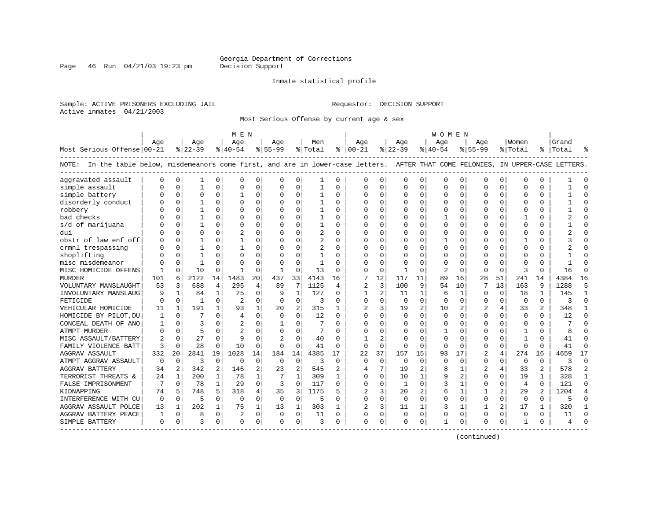Page 46 Run  $04/21/03$  19:23 pm

#### Inmate statistical profile

Sample: ACTIVE PRISONERS EXCLUDING JAIL Requestor: DECISION SUPPORT Active inmates 04/21/2003

Most Serious Offense by current age & sex

|                                                                                                                                    |          |              |              |              | M E N          |                |             |                |                |          |                |             |                |                | W O M E N    |              |                |                |                |                |       |              |
|------------------------------------------------------------------------------------------------------------------------------------|----------|--------------|--------------|--------------|----------------|----------------|-------------|----------------|----------------|----------|----------------|-------------|----------------|----------------|--------------|--------------|----------------|----------------|----------------|----------------|-------|--------------|
|                                                                                                                                    | Age      |              | Age          |              | Aqe            |                | Age         |                | Men            |          | Age            |             | Aqe            |                | Aqe          |              | Age            |                | Women          |                | Grand |              |
| Most Serious Offense 00-21                                                                                                         |          |              | $ 22-39$     |              | $8 40-54$      |                | $ 55-99$    |                | %   Total      |          | $8   00 - 21$  |             | $8 22-39$      |                | $8 40-54$    |              | $8155 - 99$    |                | % Total        | $\frac{8}{6}$  | Total |              |
| NOTE: In the table below, misdemeanors come first, and are in lower-case letters. AFTER THAT COME FELONIES, IN UPPER-CASE LETTERS. |          |              |              |              |                |                |             |                |                |          |                |             |                |                |              |              |                |                |                |                |       |              |
| aggravated assault                                                                                                                 | n        | 0            |              | 0            | $\mathbf 0$    | 0              | $\Omega$    | 0              | 1              | 0        | $\Omega$       | 0           | $\Omega$       | 0              | $\mathbf 0$  | $\mathbf 0$  | 0              | 0              | <sup>0</sup>   | 0              |       | C            |
| simple assault                                                                                                                     |          | $\Omega$     | 1            | $\Omega$     | $\Omega$       | 0              | O           | $\mathbf 0$    |                | O        | $\Omega$       | 0           | $\Omega$       | $\mathbf 0$    | $\Omega$     | $\mathbf 0$  | $\Omega$       | 0              | <sup>0</sup>   | U              |       | $\bigcap$    |
| simple battery                                                                                                                     |          | $\Omega$     | O            | $\Omega$     |                | 0              | O           | $\Omega$       |                | O        | $\Omega$       | 0           | $\Omega$       | 0              | $\Omega$     | $\mathbf 0$  | $\Omega$       | $\Omega$       | $\Omega$       | O              |       | $\cap$       |
| disorderly conduct                                                                                                                 |          | $\Omega$     | 1            | 0            | $\Omega$       | $\Omega$       | $\Omega$    | $\Omega$       | $\mathbf{1}$   | $\Omega$ | $\cap$         | $\Omega$    | $\Omega$       | $\Omega$       | $\Omega$     | $\Omega$     | $\cap$         | $\Omega$       | $\Omega$       | 0              |       | $\cap$       |
| robbery                                                                                                                            |          | $\Omega$     |              | 0            | $\Omega$       | $\Omega$       | O           | $\Omega$       | 1              | 0        | <sup>0</sup>   | $\Omega$    | $\Omega$       | $\Omega$       | <sup>0</sup> | $\Omega$     | ∩              | <sup>0</sup>   | <sup>0</sup>   | 0              |       | C            |
| bad checks                                                                                                                         |          | $\Omega$     |              | 0            | $\Omega$       | $\Omega$       | O           | $\Omega$       | 1              | 0        | <sup>0</sup>   | $\Omega$    | $\Omega$       | $\Omega$       |              | $\Omega$     | U              | $\Omega$       |                | 0              |       | n            |
| s/d of marijuana                                                                                                                   |          | 0            |              | 0            | $\mathbf 0$    | 0              | O           | $\mathbf 0$    | 1              | O        | 0              | $\mathbf 0$ | C              | $\Omega$       | 0            | $\Omega$     | 0              | $\Omega$       | 0              | 0              |       |              |
| dui                                                                                                                                |          | $\Omega$     | U            | U            | $\overline{c}$ | 0              | U           | $\Omega$       | $\overline{2}$ | U        | $\Omega$       | $\Omega$    | 0              | $\Omega$       | O            | $\mathbf 0$  | U              | 0              | <sup>0</sup>   | 0              |       | $\cap$       |
| obstr of law enf off                                                                                                               |          | $\Omega$     |              | U            | -1             | 0              | U           | $\Omega$       | $\overline{a}$ | $\Omega$ | $\cap$         | 0           | $\Omega$       | 0              | 1            | 0            | U              | 0              |                | 0              |       | $\cap$       |
| crmnl trespassing                                                                                                                  |          | $\Omega$     |              | U            |                | 0              | O           | $\Omega$       | 2              | 0        | $\Omega$       | $\Omega$    | $\Omega$       | $\Omega$       | 0            | 0            | U              | 0              | <sup>0</sup>   | 0              |       | C            |
| shoplifting                                                                                                                        |          | $\Omega$     |              |              | $\Omega$       | 0              | U           | $\Omega$       |                | O        | $\Omega$       | $\Omega$    | U              | $\Omega$       | O            | $\Omega$     | U              |                | ſ              | O              |       |              |
| misc misdemeanor                                                                                                                   |          | $\cap$       | 1            | U            | $\Omega$       | $\Omega$       | $\Omega$    | $\Omega$       | $\mathbf{1}$   | U        | $\cap$         | $\Omega$    | $\Omega$       | $\Omega$       | <sup>0</sup> | $\Omega$     | $\Omega$       |                | $\cap$         | U              |       |              |
| MISC HOMICIDE OFFENS                                                                                                               |          | $\Omega$     | 10           | 0            | $\mathbf{1}$   | $\Omega$       | 1           | $\Omega$       | 13             | $\Omega$ | ∩              | $\Omega$    | -1             | $\Omega$       | 2            | $\Omega$     | $\Omega$       | $\Omega$       | 3              | U              | 16    | $\cap$       |
| MURDER                                                                                                                             | 101      | 6            | 2122         | 14           | 1483           | 20             | 437         | 33             | 4143           | 16       | 7              | 12          | 117            | 11             | 89           | 16           | 28             | 51             | 241            | 14             | 4384  | 16           |
| VOLUNTARY MANSLAUGHT                                                                                                               | 53       | 3            | 688          | 4            | 295            | 4              | 89          | 7              | 1125           | 4        | $\overline{c}$ | 3           | 100            | 9              | 54           | 10           |                | 13             | 163            | 9              | 1288  | 5            |
| INVOLUNTARY MANSLAUG                                                                                                               |          | $\mathbf{1}$ | 84           | $\mathbf{1}$ | 25             | $\Omega$       | 9           | $\mathbf{1}$   | 127            | $\Omega$ | 1              | 2           | 11             | $\mathbf{1}$   | 6            | 1            | U              | $\Omega$       | 18             | $\mathbf{1}$   | 145   | $\mathbf{1}$ |
| FETICIDE                                                                                                                           | n        | $\Omega$     | $\mathbf{1}$ | $\Omega$     | $\overline{2}$ | 0              | $\Omega$    | $\mathbf 0$    | 3              | $\Omega$ | $\Omega$       | $\mathbf 0$ | $\Omega$       | $\Omega$       | $\Omega$     | $\mathbf 0$  | U              | $\Omega$       | $\Omega$       | $\Omega$       | ς     | $\Omega$     |
| VEHICULAR HOMICIDE                                                                                                                 | 11       | 1            | 191          | 1            | 93             | 1              | 20          | $\overline{2}$ | 315            | 1        | 2              | 3           | 19             | 2              | 10           | 2            |                |                | 33             | 2              | 348   | -1           |
| HOMICIDE BY PILOT, DU                                                                                                              |          | $\Omega$     |              | 0            | 4              | 0              | $\Omega$    | $\Omega$       | 12             | O        | $\Omega$       | $\Omega$    | $\Omega$       | $\Omega$       | $\mathbf 0$  | $\Omega$     | $\Omega$       | 0              | $\Omega$       | O              | 12    | $\bigcap$    |
| CONCEAL DEATH OF ANO                                                                                                               | -1       | $\Omega$     | ζ            |              |                | $\Omega$       | 1           | $\Omega$       |                | $\Omega$ | $\Omega$       | $\Omega$    | $\Omega$       | $\Omega$       | $\Omega$     | $\Omega$     | $\Omega$       | $\Omega$       | $\Omega$       | 0              |       |              |
| <b>ATMPT MURDER</b>                                                                                                                |          | $\Omega$     | 5            | U            | $\mathcal{D}$  | $\Omega$       | O           | $\Omega$       | 7              | O        |                | $\Omega$    | $\Omega$       | $\Omega$       | 1            | $\Omega$     | U              | $\Omega$       | -1             | 0              | 8     |              |
| MISC ASSAULT/BATTERY                                                                                                               | 2        | $\Omega$     | 27           | 0            | 9              | $\Omega$       |             | $\Omega$       | 40             | O        |                | 2           | $\Omega$       | $\Omega$       | 0            | $\Omega$     | 0              | $\Omega$       |                | U              | 41    | n            |
| FAMILY VIOLENCE BATT                                                                                                               | 3        | $\Omega$     | 28           | 0            | 10             | 0              | 0           | $\mathbf 0$    | 41             | $\Omega$ | $\mathbf 0$    | $\mathbf 0$ | $\Omega$       | $\mathbf 0$    | $\Omega$     | 0            | $\Omega$       | 0              | $\Omega$       | U              | 41    | $\bigcap$    |
| <b>AGGRAV ASSAULT</b>                                                                                                              | 332      | 20           | 2841         | 19           | 1028           | 14             | 184         | 14             | 4385           | 17       | 22             | 37          | 157            | 15             | 93           | 17           | $\overline{2}$ | 4              | 274            | 16             | 4659  | 17           |
| ATMPT AGGRAV ASSAULT                                                                                                               | $\Omega$ | 0            | 3            | 0            | $\overline{0}$ | $\mathbf 0$    | $\mathbf 0$ | $\mathbf 0$    | 3              | $\Omega$ | $\Omega$       | $\mathbf 0$ | $\mathbf 0$    | $\Omega$       | $\mathbf 0$  | 0            | $\Omega$       | 0              | 0              | 0              | ς     | $\bigcap$    |
| <b>AGGRAV BATTERY</b>                                                                                                              | 34       | 2            | 342          | 2            | 146            | $\overline{a}$ | 23          | 2              | 545            | 2        | 4              | 7           | 19             | 2              | 8            | 1            |                | 4              | 33             | 2              | 578   | 2            |
| TERRORIST THREATS &                                                                                                                | 2.4      | $\mathbf{1}$ | 200          | $\mathbf{1}$ | 78             | 1              |             | $\mathbf{1}$   | 309            | 1        | $\Omega$       | $\Omega$    | 10             | $\mathbf{1}$   | 9            | 2            | $\Omega$       | $\Omega$       | 19             |                | 328   | 1            |
| FALSE IMPRISONMENT                                                                                                                 |          | $\Omega$     | 78           | $\mathbf{1}$ | 29             | $\Omega$       | 3           | $\Omega$       | 117            | $\Omega$ | $\Omega$       | $\Omega$    | $\overline{1}$ | $\Omega$       | κ            | $\mathbf{1}$ | $\Omega$       | $\Omega$       | $\overline{4}$ | 0              | 121   | $\Omega$     |
| KIDNAPPING                                                                                                                         | 74       | 5            | 748          | 5            | 318            | 4              | 35          | 3              | 1175           | 5        | $\overline{2}$ | 3           | 20             | $\overline{c}$ | 6            | 1            |                | $\overline{2}$ | 29             | $\overline{a}$ | 1204  |              |
| INTERFERENCE WITH CU                                                                                                               | $\Omega$ | $\Omega$     | 5            | $\Omega$     | $\Omega$       | $\Omega$       | $\Omega$    | $\Omega$       | 5              | 0        | $\Omega$       | $\Omega$    | $\Omega$       | $\Omega$       | 0            | $\Omega$     | $\Omega$       | $\Omega$       | $\Omega$       | 0              | 5     | n            |
| AGGRAV ASSAULT POLCE                                                                                                               | 13       | $\mathbf{1}$ | 202          | $\mathbf{1}$ | 75             | 1              | 13          | 1              | 303            |          | 2              | 3           | 11             | 1              | 3            | 1            |                | 2              | 17             | 1              | 320   |              |
| AGGRAV BATTERY PEACE                                                                                                               | 1        | 0            | 8            | $\Omega$     | $\overline{c}$ | 0              | 0           | $\mathbf 0$    | 11             | 0        | $\Omega$       | $\mathbf 0$ | $\Omega$       | $\mathbf 0$    | $\Omega$     | $\mathbf 0$  | $\Omega$       | $\Omega$       | $\Omega$       | 0              | 11    | $\cap$       |
| SIMPLE BATTERY                                                                                                                     | $\Omega$ | 0            | ς            | 0            | $\Omega$       | 0              | $\Omega$    | 0              | 3              | $\Omega$ | $\Omega$       | 0           | $\Omega$       | 0              | 1            | 0            | ∩              | 0              | -1             | 0              | 4     |              |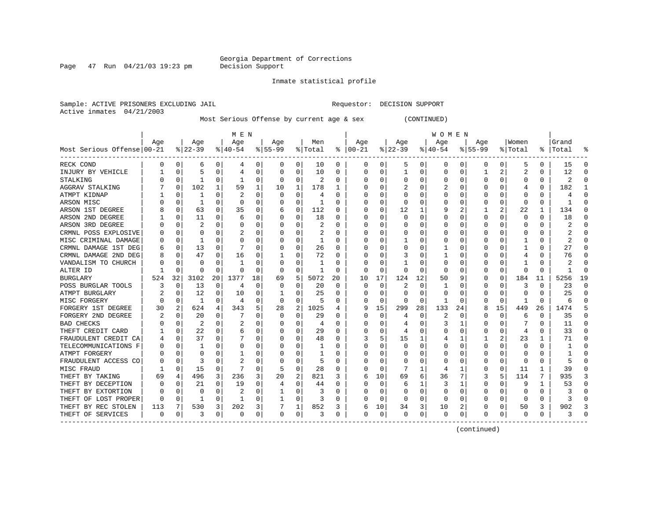Page 47 Run  $04/21/03$  19:23 pm

#### Inmate statistical profile

Sample: ACTIVE PRISONERS EXCLUDING JAIL Requestor: DECISION SUPPORT Active inmates 04/21/2003

Most Serious Offense by current age & sex (CONTINUED)

|                            |     |             |              |              | MEN       |          |          |                |         |              |               |          |              |          | <b>WOMEN</b> |             |             |                |          |          |           |          |
|----------------------------|-----|-------------|--------------|--------------|-----------|----------|----------|----------------|---------|--------------|---------------|----------|--------------|----------|--------------|-------------|-------------|----------------|----------|----------|-----------|----------|
|                            | Age |             | Age          |              | Age       |          | Age      |                | Men     |              | Age           |          | Age          |          | Age          |             | Age         |                | Women    |          | Grand     |          |
| Most Serious Offense 00-21 |     |             | $ 22-39 $    |              | $8 40-54$ |          | $ 55-99$ |                | % Total |              | $8   00 - 21$ |          | $ 22-39$     |          | $ 40-54$     |             | $8155 - 99$ |                | % Total  |          | %   Total |          |
| RECK COND                  | 0   | 0           | 6            | 0            | 4         | 0        | 0        | 0              | 10      | 0            | 0             | 0        | 5            | 0        | 0            | 0           | 0           | 0              | 5        | 0        | 15        | $\Omega$ |
| INJURY BY VEHICLE          |     | $\mathbf 0$ | 5            | 0            | 4         | 0        | 0        | 0              | 10      | 0            | <sup>0</sup>  | 0        | $\mathbf{1}$ | 0        |              | 0           | 1           | 2              | 2        | O        | 12        | $\cap$   |
| STALKING                   |     | $\mathbf 0$ | $\mathbf{1}$ | 0            |           | 0        | 0        | 0              | 2       | 0            |               |          | $\Omega$     | 0        |              | $\mathbf 0$ | $\Omega$    | 0              | O        | O        |           |          |
| AGGRAV STALKING            |     | 0           | 102          | $\mathbf{1}$ | 59        | 1        | 10       | 1              | 178     |              |               |          |              | 0        |              | 0           | U           |                | 4        | 0        | 182       |          |
| ATMPT KIDNAP               |     | $\Omega$    |              | U            |           | 0        | O        | 0              |         | O            |               |          |              | 0        |              | 0           |             |                | 0        | O        |           |          |
| ARSON MISC                 |     | 0           | 1            | O            | 0         | 0        |          | 0              |         | O            |               | 0        | O            | U        |              | 0           |             | O              | 0        | 0        |           |          |
| ARSON 1ST DEGREE           |     | $\mathbf 0$ | 63           | 0            | 35        | 0        | b        | 0              | 112     | 0            |               | $\Omega$ | 12           | 1        |              | 2           |             |                | 22       | 1        | 134       |          |
| ARSON 2ND DEGREE           |     | $\mathbf 0$ | 11           | 0            | 6         | $\Omega$ |          | 0              | 18      | O            |               | $\Omega$ | $\Omega$     | O        |              | $\Omega$    | U           | 0              | 0        | $\Omega$ | 18        |          |
| ARSON 3RD DEGREE           |     | $\Omega$    | 2            | U            | $\Omega$  | O        |          | $\Omega$       | 2       | O            |               | U        | <sup>0</sup> | U        |              | 0           | U           | 0              | 0        | O        |           |          |
| CRMNL POSS EXPLOSIVE       |     | $\mathbf 0$ | $\Omega$     | U            | 2         | 0        |          | $\Omega$       | 2       | 0            |               | 0        |              | 0        |              | 0           | C           | 0              | 0        | 0        | Z         |          |
| MISC CRIMINAL DAMAGE       |     | $\mathbf 0$ | $\mathbf{1}$ | U            | C         | 0        |          | 0              | 1       | 0            |               | U        |              | 0        |              | $\mathbf 0$ | 0           | 0              |          | 0        |           |          |
| CRMNL DAMAGE 1ST DEG       | 6   | 0           | 13           | O            |           | O        |          | 0              | 26      | $\Omega$     |               | U        |              | U        |              | 0           | U           | O              |          | 0        | 27        | ∩        |
| CRMNL DAMAGE 2ND DEG       |     | 0           | 47           | $\Omega$     | 16        | 0        |          | 0              | 72      | $\Omega$     |               | 0        |              | U        |              | 0           | U           | O              |          | 0        | 76        | ∩        |
| VANDALISM TO CHURCH        |     | $\Omega$    | 0            | 0            |           | 0        | O        | 0              |         | 0            |               | 0        |              | 0        | 0            | 0           | 0           | 0              |          | 0        |           | ∩        |
| ALTER ID                   |     | 0           | O            | 0            | $\Omega$  | 0        | $\Omega$ | 0              |         | 0            | n             | 0        | O            | O        | $\Omega$     | 0           | 0           | 0              | 0        | 0        |           | ∩        |
| <b>BURGLARY</b>            | 524 | 32          | 3102         | 20           | 1377      | 18       | 69       | 5              | 5072    | 20           | 10            | 17       | 124          | 12       | 50           | 9           | 0           | 0              | 184      | 11       | 5256      | 19       |
| POSS BURGLAR TOOLS         | 3   | 0           | 13           | 0            | 4         | $\Omega$ | O        | 0              | 20      | O            | <sup>0</sup>  | O        | 2            | 0        | 1            | 0           | 0           | 0              | 3        | O        | 23        |          |
| ATMPT BURGLARY             |     | $\Omega$    | 12           | U            | 10        | 0        |          | 0              | 25      | O            |               | U        | Ω            | 0        | O            | 0           | 0           | O              | 0        | O        | 25        |          |
| MISC FORGERY               |     | $\Omega$    | 1            | U            | 4         | $\Omega$ | $\Omega$ | $\Omega$       | 5       | O            |               | O        | $\Omega$     | $\Omega$ |              | $\Omega$    | U           | $\Omega$       |          | $\Omega$ |           |          |
| FORGERY 1ST DEGREE         | 30  | 2           | 624          | 4            | 343       | 5        | 28       | 2              | 1025    |              |               | 15       | 299          | 28       | 133          | 24          | 8           | 15             | 449      | 26       | 1474      |          |
| FORGERY 2ND DEGREE         |     | 0           | 20           | U            |           | 0        | O        | O              | 29      | O            |               | 0        | 4            | 0        | 2            | 0           | U           | 0              | 6        | O        | 35        |          |
| <b>BAD CHECKS</b>          |     | $\Omega$    | 2            | 0            |           | 0        |          | O              | 4       | U            |               | U        | 4            | U        |              |             | O           | O              |          | O        | 11        |          |
| THEFT CREDIT CARD          |     | 0           | 22           | $\Omega$     | 6         | $\Omega$ |          | $\Omega$       | 29      | <sup>0</sup> |               | O        | 4            | U        |              | 0           | U           | $\Omega$       | 4        | 0        | 33        |          |
| FRAUDULENT CREDIT CA       |     | 0           | 37           | $\Omega$     |           | 0        |          | $\Omega$       | 48      | O            | 3             | 5.       | 15           | 1        |              | 1           |             | $\overline{a}$ | 23       | 1        | 71        |          |
| TELECOMMUNICATIONS F       |     | $\mathbf 0$ |              | O            | C         | 0        |          | $\Omega$       | 1       |              |               | O        | $\Omega$     | 0        |              | $\mathbf 0$ | $\Omega$    | $\Omega$       | $\Omega$ | $\Omega$ |           |          |
| ATMPT FORGERY              |     | 0           | $\Omega$     | U            |           | 0        |          | 0              |         | U            |               | U        |              | U        |              | 0           | U           | O              | C        | 0        |           |          |
| FRAUDULENT ACCESS CO       |     | $\Omega$    | 3            | U            | 2         | 0        |          | $\Omega$       | 5       | O            |               | 0        |              | 0        | O            | 0           | 0           | $\Omega$       | $\Omega$ | $\Omega$ |           |          |
| MISC FRAUD                 |     | 0           | 15           | $\Omega$     | 7         | $\Omega$ |          | 0              | 28      | O            |               | 0        | 7            | 1        | 4            | 1           | U           | $\Omega$       | 11       | 1        | 39        |          |
| THEFT BY TAKING            | 69  | 4           | 496          | 3            | 236       | 3        | 20       | $\overline{2}$ | 821     | 3            | 6             | 10       | 69           | 6        | 36           | 7           | 3           | 5              | 114      | 7        | 935       | 3        |
| THEFT BY DECEPTION         |     | 0           | 21           | 0            | 19        | 0        | 4        | 0              | 44      | O            |               | 0        | 6            | 1        | 3            | 1           | 0           | 0              | 9        | 1        | 53        | ∩        |
| THEFT BY EXTORTION         |     | 0           | $\Omega$     | U            | 2         | 0        |          | 0              | 3       | O            |               | O        | O            | 0        |              | 0           | 0           | 0              | O        | O        |           |          |
| THEFT OF LOST PROPER       |     | 0           | 1            | 0            | -1        | 0        |          | 0              | 3       |              |               | 0        | 0            | 0        | 0            | 0           | 0           | 0              | 0        | 0        |           |          |
| THEFT BY REC STOLEN        | 113 | 7           | 530          | 3            | 202       | 3        |          | 1              | 852     | 3            | 6             | 10       | 34           | 3        | 10           | 2           | 0           | 0              | 50       | 3        | 902       |          |
| THEFT OF SERVICES          | 0   | 0           | 3            | 0            | 0         | 0        | 0        | $\mathbf 0$    | 3       | 0            | <sup>0</sup>  | 0        | $\Omega$     | 0        | O            | 0           | 0           | 0              | 0        | 0        |           |          |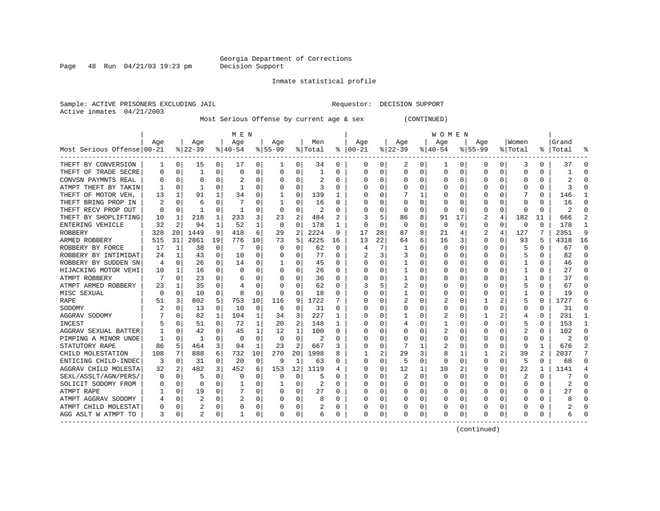Page  $48$  Run  $04/21/03$  19:23 pm

#### Inmate statistical profile

Sample: ACTIVE PRISONERS EXCLUDING JAIL Requestor: DECISION SUPPORT Active inmates 04/21/2003

Most Serious Offense by current age & sex (CONTINUED)

|                            |     |              |                |              | M E N     |          |           |                |         |          |               |              |                |   | W O M E N |          |             |          |          |          |           |          |
|----------------------------|-----|--------------|----------------|--------------|-----------|----------|-----------|----------------|---------|----------|---------------|--------------|----------------|---|-----------|----------|-------------|----------|----------|----------|-----------|----------|
|                            | Age |              | Age            |              | Age       |          | Age       |                | Men     |          | Age           |              | Age            |   | Age       |          | Age         |          | Women    |          | Grand     |          |
| Most Serious Offense 00-21 |     |              | $ 22-39 $      |              | $8 40-54$ |          | $8 55-99$ |                | % Total |          | $8   00 - 21$ |              | $ 22-39$       |   | $ 40-54$  |          | $8155 - 99$ |          | % Total  |          | %   Total |          |
| THEFT BY CONVERSION        | 1   | 0            | 15             | $\Omega$     | 17        | 0        | 1         | 0              | 34      | 0        | $\Omega$      | 0            | 2              | 0 | 1         | 0        | 0           | $\Omega$ | 3        | 0        | 37        | n        |
| THEFT OF TRADE SECRE       | O   | 0            | 1              | 0            | 0         | 0        | 0         | 0              | 1       | 0        | <sup>0</sup>  | U            | U              | 0 | $\Omega$  | 0        | 0           | 0        | 0        | N        |           |          |
| CONVSN PAYMNTS REAL        |     | 0            | 0              | U            | 2         | 0        |           | 0              | 2       | 0        |               | U            |                | 0 | C         | 0        | 0           | O        | 0        | O        |           |          |
| ATMPT THEFT BY TAKIN       |     | 0            |                | U            |           | 0        |           | 0              | 3       | O        |               |              |                | 0 |           | 0        |             | O        |          | O        |           |          |
| THEFT OF MOTOR VEH,        | 13  | 1            | 91             | 1            | 34        | 0        |           | $\Omega$       | 139     |          |               |              |                | 1 |           | 0        |             |          |          | 0        | 146       |          |
| THEFT BRING PROP IN        |     | $\Omega$     | 6              | U            |           | 0        |           | 0              | 16      | O        |               | U            | $\Omega$       | U |           | 0        |             |          | $\Omega$ | 0        | 16        |          |
| THEFT RECV PROP OUT        | O   | 0            | -1             | U            | -1        | 0        | O         | 0              | 2       | O        |               | U            | O              | U | O         | 0        | O           | O        | $\Omega$ | $\Omega$ |           |          |
| THEFT BY SHOPLIFTING       | 10  | 1            | 218            | 1            | 233       | 3        | 23        | $\overline{a}$ | 484     | 2        |               | 5            | 86             | 8 | 91        | 17       | 2           | 4        | 182      | 11       | 666       |          |
| ENTERING VEHICLE           | 32  | 2            | 94             | -1           | 52        |          | $\Omega$  | $\Omega$       | 178     | 1        |               | $\Omega$     | 0              | O | C         | $\Omega$ | 0           | $\Omega$ | 0        | $\Omega$ | 178       |          |
| ROBBERY                    | 328 | 20           | 1449           | 9            | 418       | 6        | 29        | 2              | 2224    | 9        | 17            | 28           | 87             | 8 | 21        | 4        | 2           | 4        | 127      |          | 2351      | 9        |
| ARMED ROBBERY              | 515 | 31           | 2861           | 19           | 776       | 10       | 73        | 5              | 4225    | 16       | 13            | 22           | 64             | 6 | 16        | 3        | $\Omega$    | $\Omega$ | 93       |          | 4318      | 16       |
| ROBBERY BY FORCE           | 17  | 1            | 38             | 0            |           | $\Omega$ | $\Omega$  | 0              | 62      | $\Omega$ |               | 7            |                | 0 |           | 0        | 0           | O        |          | 0        | 67        | $\Omega$ |
| ROBBERY BY INTIMIDAT       | 24  | 1            | 43             | $\Omega$     | 10        | $\Omega$ | O         | $\Omega$       | 77      | $\Omega$ |               | 3            |                | 0 |           | $\Omega$ | 0           | O        |          | $\Omega$ | 82        | $\cap$   |
| ROBBERY BY SUDDEN SN       | 4   | 0            | 26             | $\Omega$     | 14        | 0        |           | 0              | 45      | 0        |               | 0            |                | 0 |           | 0        | 0           | O        |          | 0        | 46        | ∩        |
| HIJACKING MOTOR VEHI       | 10  | 1            | 16             | $\Omega$     | 0         | 0        | O         | 0              | 26      | 0        |               | <sup>0</sup> |                | 0 |           | 0        | U           | 0        |          | 0        | 27        | ∩        |
| ATMPT ROBBERY              |     | $\Omega$     | 23             | $\Omega$     | 6         | 0        | O         | 0              | 36      | 0        |               | U            |                | 0 |           | 0        | 0           | O        |          | O        | 37        | ∩        |
| ATMPT ARMED ROBBERY        | 23  | -1           | 35             | 0            | 4         | 0        | O         | 0              | 62      | 0        |               | 5            | 2              | 0 |           | 0        |             | O        |          |          | 67        | n        |
| MISC SEXUAL                | 0   | 0            | 10             | 0            | 8         | 0        | 0         | 0              | 18      | 0        |               |              |                | 0 |           | 0        | C           | 0        |          | U        | 19        |          |
| RAPE                       | 51  | 3            | 802            | 5            | 753       | 10       | 116       | 9              | 1722    |          |               |              |                | 0 |           | $\Omega$ |             |          |          | U        | 1727      |          |
| SODOMY                     |     | <sup>0</sup> | 13             | $\Omega$     | 10        | $\Omega$ | 6         | 0              | 31      | O        |               |              | O              | U |           | 0        | O           | O        | O        | 0        | 31        |          |
| AGGRAV SODOMY              |     | $\Omega$     | 82             | $\mathbf{1}$ | 104       | 1        | 34        | 3              | 227     | 1        |               | U            |                | 0 |           | 0        |             |          | 4        | 0        | 231       |          |
| INCEST                     |     | $\Omega$     | 51             | $\Omega$     | 72        | 1        | 20        | $\overline{c}$ | 148     | 1        |               | 0            |                | 0 |           | 0        | O           | U        |          | 0        | 153       |          |
| AGGRAV SEXUAL BATTER       |     | $\Omega$     | 42             | 0            | 45        | 1        | 12        | 1              | 100     | O        |               | 0            | U              | O | 2         | $\Omega$ |             | $\Omega$ | 2        | 0        | 102       |          |
| PIMPING A MINOR UNDE       |     | 0            | -1             | 0            | $\Omega$  | $\Omega$ | $\Omega$  | $\mathbf 0$    | 2       | U        |               | O            |                | U |           | 0        |             | 0        | C        | 0        | 2         |          |
| STATUTORY RAPE             | 86  | 5            | 464            | 3            | 94        | 1        | 23        | $\overline{c}$ | 667     |          |               | $\Omega$     |                | 1 | 2         | 0        | 0           | $\Omega$ | 9        |          | 676       |          |
| CHILD MOLESTATION          | 108 | 7            | 888            | 6            | 732       | 10       | 270       | 20             | 1998    | 8        |               | 2            | 29             | 3 | 8         | 1        |             | 2        | 39       | 2        | 2037      |          |
| ENTICING CHILD-INDEC       | 3   | 0            | 31             | U            | 20        | $\Omega$ | 9         | 1              | 63      | O        |               | 0            | 5              | U | $\Omega$  | 0        | U           | O        | 5        | $\Omega$ | 68        | ∩        |
| AGGRAV CHILD MOLESTA       | 32  | 2            | 482            | 3            | 452       | 6        | 153       | 12             | 1119    |          |               | 0            | 12             | 1 | 10        | 2        | U           | O        | 22       | 1        | 1141      |          |
| SEXL/ASSLT/AGN/PERS/       | 0   | 0            | 5              | U            | 0         | $\Omega$ | 0         | 0              | 5       | O        |               | 0            | $\overline{2}$ | 0 | 0         | 0        | 0           | O        | 2        | $\Omega$ |           | n        |
| SOLICIT SODOMY FROM        |     | 0            | 0              | 0            |           | 0        |           | 0              | 2       | O        |               | 0            | 0              | 0 | $\left($  | 0        | 0           | 0        | 0        | 0        |           |          |
| ATMPT RAPE                 |     | 0            | 19             | U            |           | $\Omega$ | O         | 0              | 27      | 0        |               | 0            | 0              | 0 | O         | 0        | U           | O        | O        | O        | 27        |          |
| ATMPT AGGRAV SODOMY        |     | 0            | $\overline{c}$ | O            | 2         | 0        | O         | 0              | 8       |          |               | 0            |                | 0 |           | 0        | O           | O        | O        |          |           |          |
| ATMPT CHILD MOLESTAT       |     | 0            | 2              | 0            | 0         | 0        |           | 0              | 2       | 0        |               | 0            |                | 0 |           | 0        |             | 0        |          |          |           |          |
| AGG ASLT W ATMPT TO        | 3   | 0            |                | 0            |           | 0        | 0         | 0              | 6       | 0        | <sup>0</sup>  | 0            | 0              | 0 | C         | 0        | 0           | $\Omega$ | $\Omega$ | 0        |           |          |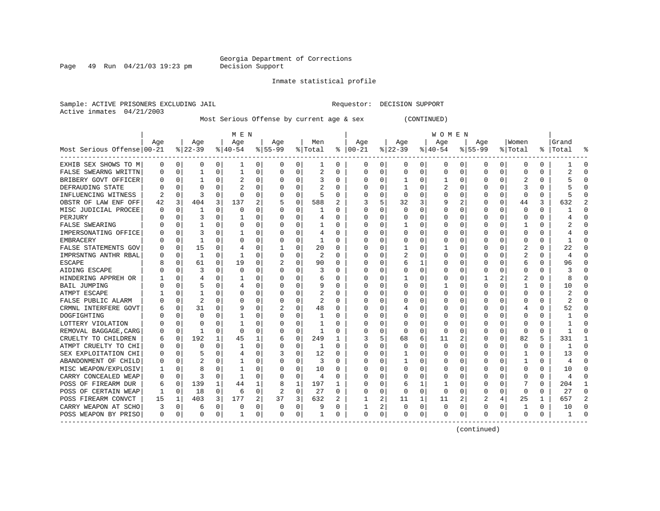Page 49 Run 04/21/03 19:23 pm

#### Inmate statistical profile

Sample: ACTIVE PRISONERS EXCLUDING JAIL Requestor: DECISION SUPPORT Active inmates 04/21/2003

Most Serious Offense by current age & sex (CONTINUED)

|                            | M E N |             |                |              |           |          |           |             |         |          |          | <b>WOMEN</b> |              |          |           |              |                |              |              |               |       |           |  |
|----------------------------|-------|-------------|----------------|--------------|-----------|----------|-----------|-------------|---------|----------|----------|--------------|--------------|----------|-----------|--------------|----------------|--------------|--------------|---------------|-------|-----------|--|
|                            | Age   |             | Age            |              | Age       |          | Age       |             | Men     |          | Age      |              | Age          |          | Age       |              | Aqe            |              | Women        |               | Grand |           |  |
| Most Serious Offense 00-21 |       |             | $8 22-39$      |              | $8 40-54$ |          | $8 55-99$ |             | % Total | ႜ        | $ 00-21$ |              | $ 22-39 $    |          | $ 40-54 $ |              | $8155 - 99$    |              | % Total      | $\frac{1}{6}$ | Total |           |  |
| EXHIB SEX SHOWS TO M       | 0     | 0           | 0              | 0            | ı         | 0        | 0         | 0           | ı       | 0        | 0        | 0            | 0            | 0        | 0         | 0            | 0              | 0            | 0            | 0             |       | 0         |  |
| FALSE SWEARNG WRITTN       |       | $\mathbf 0$ | 1              | 0            | 1         | $\Omega$ | O         | 0           | 2       | 0        | O        | 0            | 0            | $\Omega$ | 0         | 0            | $\Omega$       | 0            | 0            | 0             |       | $\cap$    |  |
| BRIBERY GOVT OFFICER       |       | $\mathbf 0$ |                | O            |           | $\Omega$ |           | $\Omega$    | 3       | 0        | O        | 0            | $\mathbf{1}$ | 0        |           | $\Omega$     | $\Omega$       | O            | 2            | 0             |       |           |  |
| DEFRAUDING STATE           |       | $\Omega$    | O              |              |           | 0        |           | $\Omega$    |         | U        |          | O            |              | O        |           | $\Omega$     | $\Omega$       |              | 3            | U             |       |           |  |
| INFLUENCING WITNESS        |       | $\Omega$    | 3              | U            | $\Omega$  | 0        | O         | $\Omega$    | 5       | 0        |          | O            | $\Omega$     | 0        | O         | $\Omega$     | O              | 0            | $\Omega$     | 0             |       |           |  |
| OBSTR OF LAW ENF OFF       | 42    | 3           | 404            | 3            | 137       | 2        |           | 0           | 588     | 2        |          | 5            | 32           | 3        | 9         | 2            | O              | 0            | 44           | 3             | 632   |           |  |
| MISC JUDICIAL PROCEE       | O     | $\mathbf 0$ |                | O            | n         | O        |           | 0           |         | U        | O        | $\Omega$     | <sup>0</sup> | $\Omega$ | 0         | $\Omega$     | O              | 0            | $\Omega$     | 0             |       |           |  |
| PERJURY                    |       | $\Omega$    | 3              | U            |           | U        |           | $\Omega$    | 4       | U        | 0        | $\Omega$     | O            | O        |           | $\Omega$     |                | $\Omega$     | 0            | 0             |       |           |  |
| FALSE SWEARING             |       | $\Omega$    |                | 0            | $\Omega$  | U        |           | $\Omega$    |         | U        |          | $\Omega$     |              | O        |           | $\Omega$     | <sup>0</sup>   | 0            |              | U             |       | C         |  |
| IMPERSONATING OFFICE       |       | $\mathbf 0$ | 3              | 0            |           | 0        |           | $\Omega$    | 4       | 0        |          | 0            | 0            | 0        |           | $\Omega$     |                | 0            | 0            | 0             |       |           |  |
| EMBRACERY                  |       | $\mathbf 0$ | 1              | O            | C         | 0        |           | 0           | 1       | 0        |          | 0            | 0            | $\Omega$ |           | $\Omega$     | <sup>0</sup>   | 0            | 0            | 0             |       | n         |  |
| FALSE STATEMENTS GOV       |       | $\mathbf 0$ | 15             | $\Omega$     | 4         | 0        |           | 0           | 20      | U        | O        | $\Omega$     |              | $\Omega$ |           | $\Omega$     | $\Omega$       | 0            | 2            | 0             | 22    | $\cap$    |  |
| IMPRSNTNG ANTHR RBAL       |       | 0           | 1              | $\Omega$     | -1        | O        | O         | 0           | 2       | $\Omega$ | C        | $\Omega$     | 2            | O        | U         | $\Omega$     | $\Omega$       | 0            | 2            | 0             | 4     | $\Omega$  |  |
| <b>ESCAPE</b>              |       | 0           | 61             | $\Omega$     | 19        | 0        |           | $\Omega$    | 90      | 0        | 0        | $\Omega$     | 6            | 1        | 0         | 0            | 0              | 0            | 6            | 0             | 96    | $\Omega$  |  |
| AIDING ESCAPE              |       | 0           | 3              | O            | 0         | 0        | O         | 0           | 3       | 0        | $\Omega$ | 0            | 0            | $\Omega$ | 0         | $\Omega$     | $\Omega$       | 0            | 0            | 0             | 3     | $\cap$    |  |
| HINDERING APPREH OR        |       | 0           | 4              | O            |           | 0        | O         | 0           | 6       | 0        | 0        | 0            |              | 0        | 0         | 0            |                | 2            | 2            | 0             | 8     | $\cap$    |  |
| BAIL JUMPING               |       | 0           | 5              | O            |           | 0        |           | O           | 9       | U        |          | 0            | O            | 0        |           | $\Omega$     | $\Omega$       | 0            |              | U             | 10    |           |  |
| ATMPT ESCAPE               |       | $\Omega$    |                |              | C         | U        |           | O           | 2       | U        |          | 0            | O            | 0        | O         | C            | O              |              | O            | U             |       |           |  |
| FALSE PUBLIC ALARM         |       | $\Omega$    | $\overline{c}$ | U            | 0         | O        | O         | $\Omega$    | 2       | U        | C        | 0            | O            | 0        | O         | <sup>0</sup> | O              |              | <sup>0</sup> | U             | 2     |           |  |
| CRMNL INTERFERE GOVT       |       | 0           | 31             | U            | q         | 0        |           | $\Omega$    | 48      | U        | O        | 0            |              | 0        | O         | $\Omega$     | n              | <sup>0</sup> |              | 0             | 52    |           |  |
| DOGFIGHTING                |       | $\Omega$    | O              | U            |           | 0        |           | O           |         | U        | C        | 0            | O            | O        | Ω         | n            |                | <sup>0</sup> | <sup>0</sup> | 0             |       |           |  |
| LOTTERY VIOLATION          |       | $\Omega$    | U              | U            |           | U        |           | 0           |         | U        |          | 0            | O            | O        | 0         | n            |                | <sup>0</sup> | O            | 0             |       |           |  |
| REMOVAL BAGGAGE, CARG      |       | $\Omega$    | 1              | 0            | n         | U        |           | $\Omega$    | -1      | U        |          | $\Omega$     | $\Omega$     | $\Omega$ | O         | $\Omega$     | O              | $\Omega$     | n            | 0             |       | n         |  |
| CRUELTY TO CHILDREN        | b     | $\mathbf 0$ | 192            | $\mathbf{1}$ | 45        | 1        |           | $\mathbf 0$ | 249     |          | 3        | 5            | 68           | 6        | 11        | 2            | 0              | $\Omega$     | 82           | 5             | 331   |           |  |
| ATMPT CRUELTY TO CHI       |       | $\mathbf 0$ | $\Omega$       | $\Omega$     |           | 0        |           | 0           | 1       | O        |          | 0            | $\Omega$     | $\Omega$ | $\Omega$  | $\Omega$     | $\Omega$       | 0            | 0            | 0             |       | $\cap$    |  |
| SEX EXPLOITATION CHI       |       | $\mathbf 0$ |                | O            | 4         | 0        |           | 0           | 12      | U        |          | $\Omega$     | 1            | O        | Ω         | $\Omega$     | $\Omega$       | 0            |              | 0             | 13    | $\bigcap$ |  |
| ABANDONMENT OF CHILD       | 0     | $\Omega$    | $\overline{c}$ | O            |           | 0        |           | 0           | 3       | 0        | O        | $\Omega$     | 1            | 0        | 0         | $\Omega$     | $\Omega$       | 0            | 1            | 0             | 4     | $\cap$    |  |
| MISC WEAPON/EXPLOSIV       |       | $\Omega$    | 8              | O            |           | O        | O         | 0           | 10      | U        | C        | $\Omega$     | O            | O        | O         | $\Omega$     | O              | 0            | O            | 0             | 10    | $\Omega$  |  |
| CARRY CONCEALED WEAP       | O     | $\Omega$    | 3              | $\Omega$     | -1        | 0        | O         | $\Omega$    | 4       | U        | O        | $\Omega$     | 0            | 0        | 0         | 0            | O              | 0            | O            | 0             | 4     | $\Omega$  |  |
| POSS OF FIREARM DUR        | 6     | 0           | 139            | 1            | 44        | 1        | 8         | 1           | 197     | 1        | O        | 0            | 6            | 1        | 1         | $\Omega$     | O              | 0            |              | 0             | 204   | 1         |  |
| POSS OF CERTAIN WEAP       |       | 0           | 18             | 0            | 6         | 0        | 2         | 0           | 27      | 0        | O        | 0            | <sup>0</sup> | 0        | 0         | $\Omega$     | $\Omega$       | 0            | $\Omega$     | U             | 27    | $\Omega$  |  |
| POSS FIREARM CONVCT        | 15    | 1           | 403            | 3            | 177       | 2        | 37        | 3           | 632     | 2        |          | 2            | 11           | 1        | 11        | 2            | $\overline{2}$ |              | 25           | 1             | 657   |           |  |
| CARRY WEAPON AT SCHO       | 3     | 0           | 6              | 0            | 0         | 0        | 0         | 0           | 9       | 0        |          | 2            | 0            | 0        | 0         | 0            | 0              | 0            |              | 0             | 10    | $\cap$    |  |
| POSS WEAPON BY PRISO       | 0     | 0           | $\Omega$       | 0            |           | 0        | 0         | 0           |         | 0        | $\Omega$ | 0            | 0            | 0        | 0         | 0            | $\Omega$       | 0            | $\Omega$     | 0             |       |           |  |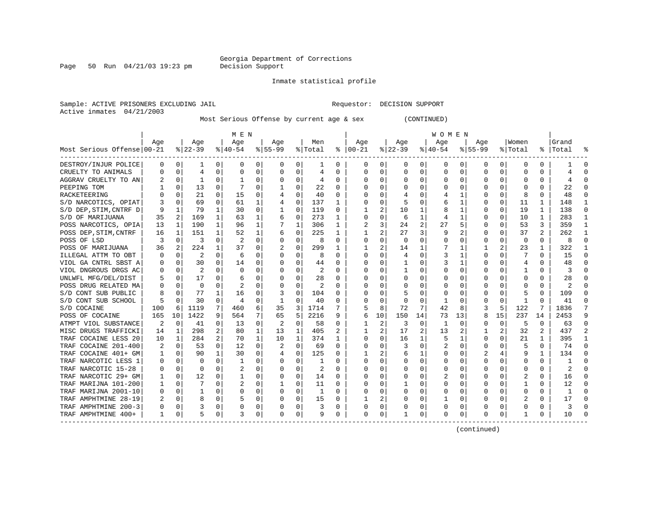Page 50 Run  $04/21/03$  19:23 pm

#### Inmate statistical profile

Sample: ACTIVE PRISONERS EXCLUDING JAIL Requestor: DECISION SUPPORT Active inmates 04/21/2003

Most Serious Offense by current age & sex (CONTINUED)

|                            | M E N |          |          |                |                |          |           |              |         |              |              | W O M E N      |          |                |           |          |          |          |                |              |           |                |  |
|----------------------------|-------|----------|----------|----------------|----------------|----------|-----------|--------------|---------|--------------|--------------|----------------|----------|----------------|-----------|----------|----------|----------|----------------|--------------|-----------|----------------|--|
|                            | Aqe   |          | Age      |                | Age            |          | Aqe       |              | Men     |              | Age          |                | Aqe      |                | Age       |          | Aqe      |          | Women          |              | Grand     |                |  |
| Most Serious Offense 00-21 |       |          | $ 22-39$ |                | $8 40-54$      |          | $8 55-99$ |              | % Total | ႜ            | $ 00-21$     |                | $ 22-39$ |                | $ 40-54 $ |          | $ 55-99$ |          | % Total        |              | %   Total |                |  |
| DESTROY/INJUR POLICE       | 0     | 0        | 1        | 0              | 0              | 0        | 0         | 0            | 1       | 0            | 0            | 0              | 0        | 0              | 0         | 0        | 0        | 0        | 0              | 0            |           | $\Omega$       |  |
| CRUELTY TO ANIMALS         | 0     | $\Omega$ | 4        | 0              | $\Omega$       | 0        | 0         | $\Omega$     | 4       | 0            | O            | 0              | $\Omega$ | 0              | $\Omega$  | 0        | $\Omega$ | 0        | $\Omega$       | 0            |           |                |  |
| AGGRAV CRUELTY TO AN       |       | $\Omega$ | 1        | 0              |                | 0        |           | $\Omega$     | 4       | 0            | O            | 0              | $\Omega$ | $\Omega$       | 0         | 0        | 0        | 0        | $\Omega$       | 0            |           |                |  |
| PEEPING TOM                |       | $\Omega$ | 13       | O              |                | 0        |           | $\Omega$     | 22      | U            | C            | $\Omega$       |          | $\Omega$       |           | 0        | O        | U        | $\Omega$       | 0            | 22        |                |  |
| RACKETEERING               |       | $\Omega$ | 21       | 0              | 15             | 0        |           | 0            | 40      | U            | C            | $\Omega$       |          | O              |           | 1        | O        | 0        | 8              | 0            | 48        |                |  |
| S/D NARCOTICS, OPIAT       | 3     | $\Omega$ | 69       | 0              | 61             | 1        |           | $\mathbf 0$  | 137     | 1            | 0            | 0              | 5        | $\Omega$       | 6         | 1        | 0        | $\Omega$ | 11             | 1            | 148       |                |  |
| S/D DEP, STIM, CNTRF D     | 9     | 1        | 79       |                | 30             | 0        |           | 0            | 119     | 0            |              | $\overline{a}$ | 10       | 1              | 8         | 1        | 0        | 0        | 19             | 1            | 138       | ∩              |  |
| S/D OF MARIJUANA           | 35    | 2        | 169      | 1              | 63             | 1        | 6         | 0            | 273     | 1            | $\Omega$     | $\mathbf 0$    | 6        | 1              | 4         | 1        | O        | 0        | 10             | 1            | 283       | -1             |  |
| POSS NARCOTICS, OPIA       | 13    | 1        | 190      | $\mathbf{1}$   | 96             | 1        |           | 1            | 306     | 1            |              | 3              | 24       | $\overline{a}$ | 27        | 5        | 0        | 0        | 53             | 3            | 359       | $\mathbf{1}$   |  |
| POSS DEP, STIM, CNTRF      | 16    | 1        | 151      | 1              | 52             | 1        | 6         | 0            | 225     | 1            | $\mathbf{1}$ | 2              | 27       | 3              | 9         | 2        | $\Omega$ | $\Omega$ | 37             | 2            | 262       | $\mathbf{1}$   |  |
| POSS OF LSD                | 3     | $\Omega$ | 3        | 0              | 2              | 0        | $\Omega$  | 0            | 8       | 0            | $\Omega$     | $\Omega$       | $\Omega$ | $\Omega$       | U         | 0        | O        | O        | $\Omega$       | $\Omega$     | 8         | $\Omega$       |  |
| POSS OF MARIJUANA          | 36    | 2        | 224      | 1              | 37             | 0        | 2         | $\Omega$     | 299     | 1            |              | $\overline{a}$ | 14       | 1              |           | 1        | 1        | 2        | 23             | 1            | 322       | -1             |  |
| ILLEGAL ATTM TO OBT        | 0     | 0        | 2        | $\Omega$       | 6              | 0        | O         | 0            | 8       | 0            | $\Omega$     | 0              | 4        | 0              | 3         | 1        | 0        | 0        |                | 0            | 15        | $\Omega$       |  |
| VIOL GA CNTRL SBST A       | 0     | 0        | 30       | 0              | 14             | 0        | $\Omega$  | 0            | 44      | 0            | $\Omega$     | 0              |          | 0              | 3         | 1        | 0        | 0        | 4              | 0            | 48        | $\Omega$       |  |
| VIOL DNGROUS DRGS AC       | 0     | 0        | 2        |                | 0              | 0        |           | 0            | 2       | 0            |              | 0              |          | 0              |           | 0        | 0        | 0        |                | 0            |           |                |  |
| UNLWFL MFG/DEL/DIST        |       | 0        | 17       | O              | 6              | 0        |           | 0            | 28      | 0            |              | 0              |          | 0              |           | 0        | 0        | O        | O              | 0            | 28        |                |  |
| POSS DRUG RELATED MA       | U     | $\Omega$ | $\Omega$ | U              |                | U        |           | O            |         | U            | C            | $\Omega$       | $\Omega$ | 0              | $\Omega$  | $\Omega$ | O        |          | C              | 0            |           |                |  |
| S/D CONT SUB PUBLIC        | 8     | $\Omega$ | 77       |                | 16             | 0        |           | 0            | 104     | 0            | C            | $\Omega$       |          | 0              | 0         | 0        | O        | O        |                | 0            | 109       |                |  |
| S/D CONT SUB SCHOOL        | 5     | $\Omega$ | 30       | 0              | $\overline{4}$ | 0        | -1        | 0            | 40      | 0            | $\Omega$     | 0              | $\Omega$ | 0              | 1         | 0        | 0        | 0        | -1             | O            | 41        |                |  |
| S/D COCAINE                | 100   | 6        | 1119     | 7              | 460            | 6        | 35        | 3            | 1714    | 7            | 5            | 8              | 72       | 7              | 42        | 8        | 3        | 5        | 122            |              | 1836      |                |  |
| POSS OF COCAINE            | 165   | 10       | 1422     | 9              | 564            | 7        | 65        | 5            | 2216    | 9            | 6            | 10             | 150      | 14             | 73        | 13       | 8        | 15       | 237            | 14           | 2453      | 9              |  |
| ATMPT VIOL SUBSTANCE       | 2     | $\Omega$ | 41       | $\Omega$       | 13             | $\Omega$ | 2         | $\mathbf 0$  | 58      | 0            |              | 2              | 3        | $\Omega$       | 1         | 0        | 0        | $\Omega$ | 5              | $\Omega$     | 63        | $\Omega$       |  |
| MISC DRUGS TRAFFICKI       | 14    | 1        | 298      | 2              | 80             | 1        | 13        | 1            | 405     | 2            |              | $\overline{a}$ | 17       | 2              | 13        | 2        | 1        | 2        | 32             | 2            | 437       | $\overline{2}$ |  |
| TRAF COCAINE LESS 20       | 10    | 1        | 284      | $\overline{a}$ | 70             | 1        | 10        | $\mathbf{1}$ | 374     | $\mathbf{1}$ | C            | $\Omega$       | 16       | 1              | 5         | 1        | O        | 0        | 21             | $\mathbf{1}$ | 395       | $\mathbf{1}$   |  |
| TRAF COCAINE 201-400       |       | 0        | 53       | 0              | 12             | 0        |           | 0            | 69      | 0            | C            | 0              | 3        | 0              |           | 0        | 0        | 0        |                | $\Omega$     | 74        | $\cap$         |  |
| TRAF COCAINE 401+ GM       |       | 0        | 90       | 1              | 30             | 0        |           | 0            | 125     | 0            |              | 2              | 6        | 1              | 0         | 0        |          | 4        | 9              | 1            | 134       | ∩              |  |
| TRAF NARCOTIC LESS 1       | 0     | 0        | $\Omega$ | 0              | -1             | 0        | 0         | 0            | -1      | 0            | 0            | $\Omega$       | 0        | 0              | 0         | 0        | 0        | 0        | 0              | 0            |           | ∩              |  |
| TRAF NARCOTIC 15-28        | 0     | 0        | $\Omega$ | 0              | 2              | 0        | O         | $\Omega$     | 2       | 0            | 0            | $\Omega$       | 0        | 0              | 0         | 0        | 0        | 0        | 0              | 0            | 2         |                |  |
| TRAF NARCOTIC 29+ GM       | ı     | 0        | 12       | O              |                | 0        | 0         | 0            | 14      | 0            |              | 0              |          | $\Omega$       | 2         | 0        | 0        | 0        | 2              | O            | 16        |                |  |
| TRAF MARIJNA 101-200       |       | 0        |          | O              |                | 0        |           | 0            | 11      | U            |              | 0              | -1       | 0              | 0         | 0        | 0        | O        |                | O            | 12        |                |  |
| TRAF MARIJNA 2001-10       | O     | $\Omega$ |          | U              | 0              | 0        | $\Omega$  | $\Omega$     | 1       | 0            | O            | $\Omega$       | $\Omega$ | 0              | 0         | $\Omega$ | O        | U        | $\Omega$       | 0            | -1        |                |  |
| TRAF AMPHTMINE 28-19       | 2     | $\Omega$ | 8        | O              | 5              | 0        | $\Omega$  | $\Omega$     | 15      | 0            |              | 2              | $\Omega$ | $\Omega$       |           | 0        | O        | O        | $\overline{2}$ | 0            | 17        |                |  |
| TRAF AMPHTMINE 200-3       | U     | 0        |          | O              | 0              | 0        | $\Omega$  | 0            | 3       | 0            | 0            | 0              |          | 0              | $\Omega$  | 0        | O        | O        | <sup>0</sup>   | 0            | ζ         |                |  |
| TRAF AMPHTMINE 400+        | 1     | 0        | 5        | 0              | 3              | 0        | 0         | 0            | 9       | 0            | $\Omega$     | 0              |          | 0              | 0         | 0        | 0        | 0        | 1              | 0            | 10        |                |  |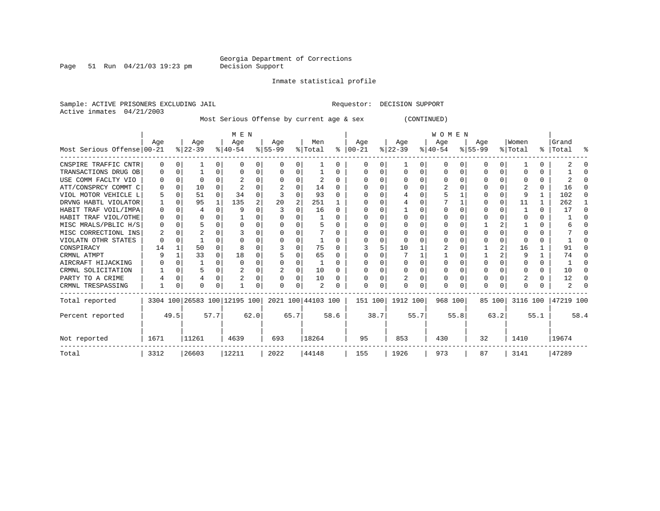Page 51 Run  $04/21/03$  19:23 pm

Inmate statistical profile

Active inmates 04/21/2003

Sample: ACTIVE PRISONERS EXCLUDING JAIL Requestor: DECISION SUPPORT

Most Serious Offense by current age & sex (CONTINUED)

|                            |          |      |           |              | M E N                        |                |           |      |                    |              | WOMEN    |      |           |      |           |      |           |          |          |      |           |          |
|----------------------------|----------|------|-----------|--------------|------------------------------|----------------|-----------|------|--------------------|--------------|----------|------|-----------|------|-----------|------|-----------|----------|----------|------|-----------|----------|
|                            | Age      |      | Age       |              | Age                          |                | Age       |      | Men                |              | Aqe      |      | Age       |      | Age       |      | Aqe       |          | Women    |      | Grand     |          |
| Most Serious Offense 00-21 |          |      | $ 22-39 $ |              | $ 40-54 $                    |                | $ 55-99 $ |      | % Total            | ႜၟ           | $ 00-21$ |      | $ 22-39 $ |      | $ 40-54 $ |      | $8 55-99$ |          | % Total  |      | %   Total | ႜ        |
| CNSPIRE TRAFFIC CNTR       | $\Omega$ | 0    |           | $\Omega$     | $\Omega$                     | 0              | $\Omega$  | U    |                    | $\Omega$     |          |      |           |      |           |      |           | $\Omega$ |          |      |           |          |
| TRANSACTIONS DRUG OB       | 0        |      |           | 0            |                              |                | 0         | 0    |                    | 0            | ∩        |      | $\Omega$  |      | n         |      |           | 0        |          |      |           | ∩        |
| USE COMM FACLTY VIO        |          | 0    |           |              |                              |                |           | U    | 2                  | $\Omega$     |          |      |           |      |           |      |           | C.       |          |      |           |          |
| ATT/CONSPRCY COMMT C       |          |      | 10        |              |                              |                |           |      | 14                 | <sup>0</sup> |          |      |           |      |           |      |           |          |          |      | 16        | ∩        |
| VIOL MOTOR VEHICLE L       |          |      | 51        | $\Omega$     | 34                           |                |           | U    | 93                 | <sup>0</sup> |          |      |           |      |           |      |           |          |          |      | 102       | $\left($ |
| DRVNG HABTL VIOLATOR       |          |      | 95        | $\mathbf{1}$ | 135                          | $\overline{a}$ | 20        | 2    | 251                |              |          |      |           |      |           |      |           |          | 11       |      | 262       |          |
| HABIT TRAF VOIL/IMPA       |          |      |           | U            |                              |                |           | U    | 16                 | $\Omega$     |          |      |           |      |           |      |           |          |          |      | 17        | $\Omega$ |
| HABIT TRAF VIOL/OTHE       |          |      |           |              |                              |                |           |      |                    | <sup>0</sup> |          |      |           |      |           |      |           |          |          |      |           | ∩        |
| MISC MRALS/PBLIC H/S       |          |      |           |              |                              |                |           |      |                    |              |          |      |           |      |           |      |           |          |          |      |           |          |
| MISC CORRECTIONL INS       |          |      |           |              |                              |                |           |      |                    | 0            |          |      |           |      |           |      |           |          |          |      |           |          |
| VIOLATN OTHR STATES        |          |      |           |              |                              |                |           |      |                    | O            |          |      |           |      |           |      |           |          |          |      |           |          |
| CONSPIRACY                 | 14       |      | 50        |              |                              |                |           | U    | 75                 |              |          |      | 10        |      |           |      |           |          | 16       |      | 91        | ∩        |
| CRMNL ATMPT                |          |      | 33        |              | 18                           |                |           |      | 65                 | 0            |          |      |           |      |           |      |           |          |          |      | 74        | ∩        |
| AIRCRAFT HIJACKING         |          |      |           |              |                              |                |           | U    |                    |              |          |      |           |      |           |      |           |          |          |      |           | O        |
| CRMNL SOLICITATION         |          | O    |           |              |                              | O              |           | O    | 10                 | <sup>0</sup> |          |      |           | U    |           |      |           | 0        |          |      | 10        | O        |
| PARTY TO A CRIME           |          |      |           |              |                              |                |           | U    | 10                 |              |          |      |           |      |           |      |           |          |          |      | 12        | O        |
| CRMNL TRESPASSING          |          |      | U         | 0            |                              |                |           | 0    |                    |              |          |      |           |      | $\Omega$  |      |           | 0        |          |      |           |          |
| Total reported             |          |      |           |              | 3304 100 26583 100 12195 100 |                |           |      | 2021 100 44103 100 |              | 151 100  |      | 1912 100  |      | 968 100   |      |           | 85 100   | 3116 100 |      | 47219 100 |          |
| Percent reported           |          | 49.5 |           | 57.7         |                              | 62.0           |           | 65.7 |                    | 58.6         |          | 38.7 |           | 55.7 |           | 55.8 |           | 63.2     |          | 55.1 |           | 58.4     |
| Not reported               | 1671     |      | 11261     |              | 4639                         |                | 693       |      | 18264              |              | 95       |      | 853       |      | 430       |      | 32        |          | 1410     |      | 19674     |          |
| Total                      | 3312     |      | 26603     |              | 12211                        |                | 2022      |      | 44148              |              | 155      |      | 1926      |      | 973       |      | 87        |          | 3141     |      | 47289     |          |